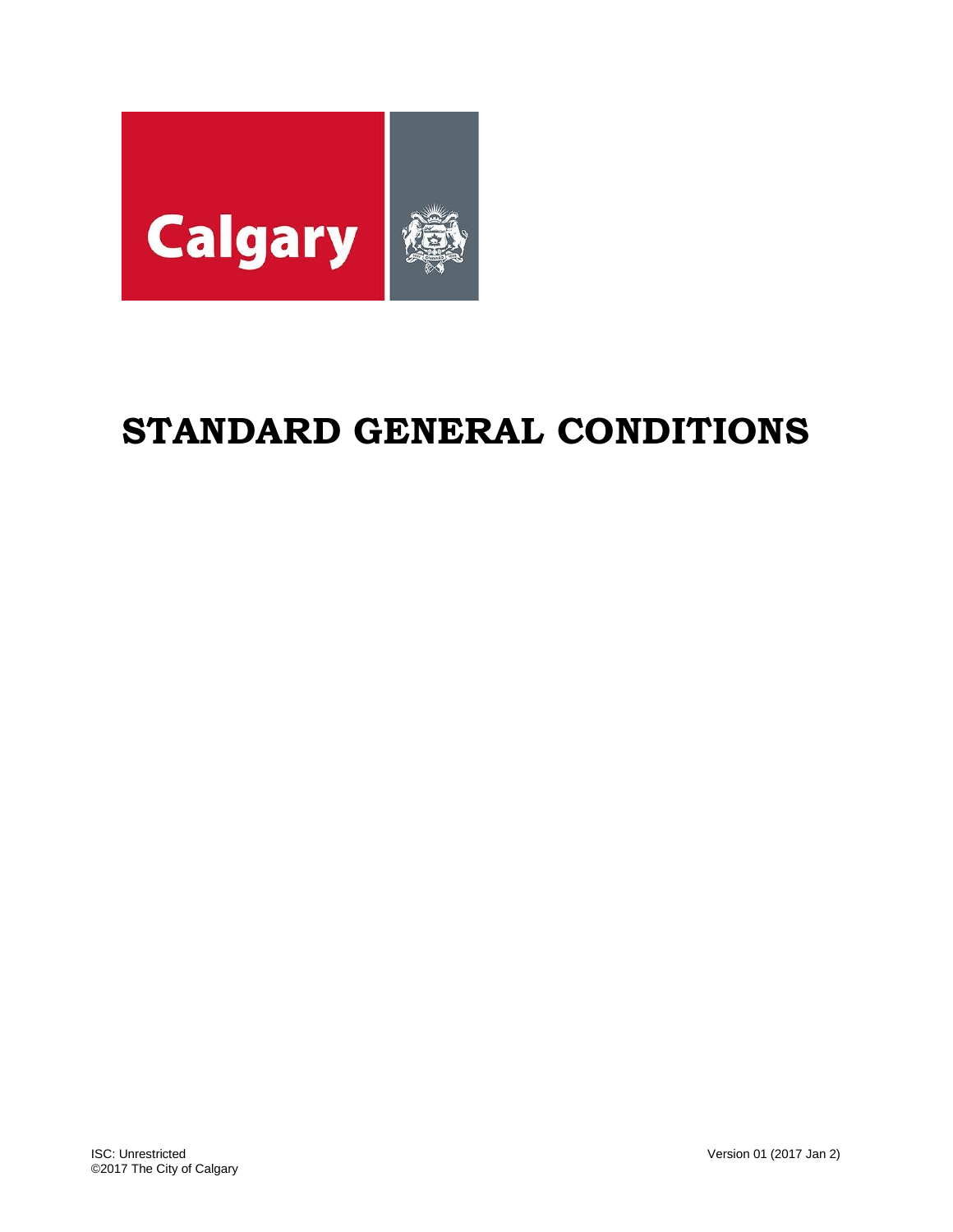

# **STANDARD GENERAL CONDITIONS**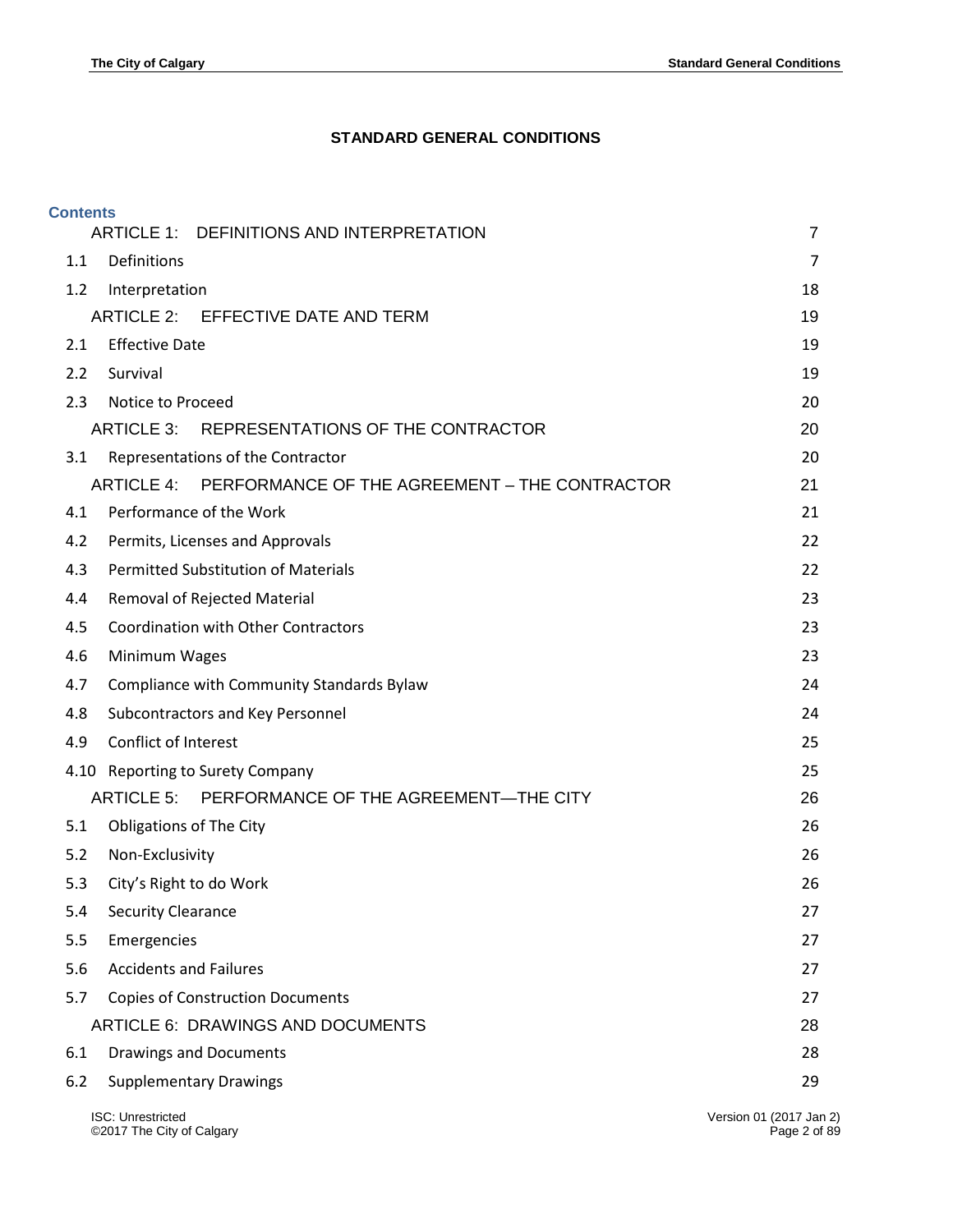# **STANDARD GENERAL CONDITIONS**

| <b>Contents</b> | ARTICLE 1:<br>DEFINITIONS AND INTERPRETATION             | $\overline{7}$                          |
|-----------------|----------------------------------------------------------|-----------------------------------------|
| 1.1             | <b>Definitions</b>                                       | $\overline{7}$                          |
| 1.2             |                                                          | 18                                      |
|                 | Interpretation<br>ARTICLE 2: EFFECTIVE DATE AND TERM     | 19                                      |
| 2.1             | <b>Effective Date</b>                                    | 19                                      |
| 2.2             | Survival                                                 | 19                                      |
| 2.3             | Notice to Proceed                                        | 20                                      |
|                 | ARTICLE 3: REPRESENTATIONS OF THE CONTRACTOR             | 20                                      |
| 3.1             | Representations of the Contractor                        | 20                                      |
|                 | ARTICLE 4: PERFORMANCE OF THE AGREEMENT - THE CONTRACTOR | 21                                      |
| 4.1             | Performance of the Work                                  | 21                                      |
| 4.2             | Permits, Licenses and Approvals                          | 22                                      |
| 4.3             | <b>Permitted Substitution of Materials</b>               | 22                                      |
| 4.4             | Removal of Rejected Material                             | 23                                      |
| 4.5             | <b>Coordination with Other Contractors</b>               | 23                                      |
|                 |                                                          | 23                                      |
| 4.6             | Minimum Wages                                            |                                         |
| 4.7             | Compliance with Community Standards Bylaw                | 24                                      |
| 4.8             | Subcontractors and Key Personnel                         | 24                                      |
| 4.9             | Conflict of Interest                                     | 25                                      |
|                 | 4.10 Reporting to Surety Company                         | 25                                      |
|                 | ARTICLE 5: PERFORMANCE OF THE AGREEMENT-THE CITY         | 26                                      |
| 5.1             | <b>Obligations of The City</b>                           | 26                                      |
| 5.2             | Non-Exclusivity                                          | 26                                      |
| 5.3             | City's Right to do Work                                  | 26                                      |
| 5.4             | <b>Security Clearance</b>                                | 27                                      |
| 5.5             | Emergencies                                              | 27                                      |
| 5.6             | <b>Accidents and Failures</b>                            | 27                                      |
| 5.7             | <b>Copies of Construction Documents</b>                  | 27                                      |
|                 | <b>ARTICLE 6: DRAWINGS AND DOCUMENTS</b>                 | 28                                      |
| 6.1             | <b>Drawings and Documents</b>                            | 28                                      |
| 6.2             | <b>Supplementary Drawings</b>                            | 29                                      |
|                 | ISC: Unrestricted<br>©2017 The City of Calgary           | Version 01 (2017 Jan 2)<br>Page 2 of 89 |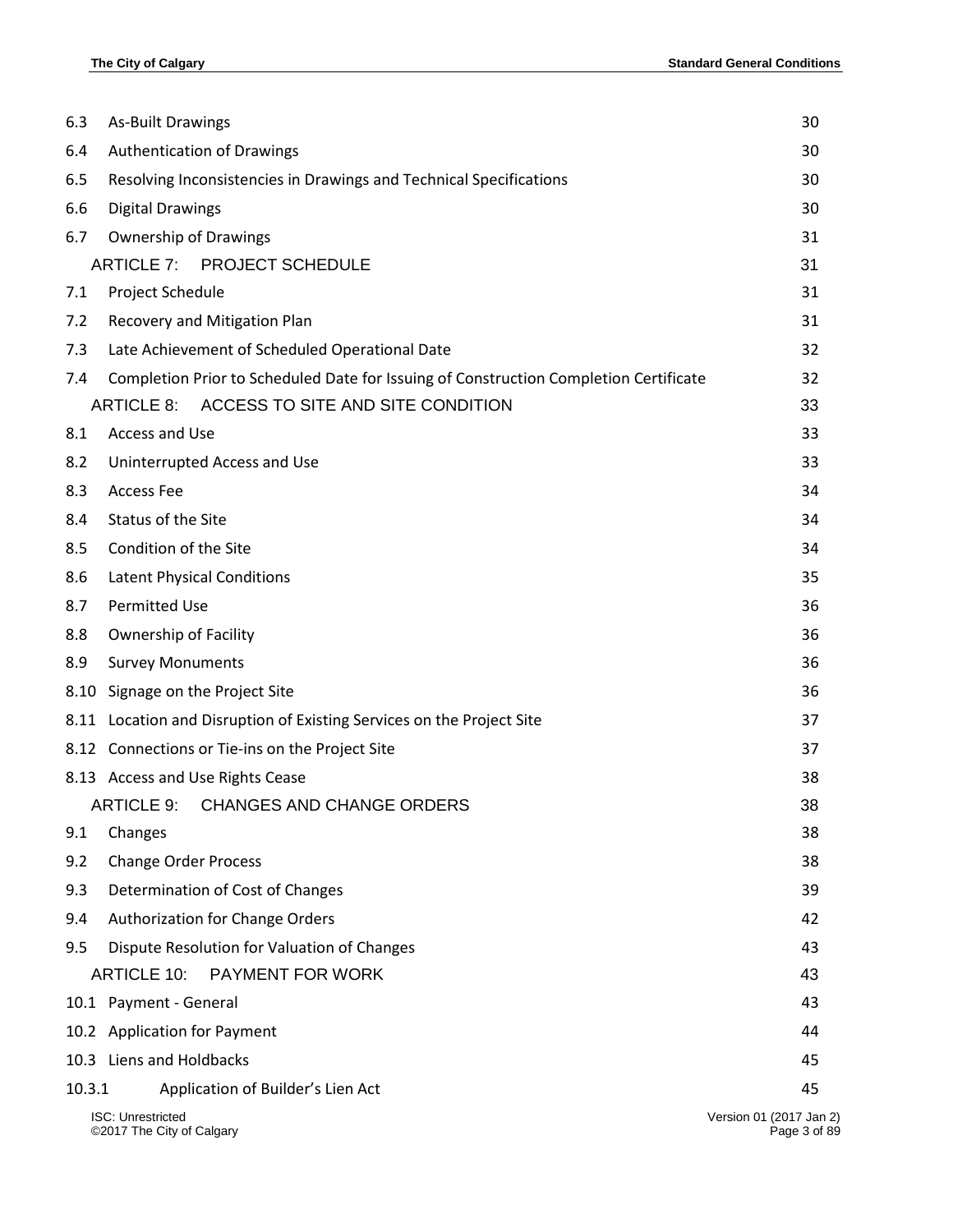| 6.3    | <b>As-Built Drawings</b>                                                              | 30                                      |
|--------|---------------------------------------------------------------------------------------|-----------------------------------------|
| 6.4    | <b>Authentication of Drawings</b>                                                     | 30                                      |
| 6.5    | Resolving Inconsistencies in Drawings and Technical Specifications                    | 30                                      |
| 6.6    | <b>Digital Drawings</b>                                                               | 30                                      |
| 6.7    | <b>Ownership of Drawings</b>                                                          | 31                                      |
|        | <b>ARTICLE 7: PROJECT SCHEDULE</b>                                                    | 31                                      |
| 7.1    | Project Schedule                                                                      | 31                                      |
| 7.2    | Recovery and Mitigation Plan                                                          | 31                                      |
| 7.3    | Late Achievement of Scheduled Operational Date                                        | 32                                      |
| 7.4    | Completion Prior to Scheduled Date for Issuing of Construction Completion Certificate | 32                                      |
|        | ACCESS TO SITE AND SITE CONDITION<br><b>ARTICLE 8:</b>                                | 33                                      |
| 8.1    | Access and Use                                                                        | 33                                      |
| 8.2    | Uninterrupted Access and Use                                                          | 33                                      |
| 8.3    | <b>Access Fee</b>                                                                     | 34                                      |
| 8.4    | Status of the Site                                                                    | 34                                      |
| 8.5    | Condition of the Site                                                                 | 34                                      |
| 8.6    | <b>Latent Physical Conditions</b>                                                     | 35                                      |
| 8.7    | <b>Permitted Use</b>                                                                  | 36                                      |
| 8.8    | Ownership of Facility                                                                 | 36                                      |
| 8.9    | <b>Survey Monuments</b>                                                               | 36                                      |
| 8.10   | Signage on the Project Site                                                           | 36                                      |
| 8.11   | Location and Disruption of Existing Services on the Project Site                      | 37                                      |
|        | 8.12 Connections or Tie-ins on the Project Site                                       | 37                                      |
|        | 8.13 Access and Use Rights Cease                                                      | 38                                      |
|        | <b>ARTICLE 9:</b><br><b>CHANGES AND CHANGE ORDERS</b>                                 | 38                                      |
| 9.1    | Changes                                                                               | 38                                      |
| 9.2    | <b>Change Order Process</b>                                                           | 38                                      |
| 9.3    | Determination of Cost of Changes                                                      | 39                                      |
| 9.4    | Authorization for Change Orders                                                       | 42                                      |
| 9.5    | Dispute Resolution for Valuation of Changes                                           | 43                                      |
|        | <b>ARTICLE 10:</b><br>PAYMENT FOR WORK                                                | 43                                      |
|        | 10.1 Payment - General                                                                | 43                                      |
|        | 10.2 Application for Payment                                                          | 44                                      |
|        | 10.3 Liens and Holdbacks                                                              | 45                                      |
| 10.3.1 | Application of Builder's Lien Act                                                     | 45                                      |
|        | <b>ISC: Unrestricted</b><br>©2017 The City of Calgary                                 | Version 01 (2017 Jan 2)<br>Page 3 of 89 |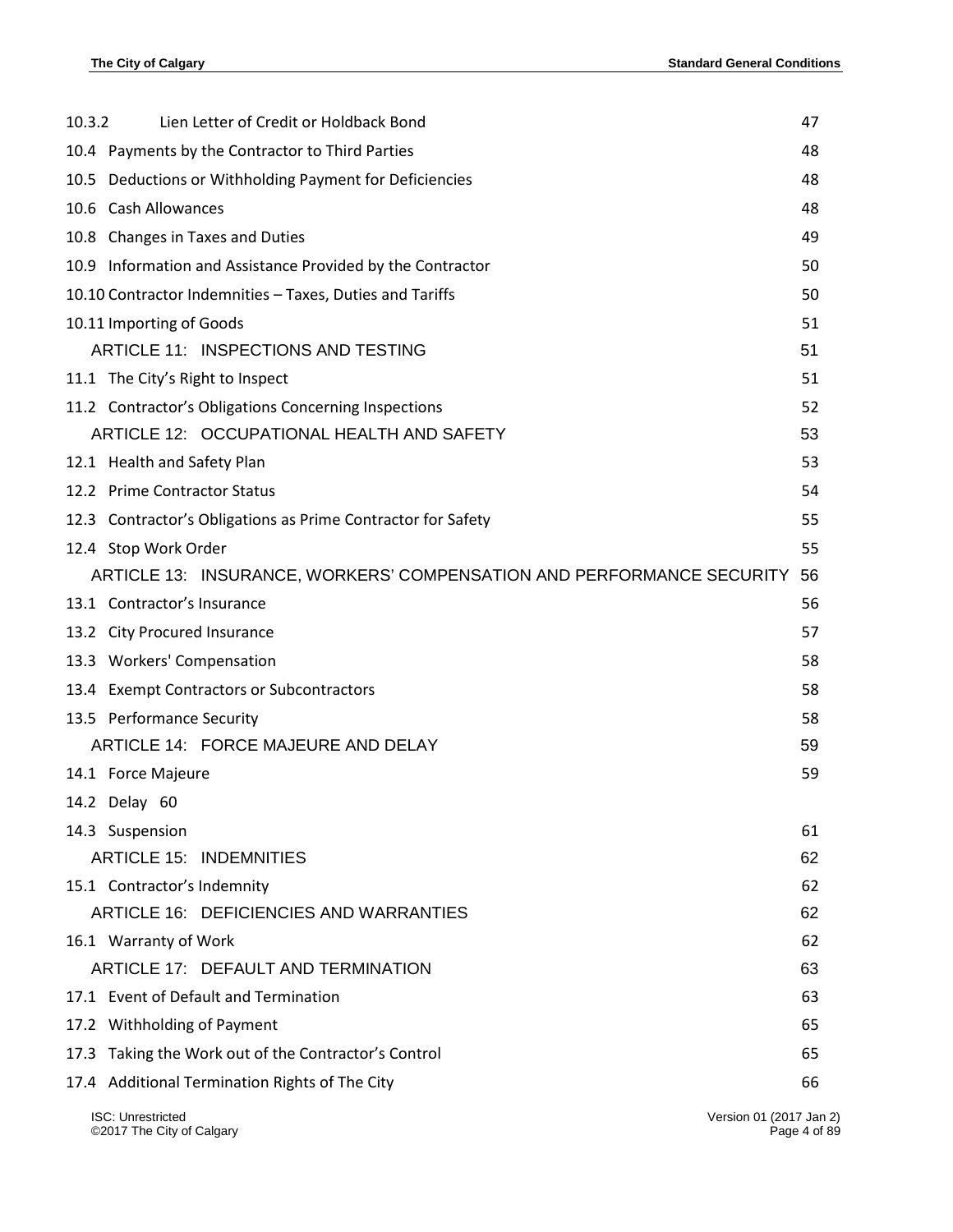| Lien Letter of Credit or Holdback Bond<br>10.3.2                      | 47 |
|-----------------------------------------------------------------------|----|
| 10.4 Payments by the Contractor to Third Parties                      | 48 |
| 10.5 Deductions or Withholding Payment for Deficiencies               | 48 |
| 10.6 Cash Allowances                                                  | 48 |
| 10.8 Changes in Taxes and Duties                                      | 49 |
| 10.9 Information and Assistance Provided by the Contractor            | 50 |
| 10.10 Contractor Indemnities - Taxes, Duties and Tariffs              | 50 |
| 10.11 Importing of Goods                                              | 51 |
| ARTICLE 11: INSPECTIONS AND TESTING                                   | 51 |
| 11.1 The City's Right to Inspect                                      | 51 |
| 11.2 Contractor's Obligations Concerning Inspections                  | 52 |
| ARTICLE 12: OCCUPATIONAL HEALTH AND SAFETY                            | 53 |
| 12.1 Health and Safety Plan                                           | 53 |
| 12.2 Prime Contractor Status                                          | 54 |
| 12.3 Contractor's Obligations as Prime Contractor for Safety          | 55 |
| 12.4 Stop Work Order                                                  | 55 |
| ARTICLE 13: INSURANCE, WORKERS' COMPENSATION AND PERFORMANCE SECURITY | 56 |
| 13.1 Contractor's Insurance                                           | 56 |
| 13.2 City Procured Insurance                                          | 57 |
| 13.3 Workers' Compensation                                            | 58 |
| 13.4 Exempt Contractors or Subcontractors                             | 58 |
| 13.5 Performance Security                                             | 58 |
| ARTICLE 14: FORCE MAJEURE AND DELAY                                   | 59 |
| 14.1 Force Majeure                                                    | 59 |
| 14.2 Delay 60                                                         |    |
| 14.3 Suspension                                                       | 61 |
| <b>ARTICLE 15: INDEMNITIES</b>                                        | 62 |
| 15.1 Contractor's Indemnity                                           | 62 |
| ARTICLE 16: DEFICIENCIES AND WARRANTIES                               | 62 |
| 16.1 Warranty of Work                                                 | 62 |
| ARTICLE 17: DEFAULT AND TERMINATION                                   | 63 |
| 17.1 Event of Default and Termination                                 | 63 |
| 17.2 Withholding of Payment                                           | 65 |
| 17.3 Taking the Work out of the Contractor's Control                  | 65 |
| 17.4 Additional Termination Rights of The City                        | 66 |

ISC: Unrestricted Version 01 (2017 Jan 2) ©2017 The City of Calgary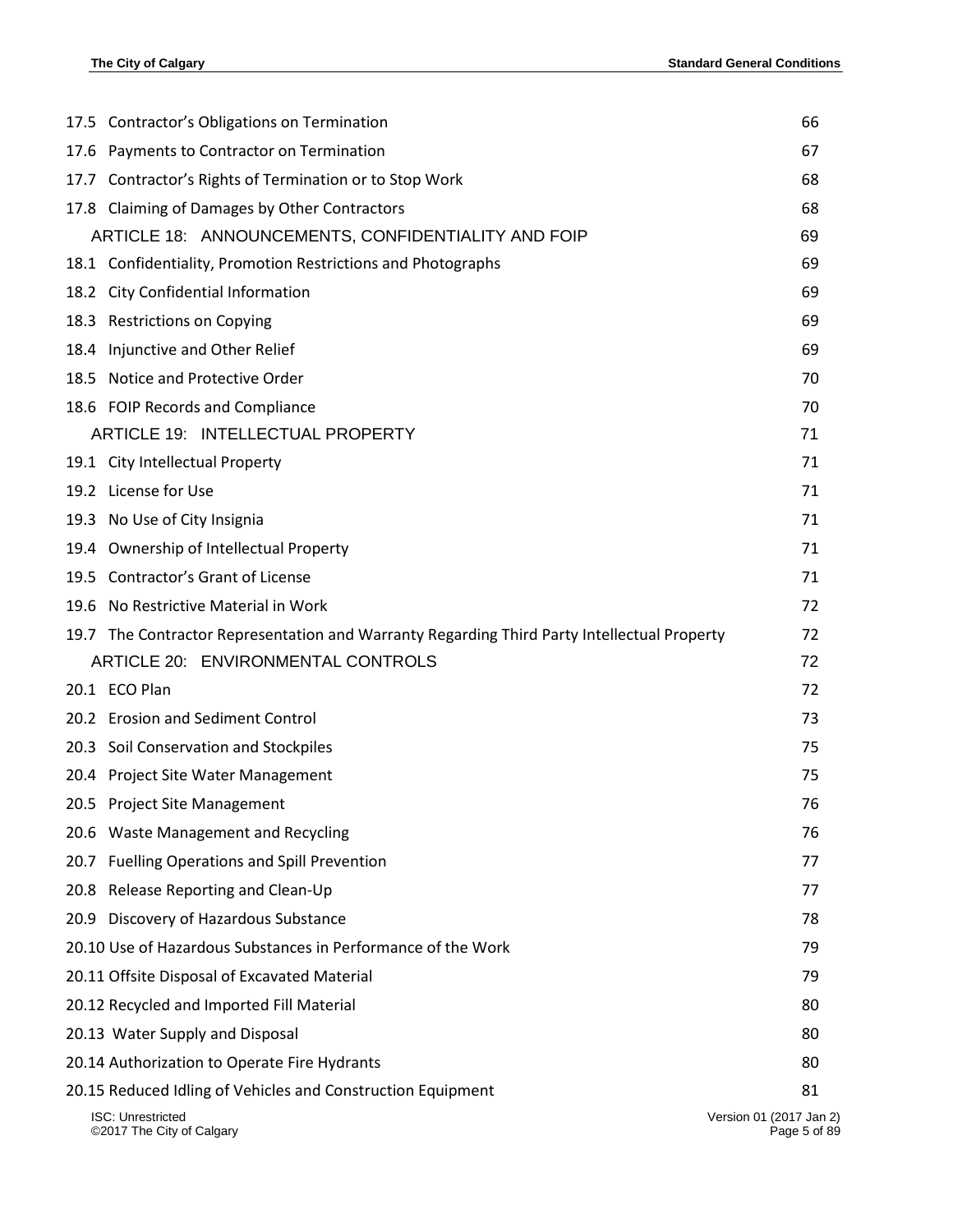|      | 17.5 Contractor's Obligations on Termination                                                | 66                                      |
|------|---------------------------------------------------------------------------------------------|-----------------------------------------|
|      | 17.6 Payments to Contractor on Termination                                                  | 67                                      |
|      | 17.7 Contractor's Rights of Termination or to Stop Work                                     | 68                                      |
|      | 17.8 Claiming of Damages by Other Contractors                                               | 68                                      |
|      | ARTICLE 18: ANNOUNCEMENTS, CONFIDENTIALITY AND FOIP                                         | 69                                      |
|      | 18.1 Confidentiality, Promotion Restrictions and Photographs                                | 69                                      |
| 18.2 | City Confidential Information                                                               | 69                                      |
|      | 18.3 Restrictions on Copying                                                                | 69                                      |
| 18.4 | Injunctive and Other Relief                                                                 | 69                                      |
| 18.5 | Notice and Protective Order                                                                 | 70                                      |
|      | 18.6 FOIP Records and Compliance                                                            | 70                                      |
|      | ARTICLE 19: INTELLECTUAL PROPERTY                                                           | 71                                      |
|      | 19.1 City Intellectual Property                                                             | 71                                      |
|      | 19.2 License for Use                                                                        | 71                                      |
| 19.3 | No Use of City Insignia                                                                     | 71                                      |
| 19.4 | Ownership of Intellectual Property                                                          | 71                                      |
| 19.5 | Contractor's Grant of License                                                               | 71                                      |
| 19.6 | No Restrictive Material in Work                                                             | 72                                      |
|      | 19.7 The Contractor Representation and Warranty Regarding Third Party Intellectual Property | 72                                      |
|      | ARTICLE 20: ENVIRONMENTAL CONTROLS                                                          | 72                                      |
|      | 20.1 ECO Plan                                                                               | 72                                      |
|      | 20.2 Erosion and Sediment Control                                                           | 73                                      |
|      | 20.3 Soil Conservation and Stockpiles                                                       | 75                                      |
|      | 20.4 Project Site Water Management                                                          | 75                                      |
|      | 20.5 Project Site Management                                                                | 76                                      |
|      | 20.6 Waste Management and Recycling                                                         | 76                                      |
| 20.7 | <b>Fuelling Operations and Spill Prevention</b>                                             | 77                                      |
| 20.8 | Release Reporting and Clean-Up                                                              | 77                                      |
| 20.9 | Discovery of Hazardous Substance                                                            | 78                                      |
|      | 20.10 Use of Hazardous Substances in Performance of the Work                                | 79                                      |
|      | 20.11 Offsite Disposal of Excavated Material                                                | 79                                      |
|      | 20.12 Recycled and Imported Fill Material                                                   | 80                                      |
|      | 20.13 Water Supply and Disposal                                                             | 80                                      |
|      | 20.14 Authorization to Operate Fire Hydrants                                                | 80                                      |
|      | 20.15 Reduced Idling of Vehicles and Construction Equipment                                 | 81                                      |
|      | <b>ISC: Unrestricted</b><br>©2017 The City of Calgary                                       | Version 01 (2017 Jan 2)<br>Page 5 of 89 |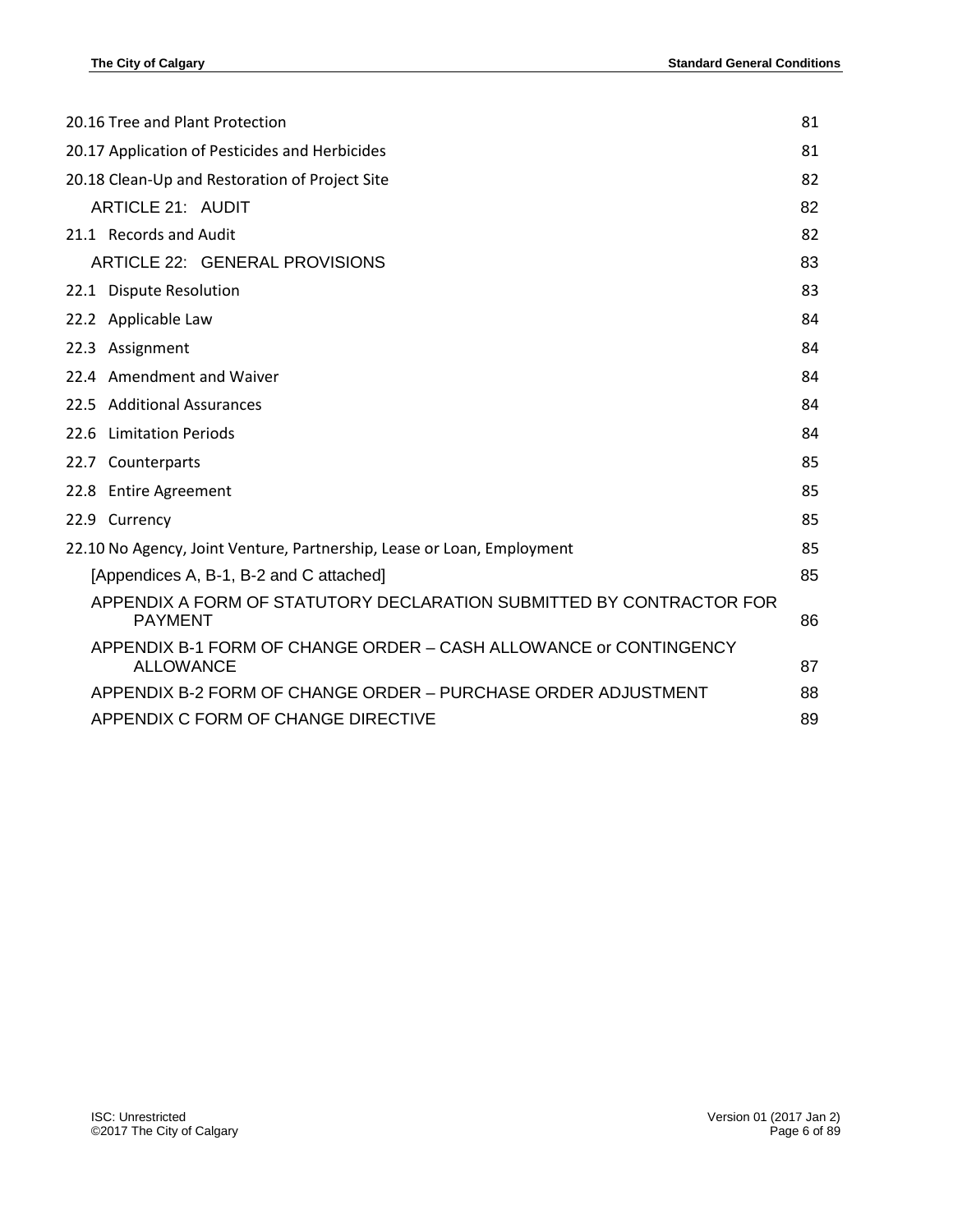| 20.16 Tree and Plant Protection                                                        | 81 |
|----------------------------------------------------------------------------------------|----|
| 20.17 Application of Pesticides and Herbicides                                         |    |
| 20.18 Clean-Up and Restoration of Project Site                                         |    |
| <b>ARTICLE 21: AUDIT</b>                                                               | 82 |
| 21.1 Records and Audit                                                                 | 82 |
| ARTICLE 22: GENERAL PROVISIONS                                                         | 83 |
| 22.1 Dispute Resolution                                                                | 83 |
| 22.2 Applicable Law                                                                    | 84 |
| 22.3 Assignment                                                                        | 84 |
| 22.4 Amendment and Waiver                                                              | 84 |
| 22.5 Additional Assurances                                                             | 84 |
| <b>Limitation Periods</b><br>22.6                                                      | 84 |
| 22.7 Counterparts                                                                      | 85 |
| 22.8 Entire Agreement                                                                  | 85 |
| 22.9 Currency                                                                          | 85 |
| 22.10 No Agency, Joint Venture, Partnership, Lease or Loan, Employment                 |    |
| [Appendices A, B-1, B-2 and C attached]                                                | 85 |
| APPENDIX A FORM OF STATUTORY DECLARATION SUBMITTED BY CONTRACTOR FOR<br><b>PAYMENT</b> | 86 |
| APPENDIX B-1 FORM OF CHANGE ORDER - CASH ALLOWANCE or CONTINGENCY<br><b>ALLOWANCE</b>  | 87 |
| APPENDIX B-2 FORM OF CHANGE ORDER - PURCHASE ORDER ADJUSTMENT                          | 88 |
| APPENDIX C FORM OF CHANGE DIRECTIVE                                                    | 89 |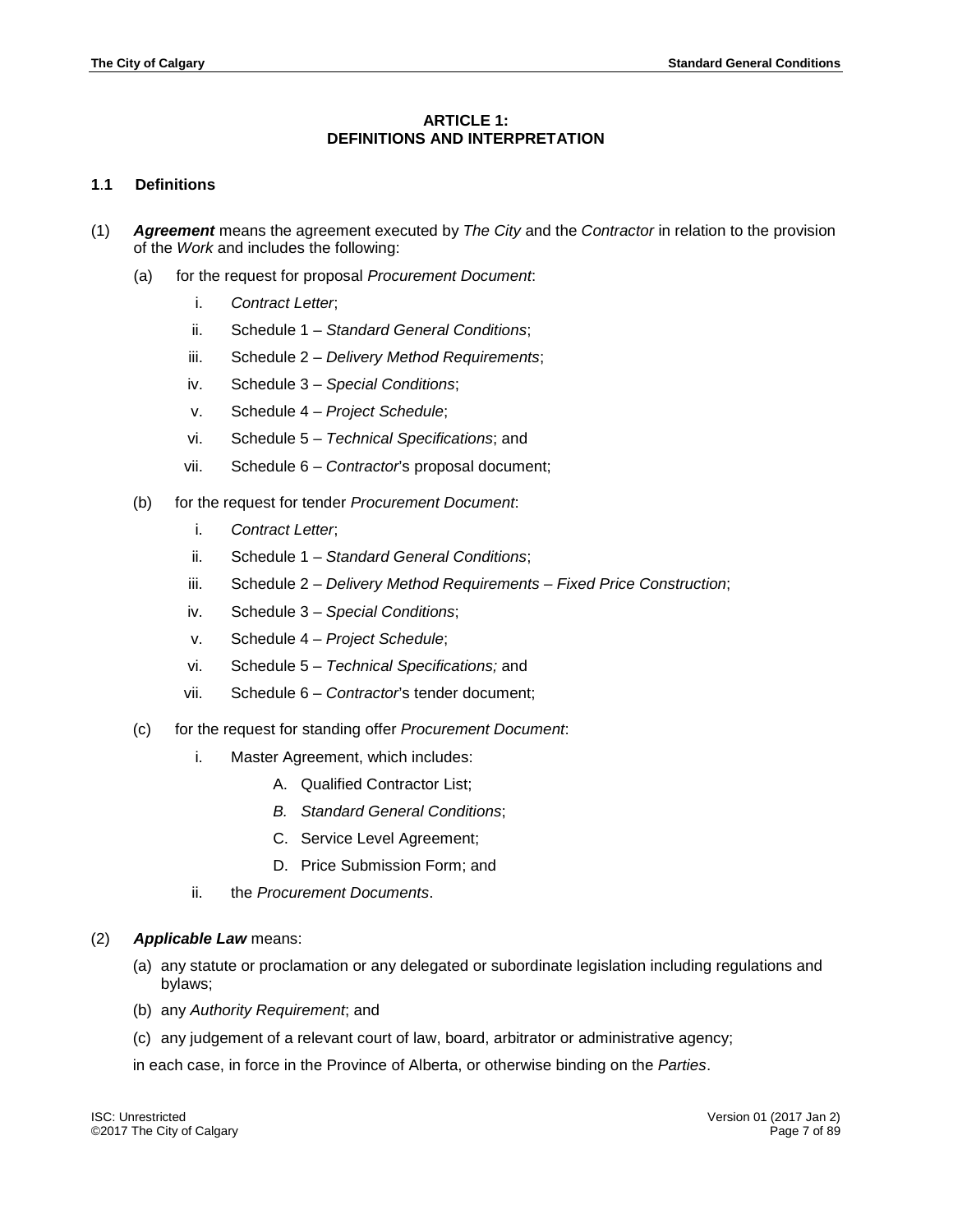# **ARTICLE 1: DEFINITIONS AND INTERPRETATION**

## <span id="page-6-1"></span><span id="page-6-0"></span>**1**.**1 Definitions**

- (1) *Agreement* means the agreement executed by *The City* and the *Contractor* in relation to the provision of the *Work* and includes the following:
	- (a) for the request for proposal *Procurement Document*:
		- i. *Contract Letter*;
		- ii. Schedule 1 *Standard General Conditions*;
		- iii. Schedule 2 *Delivery Method Requirements*;
		- iv. Schedule 3 *Special Conditions*;
		- v. Schedule 4 *Project Schedule*;
		- vi. Schedule 5 *Technical Specifications*; and
		- vii. Schedule 6 *Contractor*'s proposal document;
	- (b) for the request for tender *Procurement Document*:
		- i. *Contract Letter*;
		- ii. Schedule 1 *Standard General Conditions*;
		- iii. Schedule 2 *Delivery Method Requirements – Fixed Price Construction*;
		- iv. Schedule 3 *Special Conditions*;
		- v. Schedule 4 *Project Schedule*;
		- vi. Schedule 5 *Technical Specifications;* and
		- vii. Schedule 6 *Contractor*'s tender document;
	- (c) for the request for standing offer *Procurement Document*:
		- i. Master Agreement, which includes:
			- A. Qualified Contractor List;
			- *B. Standard General Conditions*;
			- C. Service Level Agreement;
			- D. Price Submission Form; and
		- ii. the *Procurement Documents*.

#### (2) *Applicable Law* means:

- (a) any statute or proclamation or any delegated or subordinate legislation including regulations and bylaws;
- (b) any *Authority Requirement*; and
- (c) any judgement of a relevant court of law, board, arbitrator or administrative agency;

in each case, in force in the Province of Alberta, or otherwise binding on the *Parties*.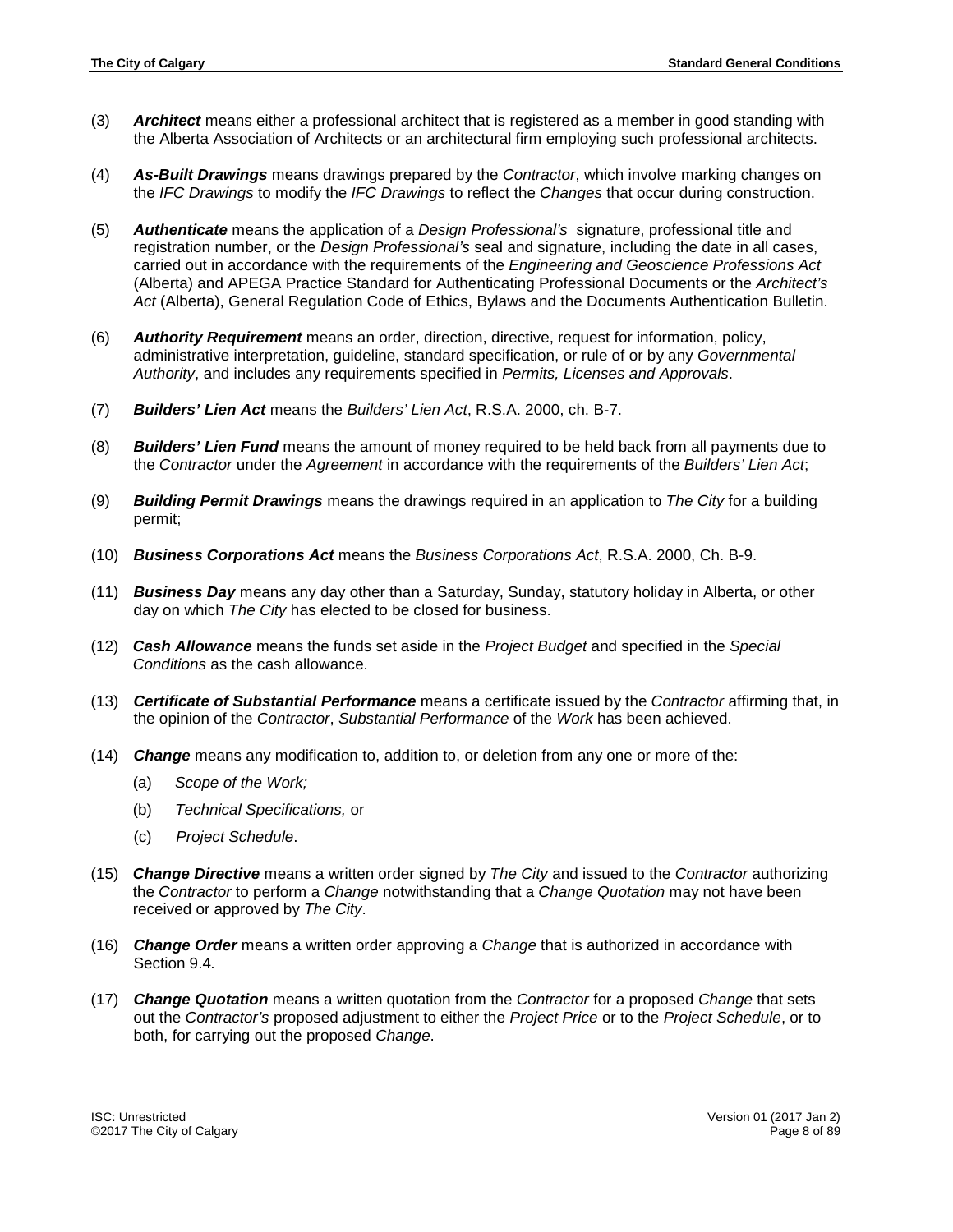- (3) *Architect* means either a professional architect that is registered as a member in good standing with the Alberta Association of Architects or an architectural firm employing such professional architects.
- (4) *As-Built Drawings* means drawings prepared by the *Contractor*, which involve marking changes on the *IFC Drawings* to modify the *IFC Drawings* to reflect the *Changes* that occur during construction.
- (5) *Authenticate* means the application of a *Design Professional's* signature, professional title and registration number, or the *Design Professional's* seal and signature, including the date in all cases, carried out in accordance with the requirements of the *Engineering and Geoscience Professions Act* (Alberta) and APEGA Practice Standard for Authenticating Professional Documents or the *Architect's Act* (Alberta), General Regulation Code of Ethics, Bylaws and the Documents Authentication Bulletin.
- (6) *Authority Requirement* means an order, direction, directive, request for information, policy, administrative interpretation, guideline, standard specification, or rule of or by any *Governmental Authority*, and includes any requirements specified in *Permits, Licenses and Approvals*.
- (7) *Builders' Lien Act* means the *Builders' Lien Act*, R.S.A. 2000, ch. B-7.
- (8) *Builders' Lien Fund* means the amount of money required to be held back from all payments due to the *Contractor* under the *Agreement* in accordance with the requirements of the *Builders' Lien Act*;
- (9) *Building Permit Drawings* means the drawings required in an application to *The City* for a building permit;
- (10) *Business Corporations Act* means the *Business Corporations Act*, R.S.A. 2000, Ch. B-9.
- (11) *Business Day* means any day other than a Saturday, Sunday, statutory holiday in Alberta, or other day on which *The City* has elected to be closed for business.
- (12) *Cash Allowance* means the funds set aside in the *Project Budget* and specified in the *Special Conditions* as the cash allowance.
- (13) *Certificate of Substantial Performance* means a certificate issued by the *Contractor* affirming that, in the opinion of the *Contractor*, *Substantial Performance* of the *Work* has been achieved.
- (14) *Change* means any modification to, addition to, or deletion from any one or more of the:
	- (a) *Scope of the Work;*
	- (b) *Technical Specifications,* or
	- (c) *Project Schedule*.
- (15) *Change Directive* means a written order signed by *The City* and issued to the *Contractor* authorizing the *Contractor* to perform a *Change* notwithstanding that a *Change Quotation* may not have been received or approved by *The City*.
- (16) *Change Order* means a written order approving a *Change* that is authorized in accordance with Section 9.4*.*
- (17) *Change Quotation* means a written quotation from the *Contractor* for a proposed *Change* that sets out the *Contractor's* proposed adjustment to either the *Project Price* or to the *Project Schedule*, or to both, for carrying out the proposed *Change*.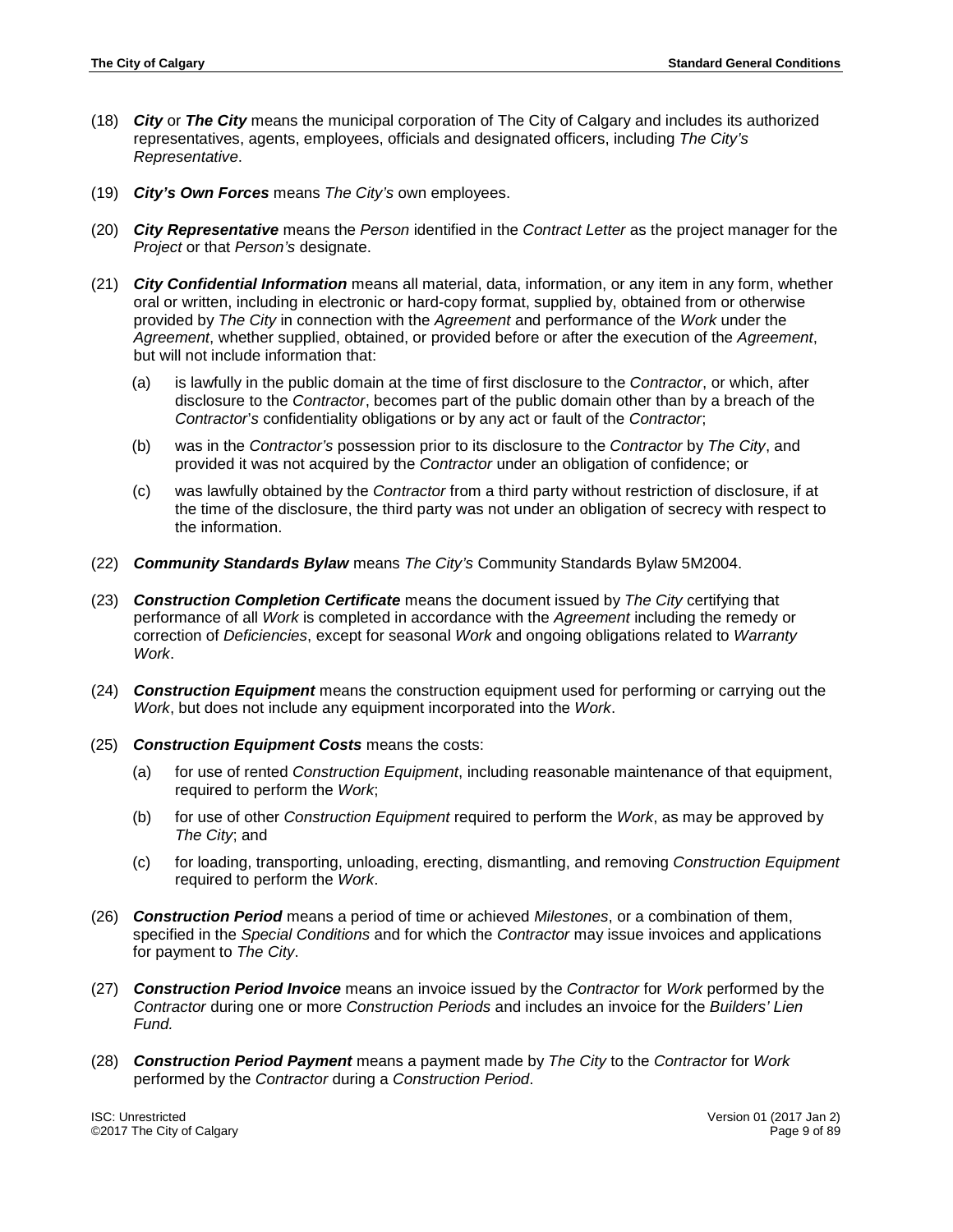- (18) *City* or *The City* means the municipal corporation of The City of Calgary and includes its authorized representatives, agents, employees, officials and designated officers, including *The City's Representative*.
- (19) *City's Own Forces* means *The City's* own employees.
- (20) *City Representative* means the *Person* identified in the *Contract Letter* as the project manager for the *Project* or that *Person's* designate.
- (21) *City Confidential Information* means all material, data, information, or any item in any form, whether oral or written, including in electronic or hard-copy format, supplied by, obtained from or otherwise provided by *The City* in connection with the *Agreement* and performance of the *Work* under the *Agreement*, whether supplied, obtained, or provided before or after the execution of the *Agreement*, but will not include information that:
	- (a) is lawfully in the public domain at the time of first disclosure to the *Contractor*, or which, after disclosure to the *Contractor*, becomes part of the public domain other than by a breach of the *Contractor*'*s* confidentiality obligations or by any act or fault of the *Contractor*;
	- (b) was in the *Contractor's* possession prior to its disclosure to the *Contractor* by *The City*, and provided it was not acquired by the *Contractor* under an obligation of confidence; or
	- (c) was lawfully obtained by the *Contractor* from a third party without restriction of disclosure, if at the time of the disclosure, the third party was not under an obligation of secrecy with respect to the information.
- (22) *Community Standards Bylaw* means *The City's* Community Standards Bylaw 5M2004.
- (23) *Construction Completion Certificate* means the document issued by *The City* certifying that performance of all *Work* is completed in accordance with the *Agreement* including the remedy or correction of *Deficiencies*, except for seasonal *Work* and ongoing obligations related to *Warranty Work*.
- (24) *Construction Equipment* means the construction equipment used for performing or carrying out the *Work*, but does not include any equipment incorporated into the *Work*.
- (25) *Construction Equipment Costs* means the costs:
	- (a) for use of rented *Construction Equipment*, including reasonable maintenance of that equipment, required to perform the *Work*;
	- (b) for use of other *Construction Equipment* required to perform the *Work*, as may be approved by *The City*; and
	- (c) for loading, transporting, unloading, erecting, dismantling, and removing *Construction Equipment* required to perform the *Work*.
- (26) *Construction Period* means a period of time or achieved *Milestones*, or a combination of them, specified in the *Special Conditions* and for which the *Contractor* may issue invoices and applications for payment to *The City*.
- (27) *Construction Period Invoice* means an invoice issued by the *Contractor* for *Work* performed by the *Contractor* during one or more *Construction Periods* and includes an invoice for the *Builders' Lien Fund.*
- (28) *Construction Period Payment* means a payment made by *The City* to the *Contractor* for *Work* performed by the *Contractor* during a *Construction Period*.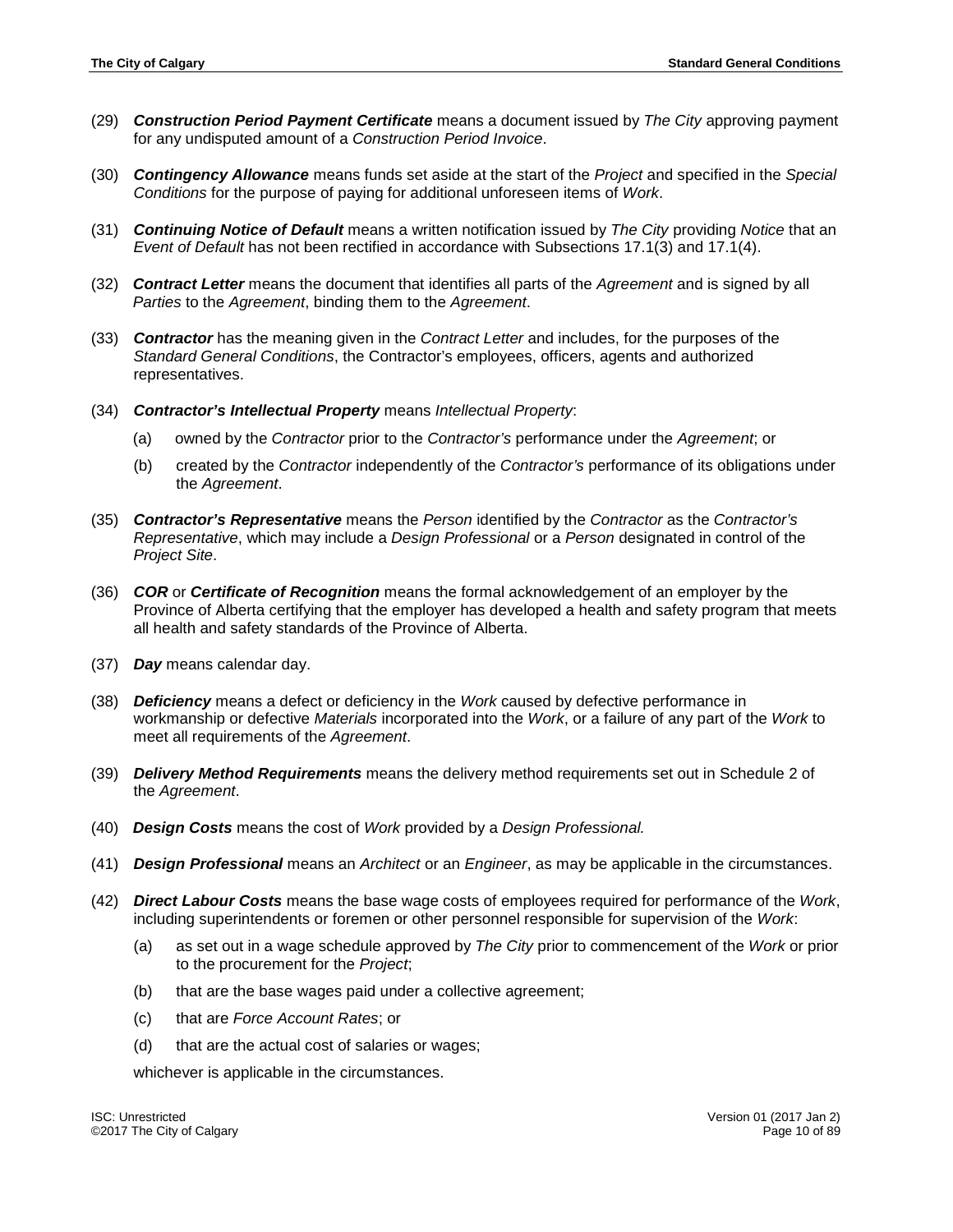- (29) *Construction Period Payment Certificate* means a document issued by *The City* approving payment for any undisputed amount of a *Construction Period Invoice*.
- (30) *Contingency Allowance* means funds set aside at the start of the *Project* and specified in the *Special Conditions* for the purpose of paying for additional unforeseen items of *Work*.
- (31) *Continuing Notice of Default* means a written notification issued by *The City* providing *Notice* that an *Event of Default* has not been rectified in accordance with Subsections 17.1(3) and 17.1(4).
- (32) *Contract Letter* means the document that identifies all parts of the *Agreement* and is signed by all *Parties* to the *Agreement*, binding them to the *Agreement*.
- (33) *Contractor* has the meaning given in the *Contract Letter* and includes, for the purposes of the *Standard General Conditions*, the Contractor's employees, officers, agents and authorized representatives.
- (34) *Contractor's Intellectual Property* means *Intellectual Property*:
	- (a) owned by the *Contractor* prior to the *Contractor's* performance under the *Agreement*; or
	- (b) created by the *Contractor* independently of the *Contractor's* performance of its obligations under the *Agreement*.
- (35) *Contractor's Representative* means the *Person* identified by the *Contractor* as the *Contractor's Representative*, which may include a *Design Professional* or a *Person* designated in control of the *Project Site*.
- (36) *COR* or *Certificate of Recognition* means the formal acknowledgement of an employer by the Province of Alberta certifying that the employer has developed a health and safety program that meets all health and safety standards of the Province of Alberta.
- (37) *Day* means calendar day.
- (38) *Deficiency* means a defect or deficiency in the *Work* caused by defective performance in workmanship or defective *Materials* incorporated into the *Work*, or a failure of any part of the *Work* to meet all requirements of the *Agreement*.
- (39) *Delivery Method Requirements* means the delivery method requirements set out in Schedule 2 of the *Agreement*.
- (40) *Design Costs* means the cost of *Work* provided by a *Design Professional.*
- (41) *Design Professional* means an *Architect* or an *Engineer*, as may be applicable in the circumstances.
- (42) *Direct Labour Costs* means the base wage costs of employees required for performance of the *Work*, including superintendents or foremen or other personnel responsible for supervision of the *Work*:
	- (a) as set out in a wage schedule approved by *The City* prior to commencement of the *Work* or prior to the procurement for the *Project*;
	- (b) that are the base wages paid under a collective agreement;
	- (c) that are *Force Account Rates*; or
	- (d) that are the actual cost of salaries or wages;

whichever is applicable in the circumstances.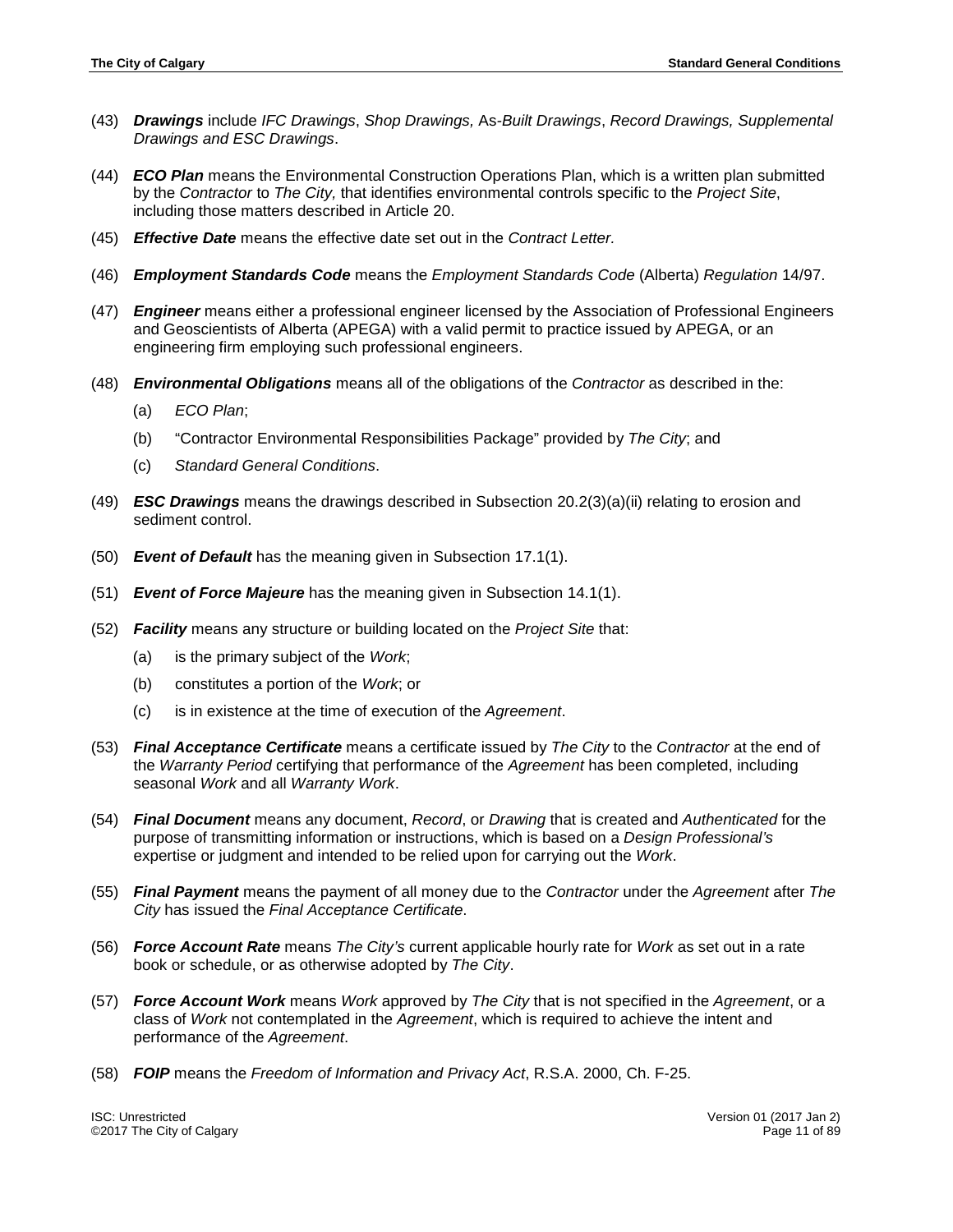- (43) *Drawings* include *IFC Drawings*, *Shop Drawings,* As*-Built Drawings*, *Record Drawings, Supplemental Drawings and ESC Drawings*.
- (44) *ECO Plan* means the Environmental Construction Operations Plan, which is a written plan submitted by the *Contractor* to *The City,* that identifies environmental controls specific to the *Project Site*, including those matters described in Article 20.
- (45) *Effective Date* means the effective date set out in the *Contract Letter.*
- (46) *Employment Standards Code* means the *Employment Standards Code* (Alberta) *Regulation* 14/97.
- (47) *Engineer* means either a professional engineer licensed by the Association of Professional Engineers and Geoscientists of Alberta (APEGA) with a valid permit to practice issued by APEGA, or an engineering firm employing such professional engineers.
- (48) *Environmental Obligations* means all of the obligations of the *Contractor* as described in the:
	- (a) *ECO Plan*;
	- (b) "Contractor Environmental Responsibilities Package" provided by *The City*; and
	- (c) *Standard General Conditions*.
- (49) *ESC Drawings* means the drawings described in Subsection 20.2(3)(a)(ii) relating to erosion and sediment control.
- (50) *Event of Default* has the meaning given in Subsection 17.1(1).
- (51) *Event of Force Majeure* has the meaning given in Subsection 14.1(1).
- (52) *Facility* means any structure or building located on the *Project Site* that:
	- (a) is the primary subject of the *Work*;
	- (b) constitutes a portion of the *Work*; or
	- (c) is in existence at the time of execution of the *Agreement*.
- (53) *Final Acceptance Certificate* means a certificate issued by *The City* to the *Contractor* at the end of the *Warranty Period* certifying that performance of the *Agreement* has been completed, including seasonal *Work* and all *Warranty Work*.
- (54) *Final Document* means any document, *Record*, or *Drawing* that is created and *Authenticated* for the purpose of transmitting information or instructions, which is based on a *Design Professional's* expertise or judgment and intended to be relied upon for carrying out the *Work*.
- (55) *Final Payment* means the payment of all money due to the *Contractor* under the *Agreement* after *The City* has issued the *Final Acceptance Certificate*.
- (56) *Force Account Rate* means *The City's* current applicable hourly rate for *Work* as set out in a rate book or schedule, or as otherwise adopted by *The City*.
- (57) *Force Account Work* means *Work* approved by *The City* that is not specified in the *Agreement*, or a class of *Work* not contemplated in the *Agreement*, which is required to achieve the intent and performance of the *Agreement*.
- (58) *FOIP* means the *Freedom of Information and Privacy Act*, R.S.A. 2000, Ch. F-25.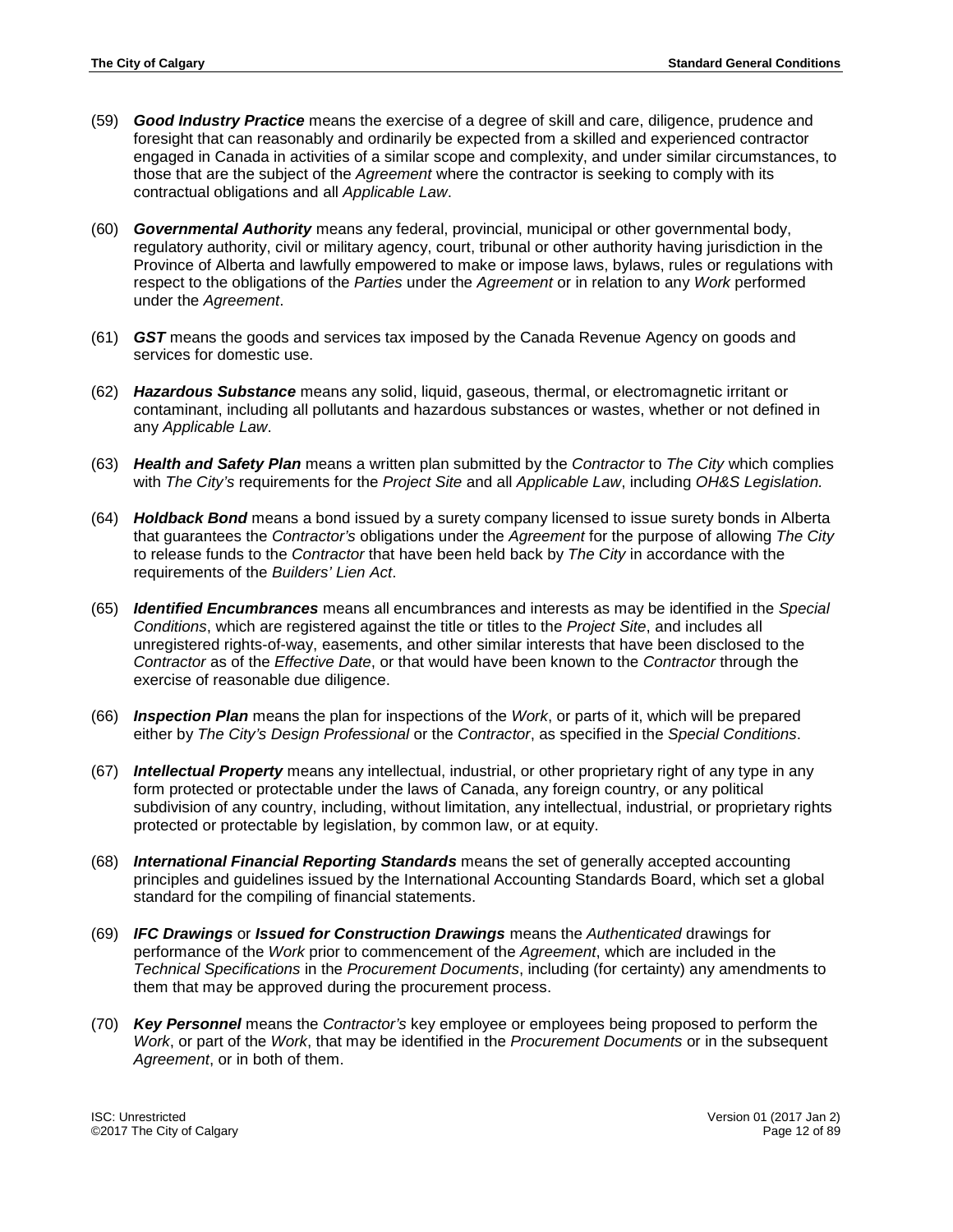- (59) *Good Industry Practice* means the exercise of a degree of skill and care, diligence, prudence and foresight that can reasonably and ordinarily be expected from a skilled and experienced contractor engaged in Canada in activities of a similar scope and complexity, and under similar circumstances, to those that are the subject of the *Agreement* where the contractor is seeking to comply with its contractual obligations and all *Applicable Law*.
- (60) *Governmental Authority* means any federal, provincial, municipal or other governmental body, regulatory authority, civil or military agency, court, tribunal or other authority having jurisdiction in the Province of Alberta and lawfully empowered to make or impose laws, bylaws, rules or regulations with respect to the obligations of the *Parties* under the *Agreement* or in relation to any *Work* performed under the *Agreement*.
- (61) *GST* means the goods and services tax imposed by the Canada Revenue Agency on goods and services for domestic use.
- (62) *Hazardous Substance* means any solid, liquid, gaseous, thermal, or electromagnetic irritant or contaminant, including all pollutants and hazardous substances or wastes, whether or not defined in any *Applicable Law*.
- (63) *Health and Safety Plan* means a written plan submitted by the *Contractor* to *The City* which complies with *The City's* requirements for the *Project Site* and all *Applicable Law*, including *OH&S Legislation.*
- (64) *Holdback Bond* means a bond issued by a surety company licensed to issue surety bonds in Alberta that guarantees the *Contractor's* obligations under the *Agreement* for the purpose of allowing *The City* to release funds to the *Contractor* that have been held back by *The City* in accordance with the requirements of the *Builders' Lien Act*.
- (65) *Identified Encumbrances* means all encumbrances and interests as may be identified in the *Special Conditions*, which are registered against the title or titles to the *Project Site*, and includes all unregistered rights-of-way, easements, and other similar interests that have been disclosed to the *Contractor* as of the *Effective Date*, or that would have been known to the *Contractor* through the exercise of reasonable due diligence.
- (66) *Inspection Plan* means the plan for inspections of the *Work*, or parts of it, which will be prepared either by *The City's Design Professional* or the *Contractor*, as specified in the *Special Conditions*.
- (67) *Intellectual Property* means any intellectual, industrial, or other proprietary right of any type in any form protected or protectable under the laws of Canada, any foreign country, or any political subdivision of any country, including, without limitation, any intellectual, industrial, or proprietary rights protected or protectable by legislation, by common law, or at equity.
- (68) *International Financial Reporting Standards* means the set of generally accepted accounting principles and guidelines issued by the International Accounting Standards Board, which set a global standard for the compiling of financial statements.
- (69) *IFC Drawings* or *Issued for Construction Drawings* means the *Authenticated* drawings for performance of the *Work* prior to commencement of the *Agreement*, which are included in the *Technical Specifications* in the *Procurement Documents*, including (for certainty) any amendments to them that may be approved during the procurement process.
- (70) *Key Personnel* means the *Contractor's* key employee or employees being proposed to perform the *Work*, or part of the *Work*, that may be identified in the *Procurement Documents* or in the subsequent *Agreement*, or in both of them.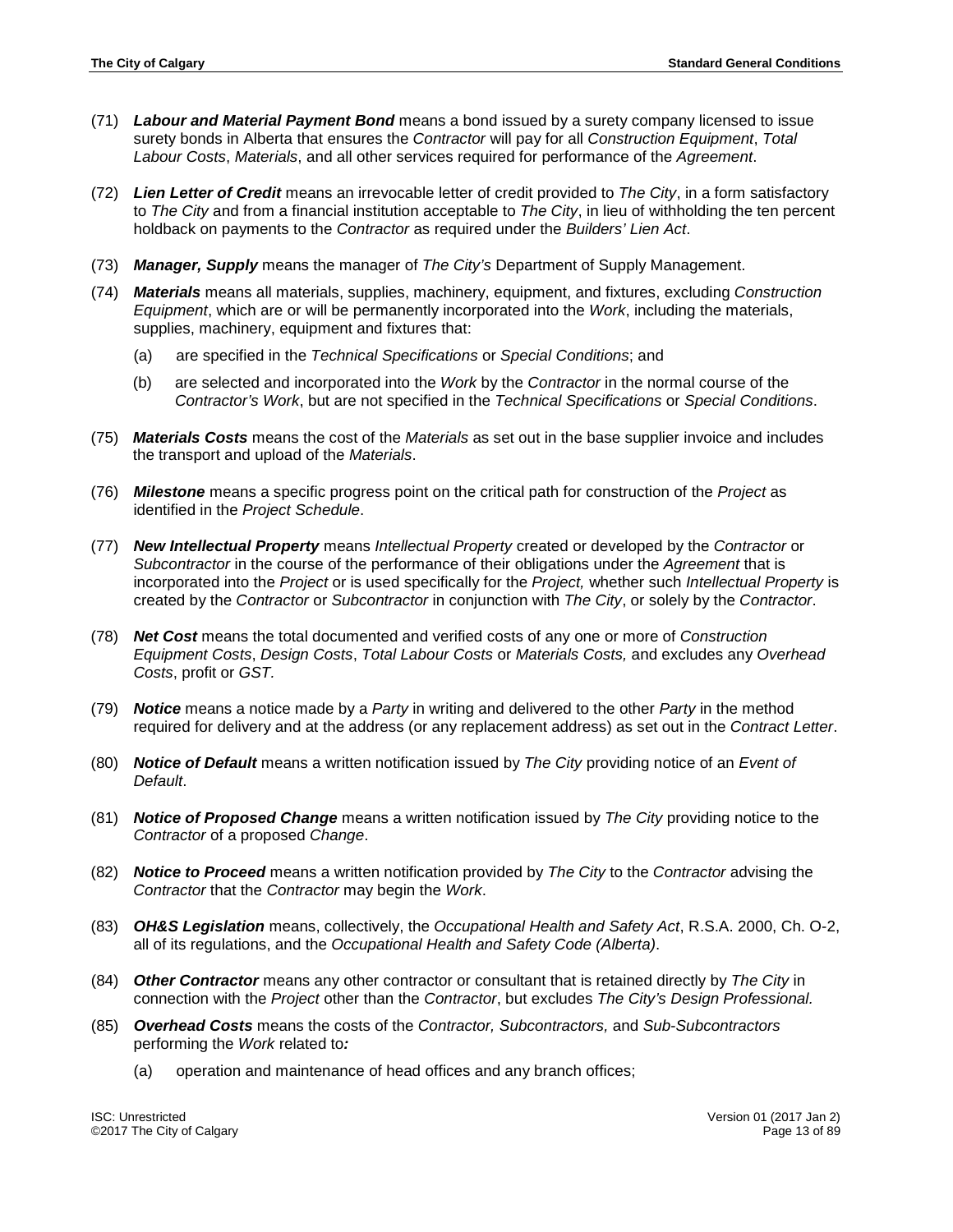- (71) *Labour and Material Payment Bond* means a bond issued by a surety company licensed to issue surety bonds in Alberta that ensures the *Contractor* will pay for all *Construction Equipment*, *Total Labour Costs*, *Materials*, and all other services required for performance of the *Agreement*.
- (72) *Lien Letter of Credit* means an irrevocable letter of credit provided to *The City*, in a form satisfactory to *The City* and from a financial institution acceptable to *The City*, in lieu of withholding the ten percent holdback on payments to the *Contractor* as required under the *Builders' Lien Act*.
- (73) *Manager, Supply* means the manager of *The City's* Department of Supply Management.
- (74) *Materials* means all materials, supplies, machinery, equipment, and fixtures, excluding *Construction Equipment*, which are or will be permanently incorporated into the *Work*, including the materials, supplies, machinery, equipment and fixtures that:
	- (a) are specified in the *Technical Specifications* or *Special Conditions*; and
	- (b) are selected and incorporated into the *Work* by the *Contractor* in the normal course of the *Contractor's Work*, but are not specified in the *Technical Specifications* or *Special Conditions*.
- (75) *Materials Costs* means the cost of the *Materials* as set out in the base supplier invoice and includes the transport and upload of the *Materials*.
- (76) *Milestone* means a specific progress point on the critical path for construction of the *Project* as identified in the *Project Schedule*.
- (77) *New Intellectual Property* means *Intellectual Property* created or developed by the *Contractor* or *Subcontractor* in the course of the performance of their obligations under the *Agreement* that is incorporated into the *Project* or is used specifically for the *Project,* whether such *Intellectual Property* is created by the *Contractor* or *Subcontractor* in conjunction with *The City*, or solely by the *Contractor*.
- (78) *Net Cost* means the total documented and verified costs of any one or more of *Construction Equipment Costs*, *Design Costs*, *Total Labour Costs* or *Materials Costs,* and excludes any *Overhead Costs*, profit or *GST.*
- (79) *Notice* means a notice made by a *Party* in writing and delivered to the other *Party* in the method required for delivery and at the address (or any replacement address) as set out in the *Contract Letter*.
- (80) *Notice of Default* means a written notification issued by *The City* providing notice of an *Event of Default*.
- (81) *Notice of Proposed Change* means a written notification issued by *The City* providing notice to the *Contractor* of a proposed *Change*.
- (82) *Notice to Proceed* means a written notification provided by *The City* to the *Contractor* advising the *Contractor* that the *Contractor* may begin the *Work*.
- (83) *OH&S Legislation* means, collectively, the *Occupational Health and Safety Act*, R.S.A. 2000, Ch. O-2, all of its regulations, and the *Occupational Health and Safety Code (Alberta)*.
- (84) *Other Contractor* means any other contractor or consultant that is retained directly by *The City* in connection with the *Project* other than the *Contractor*, but excludes *The City's Design Professional.*
- (85) *Overhead Costs* means the costs of the *Contractor, Subcontractors,* and *Sub*-*Subcontractors* performing the *Work* related to*:*
	- (a) operation and maintenance of head offices and any branch offices;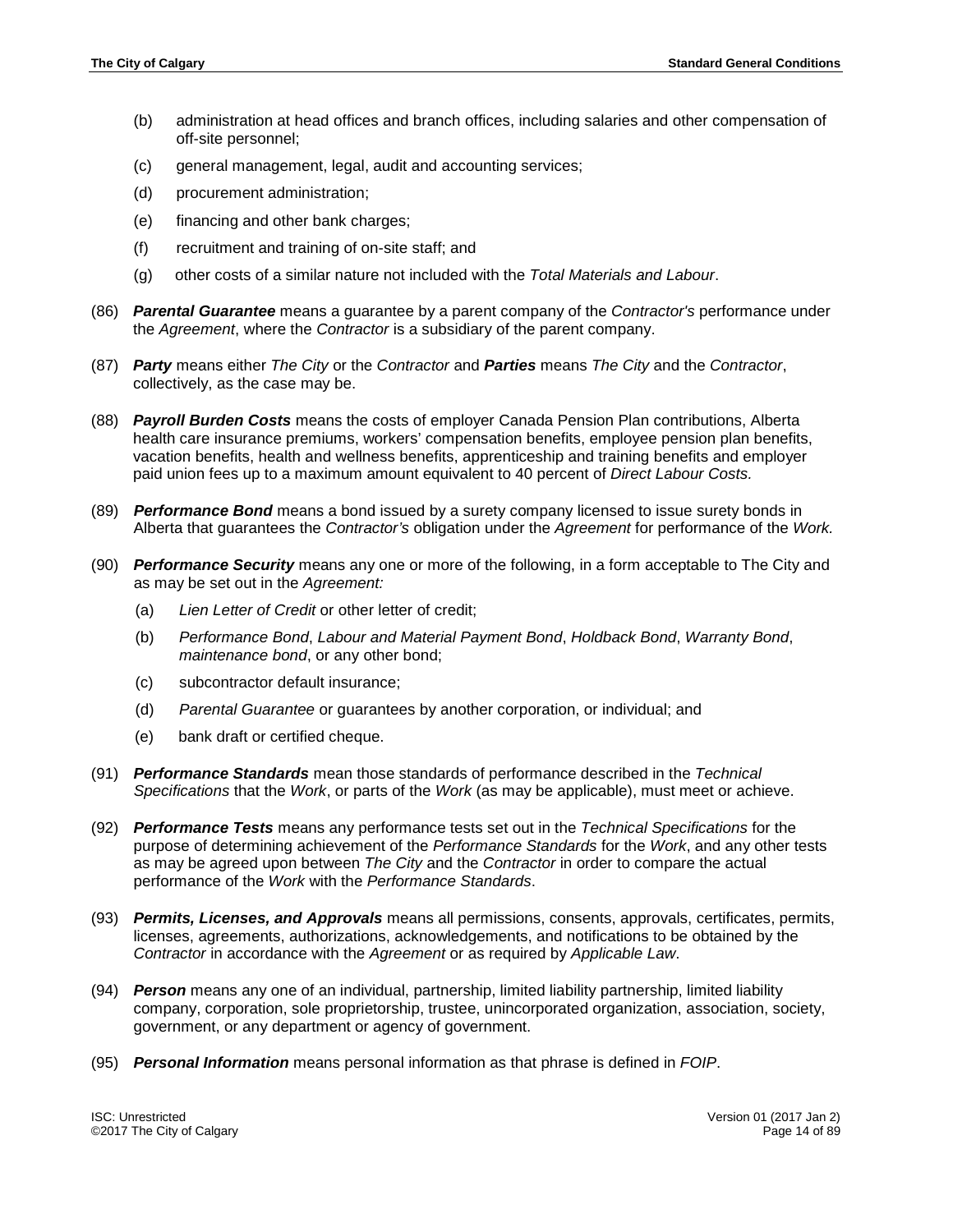- (b) administration at head offices and branch offices, including salaries and other compensation of off-site personnel;
- (c) general management, legal, audit and accounting services;
- (d) procurement administration;
- (e) financing and other bank charges;
- (f) recruitment and training of on-site staff; and
- (g) other costs of a similar nature not included with the *Total Materials and Labour*.
- (86) *Parental Guarantee* means a guarantee by a parent company of the *Contractor's* performance under the *Agreement*, where the *Contractor* is a subsidiary of the parent company.
- (87) *Party* means either *The City* or the *Contractor* and *Parties* means *The City* and the *Contractor*, collectively, as the case may be.
- (88) *Payroll Burden Costs* means the costs of employer Canada Pension Plan contributions, Alberta health care insurance premiums, workers' compensation benefits, employee pension plan benefits, vacation benefits, health and wellness benefits, apprenticeship and training benefits and employer paid union fees up to a maximum amount equivalent to 40 percent of *Direct Labour Costs.*
- (89) *Performance Bond* means a bond issued by a surety company licensed to issue surety bonds in Alberta that guarantees the *Contractor's* obligation under the *Agreement* for performance of the *Work.*
- (90) *Performance Security* means any one or more of the following, in a form acceptable to The City and as may be set out in the *Agreement:*
	- (a) *Lien Letter of Credit* or other letter of credit;
	- (b) *Performance Bond*, *Labour and Material Payment Bond*, *Holdback Bond*, *Warranty Bond*, *maintenance bond*, or any other bond;
	- (c) subcontractor default insurance;
	- (d) *Parental Guarantee* or guarantees by another corporation, or individual; and
	- (e) bank draft or certified cheque.
- (91) *Performance Standards* mean those standards of performance described in the *Technical Specifications* that the *Work*, or parts of the *Work* (as may be applicable), must meet or achieve.
- (92) *Performance Tests* means any performance tests set out in the *Technical Specifications* for the purpose of determining achievement of the *Performance Standards* for the *Work*, and any other tests as may be agreed upon between *The City* and the *Contractor* in order to compare the actual performance of the *Work* with the *Performance Standards*.
- (93) *Permits, Licenses, and Approvals* means all permissions, consents, approvals, certificates, permits, licenses, agreements, authorizations, acknowledgements, and notifications to be obtained by the *Contractor* in accordance with the *Agreement* or as required by *Applicable Law*.
- (94) *Person* means any one of an individual, partnership, limited liability partnership, limited liability company, corporation, sole proprietorship, trustee, unincorporated organization, association, society, government, or any department or agency of government.
- (95) *Personal Information* means personal information as that phrase is defined in *FOIP*.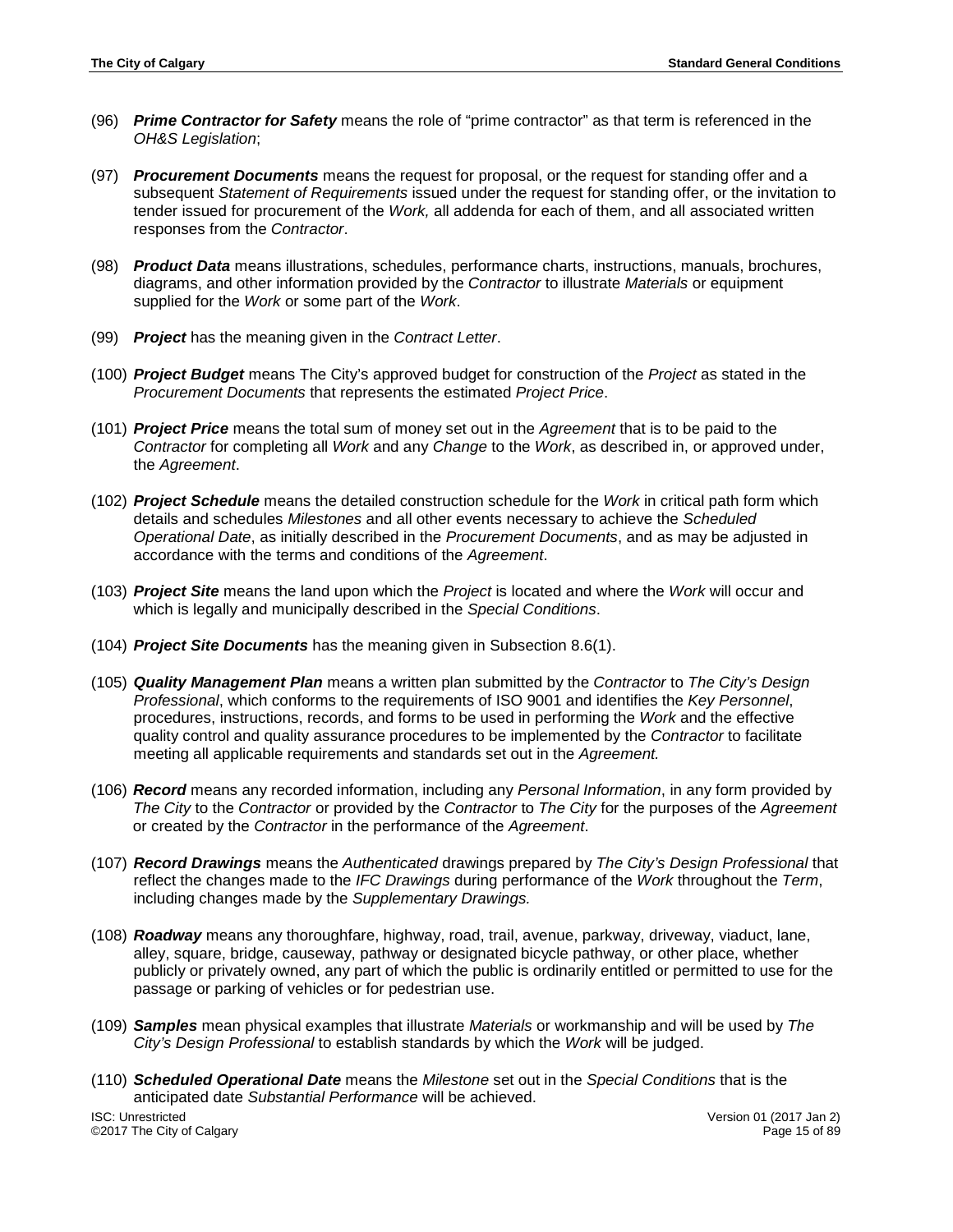- (96) *Prime Contractor for Safety* means the role of "prime contractor" as that term is referenced in the *OH&S Legislation*;
- (97) *Procurement Documents* means the request for proposal, or the request for standing offer and a subsequent *Statement of Requirements* issued under the request for standing offer, or the invitation to tender issued for procurement of the *Work,* all addenda for each of them, and all associated written responses from the *Contractor*.
- (98) *Product Data* means illustrations, schedules, performance charts, instructions, manuals, brochures, diagrams, and other information provided by the *Contractor* to illustrate *Materials* or equipment supplied for the *Work* or some part of the *Work*.
- (99) *Project* has the meaning given in the *Contract Letter*.
- (100) *Project Budget* means The City's approved budget for construction of the *Project* as stated in the *Procurement Documents* that represents the estimated *Project Price*.
- (101) *Project Price* means the total sum of money set out in the *Agreement* that is to be paid to the *Contractor* for completing all *Work* and any *Change* to the *Work*, as described in, or approved under, the *Agreement*.
- (102) *Project Schedule* means the detailed construction schedule for the *Work* in critical path form which details and schedules *Milestones* and all other events necessary to achieve the *Scheduled Operational Date*, as initially described in the *Procurement Documents*, and as may be adjusted in accordance with the terms and conditions of the *Agreement*.
- (103) *Project Site* means the land upon which the *Project* is located and where the *Work* will occur and which is legally and municipally described in the *Special Conditions*.
- (104) *Project Site Documents* has the meaning given in Subsection 8.6(1).
- (105) *Quality Management Plan* means a written plan submitted by the *Contractor* to *The City's Design Professional*, which conforms to the requirements of ISO 9001 and identifies the *Key Personnel*, procedures, instructions, records, and forms to be used in performing the *Work* and the effective quality control and quality assurance procedures to be implemented by the *Contractor* to facilitate meeting all applicable requirements and standards set out in the *Agreement.*
- (106) *Record* means any recorded information, including any *Personal Information*, in any form provided by *The City* to the *Contractor* or provided by the *Contractor* to *The City* for the purposes of the *Agreement* or created by the *Contractor* in the performance of the *Agreement*.
- (107) *Record Drawings* means the *Authenticated* drawings prepared by *The City's Design Professional* that reflect the changes made to the *IFC Drawings* during performance of the *Work* throughout the *Term*, including changes made by the *Supplementary Drawings.*
- (108) *Roadway* means any thoroughfare, highway, road, trail, avenue, parkway, driveway, viaduct, lane, alley, square, bridge, causeway, pathway or designated bicycle pathway, or other place, whether publicly or privately owned, any part of which the public is ordinarily entitled or permitted to use for the passage or parking of vehicles or for pedestrian use.
- (109) *Samples* mean physical examples that illustrate *Materials* or workmanship and will be used by *The City's Design Professional* to establish standards by which the *Work* will be judged.
- (110) *Scheduled Operational Date* means the *Milestone* set out in the *Special Conditions* that is the anticipated date *Substantial Performance* will be achieved.

ISC: Unrestricted Version 01 (2017 Jan 2) ©2017 The City of Calgary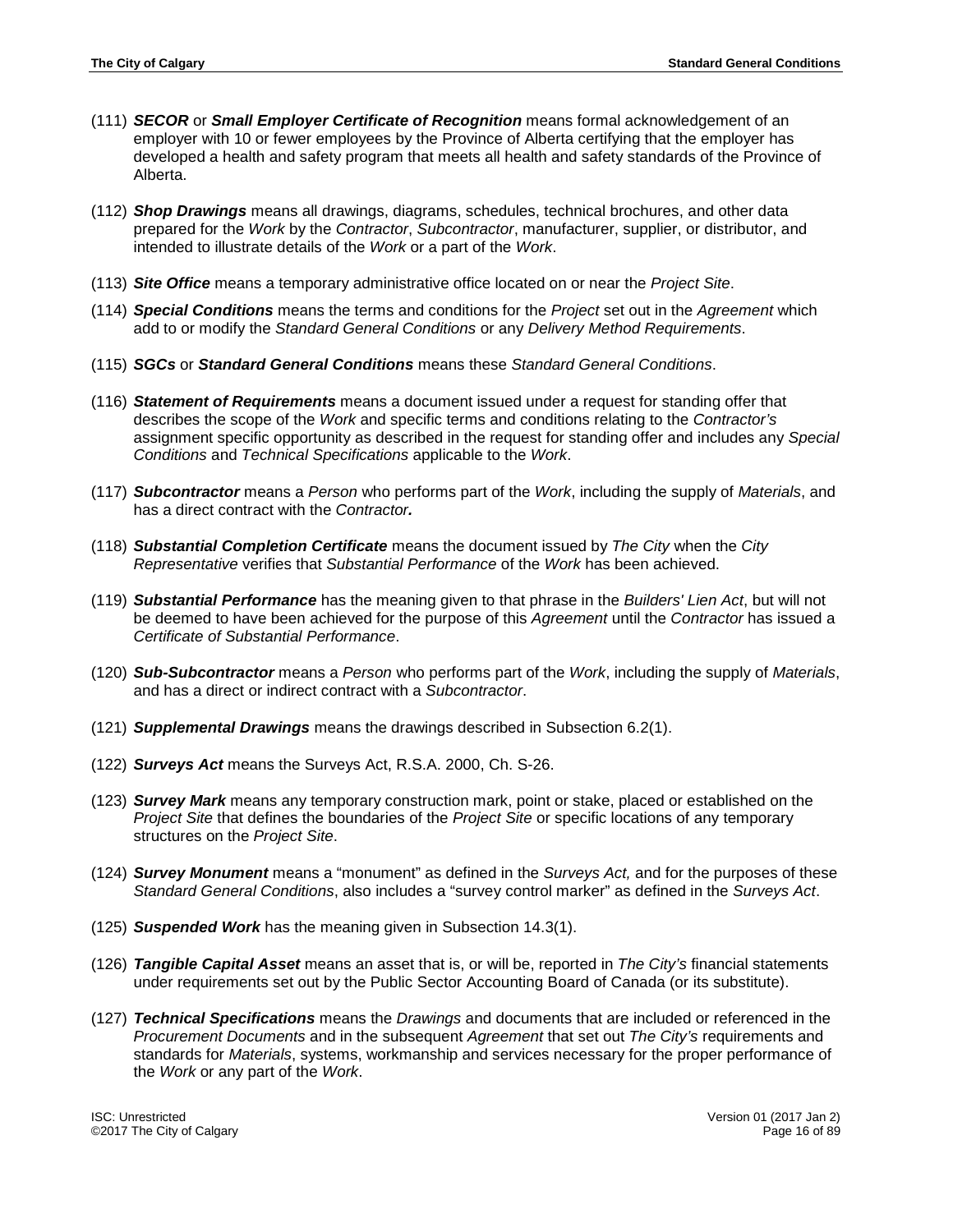- (111) *SECOR* or *Small Employer Certificate of Recognition* means formal acknowledgement of an employer with 10 or fewer employees by the Province of Alberta certifying that the employer has developed a health and safety program that meets all health and safety standards of the Province of Alberta.
- (112) *Shop Drawings* means all drawings, diagrams, schedules, technical brochures, and other data prepared for the *Work* by the *Contractor*, *Subcontractor*, manufacturer, supplier, or distributor, and intended to illustrate details of the *Work* or a part of the *Work*.
- (113) *Site Office* means a temporary administrative office located on or near the *Project Site*.
- (114) *Special Conditions* means the terms and conditions for the *Project* set out in the *Agreement* which add to or modify the *Standard General Conditions* or any *Delivery Method Requirements*.
- (115) *SGCs* or *Standard General Conditions* means these *Standard General Conditions*.
- (116) *Statement of Requirements* means a document issued under a request for standing offer that describes the scope of the *Work* and specific terms and conditions relating to the *Contractor's* assignment specific opportunity as described in the request for standing offer and includes any *Special Conditions* and *Technical Specifications* applicable to the *Work*.
- (117) *Subcontractor* means a *Person* who performs part of the *Work*, including the supply of *Materials*, and has a direct contract with the *Contractor.*
- (118) *Substantial Completion Certificate* means the document issued by *The City* when the *City Representative* verifies that *Substantial Performance* of the *Work* has been achieved.
- (119) *Substantial Performance* has the meaning given to that phrase in the *Builders' Lien Act*, but will not be deemed to have been achieved for the purpose of this *Agreement* until the *Contractor* has issued a *Certificate of Substantial Performance*.
- (120) *Sub-Subcontractor* means a *Person* who performs part of the *Work*, including the supply of *Materials*, and has a direct or indirect contract with a *Subcontractor*.
- (121) *Supplemental Drawings* means the drawings described in Subsection 6.2(1).
- (122) *Surveys Act* means the Surveys Act, R.S.A. 2000, Ch. S-26.
- (123) *Survey Mark* means any temporary construction mark, point or stake, placed or established on the *Project Site* that defines the boundaries of the *Project Site* or specific locations of any temporary structures on the *Project Site*.
- (124) *Survey Monument* means a "monument" as defined in the *Surveys Act,* and for the purposes of these *Standard General Conditions*, also includes a "survey control marker" as defined in the *Surveys Act*.
- (125) *Suspended Work* has the meaning given in Subsection 14.3(1).
- (126) *Tangible Capital Asset* means an asset that is, or will be, reported in *The City's* financial statements under requirements set out by the Public Sector Accounting Board of Canada (or its substitute).
- (127) *Technical Specifications* means the *Drawings* and documents that are included or referenced in the *Procurement Documents* and in the subsequent *Agreement* that set out *The City's* requirements and standards for *Materials*, systems, workmanship and services necessary for the proper performance of the *Work* or any part of the *Work*.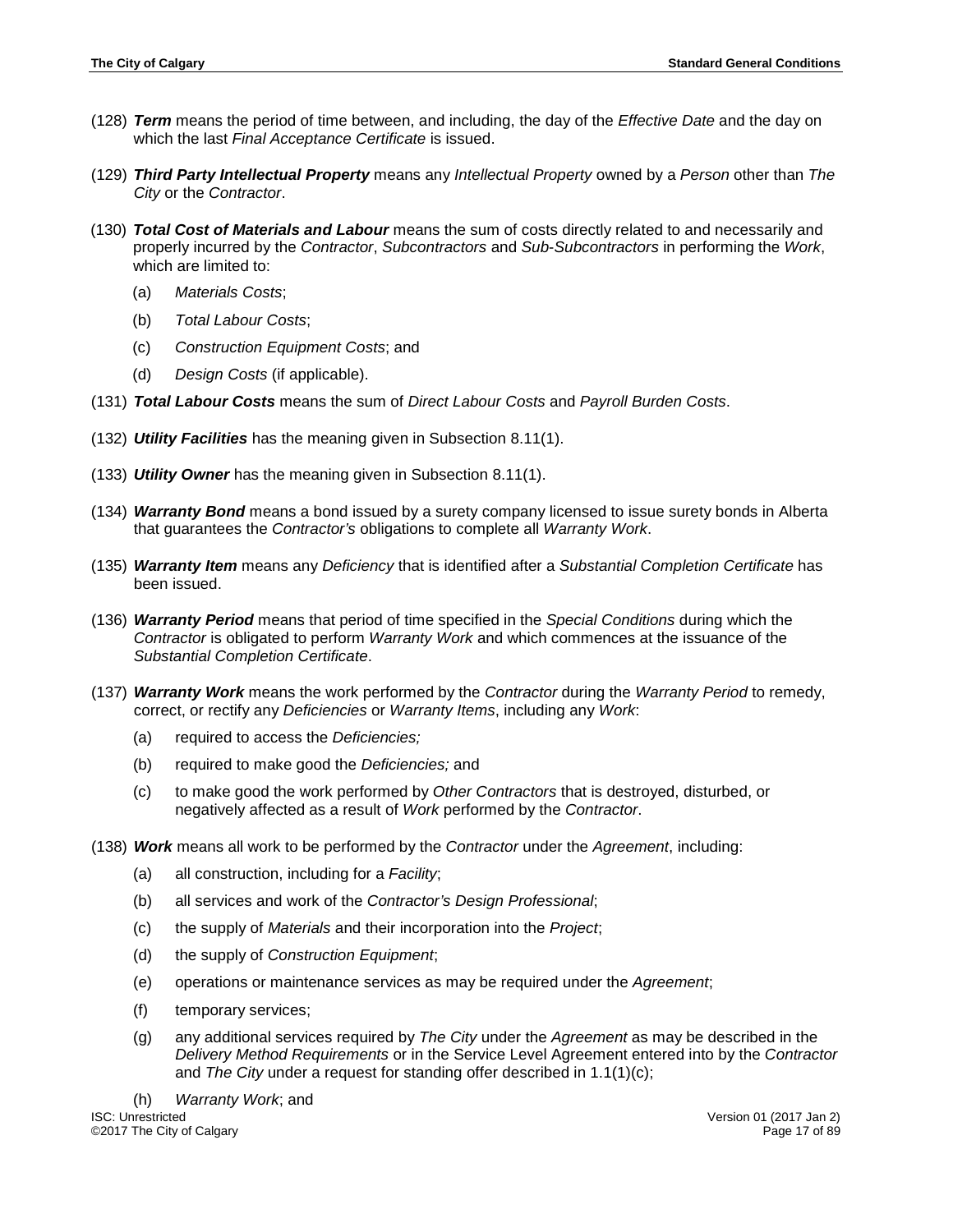- (128) *Term* means the period of time between, and including, the day of the *Effective Date* and the day on which the last *Final Acceptance Certificate* is issued.
- (129) *Third Party Intellectual Property* means any *Intellectual Property* owned by a *Person* other than *The City* or the *Contractor*.
- (130) *Total Cost of Materials and Labour* means the sum of costs directly related to and necessarily and properly incurred by the *Contractor*, *Subcontractors* and *Sub*-*Subcontractors* in performing the *Work*, which are limited to:
	- (a) *Materials Costs*;
	- (b) *Total Labour Costs*;
	- (c) *Construction Equipment Costs*; and
	- (d) *Design Costs* (if applicable).
- (131) *Total Labour Costs* means the sum of *Direct Labour Costs* and *Payroll Burden Costs*.
- (132) *Utility Facilities* has the meaning given in Subsection 8.11(1).
- (133) *Utility Owner* has the meaning given in Subsection 8.11(1).
- (134) *Warranty Bond* means a bond issued by a surety company licensed to issue surety bonds in Alberta that guarantees the *Contractor's* obligations to complete all *Warranty Work*.
- (135) *Warranty Item* means any *Deficiency* that is identified after a *Substantial Completion Certificate* has been issued.
- (136) *Warranty Period* means that period of time specified in the *Special Conditions* during which the *Contractor* is obligated to perform *Warranty Work* and which commences at the issuance of the *Substantial Completion Certificate*.
- (137) *Warranty Work* means the work performed by the *Contractor* during the *Warranty Period* to remedy, correct, or rectify any *Deficiencies* or *Warranty Items*, including any *Work*:
	- (a) required to access the *Deficiencies;*
	- (b) required to make good the *Deficiencies;* and
	- (c) to make good the work performed by *Other Contractors* that is destroyed, disturbed, or negatively affected as a result of *Work* performed by the *Contractor*.
- (138) *Work* means all work to be performed by the *Contractor* under the *Agreement*, including:
	- (a) all construction, including for a *Facility*;
	- (b) all services and work of the *Contractor's Design Professional*;
	- (c) the supply of *Materials* and their incorporation into the *Project*;
	- (d) the supply of *Construction Equipment*;
	- (e) operations or maintenance services as may be required under the *Agreement*;
	- (f) temporary services;
	- (g) any additional services required by *The City* under the *Agreement* as may be described in the *Delivery Method Requirements* or in the Service Level Agreement entered into by the *Contractor* and *The City* under a request for standing offer described in 1.1(1)(c);

(h) *Warranty Work*; and ©2017 The City of Calgary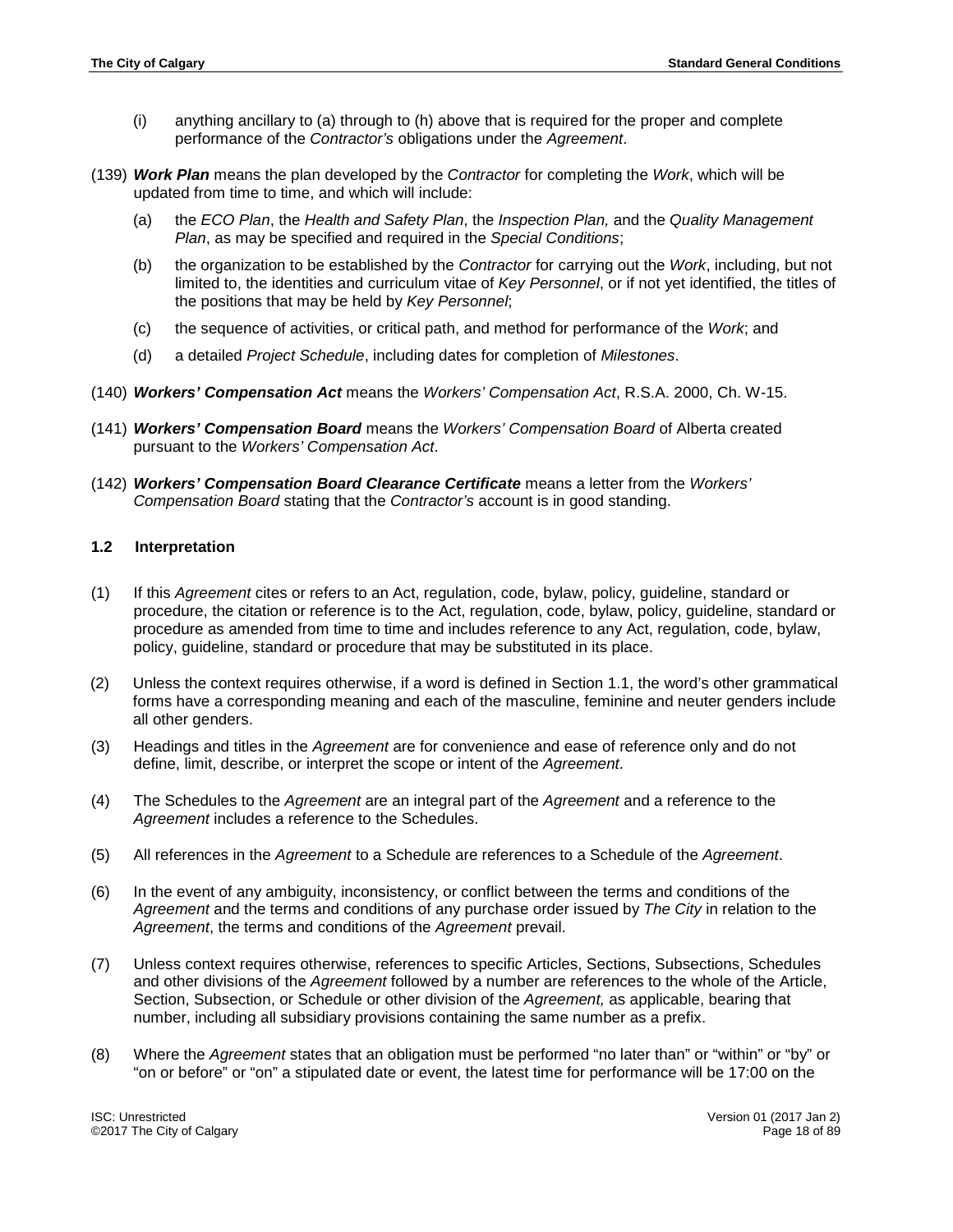- (i) anything ancillary to (a) through to (h) above that is required for the proper and complete performance of the *Contractor's* obligations under the *Agreement*.
- (139) *Work Plan* means the plan developed by the *Contractor* for completing the *Work*, which will be updated from time to time, and which will include:
	- (a) the *ECO Plan*, the *Health and Safety Plan*, the *Inspection Plan,* and the *Quality Management Plan*, as may be specified and required in the *Special Conditions*;
	- (b) the organization to be established by the *Contractor* for carrying out the *Work*, including, but not limited to, the identities and curriculum vitae of *Key Personnel*, or if not yet identified, the titles of the positions that may be held by *Key Personnel*;
	- (c) the sequence of activities, or critical path, and method for performance of the *Work*; and
	- (d) a detailed *Project Schedule*, including dates for completion of *Milestones*.
- (140) *Workers' Compensation Act* means the *Workers' Compensation Act*, R.S.A. 2000, Ch. W-15.
- (141) *Workers' Compensation Board* means the *Workers' Compensation Board* of Alberta created pursuant to the *Workers' Compensation Act*.
- (142) *Workers' Compensation Board Clearance Certificate* means a letter from the *Workers' Compensation Board* stating that the *Contractor's* account is in good standing.

# <span id="page-17-0"></span>**1.2 Interpretation**

- (1) If this *Agreement* cites or refers to an Act, regulation, code, bylaw, policy, guideline, standard or procedure, the citation or reference is to the Act, regulation, code, bylaw, policy, guideline, standard or procedure as amended from time to time and includes reference to any Act, regulation, code, bylaw, policy, guideline, standard or procedure that may be substituted in its place.
- (2) Unless the context requires otherwise, if a word is defined in Section 1.1, the word's other grammatical forms have a corresponding meaning and each of the masculine, feminine and neuter genders include all other genders.
- (3) Headings and titles in the *Agreement* are for convenience and ease of reference only and do not define, limit, describe, or interpret the scope or intent of the *Agreement*.
- (4) The Schedules to the *Agreement* are an integral part of the *Agreement* and a reference to the *Agreement* includes a reference to the Schedules.
- (5) All references in the *Agreement* to a Schedule are references to a Schedule of the *Agreement*.
- (6) In the event of any ambiguity, inconsistency, or conflict between the terms and conditions of the *Agreement* and the terms and conditions of any purchase order issued by *The City* in relation to the *Agreement*, the terms and conditions of the *Agreement* prevail.
- (7) Unless context requires otherwise, references to specific Articles, Sections, Subsections, Schedules and other divisions of the *Agreement* followed by a number are references to the whole of the Article, Section, Subsection, or Schedule or other division of the *Agreement,* as applicable, bearing that number, including all subsidiary provisions containing the same number as a prefix.
- (8) Where the *Agreement* states that an obligation must be performed "no later than" or "within" or "by" or "on or before" or "on" a stipulated date or event, the latest time for performance will be 17:00 on the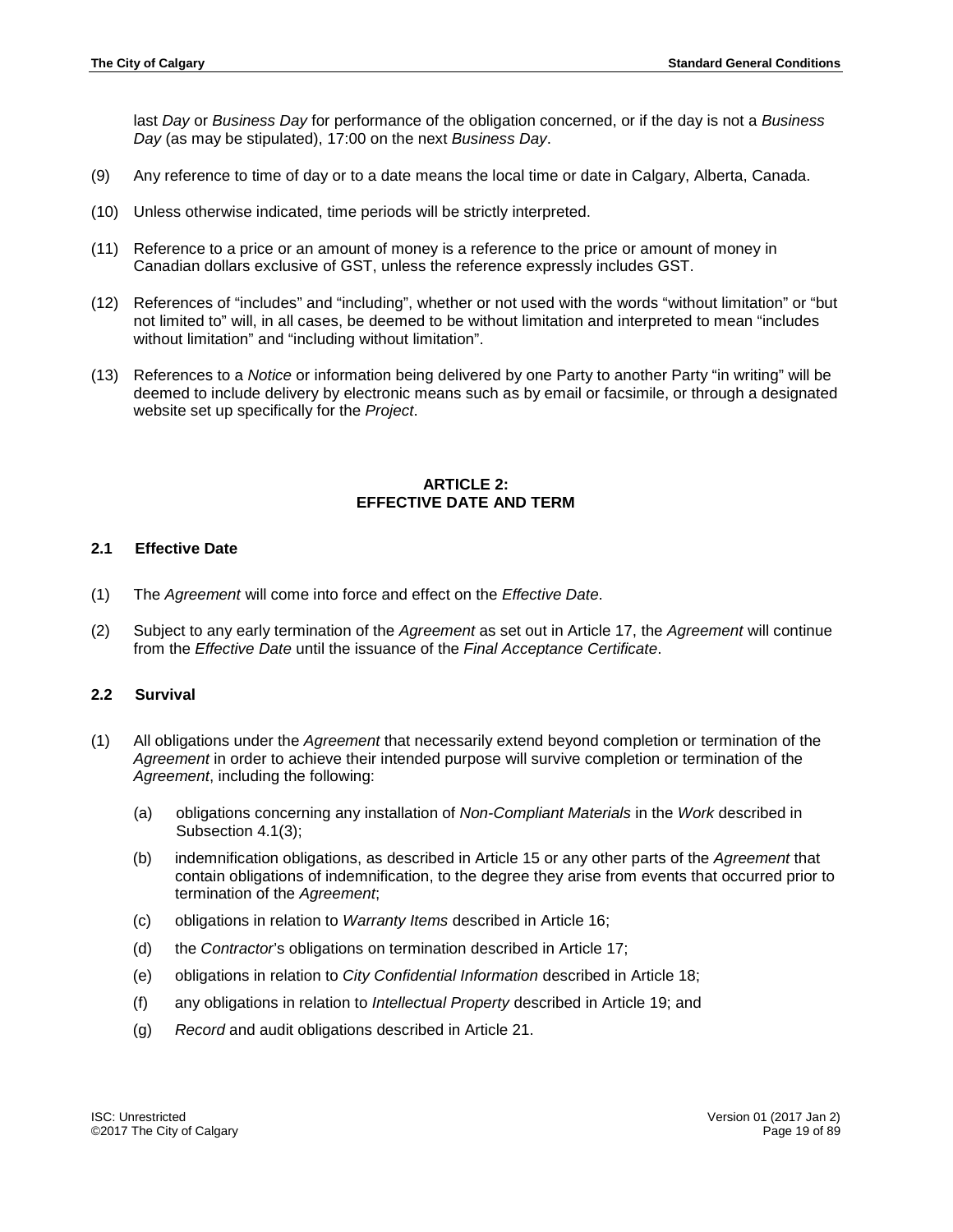last *Day* or *Business Day* for performance of the obligation concerned, or if the day is not a *Business Day* (as may be stipulated), 17:00 on the next *Business Day*.

- (9) Any reference to time of day or to a date means the local time or date in Calgary, Alberta, Canada.
- (10) Unless otherwise indicated, time periods will be strictly interpreted.
- (11) Reference to a price or an amount of money is a reference to the price or amount of money in Canadian dollars exclusive of GST, unless the reference expressly includes GST.
- (12) References of "includes" and "including", whether or not used with the words "without limitation" or "but not limited to" will, in all cases, be deemed to be without limitation and interpreted to mean "includes without limitation" and "including without limitation".
- <span id="page-18-0"></span>(13) References to a *Notice* or information being delivered by one Party to another Party "in writing" will be deemed to include delivery by electronic means such as by email or facsimile, or through a designated website set up specifically for the *Project*.

# **ARTICLE 2: EFFECTIVE DATE AND TERM**

# <span id="page-18-1"></span>**2.1 Effective Date**

- (1) The *Agreement* will come into force and effect on the *Effective Date*.
- (2) Subject to any early termination of the *Agreement* as set out in Article 17, the *Agreement* will continue from the *Effective Date* until the issuance of the *Final Acceptance Certificate*.

# <span id="page-18-2"></span>**2.2 Survival**

- (1) All obligations under the *Agreement* that necessarily extend beyond completion or termination of the *Agreement* in order to achieve their intended purpose will survive completion or termination of the *Agreement*, including the following:
	- (a) obligations concerning any installation of *Non-Compliant Materials* in the *Work* described in Subsection 4.1(3);
	- (b) indemnification obligations, as described in Article 15 or any other parts of the *Agreement* that contain obligations of indemnification, to the degree they arise from events that occurred prior to termination of the *Agreement*;
	- (c) obligations in relation to *Warranty Items* described in Article 16;
	- (d) the *Contractor*'s obligations on termination described in Article 17;
	- (e) obligations in relation to *City Confidential Information* described in Article 18;
	- (f) any obligations in relation to *Intellectual Property* described in Article 19; and
	- (g) *Record* and audit obligations described in Article 21.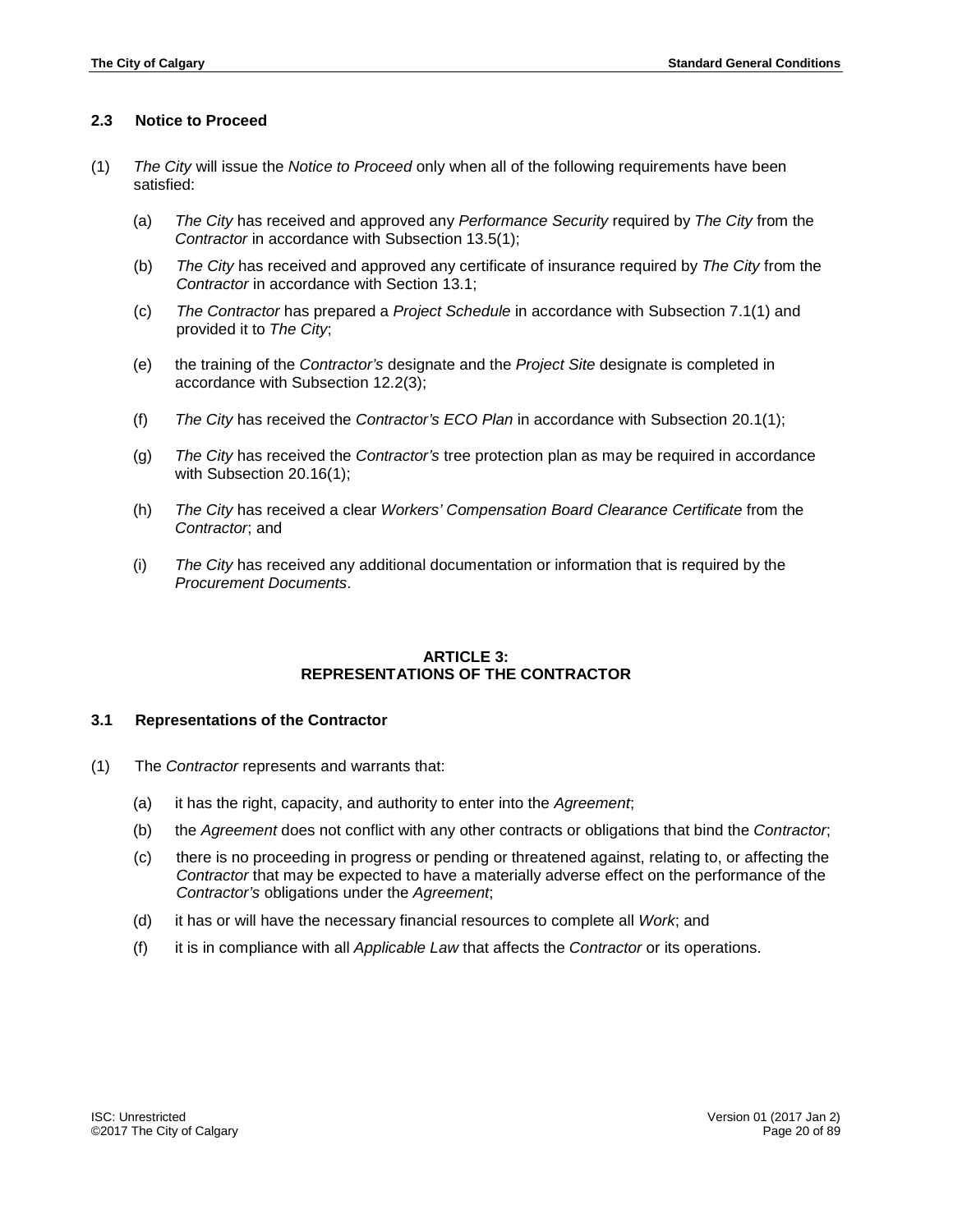# <span id="page-19-0"></span>**2.3 Notice to Proceed**

- (1) *The City* will issue the *Notice to Proceed* only when all of the following requirements have been satisfied:
	- (a) *The City* has received and approved any *Performance Security* required by *The City* from the *Contractor* in accordance with Subsection 13.5(1);
	- (b) *The City* has received and approved any certificate of insurance required by *The City* from the *Contractor* in accordance with Section 13.1;
	- (c) *The Contractor* has prepared a *Project Schedule* in accordance with Subsection 7.1(1) and provided it to *The City*;
	- (e) the training of the *Contractor's* designate and the *Project Site* designate is completed in accordance with Subsection 12.2(3);
	- (f) *The City* has received the *Contractor's ECO Plan* in accordance with Subsection 20.1(1);
	- (g) *The City* has received the *Contractor's* tree protection plan as may be required in accordance with Subsection 20.16(1);
	- (h) *The City* has received a clear *Workers' Compensation Board Clearance Certificate* from the *Contractor*; and
	- (i) *The City* has received any additional documentation or information that is required by the *Procurement Documents*.

#### **ARTICLE 3: REPRESENTATIONS OF THE CONTRACTOR**

#### <span id="page-19-2"></span><span id="page-19-1"></span>**3.1 Representations of the Contractor**

- (1) The *Contractor* represents and warrants that:
	- (a) it has the right, capacity, and authority to enter into the *Agreement*;
	- (b) the *Agreement* does not conflict with any other contracts or obligations that bind the *Contractor*;
	- (c) there is no proceeding in progress or pending or threatened against, relating to, or affecting the *Contractor* that may be expected to have a materially adverse effect on the performance of the *Contractor's* obligations under the *Agreement*;
	- (d) it has or will have the necessary financial resources to complete all *Work*; and
	- (f) it is in compliance with all *Applicable Law* that affects the *Contractor* or its operations.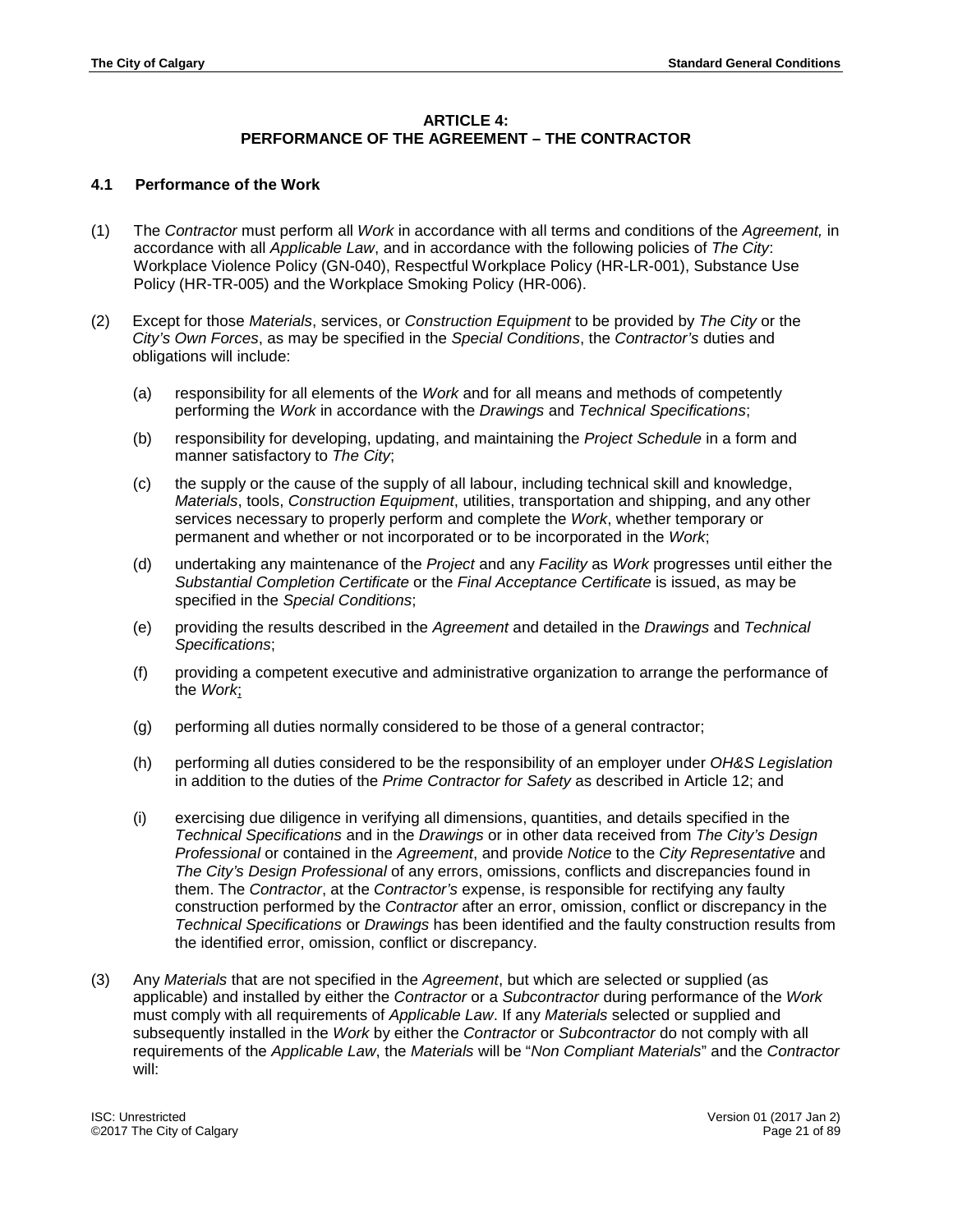#### **ARTICLE 4:**

# **PERFORMANCE OF THE AGREEMENT – THE CONTRACTOR**

#### <span id="page-20-1"></span><span id="page-20-0"></span>**4.1 Performance of the Work**

- (1) The *Contractor* must perform all *Work* in accordance with all terms and conditions of the *Agreement,* in accordance with all *Applicable Law*, and in accordance with the following policies of *The City*: Workplace Violence Policy (GN-040), Respectful Workplace Policy (HR-LR-001), Substance Use Policy (HR-TR-005) and the Workplace Smoking Policy (HR-006).
- (2) Except for those *Materials*, services, or *Construction Equipment* to be provided by *The City* or the *City's Own Forces*, as may be specified in the *Special Conditions*, the *Contractor's* duties and obligations will include:
	- (a) responsibility for all elements of the *Work* and for all means and methods of competently performing the *Work* in accordance with the *Drawings* and *Technical Specifications*;
	- (b) responsibility for developing, updating, and maintaining the *Project Schedule* in a form and manner satisfactory to *The City*;
	- (c) the supply or the cause of the supply of all labour, including technical skill and knowledge, *Materials*, tools, *Construction Equipment*, utilities, transportation and shipping, and any other services necessary to properly perform and complete the *Work*, whether temporary or permanent and whether or not incorporated or to be incorporated in the *Work*;
	- (d) undertaking any maintenance of the *Project* and any *Facility* as *Work* progresses until either the *Substantial Completion Certificate* or the *Final Acceptance Certificate* is issued, as may be specified in the *Special Conditions*;
	- (e) providing the results described in the *Agreement* and detailed in the *Drawings* and *Technical Specifications*;
	- (f) providing a competent executive and administrative organization to arrange the performance of the *Work*;
	- (g) performing all duties normally considered to be those of a general contractor;
	- (h) performing all duties considered to be the responsibility of an employer under *OH&S Legislation* in addition to the duties of the *Prime Contractor for Safety* as described in Article 12; and
	- (i) exercising due diligence in verifying all dimensions, quantities, and details specified in the *Technical Specifications* and in the *Drawings* or in other data received from *The City's Design Professional* or contained in the *Agreement*, and provide *Notice* to the *City Representative* and *The City's Design Professional* of any errors, omissions, conflicts and discrepancies found in them. The *Contractor*, at the *Contractor's* expense, is responsible for rectifying any faulty construction performed by the *Contractor* after an error, omission, conflict or discrepancy in the *Technical Specifications* or *Drawings* has been identified and the faulty construction results from the identified error, omission, conflict or discrepancy.
- (3) Any *Materials* that are not specified in the *Agreement*, but which are selected or supplied (as applicable) and installed by either the *Contractor* or a *Subcontractor* during performance of the *Work* must comply with all requirements of *Applicable Law*. If any *Materials* selected or supplied and subsequently installed in the *Work* by either the *Contractor* or *Subcontractor* do not comply with all requirements of the *Applicable Law*, the *Materials* will be "*Non Compliant Materials*" and the *Contractor* will: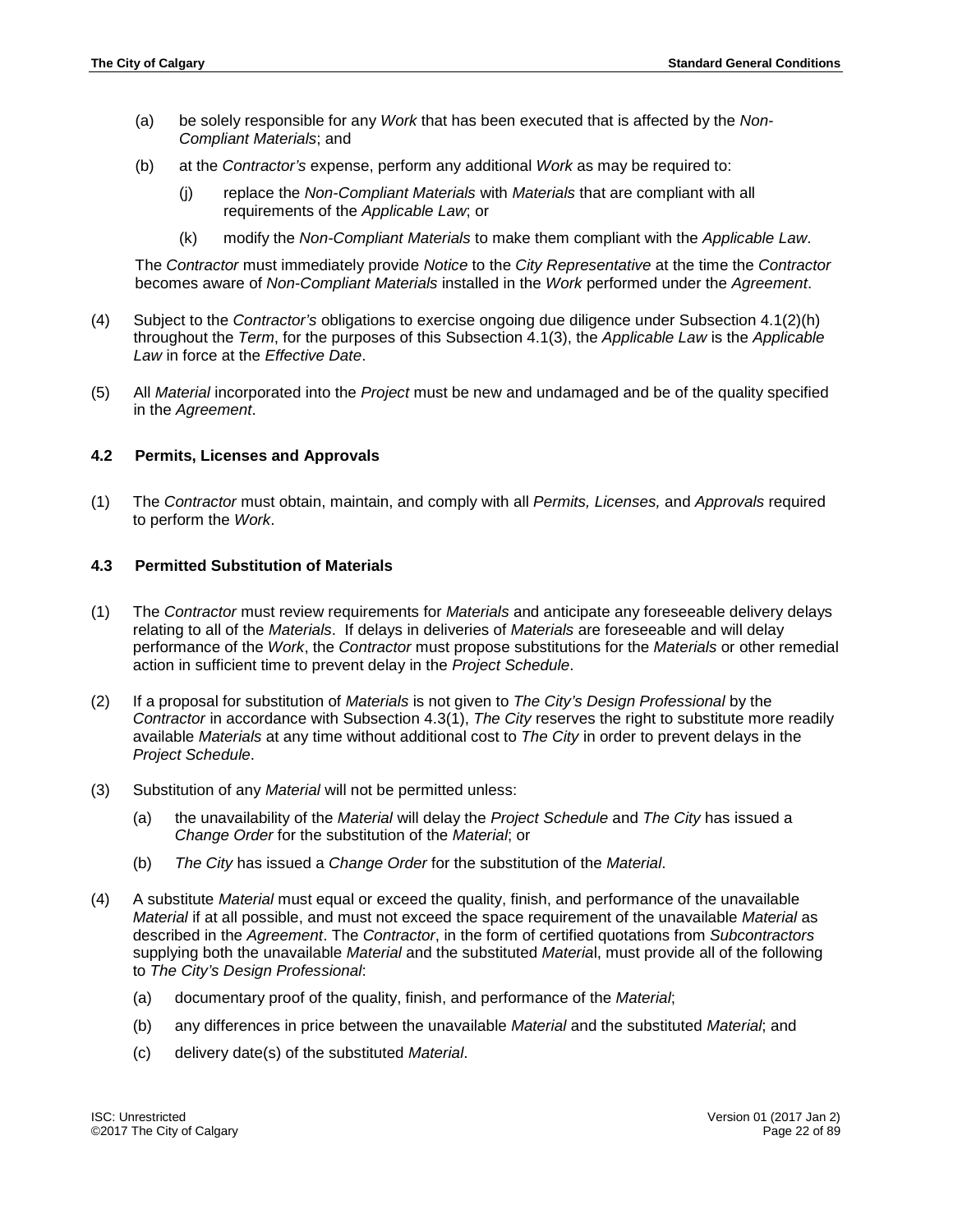- (a) be solely responsible for any *Work* that has been executed that is affected by the *Non-Compliant Materials*; and
- (b) at the *Contractor's* expense, perform any additional *Work* as may be required to:
	- (j) replace the *Non-Compliant Materials* with *Materials* that are compliant with all requirements of the *Applicable Law*; or
	- (k) modify the *Non-Compliant Materials* to make them compliant with the *Applicable Law*.

The *Contractor* must immediately provide *Notice* to the *City Representative* at the time the *Contractor*  becomes aware of *Non-Compliant Materials* installed in the *Work* performed under the *Agreement*.

- (4) Subject to the *Contractor's* obligations to exercise ongoing due diligence under Subsection 4.1(2)(h) throughout the *Term*, for the purposes of this Subsection 4.1(3), the *Applicable Law* is the *Applicable Law* in force at the *Effective Date*.
- (5) All *Material* incorporated into the *Project* must be new and undamaged and be of the quality specified in the *Agreement*.

#### <span id="page-21-0"></span>**4.2 Permits, Licenses and Approvals**

(1) The *Contractor* must obtain, maintain, and comply with all *Permits, Licenses,* and *Approvals* required to perform the *Work*.

# <span id="page-21-1"></span>**4.3 Permitted Substitution of Materials**

- (1) The *Contractor* must review requirements for *Materials* and anticipate any foreseeable delivery delays relating to all of the *Materials*. If delays in deliveries of *Materials* are foreseeable and will delay performance of the *Work*, the *Contractor* must propose substitutions for the *Materials* or other remedial action in sufficient time to prevent delay in the *Project Schedule*.
- (2) If a proposal for substitution of *Materials* is not given to *The City's Design Professional* by the *Contractor* in accordance with Subsection 4.3(1), *The City* reserves the right to substitute more readily available *Materials* at any time without additional cost to *The City* in order to prevent delays in the *Project Schedule*.
- (3) Substitution of any *Material* will not be permitted unless:
	- (a) the unavailability of the *Material* will delay the *Project Schedule* and *The City* has issued a *Change Order* for the substitution of the *Material*; or
	- (b) *The City* has issued a *Change Order* for the substitution of the *Material*.
- (4) A substitute *Material* must equal or exceed the quality, finish, and performance of the unavailable *Material* if at all possible, and must not exceed the space requirement of the unavailable *Material* as described in the *Agreement*. The *Contractor*, in the form of certified quotations from *Subcontractors* supplying both the unavailable *Material* and the substituted *Materia*l, must provide all of the following to *The City's Design Professional*:
	- (a) documentary proof of the quality, finish, and performance of the *Material*;
	- (b) any differences in price between the unavailable *Material* and the substituted *Material*; and
	- (c) delivery date(s) of the substituted *Material*.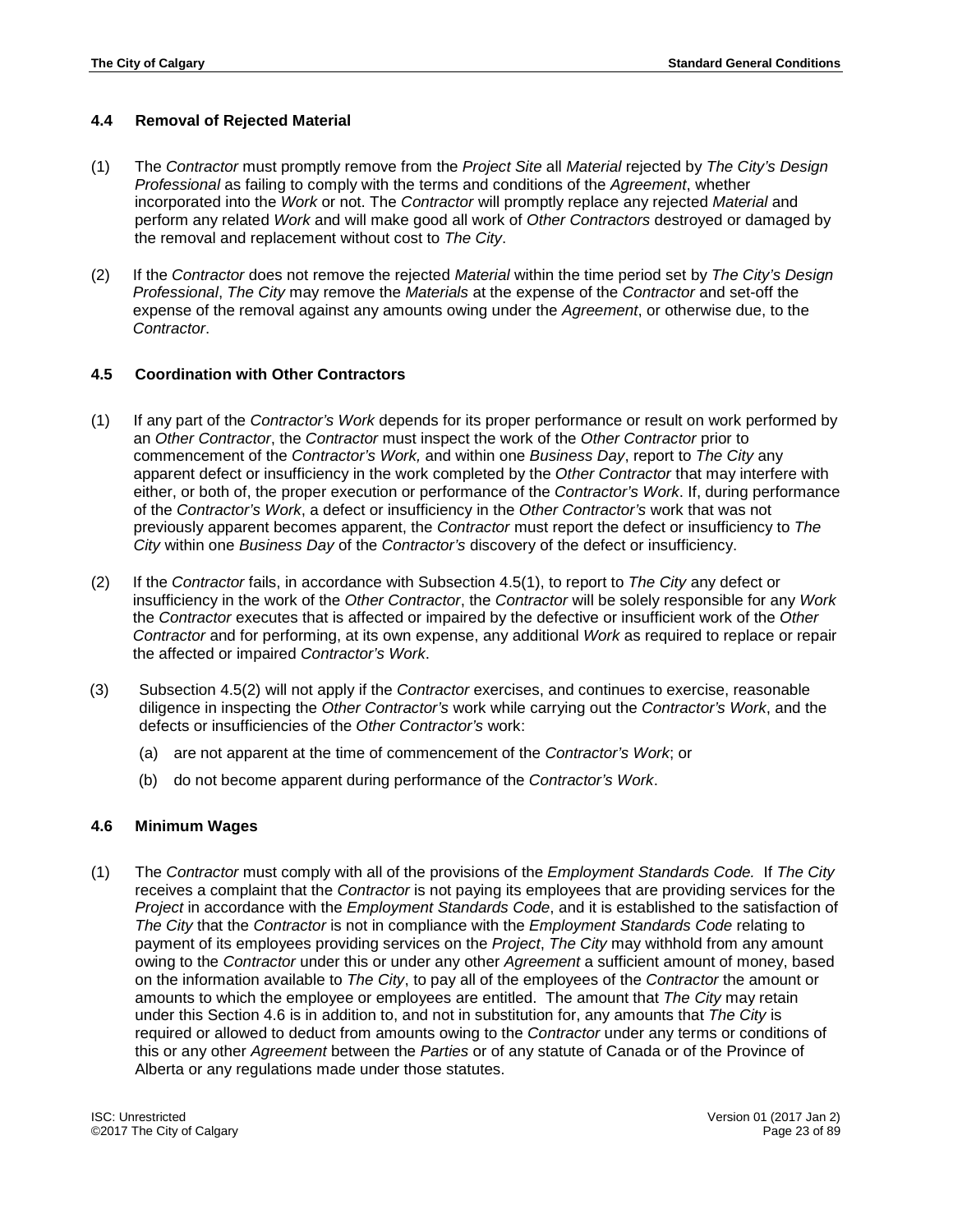# <span id="page-22-0"></span>**4.4 Removal of Rejected Material**

- (1) The *Contractor* must promptly remove from the *Project Site* all *Material* rejected by *The City's Design Professional* as failing to comply with the terms and conditions of the *Agreement*, whether incorporated into the *Work* or not. The *Contractor* will promptly replace any rejected *Material* and perform any related *Work* and will make good all work of *Other Contractors* destroyed or damaged by the removal and replacement without cost to *The City*.
- (2) If the *Contractor* does not remove the rejected *Material* within the time period set by *The City's Design Professional*, *The City* may remove the *Materials* at the expense of the *Contractor* and set-off the expense of the removal against any amounts owing under the *Agreement*, or otherwise due, to the *Contractor*.

# <span id="page-22-1"></span>**4.5 Coordination with Other Contractors**

- (1) If any part of the *Contractor's Work* depends for its proper performance or result on work performed by an *Other Contractor*, the *Contractor* must inspect the work of the *Other Contractor* prior to commencement of the *Contractor's Work,* and within one *Business Day*, report to *The City* any apparent defect or insufficiency in the work completed by the *Other Contractor* that may interfere with either, or both of, the proper execution or performance of the *Contractor's Work*. If, during performance of the *Contractor's Work*, a defect or insufficiency in the *Other Contractor's* work that was not previously apparent becomes apparent, the *Contractor* must report the defect or insufficiency to *The City* within one *Business Day* of the *Contractor's* discovery of the defect or insufficiency.
- (2) If the *Contractor* fails, in accordance with Subsection 4.5(1), to report to *The City* any defect or insufficiency in the work of the *Other Contractor*, the *Contractor* will be solely responsible for any *Work* the *Contractor* executes that is affected or impaired by the defective or insufficient work of the *Other Contractor* and for performing, at its own expense, any additional *Work* as required to replace or repair the affected or impaired *Contractor's Work*.
- (3) Subsection 4.5(2) will not apply if the *Contractor* exercises, and continues to exercise, reasonable diligence in inspecting the *Other Contractor's* work while carrying out the *Contractor's Work*, and the defects or insufficiencies of the *Other Contractor's* work:
	- (a) are not apparent at the time of commencement of the *Contractor's Work*; or
	- (b) do not become apparent during performance of the *Contractor's Work*.

#### <span id="page-22-2"></span>**4.6 Minimum Wages**

(1) The *Contractor* must comply with all of the provisions of the *Employment Standards Code.* If *The City* receives a complaint that the *Contractor* is not paying its employees that are providing services for the *Project* in accordance with the *Employment Standards Code*, and it is established to the satisfaction of *The City* that the *Contractor* is not in compliance with the *Employment Standards Code* relating to payment of its employees providing services on the *Project*, *The City* may withhold from any amount owing to the *Contractor* under this or under any other *Agreement* a sufficient amount of money, based on the information available to *The City*, to pay all of the employees of the *Contractor* the amount or amounts to which the employee or employees are entitled. The amount that *The City* may retain under this Section 4.6 is in addition to, and not in substitution for, any amounts that *The City* is required or allowed to deduct from amounts owing to the *Contractor* under any terms or conditions of this or any other *Agreement* between the *Parties* or of any statute of Canada or of the Province of Alberta or any regulations made under those statutes.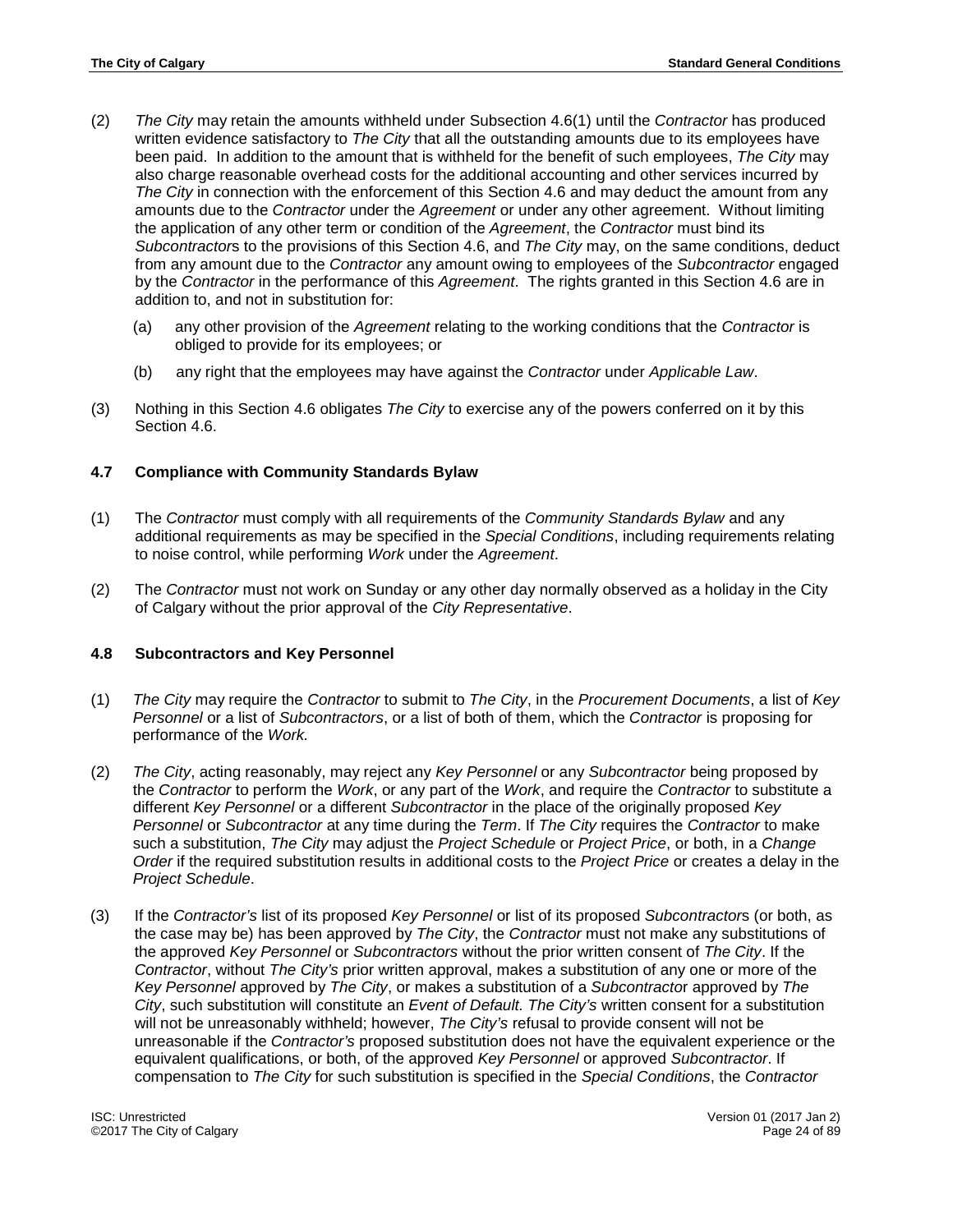- (2) *The City* may retain the amounts withheld under Subsection 4.6(1) until the *Contractor* has produced written evidence satisfactory to *The City* that all the outstanding amounts due to its employees have been paid. In addition to the amount that is withheld for the benefit of such employees, *The City* may also charge reasonable overhead costs for the additional accounting and other services incurred by *The City* in connection with the enforcement of this Section 4.6 and may deduct the amount from any amounts due to the *Contractor* under the *Agreement* or under any other agreement. Without limiting the application of any other term or condition of the *Agreement*, the *Contractor* must bind its *Subcontractor*s to the provisions of this Section 4.6, and *The City* may, on the same conditions, deduct from any amount due to the *Contractor* any amount owing to employees of the *Subcontractor* engaged by the *Contractor* in the performance of this *Agreement*. The rights granted in this Section 4.6 are in addition to, and not in substitution for:
	- (a) any other provision of the *Agreement* relating to the working conditions that the *Contractor* is obliged to provide for its employees; or
	- (b) any right that the employees may have against the *Contractor* under *Applicable Law*.
- (3) Nothing in this Section 4.6 obligates *The City* to exercise any of the powers conferred on it by this Section 4.6.

# <span id="page-23-0"></span>**4.7 Compliance with Community Standards Bylaw**

- (1) The *Contractor* must comply with all requirements of the *Community Standards Bylaw* and any additional requirements as may be specified in the *Special Conditions*, including requirements relating to noise control, while performing *Work* under the *Agreement*.
- (2) The *Contractor* must not work on Sunday or any other day normally observed as a holiday in the City of Calgary without the prior approval of the *City Representative*.

#### <span id="page-23-1"></span>**4.8 Subcontractors and Key Personnel**

- (1) *The City* may require the *Contractor* to submit to *The City*, in the *Procurement Documents*, a list of *Key Personnel* or a list of *Subcontractors*, or a list of both of them, which the *Contractor* is proposing for performance of the *Work.*
- (2) *The City*, acting reasonably, may reject any *Key Personnel* or any *Subcontractor* being proposed by the *Contractor* to perform the *Work*, or any part of the *Work*, and require the *Contractor* to substitute a different *Key Personnel* or a different *Subcontractor* in the place of the originally proposed *Key Personnel* or *Subcontractor* at any time during the *Term*. If *The City* requires the *Contractor* to make such a substitution, *The City* may adjust the *Project Schedule* or *Project Price*, or both, in a *Change Order* if the required substitution results in additional costs to the *Project Price* or creates a delay in the *Project Schedule*.
- (3) If the *Contractor's* list of its proposed *Key Personnel* or list of its proposed *Subcontractor*s (or both, as the case may be) has been approved by *The City*, the *Contractor* must not make any substitutions of the approved *Key Personnel* or *Subcontractors* without the prior written consent of *The City*. If the *Contractor*, without *The City's* prior written approval, makes a substitution of any one or more of the *Key Personnel* approved by *The City*, or makes a substitution of a *Subcontracto*r approved by *The City*, such substitution will constitute an *Event of Default. The City's* written consent for a substitution will not be unreasonably withheld; however, *The City's* refusal to provide consent will not be unreasonable if the *Contractor's* proposed substitution does not have the equivalent experience or the equivalent qualifications, or both, of the approved *Key Personnel* or approved *Subcontractor*. If compensation to *The City* for such substitution is specified in the *Special Conditions*, the *Contractor*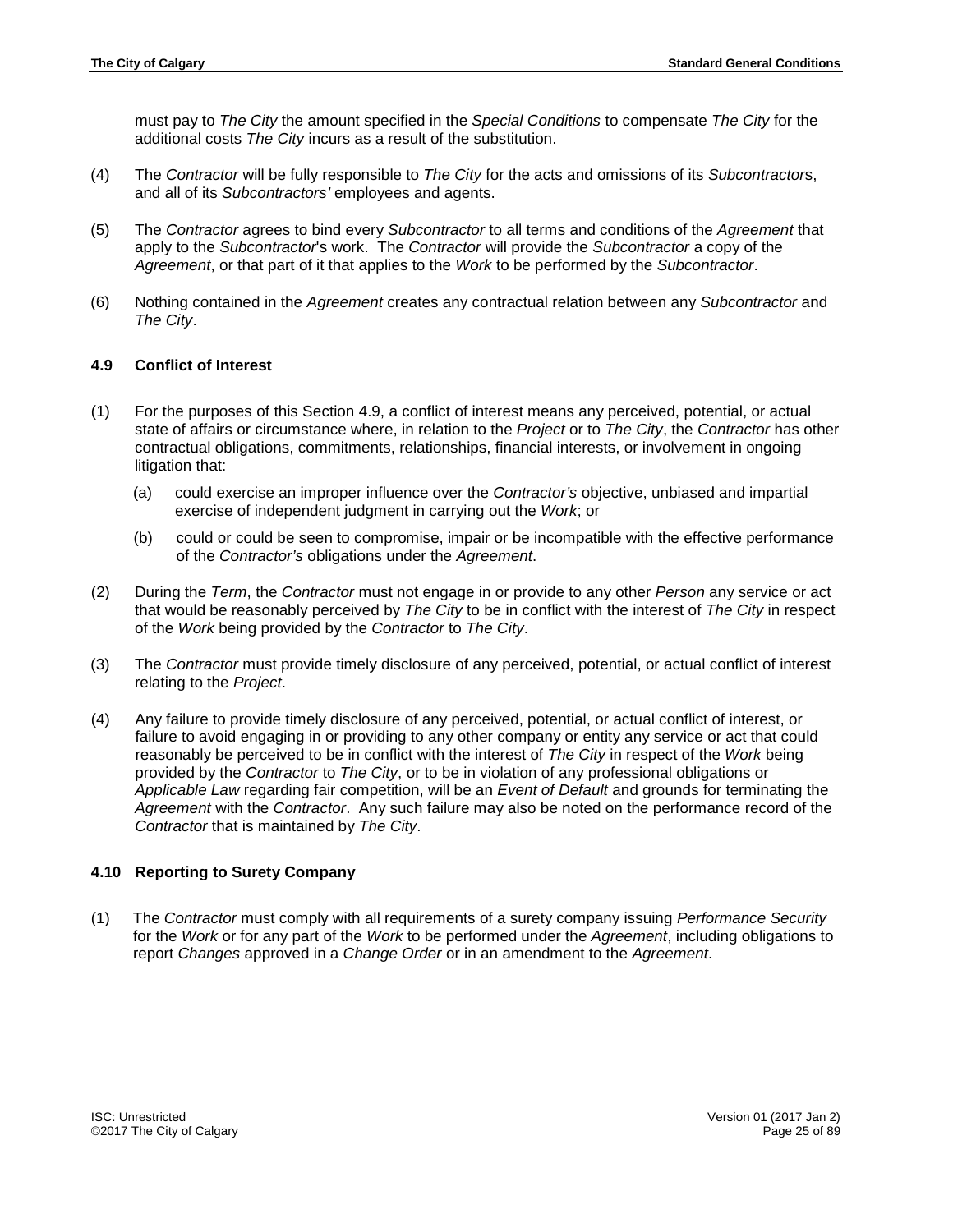must pay to *The City* the amount specified in the *Special Conditions* to compensate *The City* for the additional costs *The City* incurs as a result of the substitution.

- (4) The *Contractor* will be fully responsible to *The City* for the acts and omissions of its *Subcontractor*s, and all of its *Subcontractors'* employees and agents.
- (5) The *Contractor* agrees to bind every *Subcontractor* to all terms and conditions of the *Agreement* that apply to the *Subcontractor*'s work. The *Contractor* will provide the *Subcontractor* a copy of the *Agreement*, or that part of it that applies to the *Work* to be performed by the *Subcontractor*.
- (6) Nothing contained in the *Agreement* creates any contractual relation between any *Subcontractor* and *The City*.

#### <span id="page-24-0"></span>**4.9 Conflict of Interest**

- (1) For the purposes of this Section 4.9, a conflict of interest means any perceived, potential, or actual state of affairs or circumstance where, in relation to the *Project* or to *The City*, the *Contractor* has other contractual obligations, commitments, relationships, financial interests, or involvement in ongoing litigation that:
	- (a) could exercise an improper influence over the *Contractor's* objective, unbiased and impartial exercise of independent judgment in carrying out the *Work*; or
	- (b) could or could be seen to compromise, impair or be incompatible with the effective performance of the *Contractor's* obligations under the *Agreement*.
- (2) During the *Term*, the *Contractor* must not engage in or provide to any other *Person* any service or act that would be reasonably perceived by *The City* to be in conflict with the interest of *The City* in respect of the *Work* being provided by the *Contractor* to *The City*.
- (3) The *Contractor* must provide timely disclosure of any perceived, potential, or actual conflict of interest relating to the *Project*.
- (4) Any failure to provide timely disclosure of any perceived, potential, or actual conflict of interest, or failure to avoid engaging in or providing to any other company or entity any service or act that could reasonably be perceived to be in conflict with the interest of *The City* in respect of the *Work* being provided by the *Contractor* to *The City*, or to be in violation of any professional obligations or *Applicable Law* regarding fair competition, will be an *Event of Default* and grounds for terminating the *Agreement* with the *Contractor*. Any such failure may also be noted on the performance record of the *Contractor* that is maintained by *The City*.

#### <span id="page-24-1"></span>**4.10 Reporting to Surety Company**

(1) The *Contractor* must comply with all requirements of a surety company issuing *Performance Security* for the *Work* or for any part of the *Work* to be performed under the *Agreement*, including obligations to report *Changes* approved in a *Change Order* or in an amendment to the *Agreement*.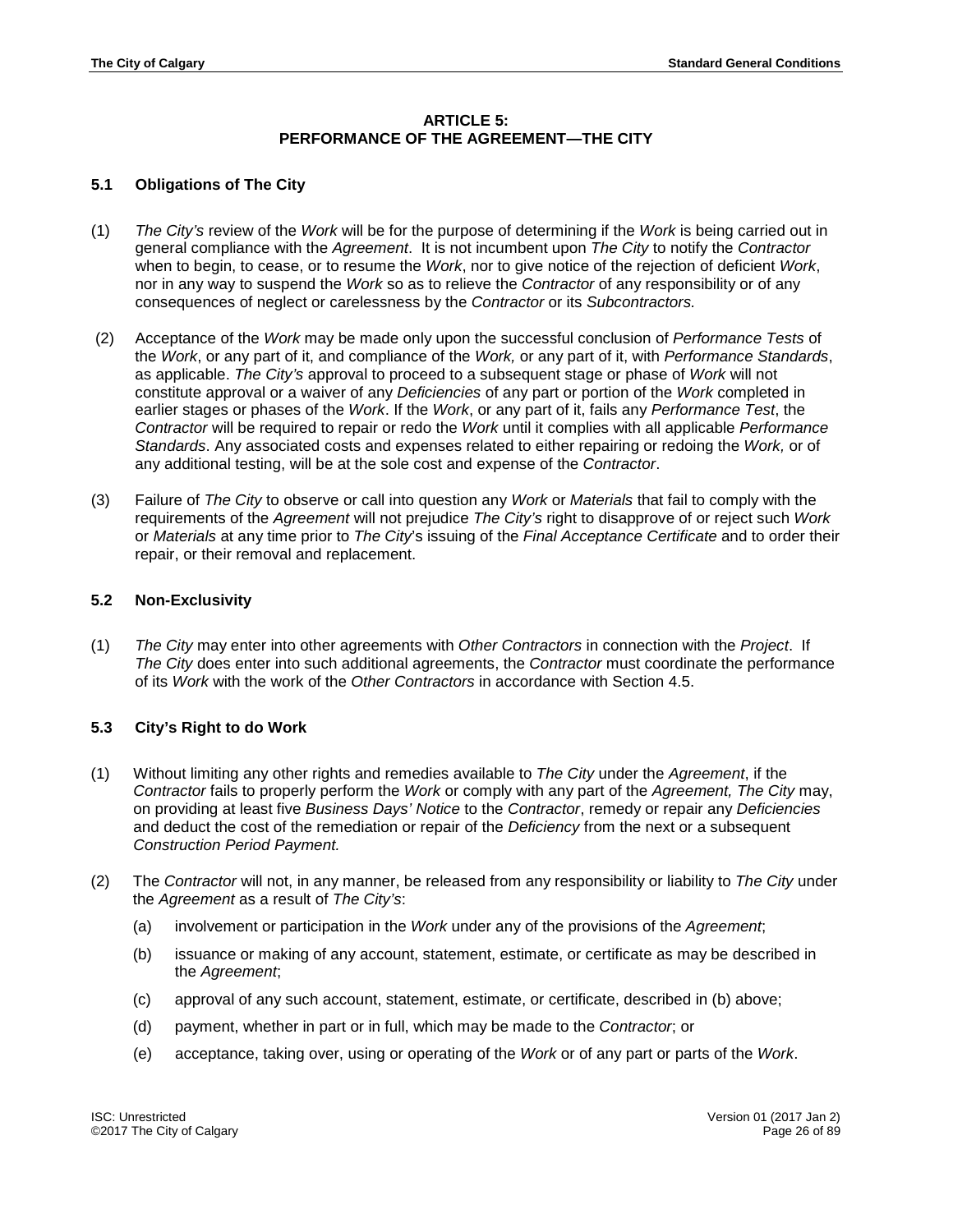# **ARTICLE 5: PERFORMANCE OF THE AGREEMENT—THE CITY**

# <span id="page-25-1"></span><span id="page-25-0"></span>**5.1 Obligations of The City**

- (1) *The City's* review of the *Work* will be for the purpose of determining if the *Work* is being carried out in general compliance with the *Agreement*. It is not incumbent upon *The City* to notify the *Contractor* when to begin, to cease, or to resume the *Work*, nor to give notice of the rejection of deficient *Work*, nor in any way to suspend the *Work* so as to relieve the *Contractor* of any responsibility or of any consequences of neglect or carelessness by the *Contractor* or its *Subcontractors.*
- (2) Acceptance of the *Work* may be made only upon the successful conclusion of *Performance Tests* of the *Work*, or any part of it, and compliance of the *Work,* or any part of it, with *Performance Standards*, as applicable. *The City's* approval to proceed to a subsequent stage or phase of *Work* will not constitute approval or a waiver of any *Deficiencies* of any part or portion of the *Work* completed in earlier stages or phases of the *Work*. If the *Work*, or any part of it, fails any *Performance Test*, the *Contractor* will be required to repair or redo the *Work* until it complies with all applicable *Performance Standards*. Any associated costs and expenses related to either repairing or redoing the *Work,* or of any additional testing, will be at the sole cost and expense of the *Contractor*.
- (3) Failure of *The City* to observe or call into question any *Work* or *Materials* that fail to comply with the requirements of the *Agreement* will not prejudice *The City's* right to disapprove of or reject such *Work* or *Materials* at any time prior to *The City*'s issuing of the *Final Acceptance Certificate* and to order their repair, or their removal and replacement.

# <span id="page-25-2"></span>**5.2 Non-Exclusivity**

(1) *The City* may enter into other agreements with *Other Contractors* in connection with the *Project*. If *The City* does enter into such additional agreements, the *Contractor* must coordinate the performance of its *Work* with the work of the *Other Contractors* in accordance with Section 4.5.

#### <span id="page-25-3"></span>**5.3 City's Right to do Work**

- (1) Without limiting any other rights and remedies available to *The City* under the *Agreement*, if the *Contractor* fails to properly perform the *Work* or comply with any part of the *Agreement, The City* may, on providing at least five *Business Days' Notice* to the *Contractor*, remedy or repair any *Deficiencies* and deduct the cost of the remediation or repair of the *Deficiency* from the next or a subsequent *Construction Period Payment.*
- (2) The *Contractor* will not, in any manner, be released from any responsibility or liability to *The City* under the *Agreement* as a result of *The City's*:
	- (a) involvement or participation in the *Work* under any of the provisions of the *Agreement*;
	- (b) issuance or making of any account, statement, estimate, or certificate as may be described in the *Agreement*;
	- (c) approval of any such account, statement, estimate, or certificate, described in (b) above;
	- (d) payment, whether in part or in full, which may be made to the *Contractor*; or
	- (e) acceptance, taking over, using or operating of the *Work* or of any part or parts of the *Work*.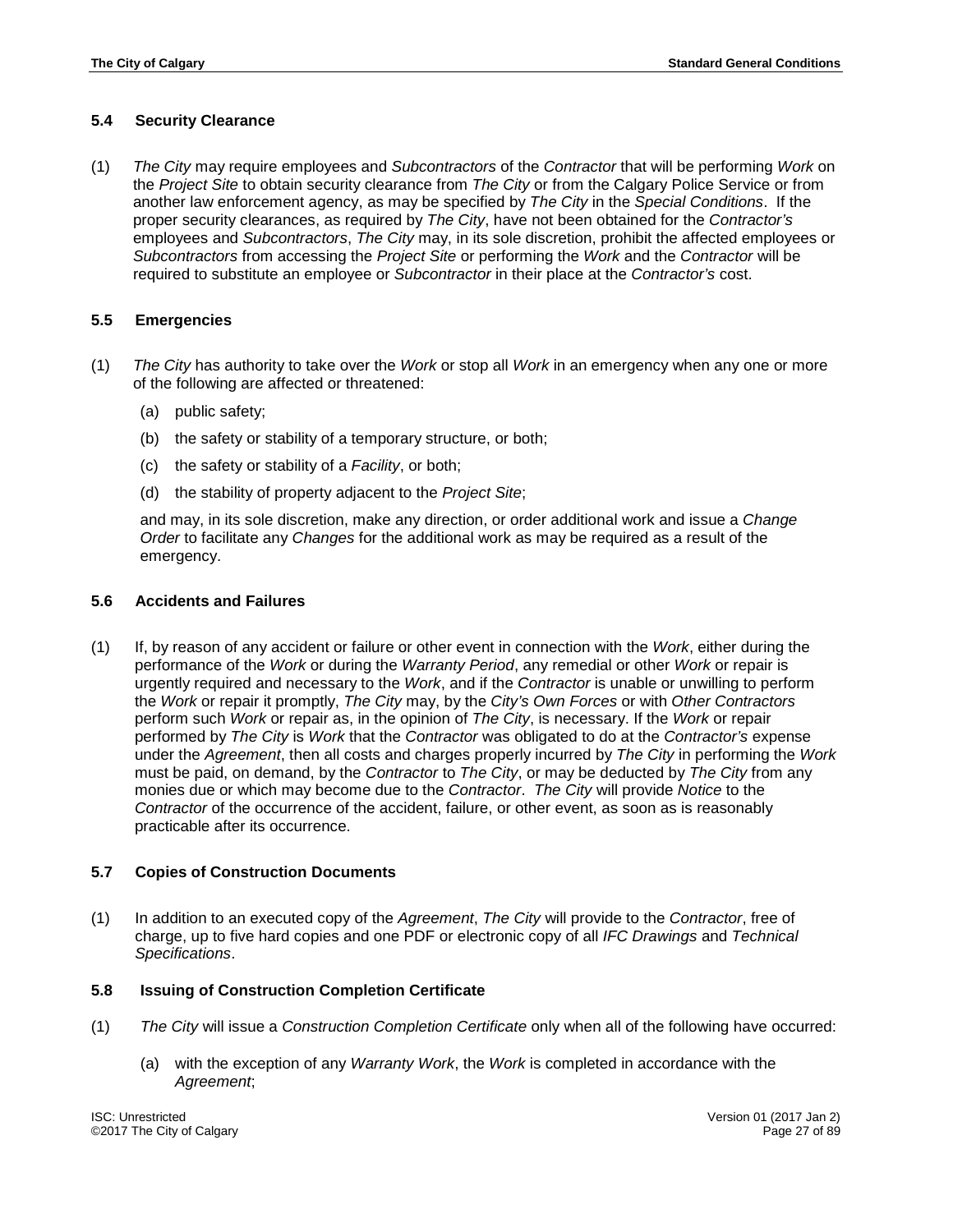# <span id="page-26-0"></span>**5.4 Security Clearance**

(1) *The City* may require employees and *Subcontractors* of the *Contractor* that will be performing *Work* on the *Project Site* to obtain security clearance from *The City* or from the Calgary Police Service or from another law enforcement agency, as may be specified by *The City* in the *Special Conditions*. If the proper security clearances, as required by *The City*, have not been obtained for the *Contractor's* employees and *Subcontractors*, *The City* may, in its sole discretion, prohibit the affected employees or *Subcontractors* from accessing the *Project Site* or performing the *Work* and the *Contractor* will be required to substitute an employee or *Subcontractor* in their place at the *Contractor's* cost.

# <span id="page-26-1"></span>**5.5 Emergencies**

- (1) *The City* has authority to take over the *Work* or stop all *Work* in an emergency when any one or more of the following are affected or threatened:
	- (a) public safety;
	- (b) the safety or stability of a temporary structure, or both;
	- (c) the safety or stability of a *Facility*, or both;
	- (d) the stability of property adjacent to the *Project Site*;

and may, in its sole discretion, make any direction, or order additional work and issue a *Change Order* to facilitate any *Changes* for the additional work as may be required as a result of the emergency.

#### <span id="page-26-2"></span>**5.6 Accidents and Failures**

(1) If, by reason of any accident or failure or other event in connection with the *Work*, either during the performance of the *Work* or during the *Warranty Period*, any remedial or other *Work* or repair is urgently required and necessary to the *Work*, and if the *Contractor* is unable or unwilling to perform the *Work* or repair it promptly, *The City* may, by the *City's Own Forces* or with *Other Contractors* perform such *Work* or repair as, in the opinion of *The City*, is necessary. If the *Work* or repair performed by *The City* is *Work* that the *Contractor* was obligated to do at the *Contractor's* expense under the *Agreement*, then all costs and charges properly incurred by *The City* in performing the *Work* must be paid, on demand, by the *Contractor* to *The City*, or may be deducted by *The City* from any monies due or which may become due to the *Contractor*. *The City* will provide *Notice* to the *Contractor* of the occurrence of the accident, failure, or other event, as soon as is reasonably practicable after its occurrence.

#### <span id="page-26-3"></span>**5.7 Copies of Construction Documents**

(1) In addition to an executed copy of the *Agreement*, *The City* will provide to the *Contractor*, free of charge, up to five hard copies and one PDF or electronic copy of all *IFC Drawings* and *Technical Specifications*.

#### **5.8 Issuing of Construction Completion Certificate**

- (1) *The City* will issue a *Construction Completion Certificate* only when all of the following have occurred:
	- (a) with the exception of any *Warranty Work*, the *Work* is completed in accordance with the *Agreement*;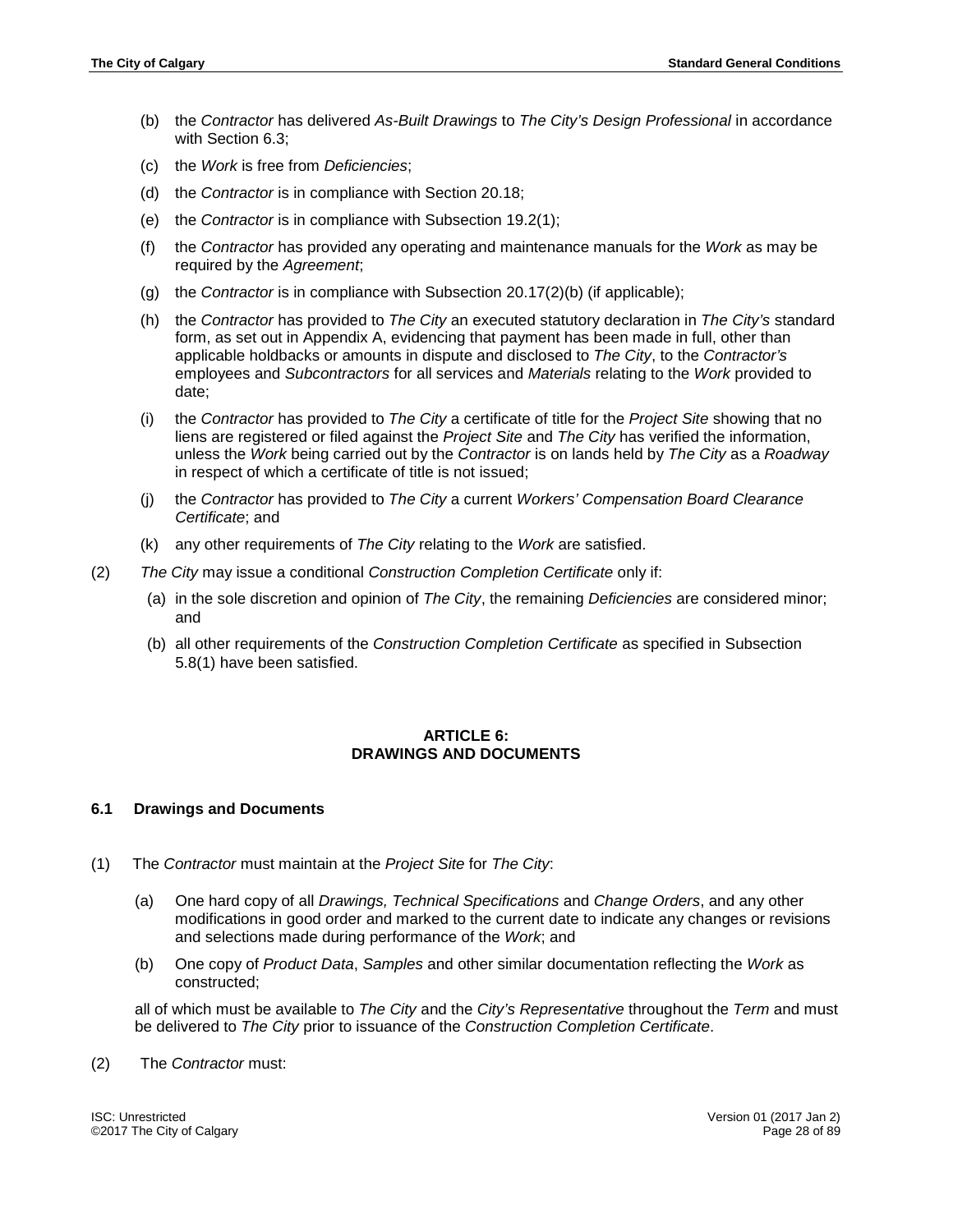- (b) the *Contractor* has delivered *As-Built Drawings* to *The City's Design Professional* in accordance with Section 6.3;
- (c) the *Work* is free from *Deficiencies*;
- (d) the *Contractor* is in compliance with Section 20.18;
- (e) the *Contractor* is in compliance with Subsection 19.2(1);
- (f) the *Contractor* has provided any operating and maintenance manuals for the *Work* as may be required by the *Agreement*;
- (g) the *Contractor* is in compliance with Subsection 20.17(2)(b) (if applicable);
- (h) the *Contractor* has provided to *The City* an executed statutory declaration in *The City's* standard form, as set out in Appendix A, evidencing that payment has been made in full, other than applicable holdbacks or amounts in dispute and disclosed to *The City*, to the *Contractor's*  employees and *Subcontractors* for all services and *Materials* relating to the *Work* provided to date;
- (i) the *Contractor* has provided to *The City* a certificate of title for the *Project Site* showing that no liens are registered or filed against the *Project Site* and *The City* has verified the information, unless the *Work* being carried out by the *Contractor* is on lands held by *The City* as a *Roadway* in respect of which a certificate of title is not issued;
- (j) the *Contractor* has provided to *The City* a current *Workers' Compensation Board Clearance Certificate*; and
- (k) any other requirements of *The City* relating to the *Work* are satisfied.
- (2) *The City* may issue a conditional *Construction Completion Certificate* only if:
	- (a) in the sole discretion and opinion of *The City*, the remaining *Deficiencies* are considered minor; and
	- (b) all other requirements of the *Construction Completion Certificate* as specified in Subsection 5.8(1) have been satisfied.

#### **ARTICLE 6: DRAWINGS AND DOCUMENTS**

#### <span id="page-27-1"></span><span id="page-27-0"></span>**6.1 Drawings and Documents**

- (1) The *Contractor* must maintain at the *Project Site* for *The City*:
	- (a) One hard copy of all *Drawings, Technical Specifications* and *Change Orders*, and any other modifications in good order and marked to the current date to indicate any changes or revisions and selections made during performance of the *Work*; and
	- (b) One copy of *Product Data*, *Samples* and other similar documentation reflecting the *Work* as constructed;

all of which must be available to *The City* and the *City's Representative* throughout the *Term* and must be delivered to *The City* prior to issuance of the *Construction Completion Certificate*.

(2) The *Contractor* must: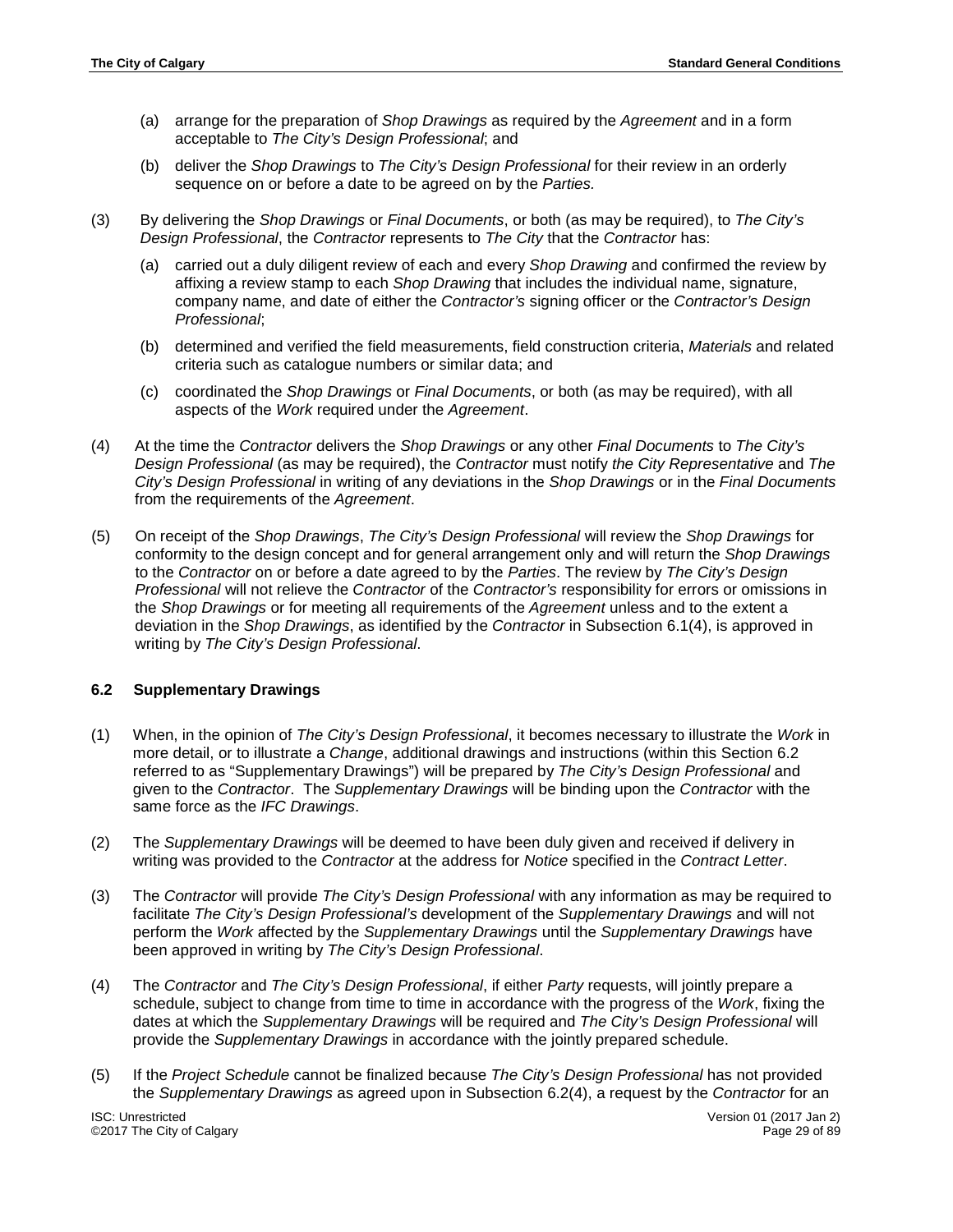- (a) arrange for the preparation of *Shop Drawings* as required by the *Agreement* and in a form acceptable to *The City's Design Professional*; and
- (b) deliver the *Shop Drawings* to *The City's Design Professional* for their review in an orderly sequence on or before a date to be agreed on by the *Parties.*
- (3) By delivering the *Shop Drawings* or *Final Documents*, or both (as may be required), to *The City's Design Professional*, the *Contractor* represents to *The City* that the *Contractor* has:
	- (a) carried out a duly diligent review of each and every *Shop Drawing* and confirmed the review by affixing a review stamp to each *Shop Drawing* that includes the individual name, signature, company name, and date of either the *Contractor's* signing officer or the *Contractor's Design Professional*;
	- (b) determined and verified the field measurements, field construction criteria, *Materials* and related criteria such as catalogue numbers or similar data; and
	- (c) coordinated the *Shop Drawings* or *Final Documents*, or both (as may be required), with all aspects of the *Work* required under the *Agreement*.
- (4) At the time the *Contractor* delivers the *Shop Drawings* or any other *Final Documents* to *The City's Design Professional* (as may be required), the *Contractor* must notify *the City Representative* and *The City's Design Professional* in writing of any deviations in the *Shop Drawings* or in the *Final Documents* from the requirements of the *Agreement*.
- (5) On receipt of the *Shop Drawings*, *The City's Design Professional* will review the *Shop Drawings* for conformity to the design concept and for general arrangement only and will return the *Shop Drawings* to the *Contractor* on or before a date agreed to by the *Parties*. The review by *The City's Design Professional* will not relieve the *Contractor* of the *Contractor's* responsibility for errors or omissions in the *Shop Drawings* or for meeting all requirements of the *Agreement* unless and to the extent a deviation in the *Shop Drawings*, as identified by the *Contractor* in Subsection 6.1(4), is approved in writing by *The City's Design Professional*.

# <span id="page-28-0"></span>**6.2 Supplementary Drawings**

- (1) When, in the opinion of *The City's Design Professional*, it becomes necessary to illustrate the *Work* in more detail, or to illustrate a *Change*, additional drawings and instructions (within this Section 6.2 referred to as "Supplementary Drawings") will be prepared by *The City's Design Professional* and given to the *Contractor*. The *Supplementary Drawings* will be binding upon the *Contractor* with the same force as the *IFC Drawings*.
- (2) The *Supplementary Drawings* will be deemed to have been duly given and received if delivery in writing was provided to the *Contractor* at the address for *Notice* specified in the *Contract Letter*.
- (3) The *Contractor* will provide *The City's Design Professional* with any information as may be required to facilitate *The City's Design Professional's* development of the *Supplementary Drawings* and will not perform the *Work* affected by the *Supplementary Drawings* until the *Supplementary Drawings* have been approved in writing by *The City's Design Professional*.
- (4) The *Contractor* and *The City's Design Professional*, if either *Party* requests, will jointly prepare a schedule, subject to change from time to time in accordance with the progress of the *Work*, fixing the dates at which the *Supplementary Drawings* will be required and *The City's Design Professional* will provide the *Supplementary Drawings* in accordance with the jointly prepared schedule.
- (5) If the *Project Schedule* cannot be finalized because *The City's Design Professional* has not provided the *Supplementary Drawings* as agreed upon in Subsection 6.2(4), a request by the *Contractor* for an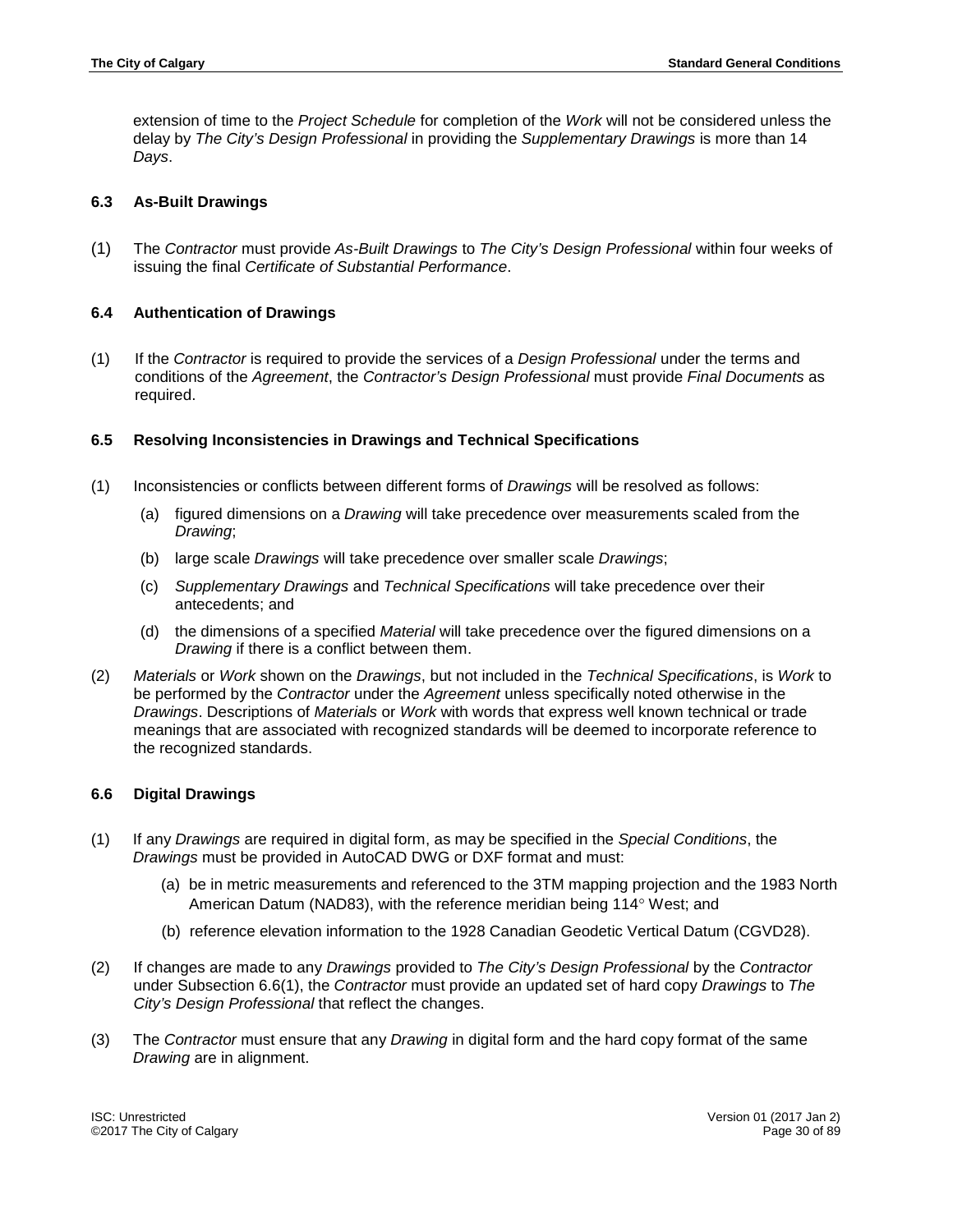extension of time to the *Project Schedule* for completion of the *Work* will not be considered unless the delay by *The City's Design Professional* in providing the *Supplementary Drawings* is more than 14 *Days*.

## <span id="page-29-0"></span>**6.3 As-Built Drawings**

(1) The *Contractor* must provide *As-Built Drawings* to *The City's Design Professional* within four weeks of issuing the final *Certificate of Substantial Performance*.

# <span id="page-29-1"></span>**6.4 Authentication of Drawings**

(1) If the *Contractor* is required to provide the services of a *Design Professional* under the terms and conditions of the *Agreement*, the *Contractor's Design Professional* must provide *Final Documents* as required.

# <span id="page-29-2"></span>**6.5 Resolving Inconsistencies in Drawings and Technical Specifications**

- (1) Inconsistencies or conflicts between different forms of *Drawings* will be resolved as follows:
	- (a) figured dimensions on a *Drawing* will take precedence over measurements scaled from the *Drawing*;
	- (b) large scale *Drawings* will take precedence over smaller scale *Drawings*;
	- (c) *Supplementary Drawings* and *Technical Specifications* will take precedence over their antecedents; and
	- (d) the dimensions of a specified *Material* will take precedence over the figured dimensions on a *Drawing* if there is a conflict between them.
- (2) *Materials* or *Work* shown on the *Drawings*, but not included in the *Technical Specifications*, is *Work* to be performed by the *Contractor* under the *Agreement* unless specifically noted otherwise in the *Drawings*. Descriptions of *Materials* or *Work* with words that express well known technical or trade meanings that are associated with recognized standards will be deemed to incorporate reference to the recognized standards.

#### <span id="page-29-3"></span>**6.6 Digital Drawings**

- (1) If any *Drawings* are required in digital form, as may be specified in the *Special Conditions*, the *Drawings* must be provided in AutoCAD DWG or DXF format and must:
	- (a) be in metric measurements and referenced to the 3TM mapping projection and the 1983 North American Datum (NAD83), with the reference meridian being 114° West; and
	- (b) reference elevation information to the 1928 Canadian Geodetic Vertical Datum (CGVD28).
- (2) If changes are made to any *Drawings* provided to *The City's Design Professional* by the *Contractor* under Subsection 6.6(1), the *Contractor* must provide an updated set of hard copy *Drawings* to *The City's Design Professional* that reflect the changes.
- (3) The *Contractor* must ensure that any *Drawing* in digital form and the hard copy format of the same *Drawing* are in alignment.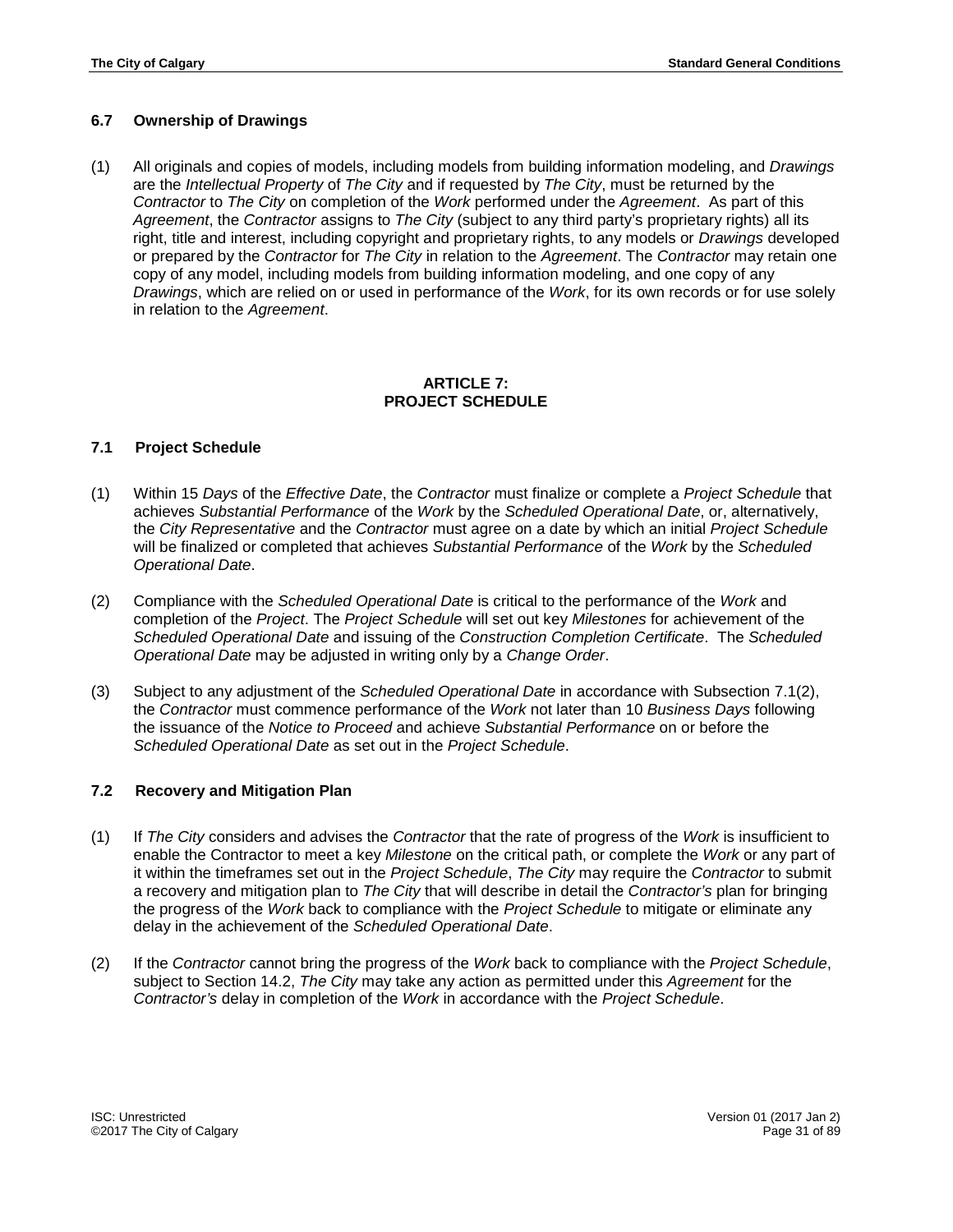# <span id="page-30-0"></span>**6.7 Ownership of Drawings**

(1) All originals and copies of models, including models from building information modeling, and *Drawings* are the *Intellectual Property* of *The City* and if requested by *The City*, must be returned by the *Contractor* to *The City* on completion of the *Work* performed under the *Agreement*. As part of this *Agreement*, the *Contractor* assigns to *The City* (subject to any third party's proprietary rights) all its right, title and interest, including copyright and proprietary rights, to any models or *Drawings* developed or prepared by the *Contractor* for *The City* in relation to the *Agreement*. The *Contractor* may retain one copy of any model, including models from building information modeling, and one copy of any *Drawings*, which are relied on or used in performance of the *Work*, for its own records or for use solely in relation to the *Agreement*.

## **ARTICLE 7: PROJECT SCHEDULE**

#### <span id="page-30-2"></span><span id="page-30-1"></span>**7.1 Project Schedule**

- (1) Within 15 *Days* of the *Effective Date*, the *Contractor* must finalize or complete a *Project Schedule* that achieves *Substantial Performance* of the *Work* by the *Scheduled Operational Date*, or, alternatively, the *City Representative* and the *Contractor* must agree on a date by which an initial *Project Schedule* will be finalized or completed that achieves *Substantial Performance* of the *Work* by the *Scheduled Operational Date*.
- (2) Compliance with the *Scheduled Operational Date* is critical to the performance of the *Work* and completion of the *Project*. The *Project Schedule* will set out key *Milestones* for achievement of the *Scheduled Operational Date* and issuing of the *Construction Completion Certificate*. The *Scheduled Operational Date* may be adjusted in writing only by a *Change Order*.
- (3) Subject to any adjustment of the *Scheduled Operational Date* in accordance with Subsection 7.1(2), the *Contractor* must commence performance of the *Work* not later than 10 *Business Days* following the issuance of the *Notice to Proceed* and achieve *Substantial Performance* on or before the *Scheduled Operational Date* as set out in the *Project Schedule*.

#### <span id="page-30-3"></span>**7.2 Recovery and Mitigation Plan**

- (1) If *The City* considers and advises the *Contractor* that the rate of progress of the *Work* is insufficient to enable the Contractor to meet a key *Milestone* on the critical path, or complete the *Work* or any part of it within the timeframes set out in the *Project Schedule*, *The City* may require the *Contractor* to submit a recovery and mitigation plan to *The City* that will describe in detail the *Contractor's* plan for bringing the progress of the *Work* back to compliance with the *Project Schedule* to mitigate or eliminate any delay in the achievement of the *Scheduled Operational Date*.
- (2) If the *Contractor* cannot bring the progress of the *Work* back to compliance with the *Project Schedule*, subject to Section 14.2, *The City* may take any action as permitted under this *Agreement* for the *Contractor's* delay in completion of the *Work* in accordance with the *Project Schedule*.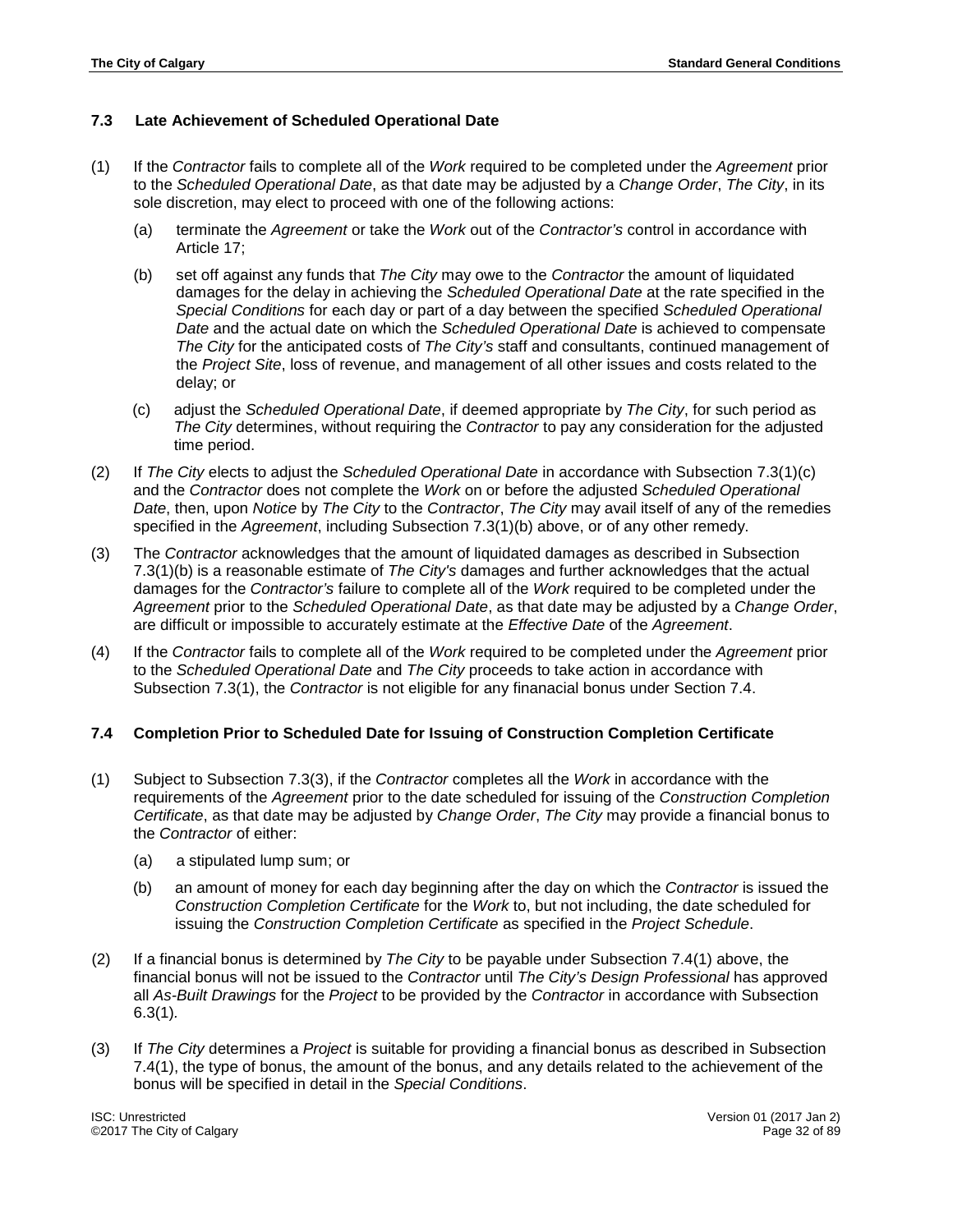# <span id="page-31-0"></span>**7.3 Late Achievement of Scheduled Operational Date**

- (1) If the *Contractor* fails to complete all of the *Work* required to be completed under the *Agreement* prior to the *Scheduled Operational Date*, as that date may be adjusted by a *Change Order*, *The City*, in its sole discretion, may elect to proceed with one of the following actions:
	- (a) terminate the *Agreement* or take the *Work* out of the *Contractor's* control in accordance with Article 17;
	- (b) set off against any funds that *The City* may owe to the *Contractor* the amount of liquidated damages for the delay in achieving the *Scheduled Operational Date* at the rate specified in the *Special Conditions* for each day or part of a day between the specified *Scheduled Operational Date* and the actual date on which the *Scheduled Operational Date* is achieved to compensate *The City* for the anticipated costs of *The City's* staff and consultants, continued management of the *Project Site*, loss of revenue, and management of all other issues and costs related to the delay; or
	- (c) adjust the *Scheduled Operational Date*, if deemed appropriate by *The City*, for such period as *The City* determines, without requiring the *Contractor* to pay any consideration for the adjusted time period.
- (2) If *The City* elects to adjust the *Scheduled Operational Date* in accordance with Subsection 7.3(1)(c) and the *Contractor* does not complete the *Work* on or before the adjusted *Scheduled Operational Date*, then, upon *Notice* by *The City* to the *Contractor*, *The City* may avail itself of any of the remedies specified in the *Agreement*, including Subsection 7.3(1)(b) above, or of any other remedy.
- (3) The *Contractor* acknowledges that the amount of liquidated damages as described in Subsection 7.3(1)(b) is a reasonable estimate of *The City's* damages and further acknowledges that the actual damages for the *Contractor's* failure to complete all of the *Work* required to be completed under the *Agreement* prior to the *Scheduled Operational Date*, as that date may be adjusted by a *Change Order*, are difficult or impossible to accurately estimate at the *Effective Date* of the *Agreement*.
- (4) If the *Contractor* fails to complete all of the *Work* required to be completed under the *Agreement* prior to the *Scheduled Operational Date* and *The City* proceeds to take action in accordance with Subsection 7.3(1), the *Contractor* is not eligible for any finanacial bonus under Section 7.4.

#### <span id="page-31-1"></span>**7.4 Completion Prior to Scheduled Date for Issuing of Construction Completion Certificate**

- (1) Subject to Subsection 7.3(3), if the *Contractor* completes all the *Work* in accordance with the requirements of the *Agreement* prior to the date scheduled for issuing of the *Construction Completion Certificate*, as that date may be adjusted by *Change Order*, *The City* may provide a financial bonus to the *Contractor* of either:
	- (a) a stipulated lump sum; or
	- (b) an amount of money for each day beginning after the day on which the *Contractor* is issued the *Construction Completion Certificate* for the *Work* to, but not including, the date scheduled for issuing the *Construction Completion Certificate* as specified in the *Project Schedule*.
- (2) If a financial bonus is determined by *The City* to be payable under Subsection 7.4(1) above, the financial bonus will not be issued to the *Contractor* until *The City's Design Professional* has approved all *As-Built Drawings* for the *Project* to be provided by the *Contractor* in accordance with Subsection 6.3(1)*.*
- (3) If *The City* determines a *Project* is suitable for providing a financial bonus as described in Subsection 7.4(1), the type of bonus, the amount of the bonus, and any details related to the achievement of the bonus will be specified in detail in the *Special Conditions*.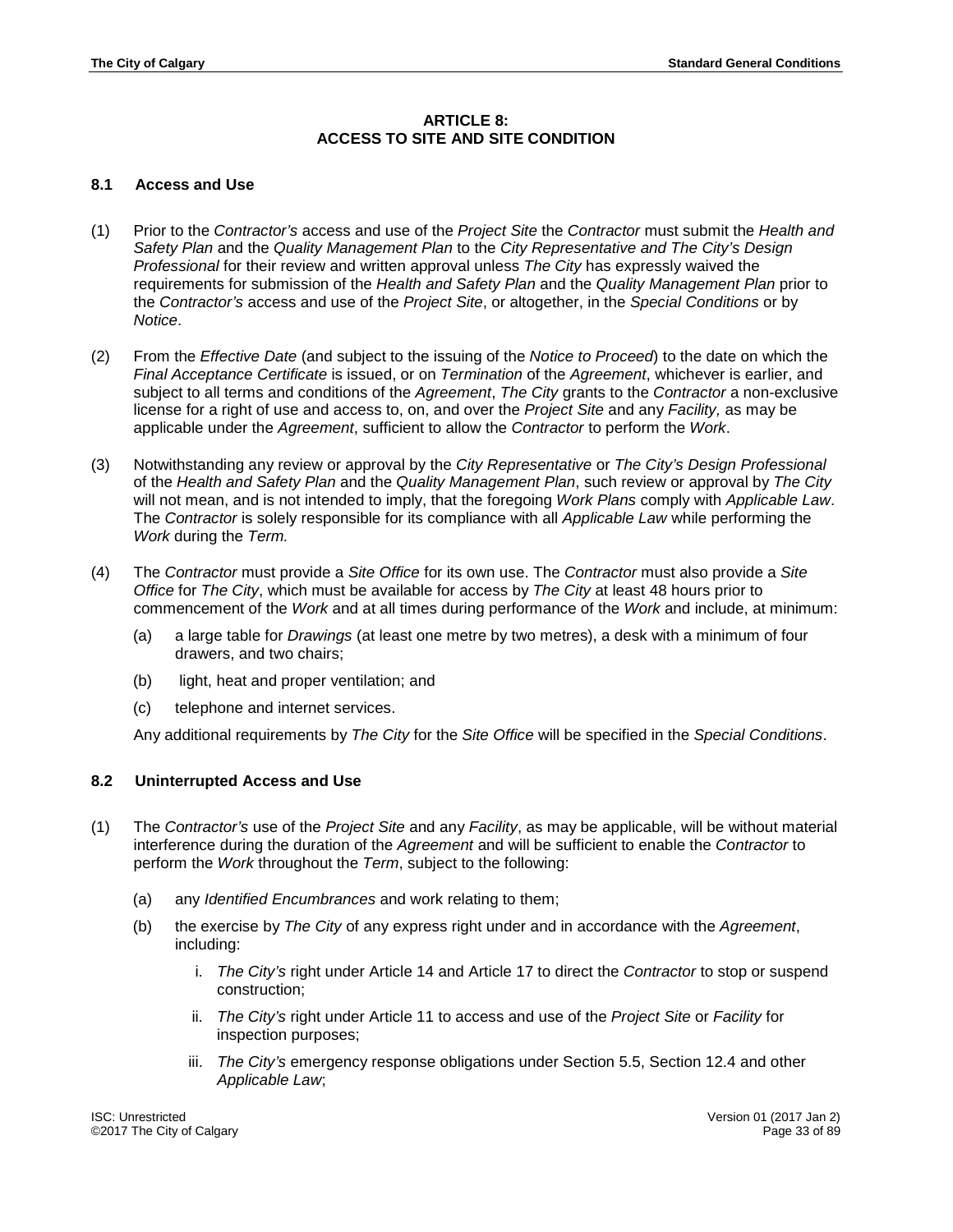# **ARTICLE 8: ACCESS TO SITE AND SITE CONDITION**

## <span id="page-32-1"></span><span id="page-32-0"></span>**8.1 Access and Use**

- (1) Prior to the *Contractor's* access and use of the *Project Site* the *Contractor* must submit the *Health and Safety Plan* and the *Quality Management Plan* to the *City Representative and The City's Design Professional* for their review and written approval unless *The City* has expressly waived the requirements for submission of the *Health and Safety Plan* and the *Quality Management Plan* prior to the *Contractor's* access and use of the *Project Site*, or altogether, in the *Special Conditions* or by *Notice*.
- (2) From the *Effective Date* (and subject to the issuing of the *Notice to Proceed*) to the date on which the *Final Acceptance Certificate* is issued, or on *Termination* of the *Agreement*, whichever is earlier, and subject to all terms and conditions of the *Agreement*, *The City* grants to the *Contractor* a non-exclusive license for a right of use and access to, on, and over the *Project Site* and any *Facility,* as may be applicable under the *Agreement*, sufficient to allow the *Contractor* to perform the *Work*.
- (3) Notwithstanding any review or approval by the *City Representative* or *The City's Design Professional* of the *Health and Safety Plan* and the *Quality Management Plan*, such review or approval by *The City* will not mean, and is not intended to imply, that the foregoing *Work Plans* comply with *Applicable Law*. The *Contractor* is solely responsible for its compliance with all *Applicable Law* while performing the *Work* during the *Term.*
- (4) The *Contractor* must provide a *Site Office* for its own use. The *Contractor* must also provide a *Site Office* for *The City*, which must be available for access by *The City* at least 48 hours prior to commencement of the *Work* and at all times during performance of the *Work* and include, at minimum:
	- (a) a large table for *Drawings* (at least one metre by two metres), a desk with a minimum of four drawers, and two chairs;
	- (b) light, heat and proper ventilation; and
	- (c) telephone and internet services.

Any additional requirements by *The City* for the *Site Office* will be specified in the *Special Conditions*.

# <span id="page-32-2"></span>**8.2 Uninterrupted Access and Use**

- (1) The *Contractor's* use of the *Project Site* and any *Facility*, as may be applicable, will be without material interference during the duration of the *Agreement* and will be sufficient to enable the *Contractor* to perform the *Work* throughout the *Term*, subject to the following:
	- (a) any *Identified Encumbrances* and work relating to them;
	- (b) the exercise by *The City* of any express right under and in accordance with the *Agreement*, including:
		- i. *The City's* right under Article 14 and Article 17 to direct the *Contractor* to stop or suspend construction;
		- ii. *The City's* right under Article 11 to access and use of the *Project Site* or *Facility* for inspection purposes;
		- iii. *The City's* emergency response obligations under Section 5.5, Section 12.4 and other *Applicable Law*;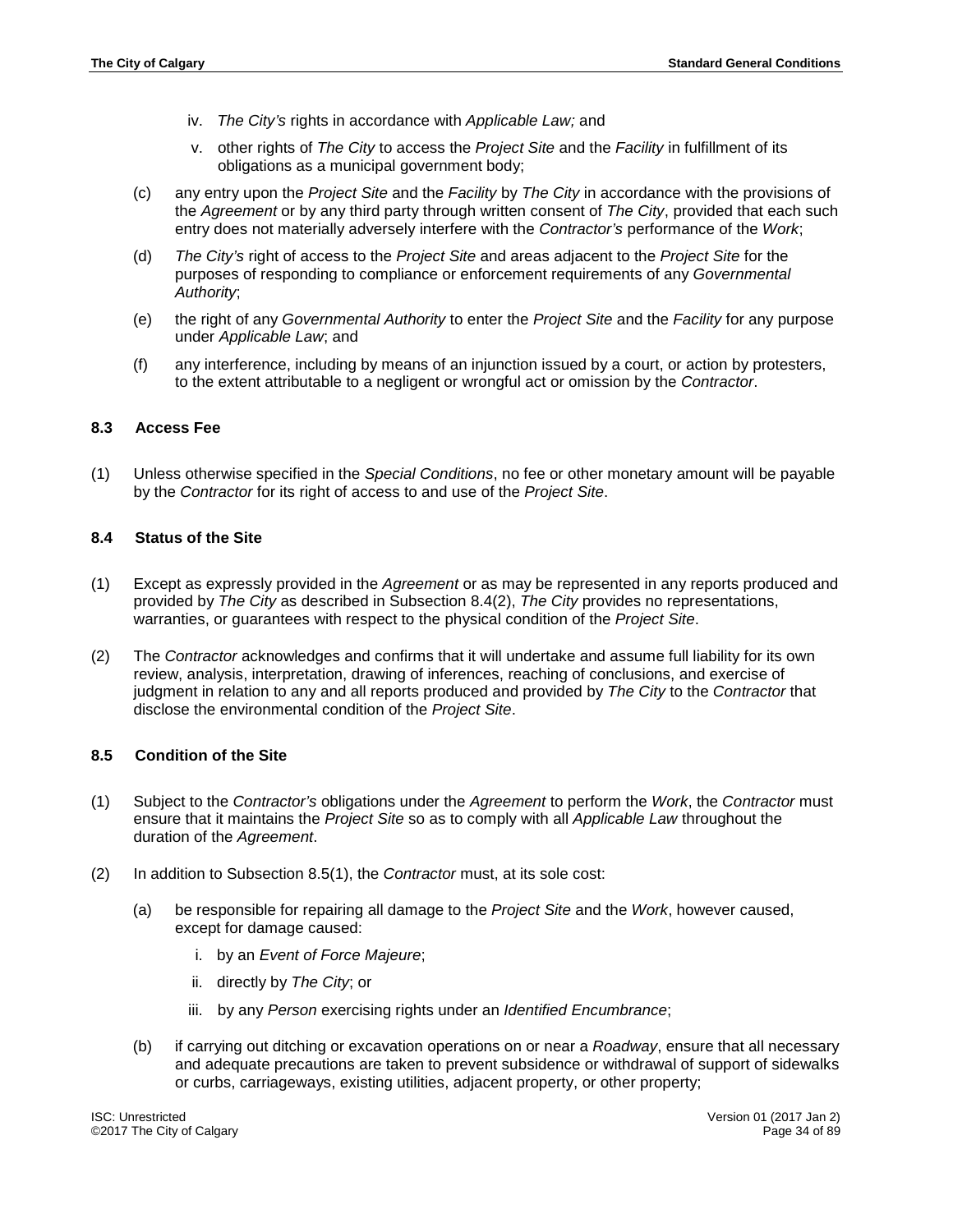- iv. *The City's* rights in accordance with *Applicable Law;* and
- v. other rights of *The City* to access the *Project Site* and the *Facility* in fulfillment of its obligations as a municipal government body;
- (c) any entry upon the *Project Site* and the *Facility* by *The City* in accordance with the provisions of the *Agreement* or by any third party through written consent of *The City*, provided that each such entry does not materially adversely interfere with the *Contractor's* performance of the *Work*;
- (d) *The City's* right of access to the *Project Site* and areas adjacent to the *Project Site* for the purposes of responding to compliance or enforcement requirements of any *Governmental Authority*;
- (e) the right of any *Governmental Authority* to enter the *Project Site* and the *Facility* for any purpose under *Applicable Law*; and
- (f) any interference, including by means of an injunction issued by a court, or action by protesters, to the extent attributable to a negligent or wrongful act or omission by the *Contractor*.

# <span id="page-33-0"></span>**8.3 Access Fee**

(1) Unless otherwise specified in the *Special Conditions*, no fee or other monetary amount will be payable by the *Contractor* for its right of access to and use of the *Project Site*.

#### <span id="page-33-1"></span>**8.4 Status of the Site**

- (1) Except as expressly provided in the *Agreement* or as may be represented in any reports produced and provided by *The City* as described in Subsection 8.4(2), *The City* provides no representations, warranties, or guarantees with respect to the physical condition of the *Project Site*.
- (2) The *Contractor* acknowledges and confirms that it will undertake and assume full liability for its own review, analysis, interpretation, drawing of inferences, reaching of conclusions, and exercise of judgment in relation to any and all reports produced and provided by *The City* to the *Contractor* that disclose the environmental condition of the *Project Site*.

#### <span id="page-33-2"></span>**8.5 Condition of the Site**

- (1) Subject to the *Contractor's* obligations under the *Agreement* to perform the *Work*, the *Contractor* must ensure that it maintains the *Project Site* so as to comply with all *Applicable Law* throughout the duration of the *Agreement*.
- (2) In addition to Subsection 8.5(1), the *Contractor* must, at its sole cost:
	- (a) be responsible for repairing all damage to the *Project Site* and the *Work*, however caused, except for damage caused:
		- i. by an *Event of Force Majeure*;
		- ii. directly by *The City*; or
		- iii. by any *Person* exercising rights under an *Identified Encumbrance*;
	- (b) if carrying out ditching or excavation operations on or near a *Roadway*, ensure that all necessary and adequate precautions are taken to prevent subsidence or withdrawal of support of sidewalks or curbs, carriageways, existing utilities, adjacent property, or other property;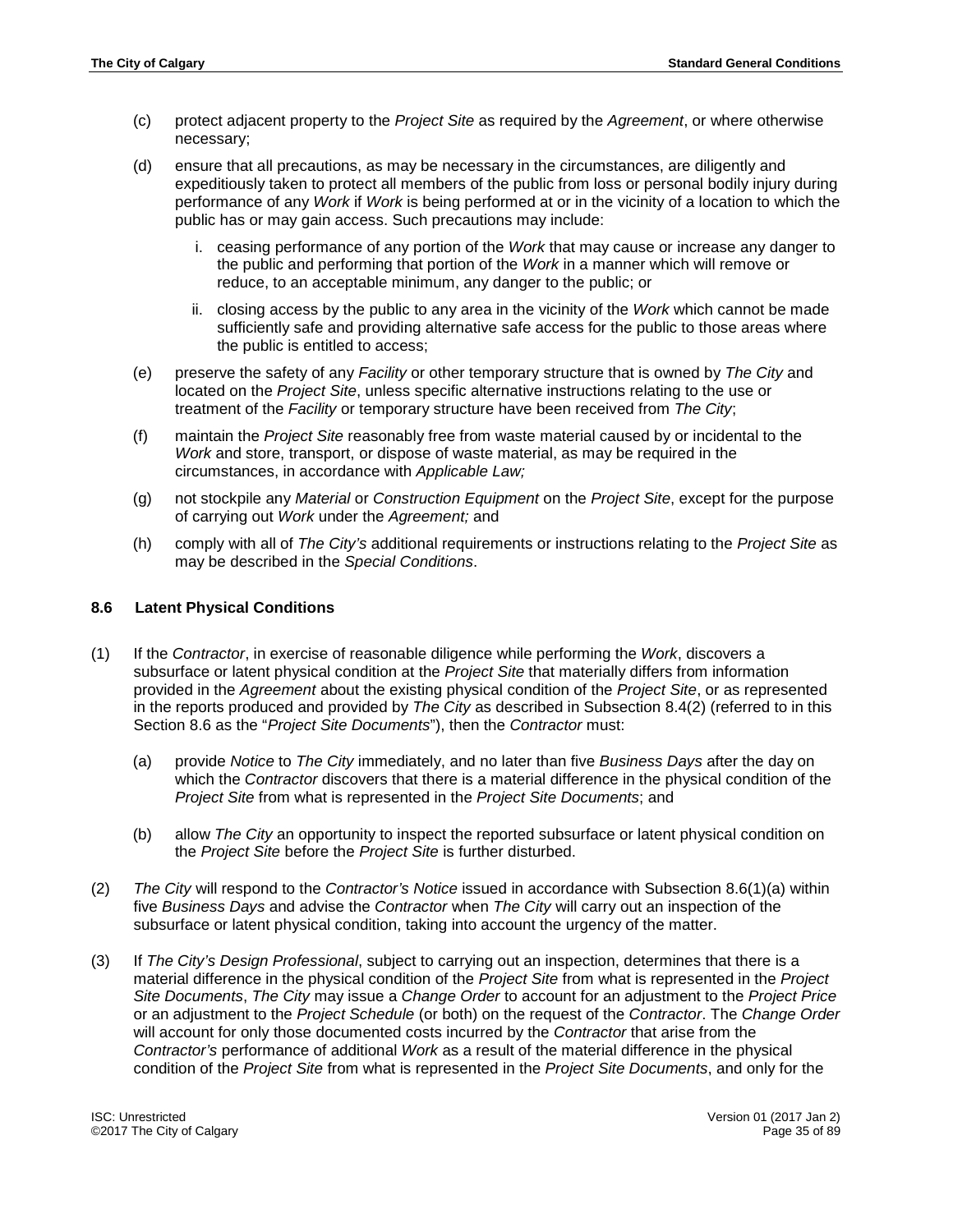- (c) protect adjacent property to the *Project Site* as required by the *Agreement*, or where otherwise necessary;
- (d) ensure that all precautions, as may be necessary in the circumstances, are diligently and expeditiously taken to protect all members of the public from loss or personal bodily injury during performance of any *Work* if *Work* is being performed at or in the vicinity of a location to which the public has or may gain access. Such precautions may include:
	- i. ceasing performance of any portion of the *Work* that may cause or increase any danger to the public and performing that portion of the *Work* in a manner which will remove or reduce, to an acceptable minimum, any danger to the public; or
	- ii. closing access by the public to any area in the vicinity of the *Work* which cannot be made sufficiently safe and providing alternative safe access for the public to those areas where the public is entitled to access;
- (e) preserve the safety of any *Facility* or other temporary structure that is owned by *The City* and located on the *Project Site*, unless specific alternative instructions relating to the use or treatment of the *Facility* or temporary structure have been received from *The City*;
- (f) maintain the *Project Site* reasonably free from waste material caused by or incidental to the *Work* and store, transport, or dispose of waste material, as may be required in the circumstances, in accordance with *Applicable Law;*
- (g) not stockpile any *Material* or *Construction Equipment* on the *Project Site*, except for the purpose of carrying out *Work* under the *Agreement;* and
- (h) comply with all of *The City's* additional requirements or instructions relating to the *Project Site* as may be described in the *Special Conditions*.

# <span id="page-34-0"></span>**8.6 Latent Physical Conditions**

- (1) If the *Contractor*, in exercise of reasonable diligence while performing the *Work*, discovers a subsurface or latent physical condition at the *Project Site* that materially differs from information provided in the *Agreement* about the existing physical condition of the *Project Site*, or as represented in the reports produced and provided by *The City* as described in Subsection 8.4(2) (referred to in this Section 8.6 as the "*Project Site Documents*"), then the *Contractor* must:
	- (a) provide *Notice* to *The City* immediately, and no later than five *Business Days* after the day on which the *Contractor* discovers that there is a material difference in the physical condition of the *Project Site* from what is represented in the *Project Site Documents*; and
	- (b) allow *The City* an opportunity to inspect the reported subsurface or latent physical condition on the *Project Site* before the *Project Site* is further disturbed.
- (2) *The City* will respond to the *Contractor's Notice* issued in accordance with Subsection 8.6(1)(a) within five *Business Days* and advise the *Contractor* when *The City* will carry out an inspection of the subsurface or latent physical condition, taking into account the urgency of the matter.
- (3) If *The City's Design Professional*, subject to carrying out an inspection, determines that there is a material difference in the physical condition of the *Project Site* from what is represented in the *Project Site Documents*, *The City* may issue a *Change Order* to account for an adjustment to the *Project Price* or an adjustment to the *Project Schedule* (or both) on the request of the *Contractor*. The *Change Order* will account for only those documented costs incurred by the *Contractor* that arise from the *Contractor's* performance of additional *Work* as a result of the material difference in the physical condition of the *Project Site* from what is represented in the *Project Site Documents*, and only for the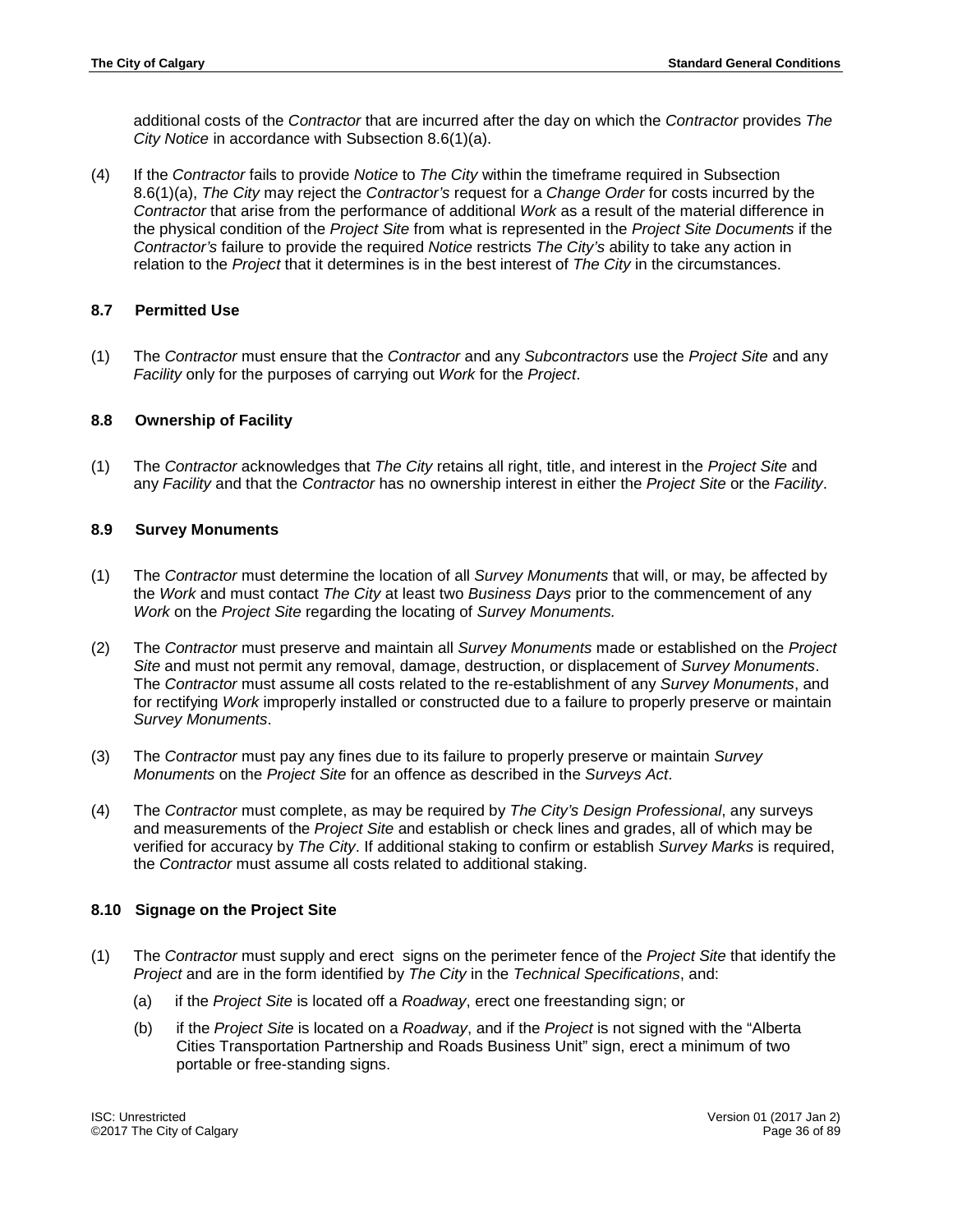additional costs of the *Contractor* that are incurred after the day on which the *Contractor* provides *The City Notice* in accordance with Subsection 8.6(1)(a).

(4) If the *Contractor* fails to provide *Notice* to *The City* within the timeframe required in Subsection 8.6(1)(a), *The City* may reject the *Contractor's* request for a *Change Order* for costs incurred by the *Contractor* that arise from the performance of additional *Work* as a result of the material difference in the physical condition of the *Project Site* from what is represented in the *Project Site Documents* if the *Contractor's* failure to provide the required *Notice* restricts *The City's* ability to take any action in relation to the *Project* that it determines is in the best interest of *The City* in the circumstances.

# <span id="page-35-0"></span>**8.7 Permitted Use**

(1) The *Contractor* must ensure that the *Contractor* and any *Subcontractors* use the *Project Site* and any *Facility* only for the purposes of carrying out *Work* for the *Project*.

# <span id="page-35-1"></span>**8.8 Ownership of Facility**

(1) The *Contractor* acknowledges that *The City* retains all right, title, and interest in the *Project Site* and any *Facility* and that the *Contractor* has no ownership interest in either the *Project Site* or the *Facility*.

# <span id="page-35-2"></span>**8.9 Survey Monuments**

- (1) The *Contractor* must determine the location of all *Survey Monuments* that will, or may, be affected by the *Work* and must contact *The City* at least two *Business Days* prior to the commencement of any *Work* on the *Project Site* regarding the locating of *Survey Monuments.*
- (2) The *Contractor* must preserve and maintain all *Survey Monuments* made or established on the *Project Site* and must not permit any removal, damage, destruction, or displacement of *Survey Monuments*. The *Contractor* must assume all costs related to the re-establishment of any *Survey Monuments*, and for rectifying *Work* improperly installed or constructed due to a failure to properly preserve or maintain *Survey Monuments*.
- (3) The *Contractor* must pay any fines due to its failure to properly preserve or maintain *Survey Monuments* on the *Project Site* for an offence as described in the *Surveys Act*.
- (4) The *Contractor* must complete, as may be required by *The City's Design Professional*, any surveys and measurements of the *Project Site* and establish or check lines and grades, all of which may be verified for accuracy by *The City*. If additional staking to confirm or establish *Survey Marks* is required, the *Contractor* must assume all costs related to additional staking.

# <span id="page-35-3"></span>**8.10 Signage on the Project Site**

- (1) The *Contractor* must supply and erect signs on the perimeter fence of the *Project Site* that identify the *Project* and are in the form identified by *The City* in the *Technical Specifications*, and:
	- (a) if the *Project Site* is located off a *Roadway*, erect one freestanding sign; or
	- (b) if the *Project Site* is located on a *Roadway*, and if the *Project* is not signed with the "Alberta Cities Transportation Partnership and Roads Business Unit" sign, erect a minimum of two portable or free-standing signs.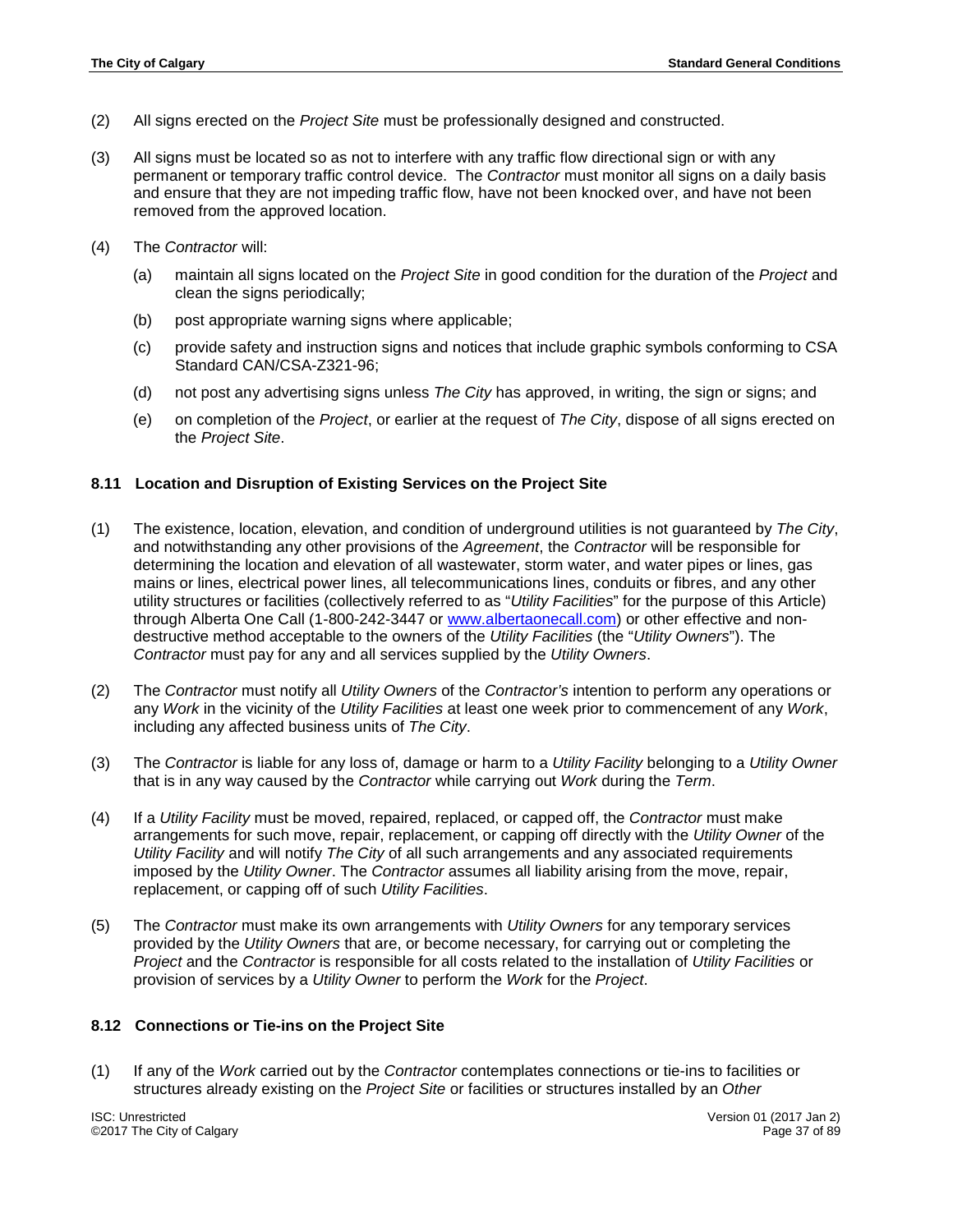- (2) All signs erected on the *Project Site* must be professionally designed and constructed.
- (3) All signs must be located so as not to interfere with any traffic flow directional sign or with any permanent or temporary traffic control device. The *Contractor* must monitor all signs on a daily basis and ensure that they are not impeding traffic flow, have not been knocked over, and have not been removed from the approved location.
- (4) The *Contractor* will:
	- (a) maintain all signs located on the *Project Site* in good condition for the duration of the *Project* and clean the signs periodically;
	- (b) post appropriate warning signs where applicable;
	- (c) provide safety and instruction signs and notices that include graphic symbols conforming to CSA Standard CAN/CSA-Z321-96;
	- (d) not post any advertising signs unless *The City* has approved, in writing, the sign or signs; and
	- (e) on completion of the *Project*, or earlier at the request of *The City*, dispose of all signs erected on the *Project Site*.

### **8.11 Location and Disruption of Existing Services on the Project Site**

- (1) The existence, location, elevation, and condition of underground utilities is not guaranteed by *The City*, and notwithstanding any other provisions of the *Agreement*, the *Contractor* will be responsible for determining the location and elevation of all wastewater, storm water, and water pipes or lines, gas mains or lines, electrical power lines, all telecommunications lines, conduits or fibres, and any other utility structures or facilities (collectively referred to as "*Utility Facilities*" for the purpose of this Article) through Alberta One Call (1-800-242-3447 or [www.albertaonecall.com\)](http://www.albertaonecall.com/) or other effective and nondestructive method acceptable to the owners of the *Utility Facilities* (the "*Utility Owners*"). The *Contractor* must pay for any and all services supplied by the *Utility Owners*.
- (2) The *Contractor* must notify all *Utility Owners* of the *Contractor's* intention to perform any operations or any *Work* in the vicinity of the *Utility Facilities* at least one week prior to commencement of any *Work*, including any affected business units of *The City*.
- (3) The *Contractor* is liable for any loss of, damage or harm to a *Utility Facility* belonging to a *Utility Owner* that is in any way caused by the *Contractor* while carrying out *Work* during the *Term*.
- (4) If a *Utility Facility* must be moved, repaired, replaced, or capped off, the *Contractor* must make arrangements for such move, repair, replacement, or capping off directly with the *Utility Owner* of the *Utility Facility* and will notify *The City* of all such arrangements and any associated requirements imposed by the *Utility Owner*. The *Contractor* assumes all liability arising from the move, repair, replacement, or capping off of such *Utility Facilities*.
- (5) The *Contractor* must make its own arrangements with *Utility Owners* for any temporary services provided by the *Utility Owners* that are, or become necessary, for carrying out or completing the *Project* and the *Contractor* is responsible for all costs related to the installation of *Utility Facilities* or provision of services by a *Utility Owner* to perform the *Work* for the *Project*.

### **8.12 Connections or Tie-ins on the Project Site**

(1) If any of the *Work* carried out by the *Contractor* contemplates connections or tie-ins to facilities or structures already existing on the *Project Site* or facilities or structures installed by an *Other*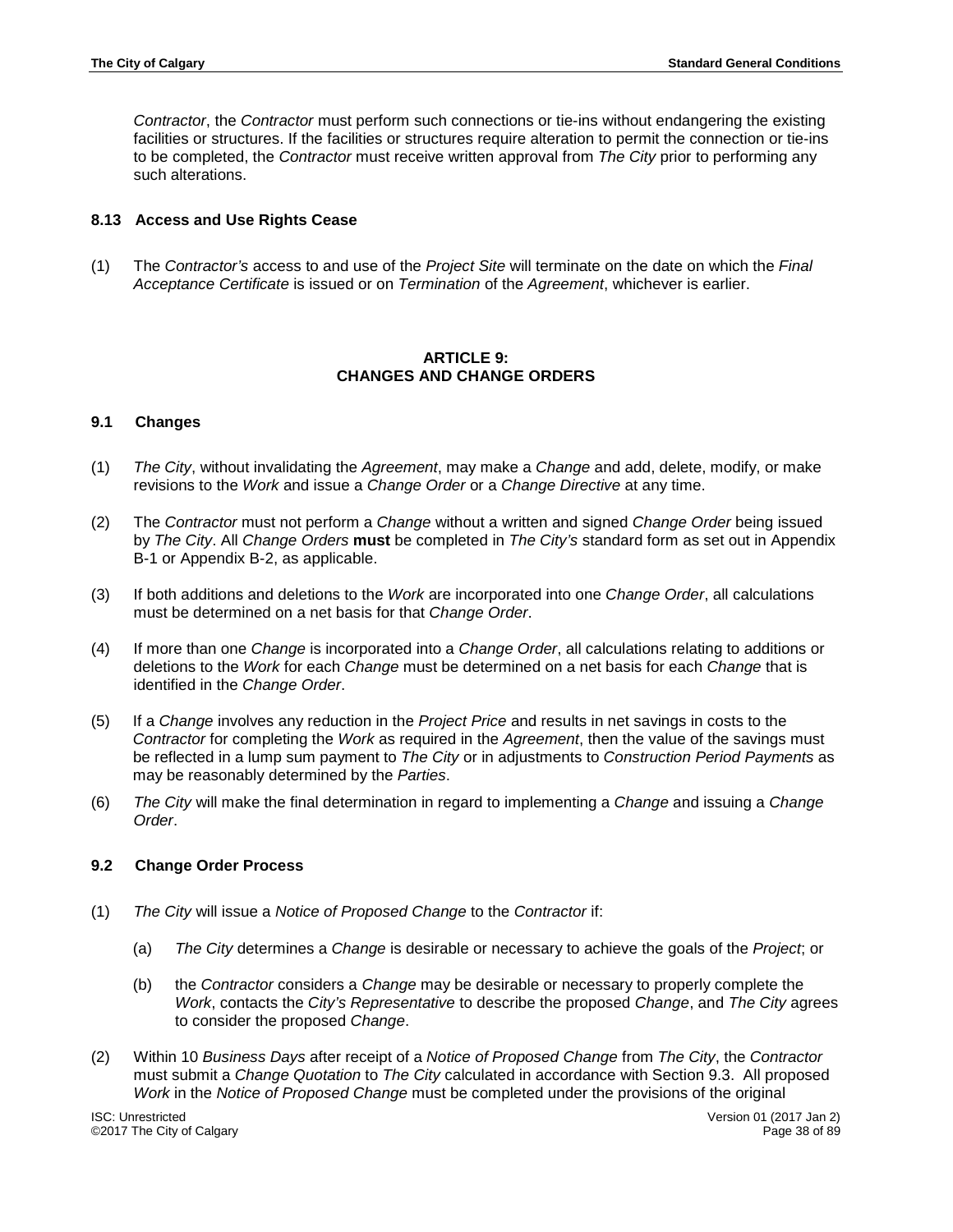*Contractor*, the *Contractor* must perform such connections or tie-ins without endangering the existing facilities or structures. If the facilities or structures require alteration to permit the connection or tie-ins to be completed, the *Contractor* must receive written approval from *The City* prior to performing any such alterations.

### **8.13 Access and Use Rights Cease**

(1) The *Contractor's* access to and use of the *Project Site* will terminate on the date on which the *Final Acceptance Certificate* is issued or on *Termination* of the *Agreement*, whichever is earlier.

### **ARTICLE 9: CHANGES AND CHANGE ORDERS**

### **9.1 Changes**

- (1) *The City*, without invalidating the *Agreement*, may make a *Change* and add, delete, modify, or make revisions to the *Work* and issue a *Change Order* or a *Change Directive* at any time.
- (2) The *Contractor* must not perform a *Change* without a written and signed *Change Order* being issued by *The City*. All *Change Orders* **must** be completed in *The City's* standard form as set out in Appendix B-1 or Appendix B-2, as applicable.
- (3) If both additions and deletions to the *Work* are incorporated into one *Change Order*, all calculations must be determined on a net basis for that *Change Order*.
- (4) If more than one *Change* is incorporated into a *Change Order*, all calculations relating to additions or deletions to the *Work* for each *Change* must be determined on a net basis for each *Change* that is identified in the *Change Order*.
- (5) If a *Change* involves any reduction in the *Project Price* and results in net savings in costs to the *Contractor* for completing the *Work* as required in the *Agreement*, then the value of the savings must be reflected in a lump sum payment to *The City* or in adjustments to *Construction Period Payments* as may be reasonably determined by the *Parties*.
- (6) *The City* will make the final determination in regard to implementing a *Change* and issuing a *Change Order*.

### **9.2 Change Order Process**

- (1) *The City* will issue a *Notice of Proposed Change* to the *Contractor* if:
	- (a) *The City* determines a *Change* is desirable or necessary to achieve the goals of the *Project*; or
	- (b) the *Contractor* considers a *Change* may be desirable or necessary to properly complete the *Work*, contacts the *City's Representative* to describe the proposed *Change*, and *The City* agrees to consider the proposed *Change*.
- (2) Within 10 *Business Days* after receipt of a *Notice of Proposed Change* from *The City*, the *Contractor* must submit a *Change Quotation* to *The City* calculated in accordance with Section 9.3. All proposed *Work* in the *Notice of Proposed Change* must be completed under the provisions of the original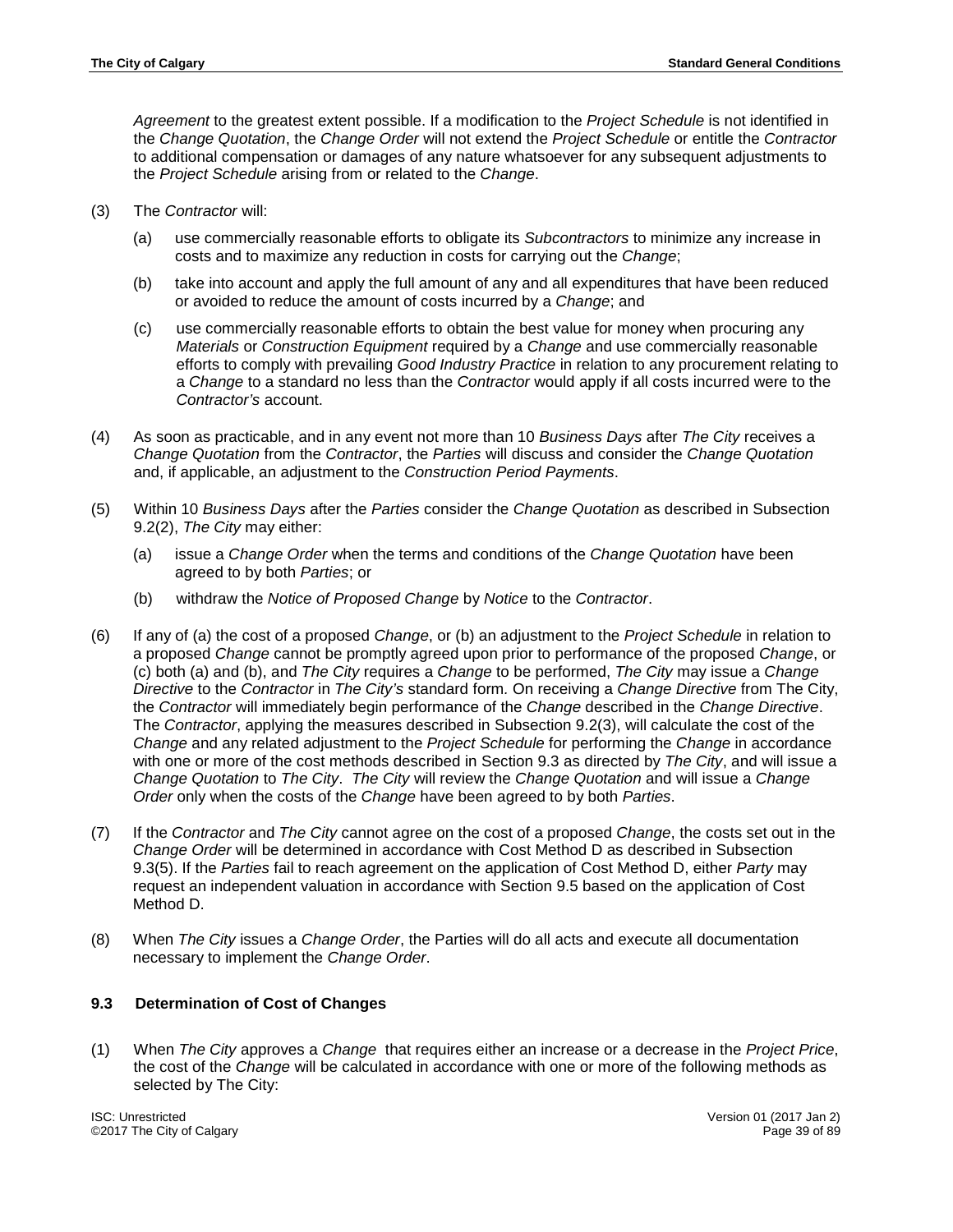*Agreement* to the greatest extent possible. If a modification to the *Project Schedule* is not identified in the *Change Quotation*, the *Change Order* will not extend the *Project Schedule* or entitle the *Contractor* to additional compensation or damages of any nature whatsoever for any subsequent adjustments to the *Project Schedule* arising from or related to the *Change*.

- (3) The *Contractor* will:
	- (a) use commercially reasonable efforts to obligate its *Subcontractors* to minimize any increase in costs and to maximize any reduction in costs for carrying out the *Change*;
	- (b) take into account and apply the full amount of any and all expenditures that have been reduced or avoided to reduce the amount of costs incurred by a *Change*; and
	- (c) use commercially reasonable efforts to obtain the best value for money when procuring any *Materials* or *Construction Equipment* required by a *Change* and use commercially reasonable efforts to comply with prevailing *Good Industry Practice* in relation to any procurement relating to a *Change* to a standard no less than the *Contractor* would apply if all costs incurred were to the *Contractor's* account.
- (4) As soon as practicable, and in any event not more than 10 *Business Days* after *The City* receives a *Change Quotation* from the *Contractor*, the *Parties* will discuss and consider the *Change Quotation* and, if applicable, an adjustment to the *Construction Period Payments*.
- (5) Within 10 *Business Days* after the *Parties* consider the *Change Quotation* as described in Subsection 9.2(2), *The City* may either:
	- (a) issue a *Change Order* when the terms and conditions of the *Change Quotation* have been agreed to by both *Parties*; or
	- (b) withdraw the *Notice of Proposed Change* by *Notice* to the *Contractor*.
- (6) If any of (a) the cost of a proposed *Change*, or (b) an adjustment to the *Project Schedule* in relation to a proposed *Change* cannot be promptly agreed upon prior to performance of the proposed *Change*, or (c) both (a) and (b), and *The City* requires a *Change* to be performed, *The City* may issue a *Change Directive* to the *Contractor* in *The City's* standard form*.* On receiving a *Change Directive* from The City, the *Contractor* will immediately begin performance of the *Change* described in the *Change Directive*. The *Contractor*, applying the measures described in Subsection 9.2(3), will calculate the cost of the *Change* and any related adjustment to the *Project Schedule* for performing the *Change* in accordance with one or more of the cost methods described in Section 9.3 as directed by *The City*, and will issue a *Change Quotation* to *The City*. *The City* will review the *Change Quotation* and will issue a *Change Order* only when the costs of the *Change* have been agreed to by both *Parties*.
- (7) If the *Contractor* and *The City* cannot agree on the cost of a proposed *Change*, the costs set out in the *Change Order* will be determined in accordance with Cost Method D as described in Subsection 9.3(5). If the *Parties* fail to reach agreement on the application of Cost Method D, either *Party* may request an independent valuation in accordance with Section 9.5 based on the application of Cost Method D.
- (8) When *The City* issues a *Change Order*, the Parties will do all acts and execute all documentation necessary to implement the *Change Order*.

# **9.3 Determination of Cost of Changes**

(1) When *The City* approves a *Change* that requires either an increase or a decrease in the *Project Price*, the cost of the *Change* will be calculated in accordance with one or more of the following methods as selected by The City:

ISC: Unrestricted Version 01 (2017 Jan 2) ©2017 The City of Calgary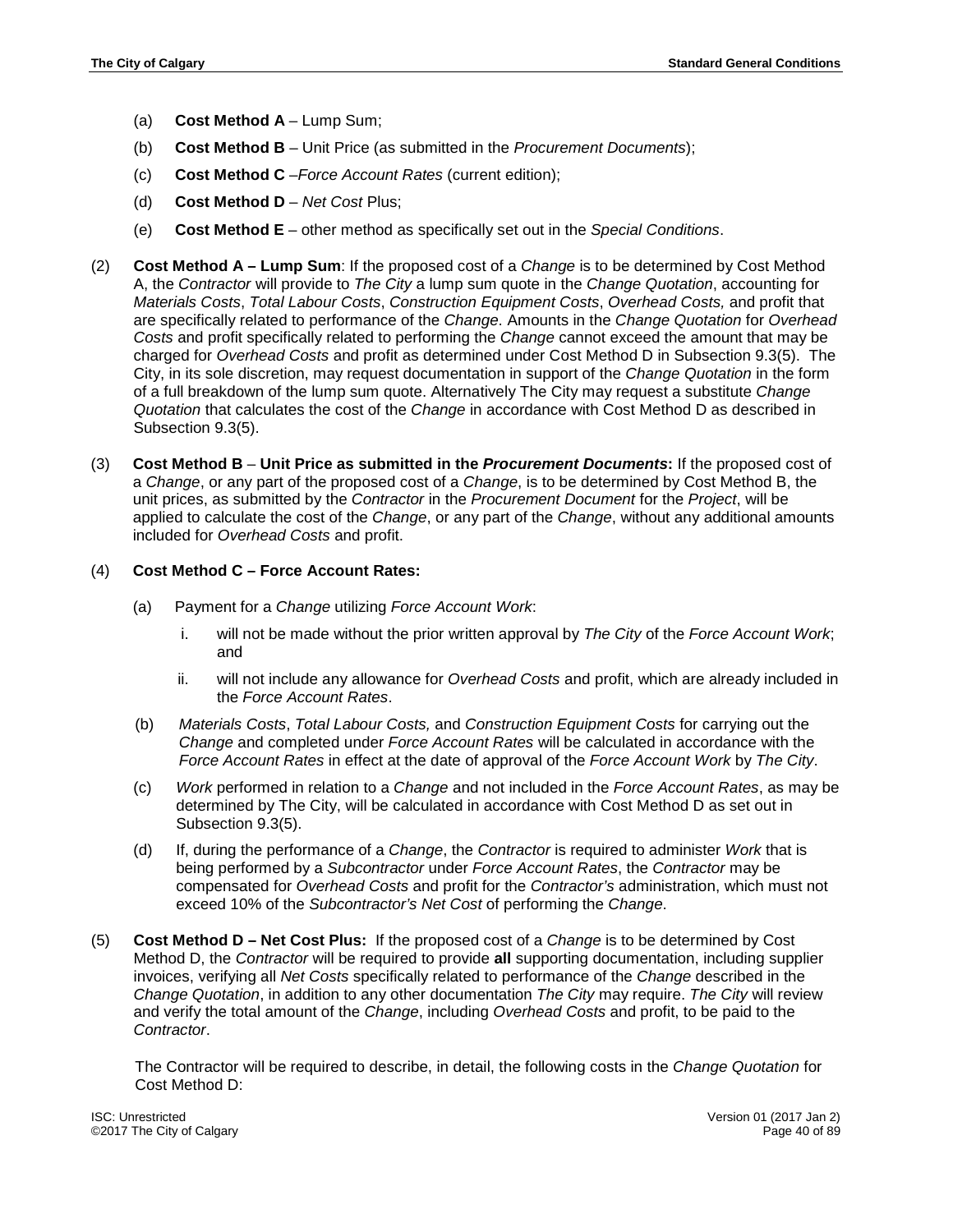- (a) **Cost Method A** Lump Sum;
- (b) **Cost Method B** Unit Price (as submitted in the *Procurement Documents*);
- (c) **Cost Method C** –*Force Account Rates* (current edition);
- (d) **Cost Method D** *Net Cost* Plus;
- (e) **Cost Method E**  other method as specifically set out in the *Special Conditions*.
- (2) **Cost Method A – Lump Sum**: If the proposed cost of a *Change* is to be determined by Cost Method A, the *Contractor* will provide to *The City* a lump sum quote in the *Change Quotation*, accounting for *Materials Costs*, *Total Labour Costs*, *Construction Equipment Costs*, *Overhead Costs,* and profit that are specifically related to performance of the *Change*. Amounts in the *Change Quotation* for *Overhead Costs* and profit specifically related to performing the *Change* cannot exceed the amount that may be charged for *Overhead Costs* and profit as determined under Cost Method D in Subsection 9.3(5). The City, in its sole discretion, may request documentation in support of the *Change Quotation* in the form of a full breakdown of the lump sum quote. Alternatively The City may request a substitute *Change Quotation* that calculates the cost of the *Change* in accordance with Cost Method D as described in Subsection 9.3(5).
- (3) **Cost Method B Unit Price as submitted in the** *Procurement Documents***:** If the proposed cost of a *Change*, or any part of the proposed cost of a *Change*, is to be determined by Cost Method B, the unit prices, as submitted by the *Contractor* in the *Procurement Document* for the *Project*, will be applied to calculate the cost of the *Change*, or any part of the *Change*, without any additional amounts included for *Overhead Costs* and profit.

### (4) **Cost Method C – Force Account Rates:**

- (a) Payment for a *Change* utilizing *Force Account Work*:
	- i. will not be made without the prior written approval by *The City* of the *Force Account Work*; and
	- ii. will not include any allowance for *Overhead Costs* and profit, which are already included in the *Force Account Rates*.
- (b) *Materials Costs*, *Total Labour Costs,* and *Construction Equipment Costs* for carrying out the *Change* and completed under *Force Account Rates* will be calculated in accordance with the *Force Account Rates* in effect at the date of approval of the *Force Account Work* by *The City*.
- (c) *Work* performed in relation to a *Change* and not included in the *Force Account Rates*, as may be determined by The City, will be calculated in accordance with Cost Method D as set out in Subsection 9.3(5).
- (d) If, during the performance of a *Change*, the *Contractor* is required to administer *Work* that is being performed by a *Subcontractor* under *Force Account Rates*, the *Contractor* may be compensated for *Overhead Costs* and profit for the *Contractor's* administration, which must not exceed 10% of the *Subcontractor's Net Cost* of performing the *Change*.
- (5) **Cost Method D – Net Cost Plus:** If the proposed cost of a *Change* is to be determined by Cost Method D, the *Contractor* will be required to provide **all** supporting documentation, including supplier invoices, verifying all *Net Costs* specifically related to performance of the *Change* described in the *Change Quotation*, in addition to any other documentation *The City* may require. *The City* will review and verify the total amount of the *Change*, including *Overhead Costs* and profit, to be paid to the *Contractor*.

The Contractor will be required to describe, in detail, the following costs in the *Change Quotation* for Cost Method D: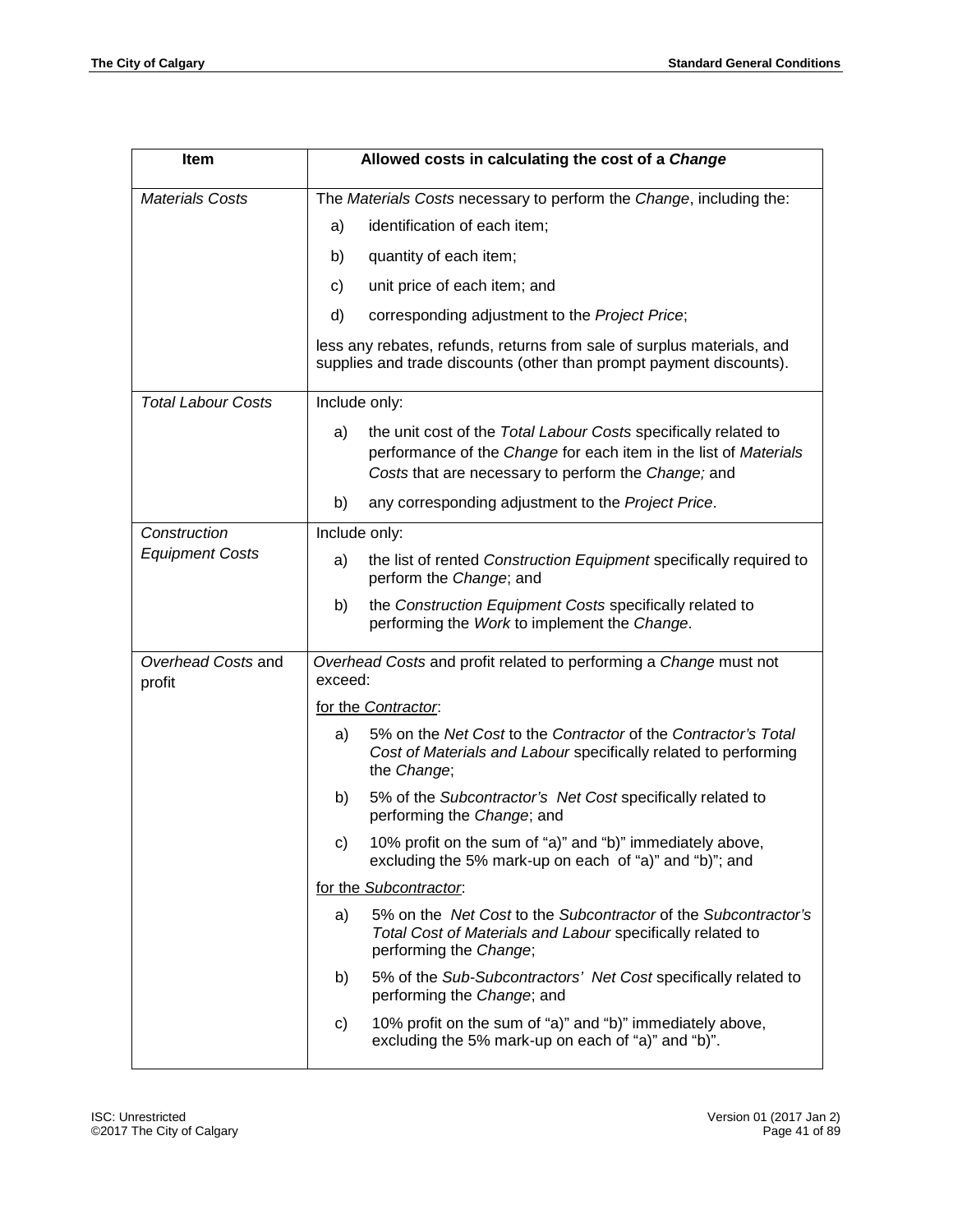| Item                         | Allowed costs in calculating the cost of a Change                                                                                             |                                                                                                                                                                                            |  |  |  |  |  |
|------------------------------|-----------------------------------------------------------------------------------------------------------------------------------------------|--------------------------------------------------------------------------------------------------------------------------------------------------------------------------------------------|--|--|--|--|--|
| <b>Materials Costs</b>       | The Materials Costs necessary to perform the Change, including the:                                                                           |                                                                                                                                                                                            |  |  |  |  |  |
|                              | a)                                                                                                                                            | identification of each item;                                                                                                                                                               |  |  |  |  |  |
|                              | b)                                                                                                                                            | quantity of each item;                                                                                                                                                                     |  |  |  |  |  |
|                              | C)                                                                                                                                            | unit price of each item; and                                                                                                                                                               |  |  |  |  |  |
|                              | d)                                                                                                                                            | corresponding adjustment to the Project Price;                                                                                                                                             |  |  |  |  |  |
|                              | less any rebates, refunds, returns from sale of surplus materials, and<br>supplies and trade discounts (other than prompt payment discounts). |                                                                                                                                                                                            |  |  |  |  |  |
| <b>Total Labour Costs</b>    | Include only:                                                                                                                                 |                                                                                                                                                                                            |  |  |  |  |  |
|                              | a)                                                                                                                                            | the unit cost of the Total Labour Costs specifically related to<br>performance of the Change for each item in the list of Materials<br>Costs that are necessary to perform the Change; and |  |  |  |  |  |
|                              | b)                                                                                                                                            | any corresponding adjustment to the Project Price.                                                                                                                                         |  |  |  |  |  |
| Construction                 | Include only:                                                                                                                                 |                                                                                                                                                                                            |  |  |  |  |  |
| <b>Equipment Costs</b>       | a)                                                                                                                                            | the list of rented Construction Equipment specifically required to<br>perform the Change; and                                                                                              |  |  |  |  |  |
|                              | b)                                                                                                                                            | the Construction Equipment Costs specifically related to<br>performing the Work to implement the Change.                                                                                   |  |  |  |  |  |
| Overhead Costs and<br>profit | Overhead Costs and profit related to performing a Change must not<br>exceed:                                                                  |                                                                                                                                                                                            |  |  |  |  |  |
|                              | for the Contractor.                                                                                                                           |                                                                                                                                                                                            |  |  |  |  |  |
|                              | a)                                                                                                                                            | 5% on the Net Cost to the Contractor of the Contractor's Total<br>Cost of Materials and Labour specifically related to performing<br>the Change;                                           |  |  |  |  |  |
|                              | b)                                                                                                                                            | 5% of the Subcontractor's Net Cost specifically related to<br>performing the Change; and                                                                                                   |  |  |  |  |  |
|                              | C)                                                                                                                                            | 10% profit on the sum of "a)" and "b)" immediately above,<br>excluding the 5% mark-up on each of "a)" and "b)"; and                                                                        |  |  |  |  |  |
|                              | for the Subcontractor.                                                                                                                        |                                                                                                                                                                                            |  |  |  |  |  |
|                              | a)                                                                                                                                            | 5% on the Net Cost to the Subcontractor of the Subcontractor's<br>Total Cost of Materials and Labour specifically related to<br>performing the Change;                                     |  |  |  |  |  |
|                              | b)                                                                                                                                            | 5% of the Sub-Subcontractors' Net Cost specifically related to<br>performing the Change; and                                                                                               |  |  |  |  |  |
|                              | C)                                                                                                                                            | 10% profit on the sum of "a)" and "b)" immediately above,<br>excluding the 5% mark-up on each of "a)" and "b)".                                                                            |  |  |  |  |  |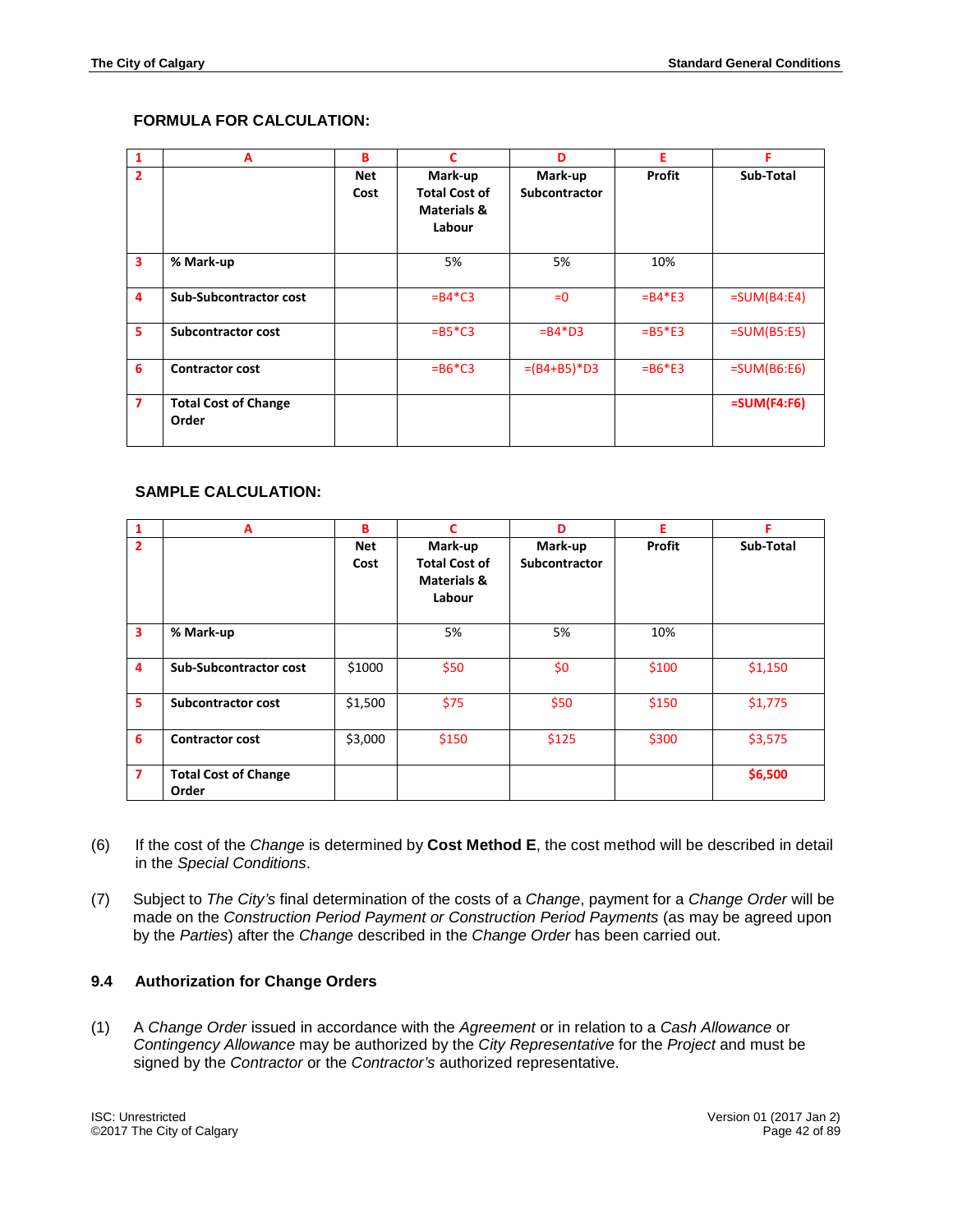# **FORMULA FOR CALCULATION:**

| 1              | A                                    | в           | C                                                                   | D                        | Е             | Е             |
|----------------|--------------------------------------|-------------|---------------------------------------------------------------------|--------------------------|---------------|---------------|
| $\overline{2}$ |                                      | Net<br>Cost | Mark-up<br><b>Total Cost of</b><br><b>Materials &amp;</b><br>Labour | Mark-up<br>Subcontractor | <b>Profit</b> | Sub-Total     |
| 3              | % Mark-up                            |             | 5%                                                                  | 5%                       | 10%           |               |
| 4              | <b>Sub-Subcontractor cost</b>        |             | $= B4*C3$                                                           | $= 0$                    | $= B4*E3$     | $=SUM(B4:E4)$ |
| 5.             | <b>Subcontractor cost</b>            |             | $= B5 \times C3$                                                    | $= B4*D3$                | $=$ B5*E3     | $=SUM(B5:E5)$ |
| 6              | <b>Contractor cost</b>               |             | $=$ B6*C3                                                           | $=(B4+B5)*D3$            | $= B6*E3$     | $=SUM(B6:E6)$ |
| $\overline{7}$ | <b>Total Cost of Change</b><br>Order |             |                                                                     |                          |               | $=SUM(F4:FG)$ |

### **SAMPLE CALCULATION:**

| $\mathbf{1}$            | A                                    | B           | C                                                                   | D                        | Е      | F         |
|-------------------------|--------------------------------------|-------------|---------------------------------------------------------------------|--------------------------|--------|-----------|
| 2                       |                                      | Net<br>Cost | Mark-up<br><b>Total Cost of</b><br><b>Materials &amp;</b><br>Labour | Mark-up<br>Subcontractor | Profit | Sub-Total |
| $\overline{\mathbf{3}}$ | % Mark-up                            |             | 5%                                                                  | 5%                       | 10%    |           |
| 4                       | Sub-Subcontractor cost               | \$1000      | \$50                                                                | \$0                      | \$100  | \$1,150   |
| 5                       | <b>Subcontractor cost</b>            | \$1,500     | \$75                                                                | \$50                     | \$150  | \$1,775   |
| 6                       | <b>Contractor cost</b>               | \$3,000     | \$150                                                               | \$125                    | \$300  | \$3,575   |
| $\overline{ }$          | <b>Total Cost of Change</b><br>Order |             |                                                                     |                          |        | \$6,500   |

- (6) If the cost of the *Change* is determined by **Cost Method E**, the cost method will be described in detail in the *Special Conditions*.
- (7) Subject to *The City's* final determination of the costs of a *Change*, payment for a *Change Order* will be made on the *Construction Period Payment or Construction Period Payments* (as may be agreed upon by the *Parties*) after the *Change* described in the *Change Order* has been carried out.

### **9.4 Authorization for Change Orders**

(1) A *Change Order* issued in accordance with the *Agreement* or in relation to a *Cash Allowance* or *Contingency Allowance* may be authorized by the *City Representative* for the *Project* and must be signed by the *Contractor* or the *Contractor's* authorized representative.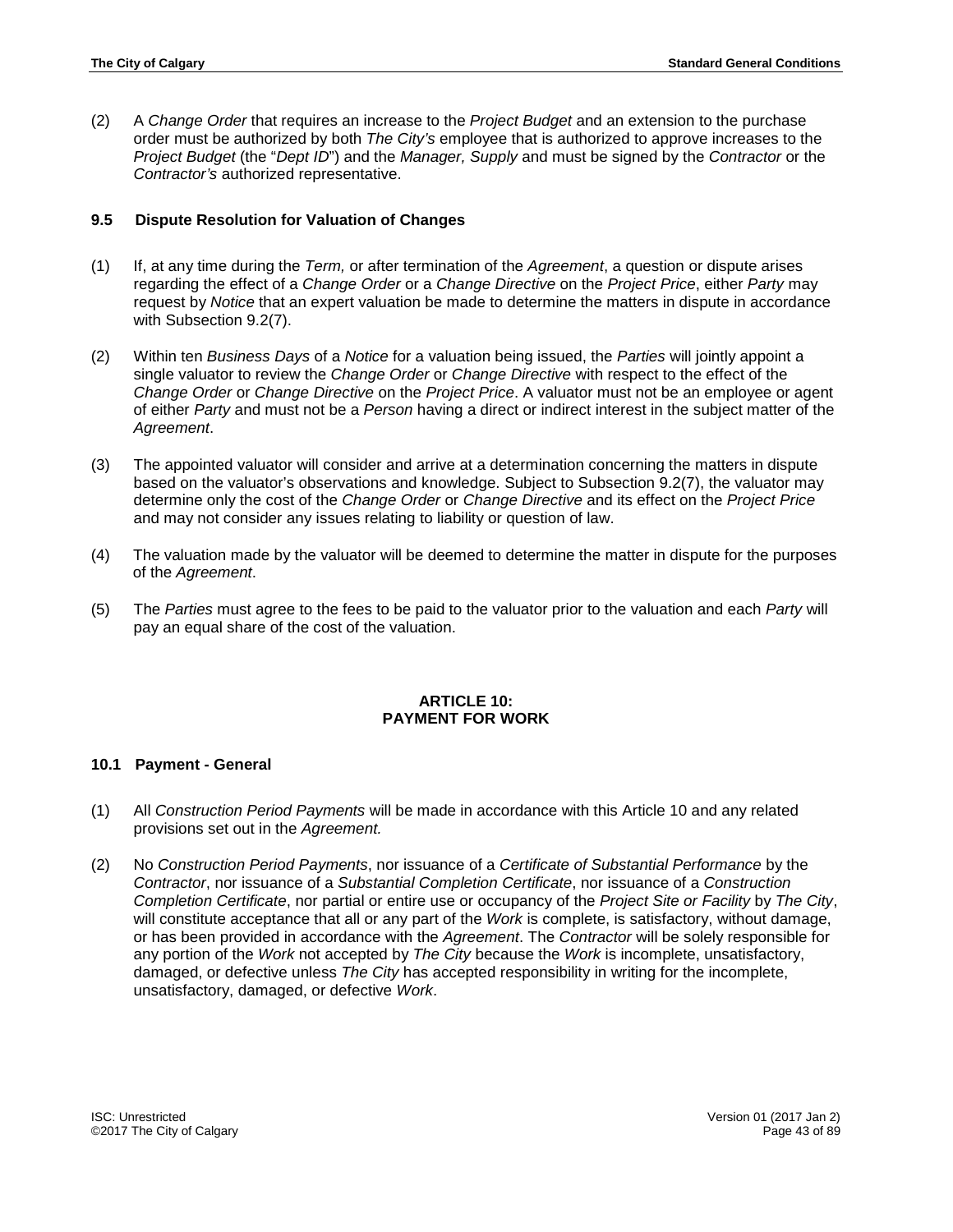(2) A *Change Order* that requires an increase to the *Project Budget* and an extension to the purchase order must be authorized by both *The City's* employee that is authorized to approve increases to the *Project Budget* (the "*Dept ID*") and the *Manager, Supply* and must be signed by the *Contractor* or the *Contractor's* authorized representative.

## **9.5 Dispute Resolution for Valuation of Changes**

- (1) If, at any time during the *Term,* or after termination of the *Agreement*, a question or dispute arises regarding the effect of a *Change Order* or a *Change Directive* on the *Project Price*, either *Party* may request by *Notice* that an expert valuation be made to determine the matters in dispute in accordance with Subsection 9.2(7).
- (2) Within ten *Business Days* of a *Notice* for a valuation being issued, the *Parties* will jointly appoint a single valuator to review the *Change Order* or *Change Directive* with respect to the effect of the *Change Order* or *Change Directive* on the *Project Price*. A valuator must not be an employee or agent of either *Party* and must not be a *Person* having a direct or indirect interest in the subject matter of the *Agreement*.
- (3) The appointed valuator will consider and arrive at a determination concerning the matters in dispute based on the valuator's observations and knowledge. Subject to Subsection 9.2(7), the valuator may determine only the cost of the *Change Order* or *Change Directive* and its effect on the *Project Price* and may not consider any issues relating to liability or question of law.
- (4) The valuation made by the valuator will be deemed to determine the matter in dispute for the purposes of the *Agreement*.
- (5) The *Parties* must agree to the fees to be paid to the valuator prior to the valuation and each *Party* will pay an equal share of the cost of the valuation.

## **ARTICLE 10: PAYMENT FOR WORK**

### **10.1 Payment - General**

- (1) All *Construction Period Payments* will be made in accordance with this Article 10 and any related provisions set out in the *Agreement.*
- (2) No *Construction Period Payments*, nor issuance of a *Certificate of Substantial Performance* by the *Contractor*, nor issuance of a *Substantial Completion Certificate*, nor issuance of a *Construction Completion Certificate*, nor partial or entire use or occupancy of the *Project Site or Facility* by *The City*, will constitute acceptance that all or any part of the *Work* is complete, is satisfactory, without damage, or has been provided in accordance with the *Agreement*. The *Contractor* will be solely responsible for any portion of the *Work* not accepted by *The City* because the *Work* is incomplete, unsatisfactory, damaged, or defective unless *The City* has accepted responsibility in writing for the incomplete, unsatisfactory, damaged, or defective *Work*.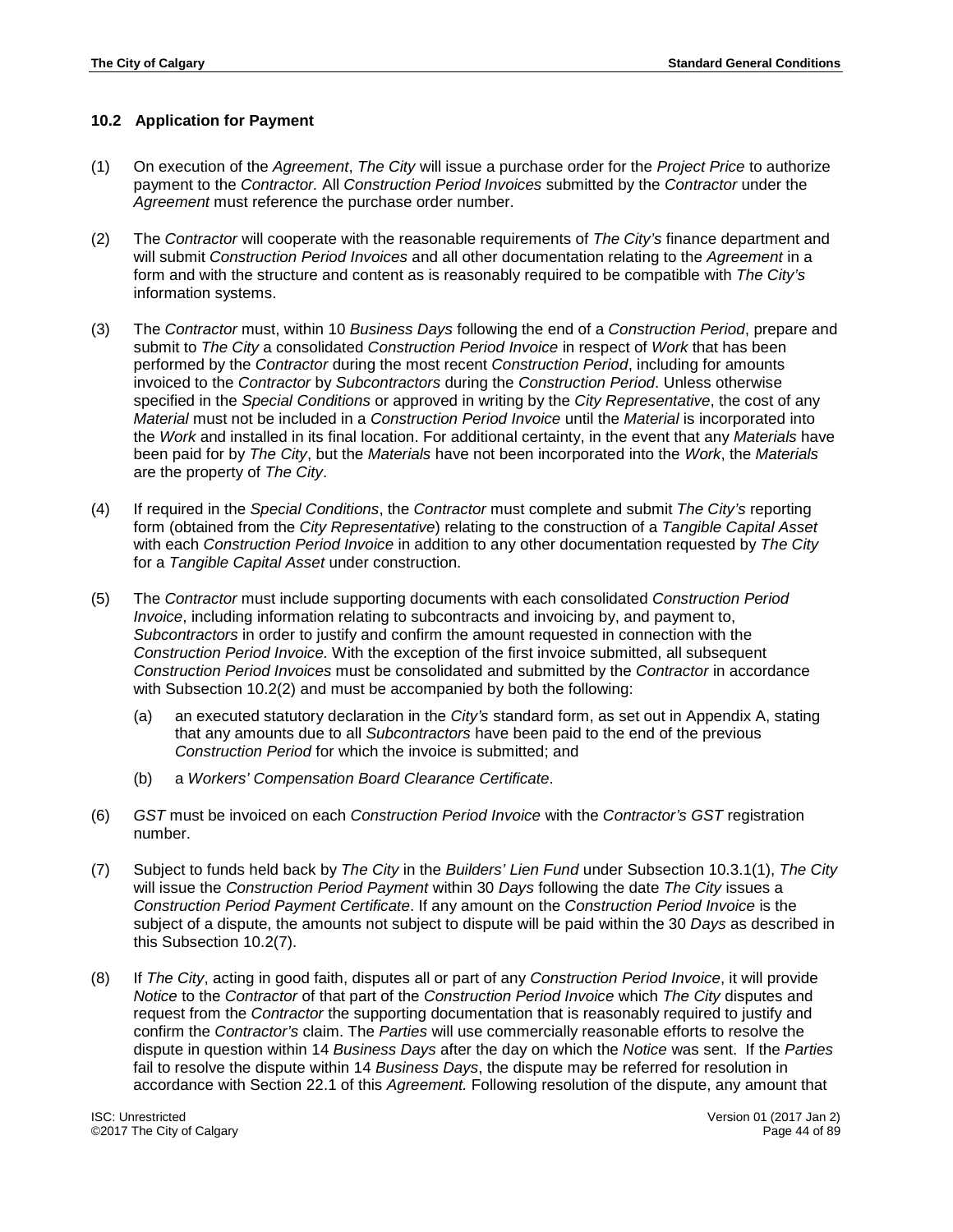# **10.2 Application for Payment**

- (1) On execution of the *Agreement*, *The City* will issue a purchase order for the *Project Price* to authorize payment to the *Contractor.* All *Construction Period Invoices* submitted by the *Contractor* under the *Agreement* must reference the purchase order number.
- (2) The *Contractor* will cooperate with the reasonable requirements of *The City's* finance department and will submit *Construction Period Invoices* and all other documentation relating to the *Agreement* in a form and with the structure and content as is reasonably required to be compatible with *The City's* information systems.
- (3) The *Contractor* must, within 10 *Business Days* following the end of a *Construction Period*, prepare and submit to *The City* a consolidated *Construction Period Invoice* in respect of *Work* that has been performed by the *Contractor* during the most recent *Construction Period*, including for amounts invoiced to the *Contractor* by *Subcontractors* during the *Construction Period*. Unless otherwise specified in the *Special Conditions* or approved in writing by the *City Representative*, the cost of any *Material* must not be included in a *Construction Period Invoice* until the *Material* is incorporated into the *Work* and installed in its final location. For additional certainty, in the event that any *Materials* have been paid for by *The City*, but the *Materials* have not been incorporated into the *Work*, the *Materials* are the property of *The City*.
- (4) If required in the *Special Conditions*, the *Contractor* must complete and submit *The City's* reporting form (obtained from the *City Representative*) relating to the construction of a *Tangible Capital Asset* with each *Construction Period Invoice* in addition to any other documentation requested by *The City* for a *Tangible Capital Asset* under construction.
- (5) The *Contractor* must include supporting documents with each consolidated *Construction Period Invoice*, including information relating to subcontracts and invoicing by, and payment to, *Subcontractors* in order to justify and confirm the amount requested in connection with the *Construction Period Invoice.* With the exception of the first invoice submitted, all subsequent *Construction Period Invoices* must be consolidated and submitted by the *Contractor* in accordance with Subsection 10.2(2) and must be accompanied by both the following:
	- (a) an executed statutory declaration in the *City's* standard form, as set out in Appendix A, stating that any amounts due to all *Subcontractors* have been paid to the end of the previous *Construction Period* for which the invoice is submitted; and
	- (b) a *Workers' Compensation Board Clearance Certificate*.
- (6) *GST* must be invoiced on each *Construction Period Invoice* with the *Contractor's GST* registration number.
- (7) Subject to funds held back by *The City* in the *Builders' Lien Fund* under Subsection 10.3.1(1), *The City* will issue the *Construction Period Payment* within 30 *Days* following the date *The City* issues a *Construction Period Payment Certificate*. If any amount on the *Construction Period Invoice* is the subject of a dispute, the amounts not subject to dispute will be paid within the 30 *Days* as described in this Subsection 10.2(7).
- (8) If *The City*, acting in good faith, disputes all or part of any *Construction Period Invoice*, it will provide *Notice* to the *Contractor* of that part of the *Construction Period Invoice* which *The City* disputes and request from the *Contractor* the supporting documentation that is reasonably required to justify and confirm the *Contractor's* claim. The *Parties* will use commercially reasonable efforts to resolve the dispute in question within 14 *Business Days* after the day on which the *Notice* was sent. If the *Parties* fail to resolve the dispute within 14 *Business Days*, the dispute may be referred for resolution in accordance with Section 22.1 of this *Agreement.* Following resolution of the dispute, any amount that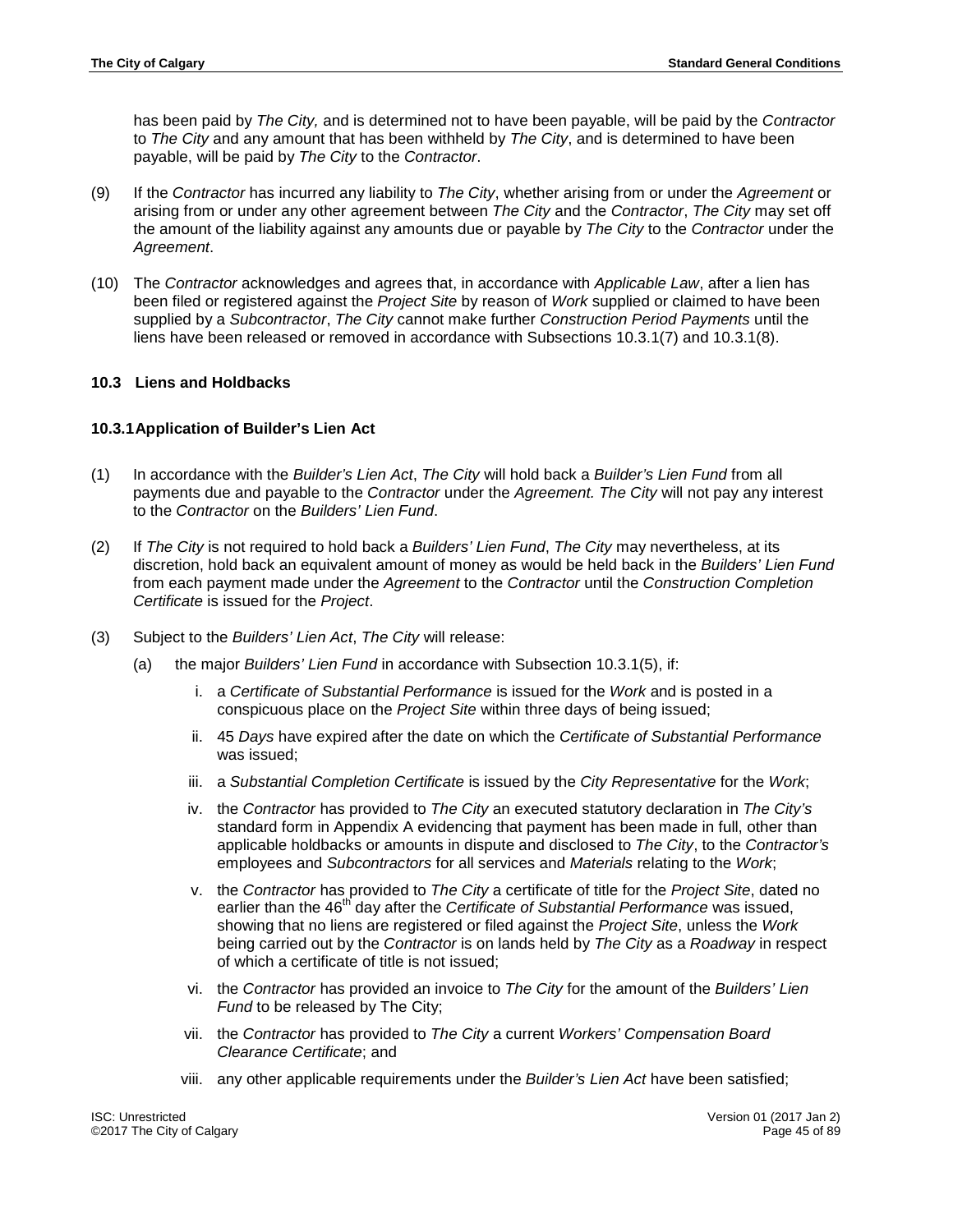has been paid by *The City,* and is determined not to have been payable, will be paid by the *Contractor* to *The City* and any amount that has been withheld by *The City*, and is determined to have been payable, will be paid by *The City* to the *Contractor*.

- (9) If the *Contractor* has incurred any liability to *The City*, whether arising from or under the *Agreement* or arising from or under any other agreement between *The City* and the *Contractor*, *The City* may set off the amount of the liability against any amounts due or payable by *The City* to the *Contractor* under the *Agreement*.
- (10) The *Contractor* acknowledges and agrees that, in accordance with *Applicable Law*, after a lien has been filed or registered against the *Project Site* by reason of *Work* supplied or claimed to have been supplied by a *Subcontractor*, *The City* cannot make further *Construction Period Payments* until the liens have been released or removed in accordance with Subsections 10.3.1(7) and 10.3.1(8).

## **10.3 Liens and Holdbacks**

## **10.3.1Application of Builder's Lien Act**

- (1) In accordance with the *Builder's Lien Act*, *The City* will hold back a *Builder's Lien Fund* from all payments due and payable to the *Contractor* under the *Agreement. The City* will not pay any interest to the *Contractor* on the *Builders' Lien Fund*.
- (2) If *The City* is not required to hold back a *Builders' Lien Fund*, *The City* may nevertheless, at its discretion, hold back an equivalent amount of money as would be held back in the *Builders' Lien Fund* from each payment made under the *Agreement* to the *Contractor* until the *Construction Completion Certificate* is issued for the *Project*.
- (3) Subject to the *Builders' Lien Act*, *The City* will release:
	- (a) the major *Builders' Lien Fund* in accordance with Subsection 10.3.1(5), if:
		- i. a *Certificate of Substantial Performance* is issued for the *Work* and is posted in a conspicuous place on the *Project Site* within three days of being issued;
		- ii. 45 *Days* have expired after the date on which the *Certificate of Substantial Performance*  was issued;
		- iii. a *Substantial Completion Certificate* is issued by the *City Representative* for the *Work*;
		- iv. the *Contractor* has provided to *The City* an executed statutory declaration in *The City's*  standard form in Appendix A evidencing that payment has been made in full, other than applicable holdbacks or amounts in dispute and disclosed to *The City*, to the *Contractor's* employees and *Subcontractors* for all services and *Materials* relating to the *Work*;
		- v. the *Contractor* has provided to *The City* a certificate of title for the *Project Site*, dated no earlier than the 46<sup>th</sup> day after the *Certificate of Substantial Performance* was issued, showing that no liens are registered or filed against the *Project Site*, unless the *Work* being carried out by the *Contractor* is on lands held by *The City* as a *Roadway* in respect of which a certificate of title is not issued;
		- vi. the *Contractor* has provided an invoice to *The City* for the amount of the *Builders' Lien Fund* to be released by The City;
		- vii. the *Contractor* has provided to *The City* a current *Workers' Compensation Board Clearance Certificate*; and
		- viii. any other applicable requirements under the *Builder's Lien Act* have been satisfied;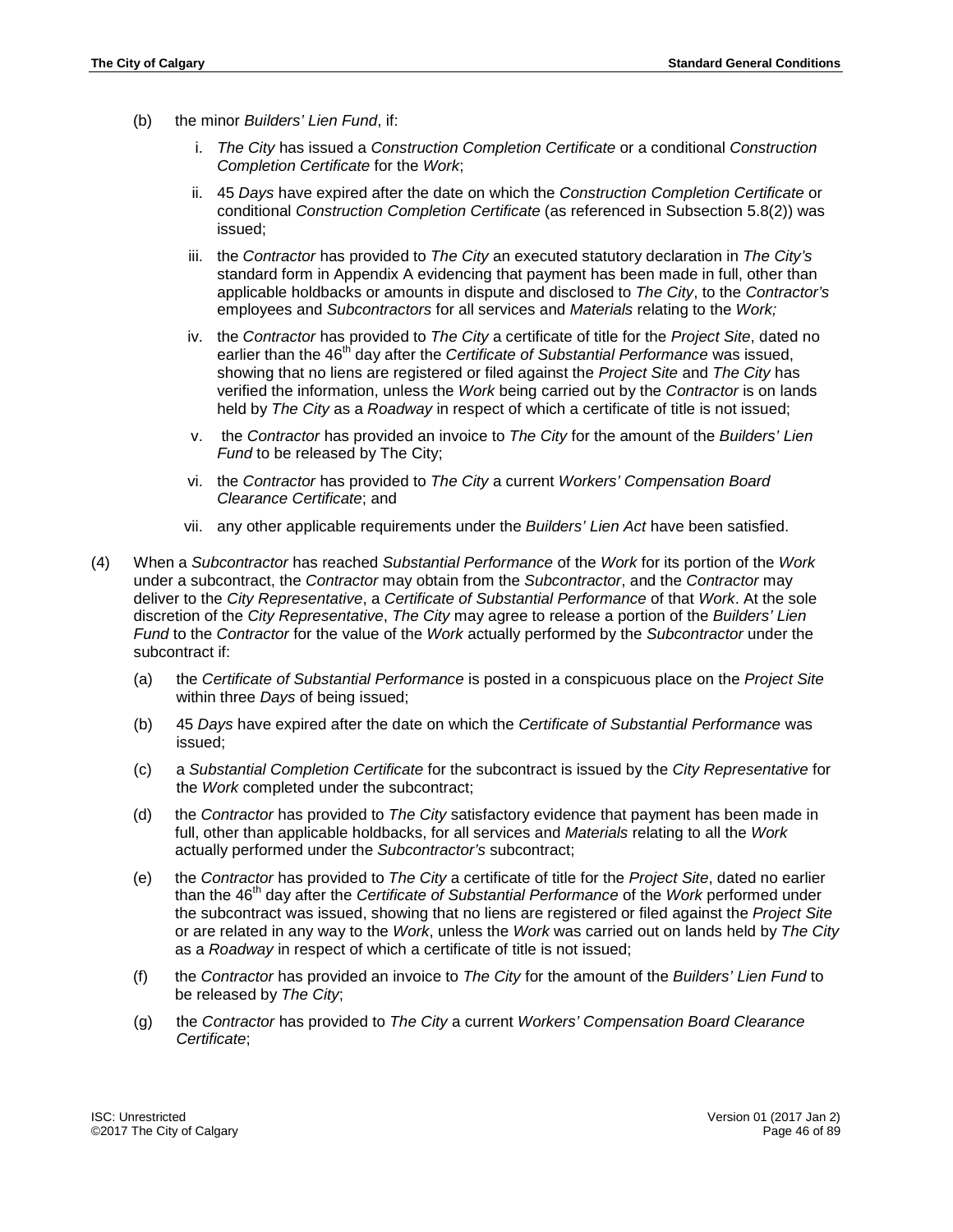- (b) the minor *Builders' Lien Fund*, if:
	- i. *The City* has issued a *Construction Completion Certificate* or a conditional *Construction Completion Certificate* for the *Work*;
	- ii. 45 *Days* have expired after the date on which the *Construction Completion Certificate* or conditional *Construction Completion Certificate* (as referenced in Subsection 5.8(2)) was issued;
	- iii. the *Contractor* has provided to *The City* an executed statutory declaration in *The City's* standard form in Appendix A evidencing that payment has been made in full, other than applicable holdbacks or amounts in dispute and disclosed to *The City*, to the *Contractor's* employees and *Subcontractors* for all services and *Materials* relating to the *Work;*
	- iv. the *Contractor* has provided to *The City* a certificate of title for the *Project Site*, dated no earlier than the 46<sup>th</sup> day after the *Certificate of Substantial Performance* was issued, showing that no liens are registered or filed against the *Project Site* and *The City* has verified the information, unless the *Work* being carried out by the *Contractor* is on lands held by *The City* as a *Roadway* in respect of which a certificate of title is not issued;
	- v. the *Contractor* has provided an invoice to *The City* for the amount of the *Builders' Lien Fund* to be released by The City;
	- vi. the *Contractor* has provided to *The City* a current *Workers' Compensation Board Clearance Certificate*; and
	- vii. any other applicable requirements under the *Builders' Lien Act* have been satisfied.
- (4) When a *Subcontractor* has reached *Substantial Performance* of the *Work* for its portion of the *Work* under a subcontract, the *Contractor* may obtain from the *Subcontractor*, and the *Contractor* may deliver to the *City Representative*, a *Certificate of Substantial Performance* of that *Work*. At the sole discretion of the *City Representative*, *The City* may agree to release a portion of the *Builders' Lien Fund* to the *Contractor* for the value of the *Work* actually performed by the *Subcontractor* under the subcontract if:
	- (a) the *Certificate of Substantial Performance* is posted in a conspicuous place on the *Project Site* within three *Days* of being issued;
	- (b) 45 *Days* have expired after the date on which the *Certificate of Substantial Performance* was issued;
	- (c) a *Substantial Completion Certificate* for the subcontract is issued by the *City Representative* for the *Work* completed under the subcontract;
	- (d) the *Contractor* has provided to *The City* satisfactory evidence that payment has been made in full, other than applicable holdbacks, for all services and *Materials* relating to all the *Work* actually performed under the *Subcontractor's* subcontract;
	- (e) the *Contractor* has provided to *The City* a certificate of title for the *Project Site*, dated no earlier than the 46th day after the *Certificate of Substantial Performance* of the *Work* performed under the subcontract was issued, showing that no liens are registered or filed against the *Project Site* or are related in any way to the *Work*, unless the *Work* was carried out on lands held by *The City* as a *Roadway* in respect of which a certificate of title is not issued;
	- (f) the *Contractor* has provided an invoice to *The City* for the amount of the *Builders' Lien Fund* to be released by *The City*;
	- (g) the *Contractor* has provided to *The City* a current *Workers' Compensation Board Clearance Certificate*;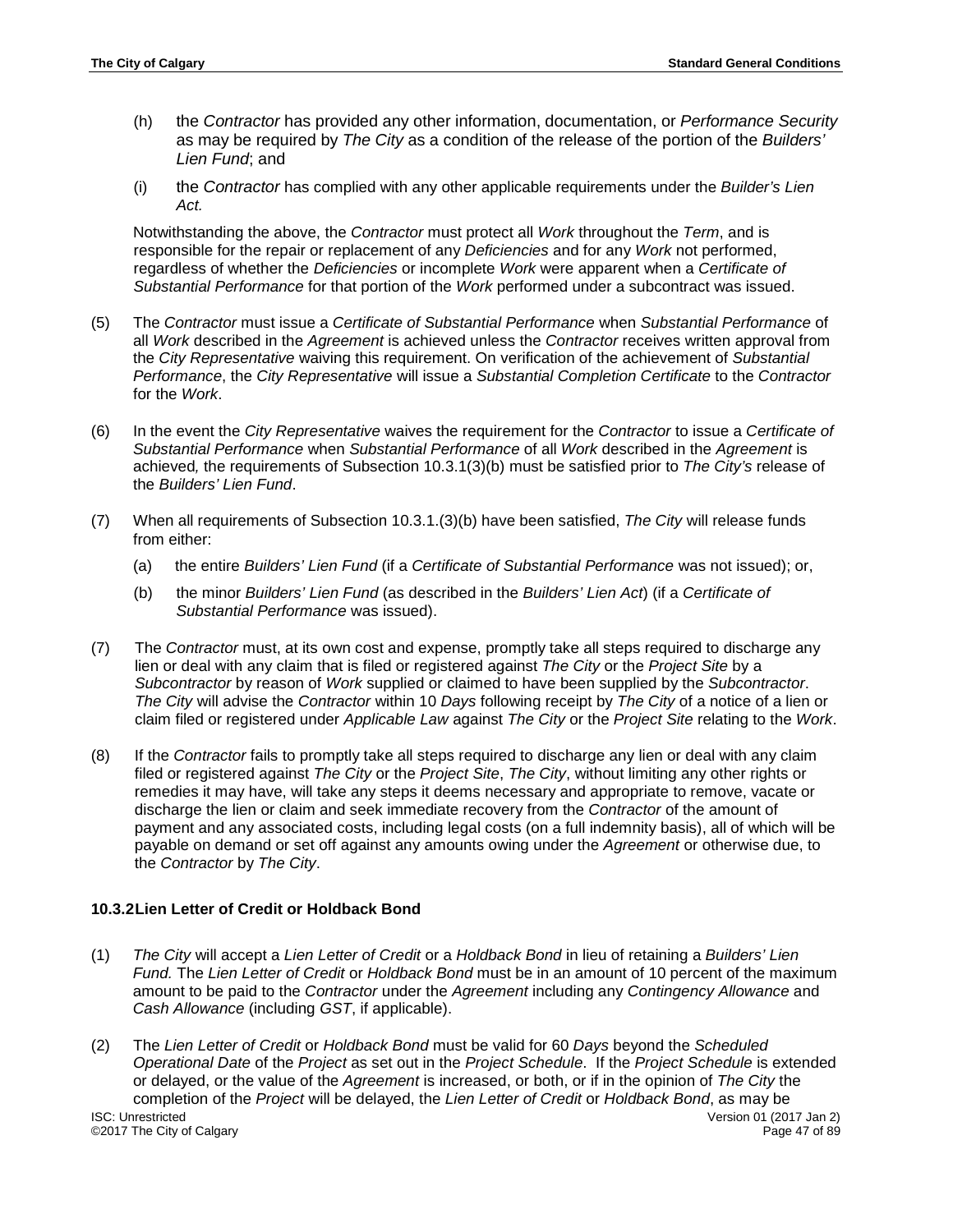- (h) the *Contractor* has provided any other information, documentation, or *Performance Security* as may be required by *The City* as a condition of the release of the portion of the *Builders' Lien Fund*; and
- (i) the *Contractor* has complied with any other applicable requirements under the *Builder's Lien Act.*

Notwithstanding the above, the *Contractor* must protect all *Work* throughout the *Term*, and is responsible for the repair or replacement of any *Deficiencies* and for any *Work* not performed, regardless of whether the *Deficiencies* or incomplete *Work* were apparent when a *Certificate of Substantial Performance* for that portion of the *Work* performed under a subcontract was issued.

- (5) The *Contractor* must issue a *Certificate of Substantial Performance* when *Substantial Performance* of all *Work* described in the *Agreement* is achieved unless the *Contractor* receives written approval from the *City Representative* waiving this requirement. On verification of the achievement of *Substantial Performance*, the *City Representative* will issue a *Substantial Completion Certificate* to the *Contractor* for the *Work*.
- (6) In the event the *City Representative* waives the requirement for the *Contractor* to issue a *Certificate of Substantial Performance* when *Substantial Performance* of all *Work* described in the *Agreement* is achieved*,* the requirements of Subsection 10.3.1(3)(b) must be satisfied prior to *The City's* release of the *Builders' Lien Fund*.
- (7) When all requirements of Subsection 10.3.1.(3)(b) have been satisfied, *The City* will release funds from either:
	- (a) the entire *Builders' Lien Fund* (if a *Certificate of Substantial Performance* was not issued); or,
	- (b) the minor *Builders' Lien Fund* (as described in the *Builders' Lien Act*) (if a *Certificate of Substantial Performance* was issued).
- (7) The *Contractor* must, at its own cost and expense, promptly take all steps required to discharge any lien or deal with any claim that is filed or registered against *The City* or the *Project Site* by a *Subcontractor* by reason of *Work* supplied or claimed to have been supplied by the *Subcontractor*. *The City* will advise the *Contractor* within 10 *Days* following receipt by *The City* of a notice of a lien or claim filed or registered under *Applicable Law* against *The City* or the *Project Site* relating to the *Work*.
- (8) If the *Contractor* fails to promptly take all steps required to discharge any lien or deal with any claim filed or registered against *The City* or the *Project Site*, *The City*, without limiting any other rights or remedies it may have, will take any steps it deems necessary and appropriate to remove, vacate or discharge the lien or claim and seek immediate recovery from the *Contractor* of the amount of payment and any associated costs, including legal costs (on a full indemnity basis), all of which will be payable on demand or set off against any amounts owing under the *Agreement* or otherwise due, to the *Contractor* by *The City*.

# **10.3.2Lien Letter of Credit or Holdback Bond**

- (1) *The City* will accept a *Lien Letter of Credit* or a *Holdback Bond* in lieu of retaining a *Builders' Lien Fund.* The *Lien Letter of Credit* or *Holdback Bond* must be in an amount of 10 percent of the maximum amount to be paid to the *Contractor* under the *Agreement* including any *Contingency Allowance* and *Cash Allowance* (including *GST*, if applicable).
- (2) The *Lien Letter of Credit* or *Holdback Bond* must be valid for 60 *Days* beyond the *Scheduled Operational Date* of the *Project* as set out in the *Project Schedule*. If the *Project Schedule* is extended or delayed, or the value of the *Agreement* is increased, or both, or if in the opinion of *The City* the completion of the *Project* will be delayed, the *Lien Letter of Credit* or *Holdback Bond*, as may be ISC: Unrestricted Version 01 (2017 Jan 2) ©2017 The City of Calgary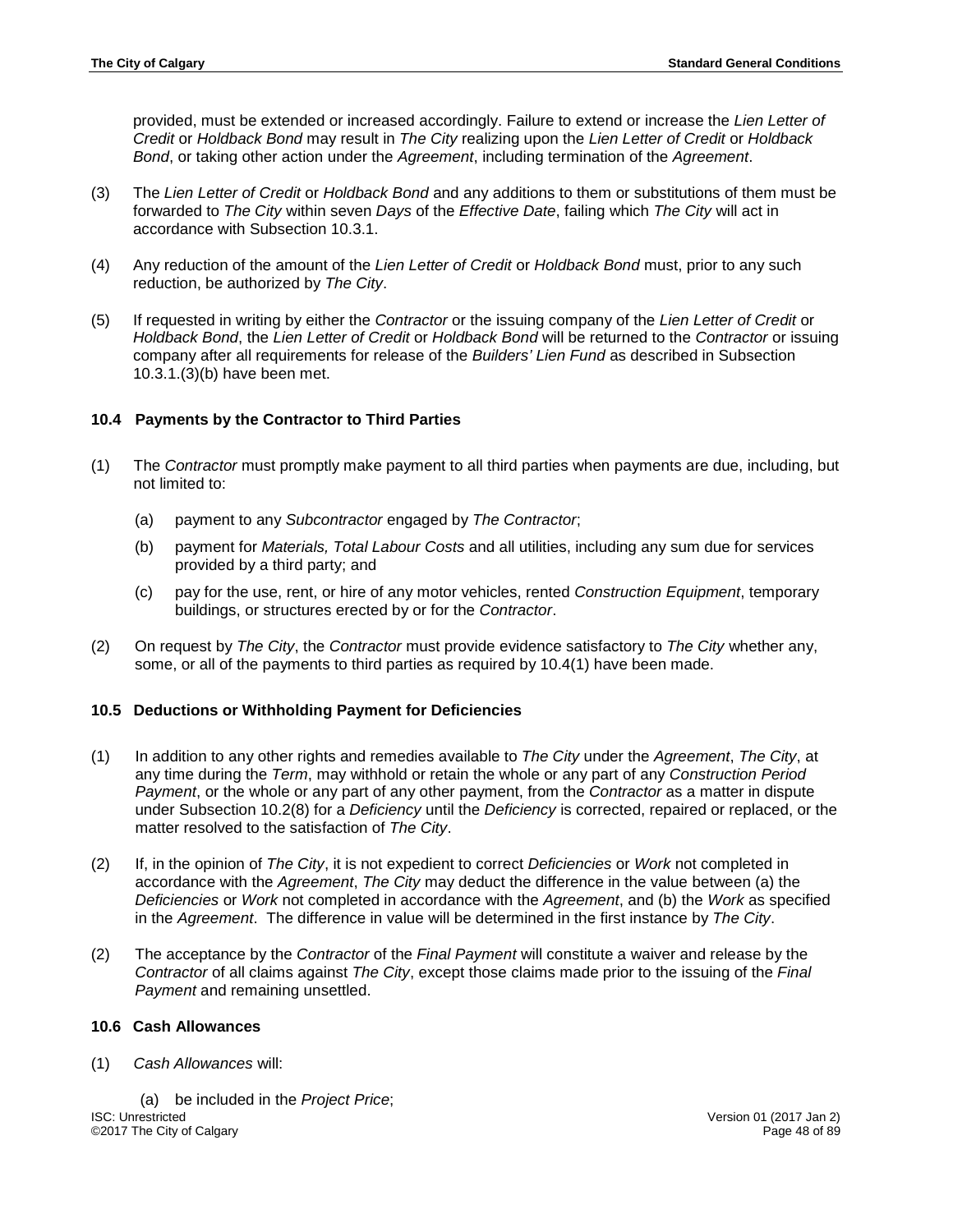provided, must be extended or increased accordingly. Failure to extend or increase the *Lien Letter of Credit* or *Holdback Bond* may result in *The City* realizing upon the *Lien Letter of Credit* or *Holdback Bond*, or taking other action under the *Agreement*, including termination of the *Agreement*.

- (3) The *Lien Letter of Credit* or *Holdback Bond* and any additions to them or substitutions of them must be forwarded to *The City* within seven *Days* of the *Effective Date*, failing which *The City* will act in accordance with Subsection 10.3.1.
- (4) Any reduction of the amount of the *Lien Letter of Credit* or *Holdback Bond* must, prior to any such reduction, be authorized by *The City*.
- (5) If requested in writing by either the *Contractor* or the issuing company of the *Lien Letter of Credit* or *Holdback Bond*, the *Lien Letter of Credit* or *Holdback Bond* will be returned to the *Contractor* or issuing company after all requirements for release of the *Builders' Lien Fund* as described in Subsection 10.3.1.(3)(b) have been met.

# **10.4 Payments by the Contractor to Third Parties**

- (1) The *Contractor* must promptly make payment to all third parties when payments are due, including, but not limited to:
	- (a) payment to any *Subcontractor* engaged by *The Contractor*;
	- (b) payment for *Materials, Total Labour Costs* and all utilities, including any sum due for services provided by a third party; and
	- (c) pay for the use, rent, or hire of any motor vehicles, rented *Construction Equipment*, temporary buildings, or structures erected by or for the *Contractor*.
- (2) On request by *The City*, the *Contractor* must provide evidence satisfactory to *The City* whether any, some, or all of the payments to third parties as required by 10.4(1) have been made.

# **10.5 Deductions or Withholding Payment for Deficiencies**

- (1) In addition to any other rights and remedies available to *The City* under the *Agreement*, *The City*, at any time during the *Term*, may withhold or retain the whole or any part of any *Construction Period Payment*, or the whole or any part of any other payment, from the *Contractor* as a matter in dispute under Subsection 10.2(8) for a *Deficiency* until the *Deficiency* is corrected, repaired or replaced, or the matter resolved to the satisfaction of *The City*.
- (2) If, in the opinion of *The City*, it is not expedient to correct *Deficiencies* or *Work* not completed in accordance with the *Agreement*, *The City* may deduct the difference in the value between (a) the *Deficiencies* or *Work* not completed in accordance with the *Agreement*, and (b) the *Work* as specified in the *Agreement*. The difference in value will be determined in the first instance by *The City*.
- (2) The acceptance by the *Contractor* of the *Final Payment* will constitute a waiver and release by the *Contractor* of all claims against *The City*, except those claims made prior to the issuing of the *Final Payment* and remaining unsettled.

## **10.6 Cash Allowances**

(1) *Cash Allowances* will:

(a) be included in the *Project Price*; ISC: Unrestricted Version 01 (2017 Jan 2) ©2017 The City of Calgary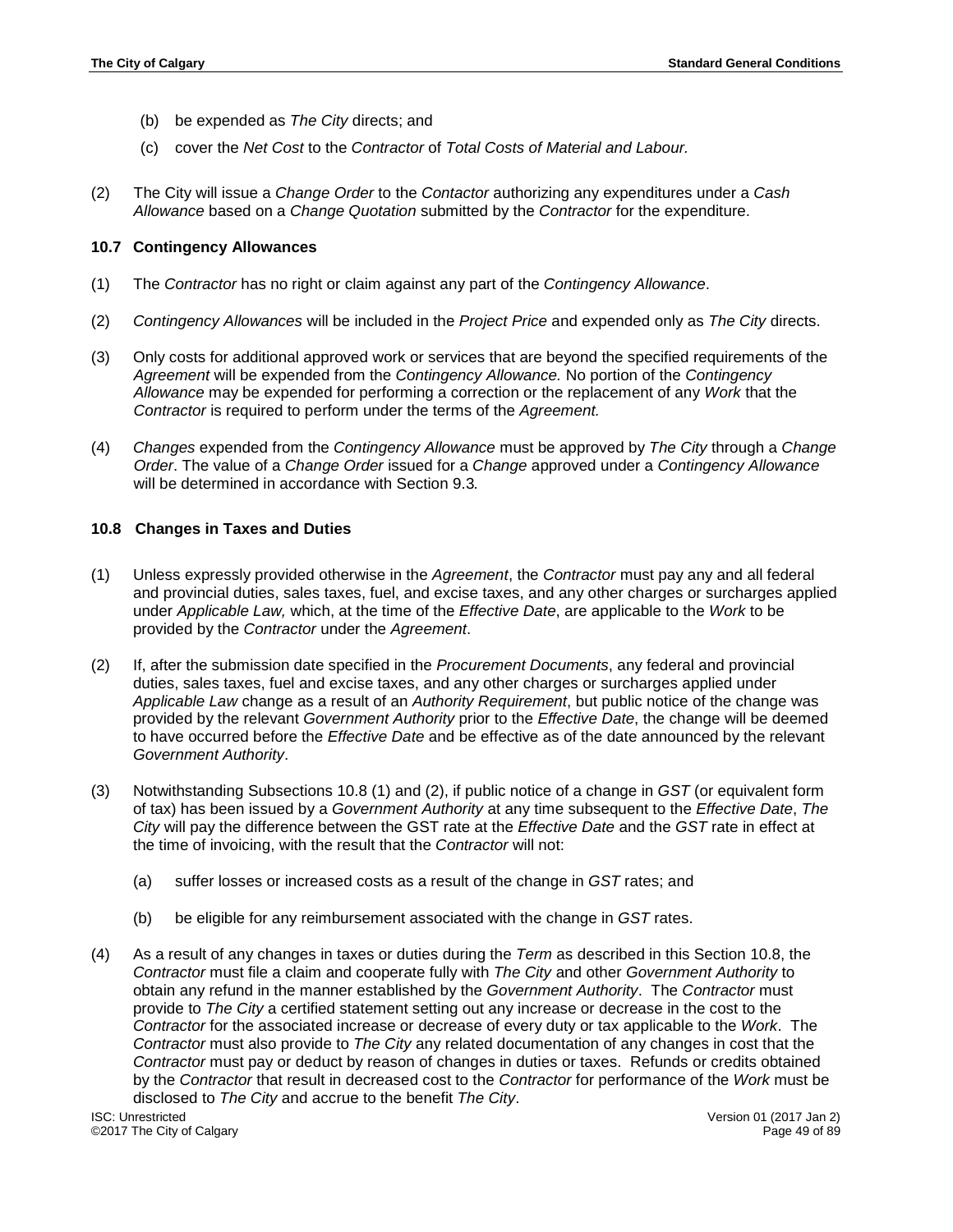- (b) be expended as *The City* directs; and
- (c) cover the *Net Cost* to the *Contractor* of *Total Costs of Material and Labour.*
- (2) The City will issue a *Change Order* to the *Contactor* authorizing any expenditures under a *Cash Allowance* based on a *Change Quotation* submitted by the *Contractor* for the expenditure.

### **10.7 Contingency Allowances**

- (1) The *Contractor* has no right or claim against any part of the *Contingency Allowance*.
- (2) *Contingency Allowances* will be included in the *Project Price* and expended only as *The City* directs.
- (3) Only costs for additional approved work or services that are beyond the specified requirements of the *Agreement* will be expended from the *Contingency Allowance.* No portion of the *Contingency Allowance* may be expended for performing a correction or the replacement of any *Work* that the *Contractor* is required to perform under the terms of the *Agreement.*
- (4) *Changes* expended from the *Contingency Allowance* must be approved by *The City* through a *Change Order*. The value of a *Change Order* issued for a *Change* approved under a *Contingency Allowance* will be determined in accordance with Section 9.3*.*

### **10.8 Changes in Taxes and Duties**

- (1) Unless expressly provided otherwise in the *Agreement*, the *Contractor* must pay any and all federal and provincial duties, sales taxes, fuel, and excise taxes, and any other charges or surcharges applied under *Applicable Law,* which, at the time of the *Effective Date*, are applicable to the *Work* to be provided by the *Contractor* under the *Agreement*.
- (2) If, after the submission date specified in the *Procurement Documents*, any federal and provincial duties, sales taxes, fuel and excise taxes, and any other charges or surcharges applied under *Applicable Law* change as a result of an *Authority Requirement*, but public notice of the change was provided by the relevant *Government Authority* prior to the *Effective Date*, the change will be deemed to have occurred before the *Effective Date* and be effective as of the date announced by the relevant *Government Authority*.
- (3) Notwithstanding Subsections 10.8 (1) and (2), if public notice of a change in *GST* (or equivalent form of tax) has been issued by a *Government Authority* at any time subsequent to the *Effective Date*, *The City* will pay the difference between the GST rate at the *Effective Date* and the *GST* rate in effect at the time of invoicing, with the result that the *Contractor* will not:
	- (a) suffer losses or increased costs as a result of the change in *GST* rates; and
	- (b) be eligible for any reimbursement associated with the change in *GST* rates.
- (4) As a result of any changes in taxes or duties during the *Term* as described in this Section 10.8, the *Contractor* must file a claim and cooperate fully with *The City* and other *Government Authority* to obtain any refund in the manner established by the *Government Authority*. The *Contractor* must provide to *The City* a certified statement setting out any increase or decrease in the cost to the *Contractor* for the associated increase or decrease of every duty or tax applicable to the *Work*. The *Contractor* must also provide to *The City* any related documentation of any changes in cost that the *Contractor* must pay or deduct by reason of changes in duties or taxes. Refunds or credits obtained by the *Contractor* that result in decreased cost to the *Contractor* for performance of the *Work* must be disclosed to *The City* and accrue to the benefit *The City*.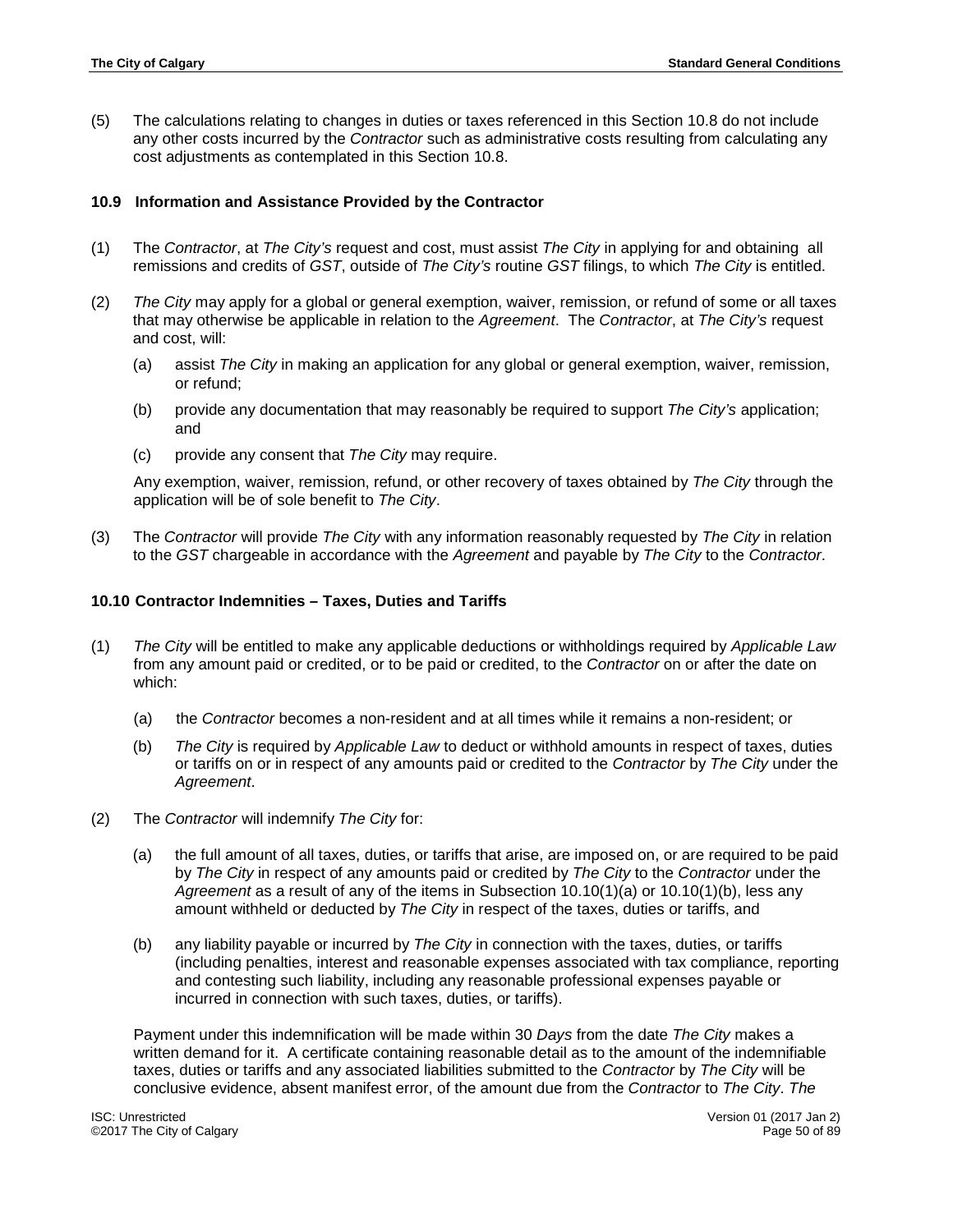(5) The calculations relating to changes in duties or taxes referenced in this Section 10.8 do not include any other costs incurred by the *Contractor* such as administrative costs resulting from calculating any cost adjustments as contemplated in this Section 10.8.

### **10.9 Information and Assistance Provided by the Contractor**

- (1) The *Contractor*, at *The City's* request and cost, must assist *The City* in applying for and obtaining all remissions and credits of *GST*, outside of *The City's* routine *GST* filings, to which *The City* is entitled.
- (2) *The City* may apply for a global or general exemption, waiver, remission, or refund of some or all taxes that may otherwise be applicable in relation to the *Agreement*. The *Contractor*, at *The City's* request and cost, will:
	- (a) assist *The City* in making an application for any global or general exemption, waiver, remission, or refund;
	- (b) provide any documentation that may reasonably be required to support *The City's* application; and
	- (c) provide any consent that *The City* may require.

Any exemption, waiver, remission, refund, or other recovery of taxes obtained by *The City* through the application will be of sole benefit to *The City*.

(3) The *Contractor* will provide *The City* with any information reasonably requested by *The City* in relation to the *GST* chargeable in accordance with the *Agreement* and payable by *The City* to the *Contractor*.

### **10.10 Contractor Indemnities – Taxes, Duties and Tariffs**

- (1) *The City* will be entitled to make any applicable deductions or withholdings required by *Applicable Law* from any amount paid or credited, or to be paid or credited, to the *Contractor* on or after the date on which:
	- (a) the *Contractor* becomes a non-resident and at all times while it remains a non-resident; or
	- (b) *The City* is required by *Applicable Law* to deduct or withhold amounts in respect of taxes, duties or tariffs on or in respect of any amounts paid or credited to the *Contractor* by *The City* under the *Agreement*.
- (2) The *Contractor* will indemnify *The City* for:
	- (a) the full amount of all taxes, duties, or tariffs that arise, are imposed on, or are required to be paid by *The City* in respect of any amounts paid or credited by *The City* to the *Contractor* under the *Agreement* as a result of any of the items in Subsection 10.10(1)(a) or 10.10(1)(b), less any amount withheld or deducted by *The City* in respect of the taxes, duties or tariffs, and
	- (b) any liability payable or incurred by *The City* in connection with the taxes, duties, or tariffs (including penalties, interest and reasonable expenses associated with tax compliance, reporting and contesting such liability, including any reasonable professional expenses payable or incurred in connection with such taxes, duties, or tariffs).

Payment under this indemnification will be made within 30 *Days* from the date *The City* makes a written demand for it. A certificate containing reasonable detail as to the amount of the indemnifiable taxes, duties or tariffs and any associated liabilities submitted to the *Contractor* by *The City* will be conclusive evidence, absent manifest error, of the amount due from the *Contractor* to *The City*. *The*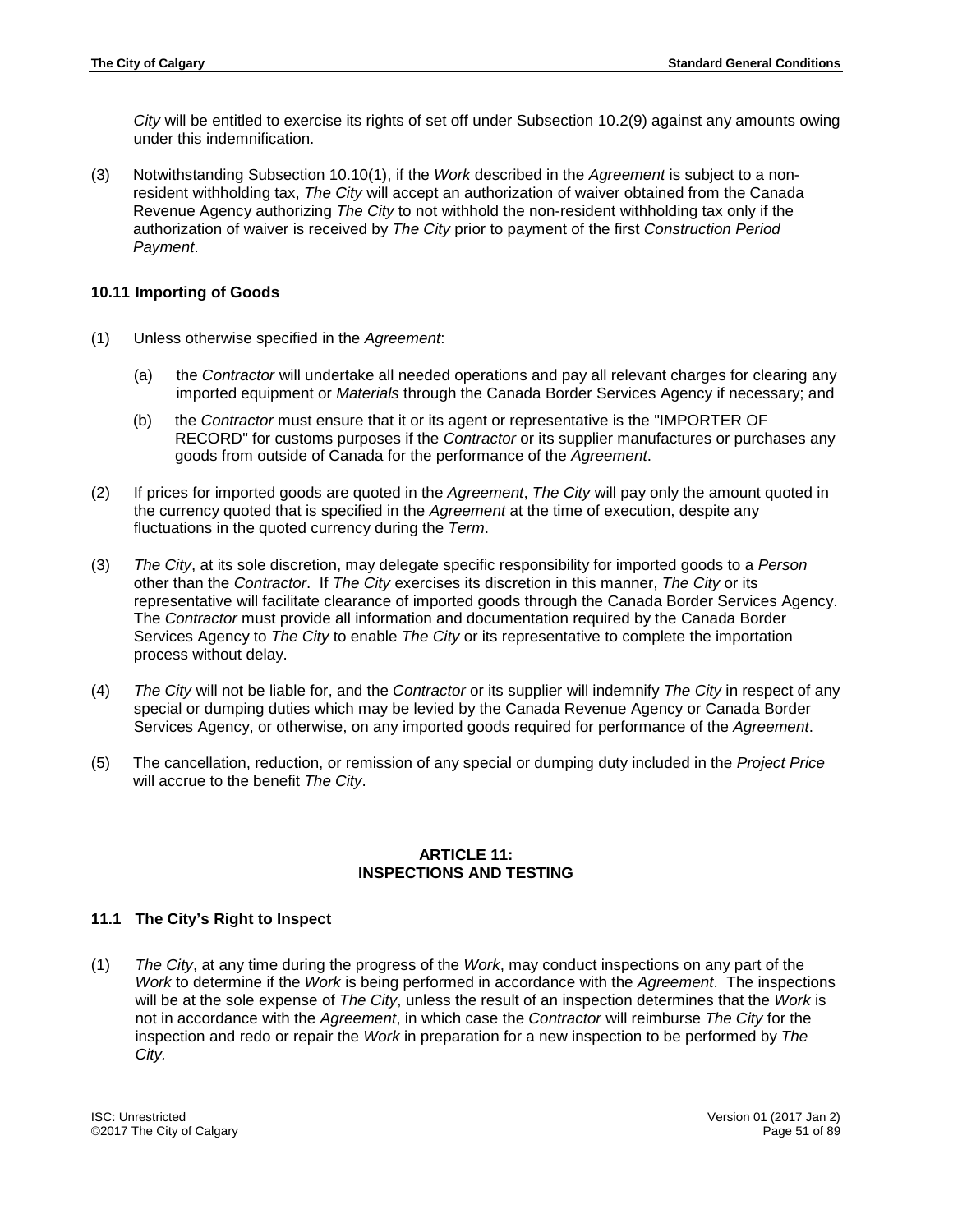*City* will be entitled to exercise its rights of set off under Subsection 10.2(9) against any amounts owing under this indemnification.

(3) Notwithstanding Subsection 10.10(1), if the *Work* described in the *Agreement* is subject to a nonresident withholding tax, *The City* will accept an authorization of waiver obtained from the Canada Revenue Agency authorizing *The City* to not withhold the non-resident withholding tax only if the authorization of waiver is received by *The City* prior to payment of the first *Construction Period Payment*.

## **10.11 Importing of Goods**

- (1) Unless otherwise specified in the *Agreement*:
	- (a) the *Contractor* will undertake all needed operations and pay all relevant charges for clearing any imported equipment or *Materials* through the Canada Border Services Agency if necessary; and
	- (b) the *Contractor* must ensure that it or its agent or representative is the "IMPORTER OF RECORD" for customs purposes if the *Contractor* or its supplier manufactures or purchases any goods from outside of Canada for the performance of the *Agreement*.
- (2) If prices for imported goods are quoted in the *Agreement*, *The City* will pay only the amount quoted in the currency quoted that is specified in the *Agreement* at the time of execution, despite any fluctuations in the quoted currency during the *Term*.
- (3) *The City*, at its sole discretion, may delegate specific responsibility for imported goods to a *Person* other than the *Contractor*. If *The City* exercises its discretion in this manner, *The City* or its representative will facilitate clearance of imported goods through the Canada Border Services Agency. The *Contractor* must provide all information and documentation required by the Canada Border Services Agency to *The City* to enable *The City* or its representative to complete the importation process without delay.
- (4) *The City* will not be liable for, and the *Contractor* or its supplier will indemnify *The City* in respect of any special or dumping duties which may be levied by the Canada Revenue Agency or Canada Border Services Agency, or otherwise, on any imported goods required for performance of the *Agreement*.
- (5) The cancellation, reduction, or remission of any special or dumping duty included in the *Project Price* will accrue to the benefit *The City*.

### **ARTICLE 11: INSPECTIONS AND TESTING**

# **11.1 The City's Right to Inspect**

(1) *The City*, at any time during the progress of the *Work*, may conduct inspections on any part of the *Work* to determine if the *Work* is being performed in accordance with the *Agreement*. The inspections will be at the sole expense of *The City*, unless the result of an inspection determines that the *Work* is not in accordance with the *Agreement*, in which case the *Contractor* will reimburse *The City* for the inspection and redo or repair the *Work* in preparation for a new inspection to be performed by *The City.*

ISC: Unrestricted Version 01 (2017 Jan 2) ©2017 The City of Calgary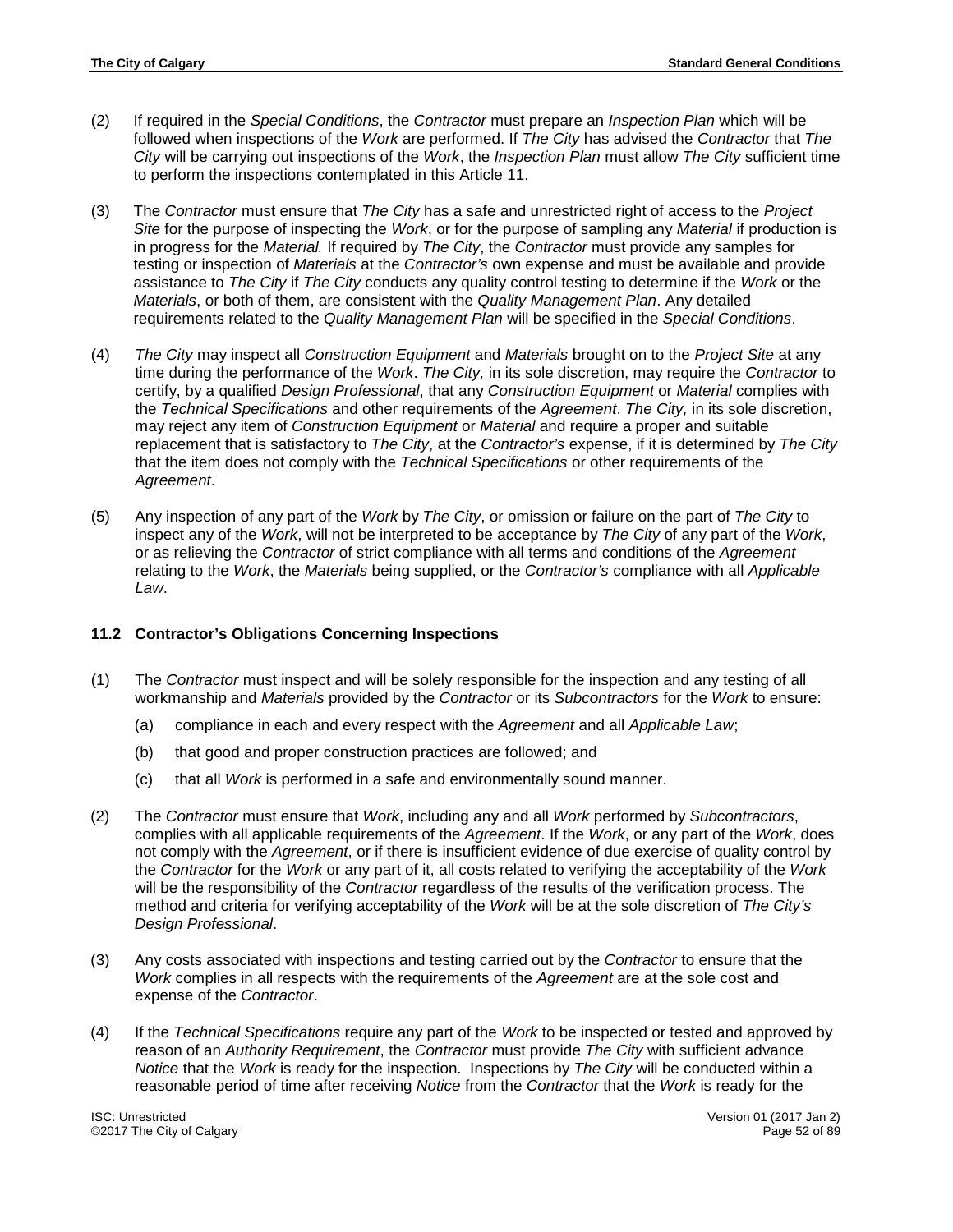- (2) If required in the *Special Conditions*, the *Contractor* must prepare an *Inspection Plan* which will be followed when inspections of the *Work* are performed. If *The City* has advised the *Contractor* that *The City* will be carrying out inspections of the *Work*, the *Inspection Plan* must allow *The City* sufficient time to perform the inspections contemplated in this Article 11.
- (3) The *Contractor* must ensure that *The City* has a safe and unrestricted right of access to the *Project Site* for the purpose of inspecting the *Work*, or for the purpose of sampling any *Material* if production is in progress for the *Material.* If required by *The City*, the *Contractor* must provide any samples for testing or inspection of *Materials* at the *Contractor's* own expense and must be available and provide assistance to *The City* if *The City* conducts any quality control testing to determine if the *Work* or the *Materials*, or both of them, are consistent with the *Quality Management Plan*. Any detailed requirements related to the *Quality Management Plan* will be specified in the *Special Conditions*.
- (4) *The City* may inspect all *Construction Equipment* and *Materials* brought on to the *Project Site* at any time during the performance of the *Work*. *The City,* in its sole discretion, may require the *Contractor* to certify, by a qualified *Design Professional*, that any *Construction Equipment* or *Material* complies with the *Technical Specifications* and other requirements of the *Agreement*. *The City,* in its sole discretion, may reject any item of *Construction Equipment* or *Material* and require a proper and suitable replacement that is satisfactory to *The City*, at the *Contractor's* expense, if it is determined by *The City* that the item does not comply with the *Technical Specifications* or other requirements of the *Agreement*.
- (5) Any inspection of any part of the *Work* by *The City*, or omission or failure on the part of *The City* to inspect any of the *Work*, will not be interpreted to be acceptance by *The City* of any part of the *Work*, or as relieving the *Contractor* of strict compliance with all terms and conditions of the *Agreement* relating to the *Work*, the *Materials* being supplied, or the *Contractor's* compliance with all *Applicable Law*.

# **11.2 Contractor's Obligations Concerning Inspections**

- (1) The *Contractor* must inspect and will be solely responsible for the inspection and any testing of all workmanship and *Materials* provided by the *Contractor* or its *Subcontractors* for the *Work* to ensure:
	- (a) compliance in each and every respect with the *Agreement* and all *Applicable Law*;
	- (b) that good and proper construction practices are followed; and
	- (c) that all *Work* is performed in a safe and environmentally sound manner.
- (2) The *Contractor* must ensure that *Work*, including any and all *Work* performed by *Subcontractors*, complies with all applicable requirements of the *Agreement*. If the *Work*, or any part of the *Work*, does not comply with the *Agreement*, or if there is insufficient evidence of due exercise of quality control by the *Contractor* for the *Work* or any part of it, all costs related to verifying the acceptability of the *Work*  will be the responsibility of the *Contractor* regardless of the results of the verification process. The method and criteria for verifying acceptability of the *Work* will be at the sole discretion of *The City's Design Professional*.
- (3) Any costs associated with inspections and testing carried out by the *Contractor* to ensure that the *Work* complies in all respects with the requirements of the *Agreement* are at the sole cost and expense of the *Contractor*.
- (4) If the *Technical Specifications* require any part of the *Work* to be inspected or tested and approved by reason of an *Authority Requirement*, the *Contractor* must provide *The City* with sufficient advance *Notice* that the *Work* is ready for the inspection. Inspections by *The City* will be conducted within a reasonable period of time after receiving *Notice* from the *Contractor* that the *Work* is ready for the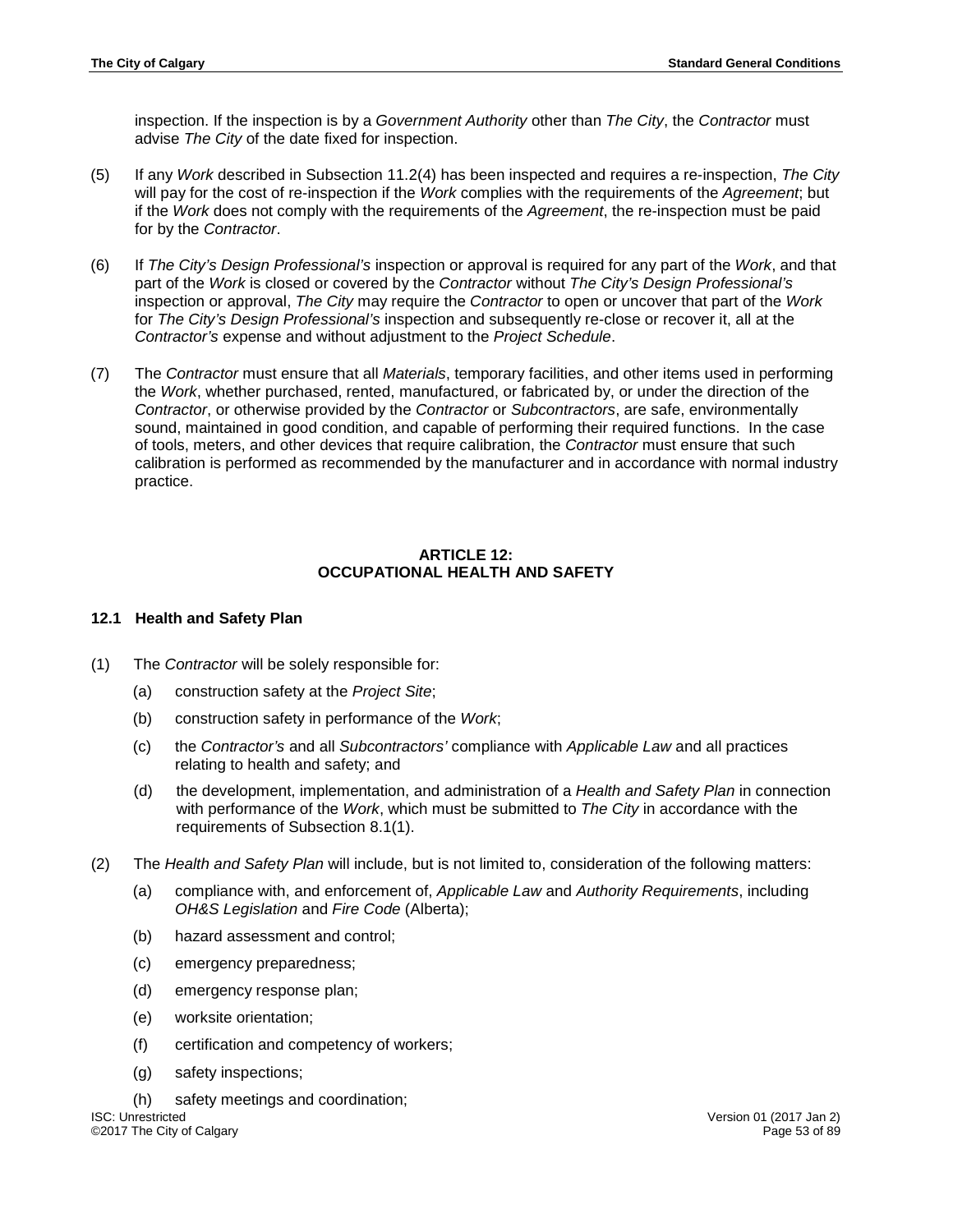inspection. If the inspection is by a *Government Authority* other than *The City*, the *Contractor* must advise *The City* of the date fixed for inspection.

- (5) If any *Work* described in Subsection 11.2(4) has been inspected and requires a re-inspection, *The City* will pay for the cost of re-inspection if the *Work* complies with the requirements of the *Agreement*; but if the *Work* does not comply with the requirements of the *Agreement*, the re-inspection must be paid for by the *Contractor*.
- (6) If *The City's Design Professional's* inspection or approval is required for any part of the *Work*, and that part of the *Work* is closed or covered by the *Contractor* without *The City's Design Professional's* inspection or approval, *The City* may require the *Contractor* to open or uncover that part of the *Work* for *The City's Design Professional's* inspection and subsequently re-close or recover it, all at the *Contractor's* expense and without adjustment to the *Project Schedule*.
- (7) The *Contractor* must ensure that all *Materials*, temporary facilities, and other items used in performing the *Work*, whether purchased, rented, manufactured, or fabricated by, or under the direction of the *Contractor*, or otherwise provided by the *Contractor* or *Subcontractors*, are safe, environmentally sound, maintained in good condition, and capable of performing their required functions. In the case of tools, meters, and other devices that require calibration, the *Contractor* must ensure that such calibration is performed as recommended by the manufacturer and in accordance with normal industry practice.

# **ARTICLE 12: OCCUPATIONAL HEALTH AND SAFETY**

### **12.1 Health and Safety Plan**

- (1) The *Contractor* will be solely responsible for:
	- (a) construction safety at the *Project Site*;
	- (b) construction safety in performance of the *Work*;
	- (c) the *Contractor's* and all *Subcontractors'* compliance with *Applicable Law* and all practices relating to health and safety; and
	- (d) the development, implementation, and administration of a *Health and Safety Plan* in connection with performance of the *Work*, which must be submitted to *The City* in accordance with the requirements of Subsection 8.1(1).
- (2) The *Health and Safety Plan* will include, but is not limited to, consideration of the following matters:
	- (a) compliance with, and enforcement of, *Applicable Law* and *Authority Requirements*, including *OH&S Legislation* and *Fire Code* (Alberta);
	- (b) hazard assessment and control;
	- (c) emergency preparedness;
	- (d) emergency response plan;
	- (e) worksite orientation;
	- (f) certification and competency of workers;
	- (g) safety inspections;
	- (h) safety meetings and coordination;

ISC: Unrestricted Version 01 (2017 Jan 2) ©2017 The City of Calgary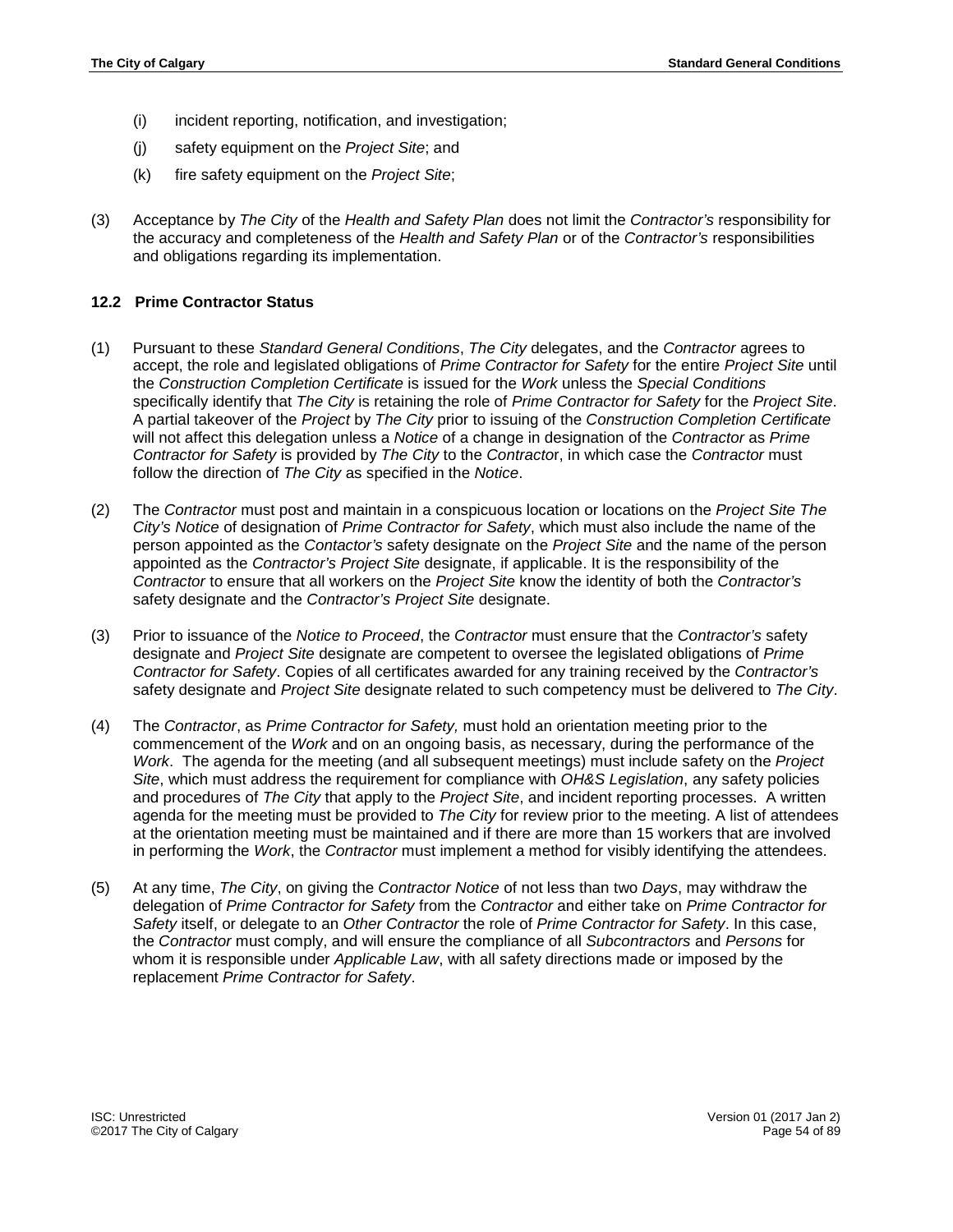- (i) incident reporting, notification, and investigation;
- (j) safety equipment on the *Project Site*; and
- (k) fire safety equipment on the *Project Site*;
- (3) Acceptance by *The City* of the *Health and Safety Plan* does not limit the *Contractor's* responsibility for the accuracy and completeness of the *Health and Safety Plan* or of the *Contractor's* responsibilities and obligations regarding its implementation.

## **12.2 Prime Contractor Status**

- (1) Pursuant to these *Standard General Conditions*, *The City* delegates, and the *Contractor* agrees to accept, the role and legislated obligations of *Prime Contractor for Safety* for the entire *Project Site* until the *Construction Completion Certificate* is issued for the *Work* unless the *Special Conditions* specifically identify that *The City* is retaining the role of *Prime Contractor for Safety* for the *Project Site*. A partial takeover of the *Project* by *The City* prior to issuing of the *Construction Completion Certificate* will not affect this delegation unless a *Notice* of a change in designation of the *Contractor* as *Prime Contractor for Safety* is provided by *The City* to the *Contracto*r, in which case the *Contractor* must follow the direction of *The City* as specified in the *Notice*.
- (2) The *Contractor* must post and maintain in a conspicuous location or locations on the *Project Site The City's Notice* of designation of *Prime Contractor for Safety*, which must also include the name of the person appointed as the *Contactor's* safety designate on the *Project Site* and the name of the person appointed as the *Contractor's Project Site* designate, if applicable. It is the responsibility of the *Contractor* to ensure that all workers on the *Project Site* know the identity of both the *Contractor's* safety designate and the *Contractor's Project Site* designate.
- (3) Prior to issuance of the *Notice to Proceed*, the *Contractor* must ensure that the *Contractor's* safety designate and *Project Site* designate are competent to oversee the legislated obligations of *Prime Contractor for Safety*. Copies of all certificates awarded for any training received by the *Contractor's*  safety designate and *Project Site* designate related to such competency must be delivered to *The City*.
- (4) The *Contractor*, as *Prime Contractor for Safety,* must hold an orientation meeting prior to the commencement of the *Work* and on an ongoing basis, as necessary, during the performance of the *Work*. The agenda for the meeting (and all subsequent meetings) must include safety on the *Project Site*, which must address the requirement for compliance with *OH&S Legislation*, any safety policies and procedures of *The City* that apply to the *Project Site*, and incident reporting processes. A written agenda for the meeting must be provided to *The City* for review prior to the meeting. A list of attendees at the orientation meeting must be maintained and if there are more than 15 workers that are involved in performing the *Work*, the *Contractor* must implement a method for visibly identifying the attendees.
- (5) At any time, *The City*, on giving the *Contractor Notice* of not less than two *Days*, may withdraw the delegation of *Prime Contractor for Safety* from the *Contractor* and either take on *Prime Contractor for Safety* itself, or delegate to an *Other Contractor* the role of *Prime Contractor for Safety*. In this case, the *Contractor* must comply, and will ensure the compliance of all *Subcontractors* and *Persons* for whom it is responsible under *Applicable Law*, with all safety directions made or imposed by the replacement *Prime Contractor for Safety*.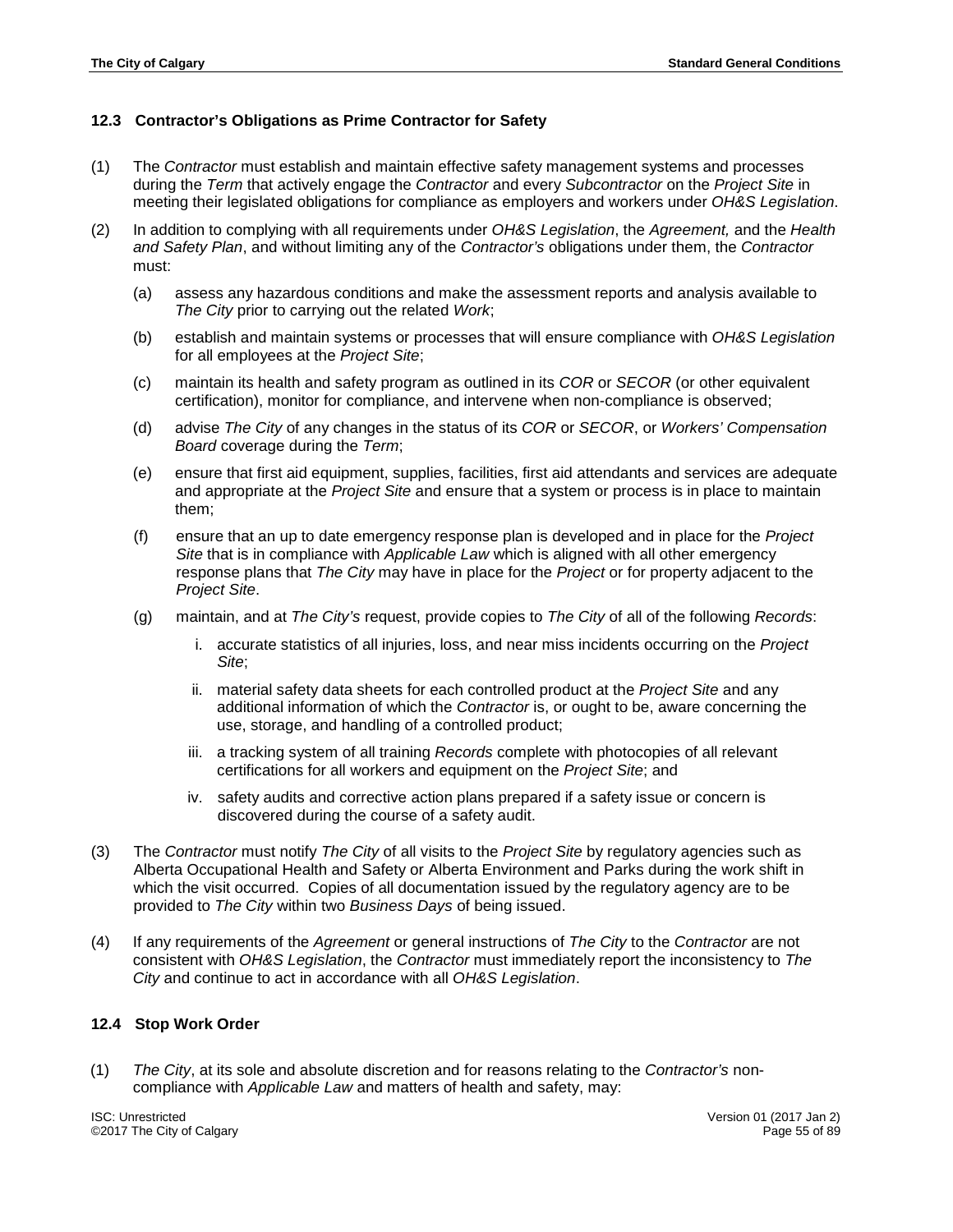# **12.3 Contractor's Obligations as Prime Contractor for Safety**

- (1) The *Contractor* must establish and maintain effective safety management systems and processes during the *Term* that actively engage the *Contractor* and every *Subcontractor* on the *Project Site* in meeting their legislated obligations for compliance as employers and workers under *OH&S Legislation*.
- (2) In addition to complying with all requirements under *OH&S Legislation*, the *Agreement,* and the *Health and Safety Plan*, and without limiting any of the *Contractor's* obligations under them, the *Contractor*  must:
	- (a) assess any hazardous conditions and make the assessment reports and analysis available to *The City* prior to carrying out the related *Work*;
	- (b) establish and maintain systems or processes that will ensure compliance with *OH&S Legislation* for all employees at the *Project Site*;
	- (c) maintain its health and safety program as outlined in its *COR* or *SECOR* (or other equivalent certification), monitor for compliance, and intervene when non-compliance is observed;
	- (d) advise *The City* of any changes in the status of its *COR* or *SECOR*, or *Workers' Compensation Board* coverage during the *Term*;
	- (e) ensure that first aid equipment, supplies, facilities, first aid attendants and services are adequate and appropriate at the *Project Site* and ensure that a system or process is in place to maintain them;
	- (f) ensure that an up to date emergency response plan is developed and in place for the *Project Site* that is in compliance with *Applicable Law* which is aligned with all other emergency response plans that *The City* may have in place for the *Project* or for property adjacent to the *Project Site*.
	- (g) maintain, and at *The City's* request, provide copies to *The City* of all of the following *Records*:
		- i. accurate statistics of all injuries, loss, and near miss incidents occurring on the *Project Site*;
		- ii. material safety data sheets for each controlled product at the *Project Site* and any additional information of which the *Contractor* is, or ought to be, aware concerning the use, storage, and handling of a controlled product;
		- iii. a tracking system of all training *Records* complete with photocopies of all relevant certifications for all workers and equipment on the *Project Site*; and
		- iv. safety audits and corrective action plans prepared if a safety issue or concern is discovered during the course of a safety audit.
- (3) The *Contractor* must notify *The City* of all visits to the *Project Site* by regulatory agencies such as Alberta Occupational Health and Safety or Alberta Environment and Parks during the work shift in which the visit occurred. Copies of all documentation issued by the regulatory agency are to be provided to *The City* within two *Business Days* of being issued.
- (4) If any requirements of the *Agreement* or general instructions of *The City* to the *Contractor* are not consistent with *OH&S Legislation*, the *Contractor* must immediately report the inconsistency to *The City* and continue to act in accordance with all *OH&S Legislation*.

# **12.4 Stop Work Order**

(1) *The City*, at its sole and absolute discretion and for reasons relating to the *Contractor's* noncompliance with *Applicable Law* and matters of health and safety, may: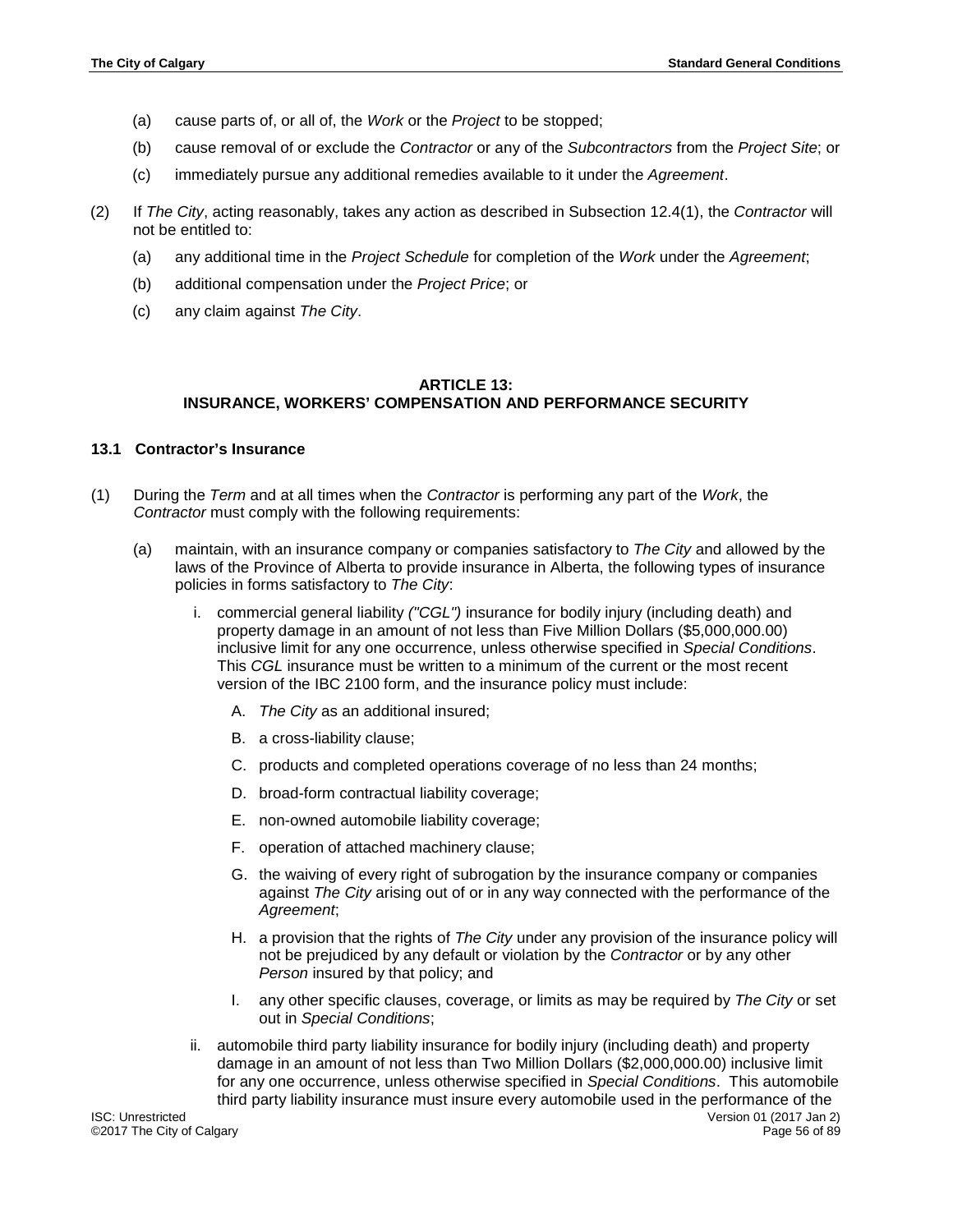- (a) cause parts of, or all of, the *Work* or the *Project* to be stopped;
- (b) cause removal of or exclude the *Contractor* or any of the *Subcontractors* from the *Project Site*; or
- (c) immediately pursue any additional remedies available to it under the *Agreement*.
- (2) If *The City*, acting reasonably, takes any action as described in Subsection 12.4(1), the *Contractor* will not be entitled to:
	- (a) any additional time in the *Project Schedule* for completion of the *Work* under the *Agreement*;
	- (b) additional compensation under the *Project Price*; or
	- (c) any claim against *The City*.

## **ARTICLE 13: INSURANCE, WORKERS' COMPENSATION AND PERFORMANCE SECURITY**

## **13.1 Contractor's Insurance**

- (1) During the *Term* and at all times when the *Contractor* is performing any part of the *Work*, the *Contractor* must comply with the following requirements:
	- (a) maintain, with an insurance company or companies satisfactory to *The City* and allowed by the laws of the Province of Alberta to provide insurance in Alberta, the following types of insurance policies in forms satisfactory to *The City*:
		- i. commercial general liability *("CGL")* insurance for bodily injury (including death) and property damage in an amount of not less than Five Million Dollars (\$5,000,000.00) inclusive limit for any one occurrence, unless otherwise specified in *Special Conditions*. This *CGL* insurance must be written to a minimum of the current or the most recent version of the IBC 2100 form, and the insurance policy must include:
			- A. *The City* as an additional insured;
			- B. a cross-liability clause;
			- C. products and completed operations coverage of no less than 24 months;
			- D. broad-form contractual liability coverage;
			- E. non-owned automobile liability coverage;
			- F. operation of attached machinery clause;
			- G. the waiving of every right of subrogation by the insurance company or companies against *The City* arising out of or in any way connected with the performance of the *Agreement*;
			- H. a provision that the rights of *The City* under any provision of the insurance policy will not be prejudiced by any default or violation by the *Contractor* or by any other *Person* insured by that policy; and
			- I. any other specific clauses, coverage, or limits as may be required by *The City* or set out in *Special Conditions*;
		- ii. automobile third party liability insurance for bodily injury (including death) and property damage in an amount of not less than Two Million Dollars (\$2,000,000.00) inclusive limit for any one occurrence, unless otherwise specified in *Special Conditions*. This automobile third party liability insurance must insure every automobile used in the performance of the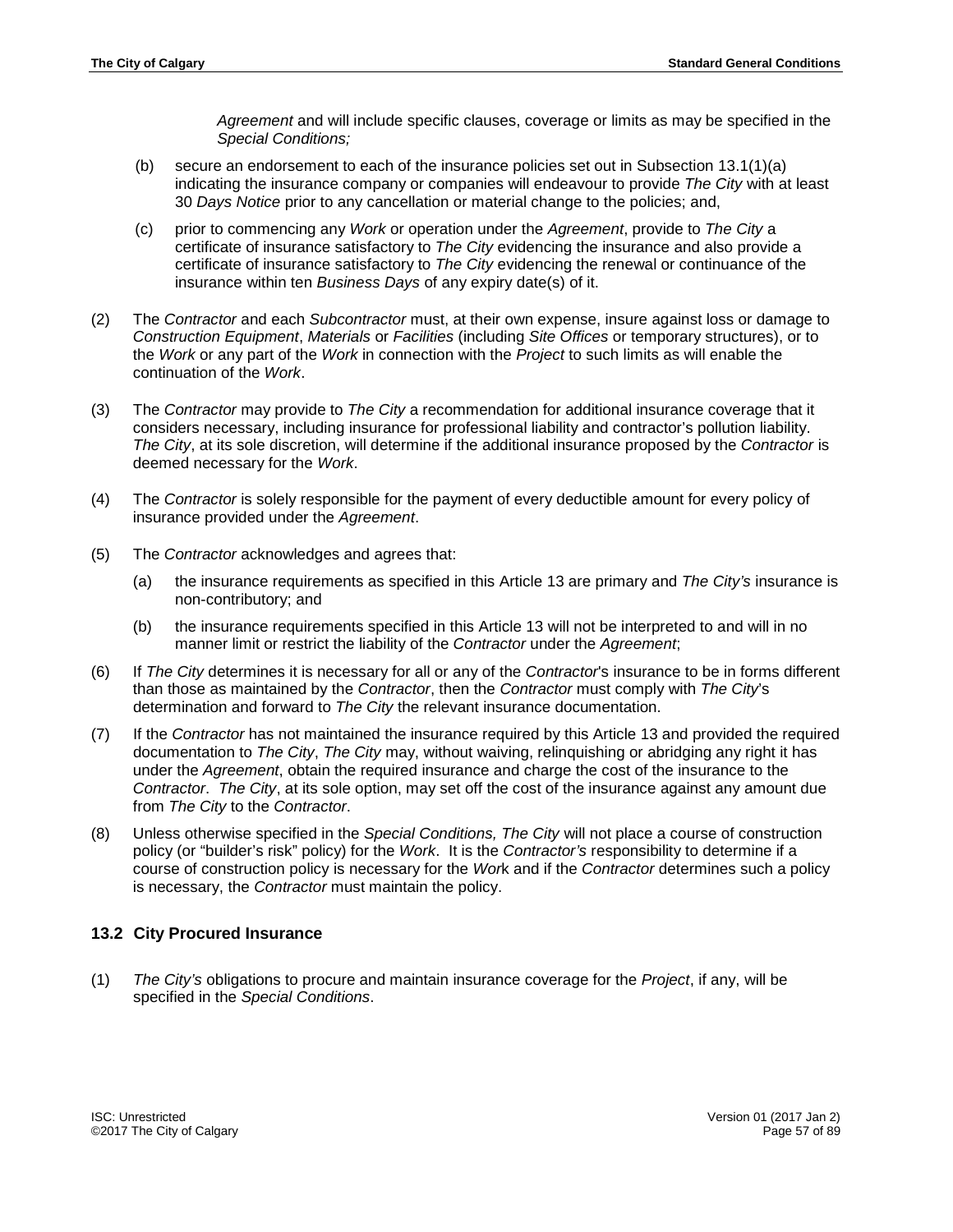*Agreement* and will include specific clauses, coverage or limits as may be specified in the *Special Conditions;*

- (b) secure an endorsement to each of the insurance policies set out in Subsection 13.1(1)(a) indicating the insurance company or companies will endeavour to provide *The City* with at least 30 *Days Notice* prior to any cancellation or material change to the policies; and,
- (c) prior to commencing any *Work* or operation under the *Agreement*, provide to *The City* a certificate of insurance satisfactory to *The City* evidencing the insurance and also provide a certificate of insurance satisfactory to *The City* evidencing the renewal or continuance of the insurance within ten *Business Days* of any expiry date(s) of it.
- (2) The *Contractor* and each *Subcontractor* must, at their own expense, insure against loss or damage to *Construction Equipment*, *Materials* or *Facilities* (including *Site Offices* or temporary structures), or to the *Work* or any part of the *Work* in connection with the *Project* to such limits as will enable the continuation of the *Work*.
- (3) The *Contractor* may provide to *The City* a recommendation for additional insurance coverage that it considers necessary, including insurance for professional liability and contractor's pollution liability. *The City*, at its sole discretion, will determine if the additional insurance proposed by the *Contractor* is deemed necessary for the *Work*.
- (4) The *Contractor* is solely responsible for the payment of every deductible amount for every policy of insurance provided under the *Agreement*.
- (5) The *Contractor* acknowledges and agrees that:
	- (a) the insurance requirements as specified in this Article 13 are primary and *The City's* insurance is non-contributory; and
	- (b) the insurance requirements specified in this Article 13 will not be interpreted to and will in no manner limit or restrict the liability of the *Contractor* under the *Agreement*;
- (6) If *The City* determines it is necessary for all or any of the *Contractor*'s insurance to be in forms different than those as maintained by the *Contractor*, then the *Contractor* must comply with *The City*'s determination and forward to *The City* the relevant insurance documentation.
- (7) If the *Contractor* has not maintained the insurance required by this Article 13 and provided the required documentation to *The City*, *The City* may, without waiving, relinquishing or abridging any right it has under the *Agreement*, obtain the required insurance and charge the cost of the insurance to the *Contractor*. *The City*, at its sole option, may set off the cost of the insurance against any amount due from *The City* to the *Contractor*.
- (8) Unless otherwise specified in the *Special Conditions, The City* will not place a course of construction policy (or "builder's risk" policy) for the *Work*. It is the *Contractor's* responsibility to determine if a course of construction policy is necessary for the *Wor*k and if the *Contractor* determines such a policy is necessary, the *Contractor* must maintain the policy.

# **13.2 City Procured Insurance**

(1) *The City's* obligations to procure and maintain insurance coverage for the *Project*, if any, will be specified in the *Special Conditions*.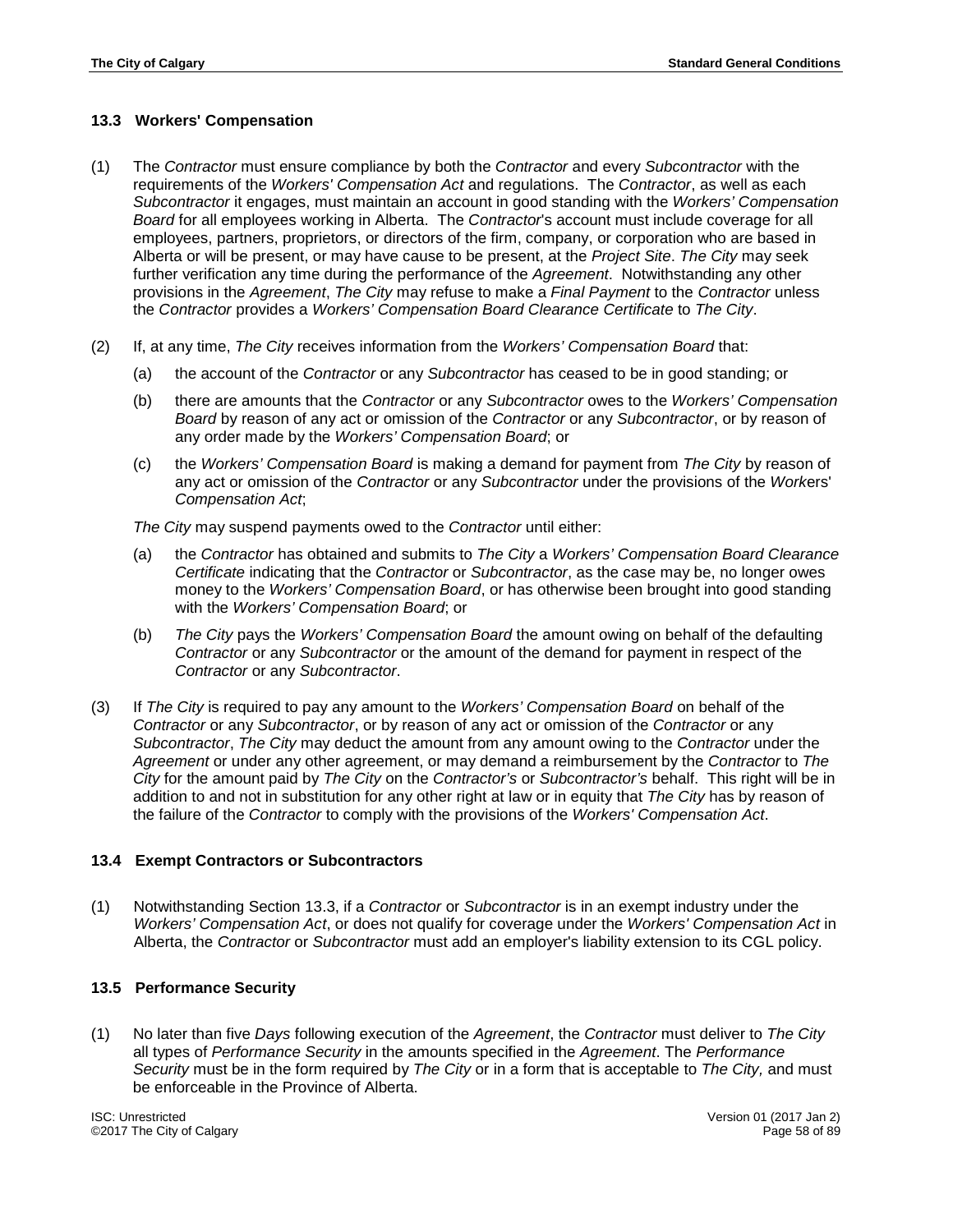# **13.3 Workers' Compensation**

- (1) The *Contractor* must ensure compliance by both the *Contractor* and every *Subcontractor* with the requirements of the *Workers' Compensation Act* and regulations. The *Contractor*, as well as each *Subcontractor* it engages, must maintain an account in good standing with the *Workers' Compensation Board* for all employees working in Alberta. The *Contractor*'s account must include coverage for all employees, partners, proprietors, or directors of the firm, company, or corporation who are based in Alberta or will be present, or may have cause to be present, at the *Project Site*. *The City* may seek further verification any time during the performance of the *Agreement*. Notwithstanding any other provisions in the *Agreement*, *The City* may refuse to make a *Final Payment* to the *Contractor* unless the *Contractor* provides a *Workers' Compensation Board Clearance Certificate* to *The City*.
- (2) If, at any time, *The City* receives information from the *Workers' Compensation Board* that:
	- (a) the account of the *Contractor* or any *Subcontractor* has ceased to be in good standing; or
	- (b) there are amounts that the *Contractor* or any *Subcontractor* owes to the *Workers' Compensation Board* by reason of any act or omission of the *Contractor* or any *Subcontractor*, or by reason of any order made by the *Workers' Compensation Board*; or
	- (c) the *Workers' Compensation Board* is making a demand for payment from *The City* by reason of any act or omission of the *Contractor* or any *Subcontractor* under the provisions of the *Work*ers' *Compensation Act*;

*The City* may suspend payments owed to the *Contractor* until either:

- (a) the *Contractor* has obtained and submits to *The City* a *Workers' Compensation Board Clearance Certificate* indicating that the *Contractor* or *Subcontractor*, as the case may be, no longer owes money to the *Workers' Compensation Board*, or has otherwise been brought into good standing with the *Workers' Compensation Board*; or
- (b) *The City* pays the *Workers' Compensation Board* the amount owing on behalf of the defaulting *Contractor* or any *Subcontractor* or the amount of the demand for payment in respect of the *Contractor* or any *Subcontractor*.
- (3) If *The City* is required to pay any amount to the *Workers' Compensation Board* on behalf of the *Contractor* or any *Subcontractor*, or by reason of any act or omission of the *Contractor* or any *Subcontractor*, *The City* may deduct the amount from any amount owing to the *Contractor* under the *Agreement* or under any other agreement, or may demand a reimbursement by the *Contractor* to *The City* for the amount paid by *The City* on the *Contractor's* or *Subcontractor's* behalf. This right will be in addition to and not in substitution for any other right at law or in equity that *The City* has by reason of the failure of the *Contractor* to comply with the provisions of the *Workers' Compensation Act*.

### **13.4 Exempt Contractors or Subcontractors**

(1) Notwithstanding Section 13.3, if a *Contractor* or *Subcontractor* is in an exempt industry under the *Workers' Compensation Act*, or does not qualify for coverage under the *Workers' Compensation Act* in Alberta, the *Contractor* or *Subcontractor* must add an employer's liability extension to its CGL policy.

### **13.5 Performance Security**

(1) No later than five *Days* following execution of the *Agreement*, the *Contractor* must deliver to *The City* all types of *Performance Security* in the amounts specified in the *Agreement*. The *Performance Security* must be in the form required by *The City* or in a form that is acceptable to *The City,* and must be enforceable in the Province of Alberta.

ISC: Unrestricted Version 01 (2017 Jan 2) ©2017 The City of Calgary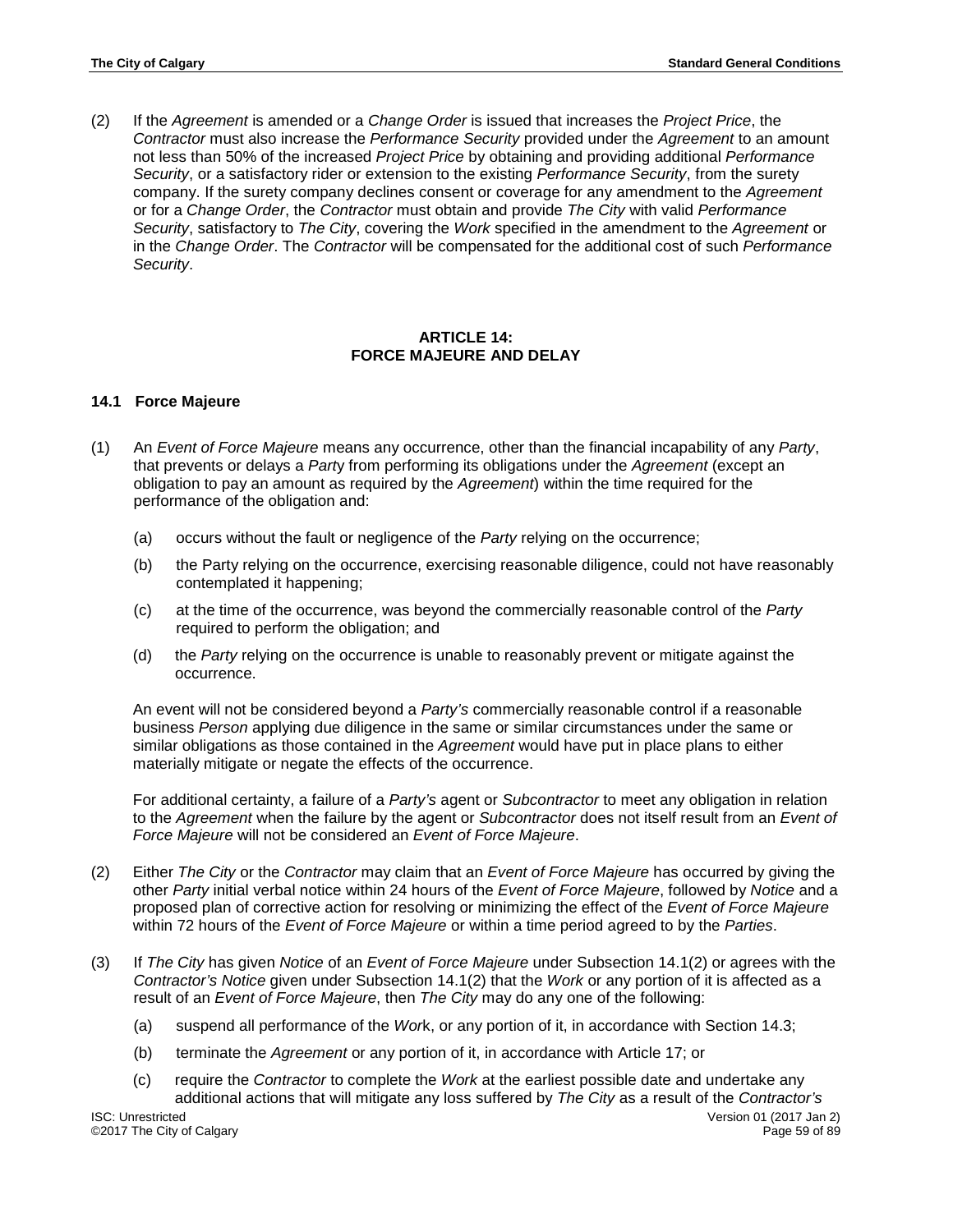(2) If the *Agreement* is amended or a *Change Order* is issued that increases the *Project Price*, the *Contractor* must also increase the *Performance Security* provided under the *Agreement* to an amount not less than 50% of the increased *Project Price* by obtaining and providing additional *Performance Security*, or a satisfactory rider or extension to the existing *Performance Security*, from the surety company. If the surety company declines consent or coverage for any amendment to the *Agreement* or for a *Change Order*, the *Contractor* must obtain and provide *The City* with valid *Performance Security*, satisfactory to *The City*, covering the *Work* specified in the amendment to the *Agreement* or in the *Change Order*. The *Contractor* will be compensated for the additional cost of such *Performance Security*.

### **ARTICLE 14: FORCE MAJEURE AND DELAY**

## **14.1 Force Majeure**

- (1) An *Event of Force Majeure* means any occurrence, other than the financial incapability of any *Party*, that prevents or delays a *Part*y from performing its obligations under the *Agreement* (except an obligation to pay an amount as required by the *Agreement*) within the time required for the performance of the obligation and:
	- (a) occurs without the fault or negligence of the *Party* relying on the occurrence;
	- (b) the Party relying on the occurrence, exercising reasonable diligence, could not have reasonably contemplated it happening;
	- (c) at the time of the occurrence, was beyond the commercially reasonable control of the *Party* required to perform the obligation; and
	- (d) the *Party* relying on the occurrence is unable to reasonably prevent or mitigate against the occurrence.

An event will not be considered beyond a *Party's* commercially reasonable control if a reasonable business *Person* applying due diligence in the same or similar circumstances under the same or similar obligations as those contained in the *Agreement* would have put in place plans to either materially mitigate or negate the effects of the occurrence.

For additional certainty, a failure of a *Party's* agent or *Subcontractor* to meet any obligation in relation to the *Agreement* when the failure by the agent or *Subcontractor* does not itself result from an *Event of Force Majeure* will not be considered an *Event of Force Majeure*.

- (2) Either *The City* or the *Contractor* may claim that an *Event of Force Majeure* has occurred by giving the other *Party* initial verbal notice within 24 hours of the *Event of Force Majeure*, followed by *Notice* and a proposed plan of corrective action for resolving or minimizing the effect of the *Event of Force Majeure* within 72 hours of the *Event of Force Majeure* or within a time period agreed to by the *Parties*.
- (3) If *The City* has given *Notice* of an *Event of Force Majeure* under Subsection 14.1(2) or agrees with the *Contractor's Notice* given under Subsection 14.1(2) that the *Work* or any portion of it is affected as a result of an *Event of Force Majeure*, then *The City* may do any one of the following:
	- (a) suspend all performance of the *Wor*k, or any portion of it, in accordance with Section 14.3;
	- (b) terminate the *Agreement* or any portion of it, in accordance with Article 17; or
	- (c) require the *Contractor* to complete the *Work* at the earliest possible date and undertake any additional actions that will mitigate any loss suffered by *The City* as a result of the *Contractor's*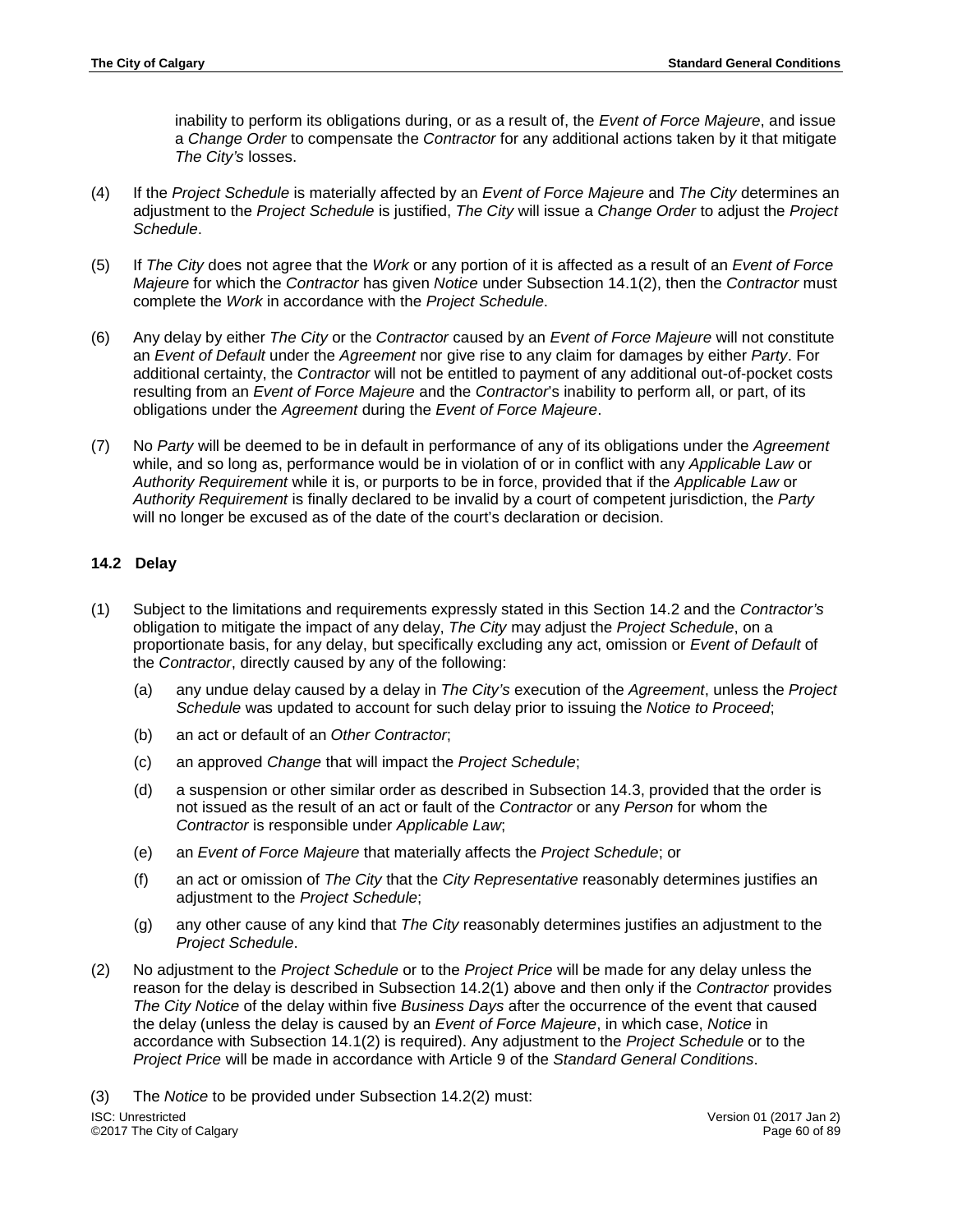inability to perform its obligations during, or as a result of, the *Event of Force Majeure*, and issue a *Change Order* to compensate the *Contractor* for any additional actions taken by it that mitigate *The City's* losses.

- (4) If the *Project Schedule* is materially affected by an *Event of Force Majeure* and *The City* determines an adjustment to the *Project Schedule* is justified, *The City* will issue a *Change Order* to adjust the *Project Schedule*.
- (5) If *The City* does not agree that the *Work* or any portion of it is affected as a result of an *Event of Force Majeure* for which the *Contractor* has given *Notice* under Subsection 14.1(2), then the *Contractor* must complete the *Work* in accordance with the *Project Schedule*.
- (6) Any delay by either *The City* or the *Contractor* caused by an *Event of Force Majeure* will not constitute an *Event of Default* under the *Agreement* nor give rise to any claim for damages by either *Party*. For additional certainty, the *Contractor* will not be entitled to payment of any additional out-of-pocket costs resulting from an *Event of Force Majeure* and the *Contractor*'s inability to perform all, or part, of its obligations under the *Agreement* during the *Event of Force Majeure*.
- (7) No *Party* will be deemed to be in default in performance of any of its obligations under the *Agreement* while, and so long as, performance would be in violation of or in conflict with any *Applicable Law* or *Authority Requirement* while it is, or purports to be in force, provided that if the *Applicable Law* or *Authority Requirement* is finally declared to be invalid by a court of competent jurisdiction, the *Party* will no longer be excused as of the date of the court's declaration or decision.

# **14.2 Delay**

- (1) Subject to the limitations and requirements expressly stated in this Section 14.2 and the *Contractor's* obligation to mitigate the impact of any delay, *The City* may adjust the *Project Schedule*, on a proportionate basis, for any delay, but specifically excluding any act, omission or *Event of Default* of the *Contractor*, directly caused by any of the following:
	- (a) any undue delay caused by a delay in *The City's* execution of the *Agreement*, unless the *Project Schedule* was updated to account for such delay prior to issuing the *Notice to Proceed*;
	- (b) an act or default of an *Other Contractor*;
	- (c) an approved *Change* that will impact the *Project Schedule*;
	- (d) a suspension or other similar order as described in Subsection 14.3, provided that the order is not issued as the result of an act or fault of the *Contractor* or any *Person* for whom the *Contractor* is responsible under *Applicable Law*;
	- (e) an *Event of Force Majeure* that materially affects the *Project Schedule*; or
	- (f) an act or omission of *The City* that the *City Representative* reasonably determines justifies an adjustment to the *Project Schedule*;
	- (g) any other cause of any kind that *The City* reasonably determines justifies an adjustment to the *Project Schedule*.
- (2) No adjustment to the *Project Schedule* or to the *Project Price* will be made for any delay unless the reason for the delay is described in Subsection 14.2(1) above and then only if the *Contractor* provides *The City Notice* of the delay within five *Business Days* after the occurrence of the event that caused the delay (unless the delay is caused by an *Event of Force Majeure*, in which case, *Notice* in accordance with Subsection 14.1(2) is required). Any adjustment to the *Project Schedule* or to the *Project Price* will be made in accordance with Article 9 of the *Standard General Conditions*.

(3) The *Notice* to be provided under Subsection 14.2(2) must: ISC: Unrestricted Version 01 (2017 Jan 2)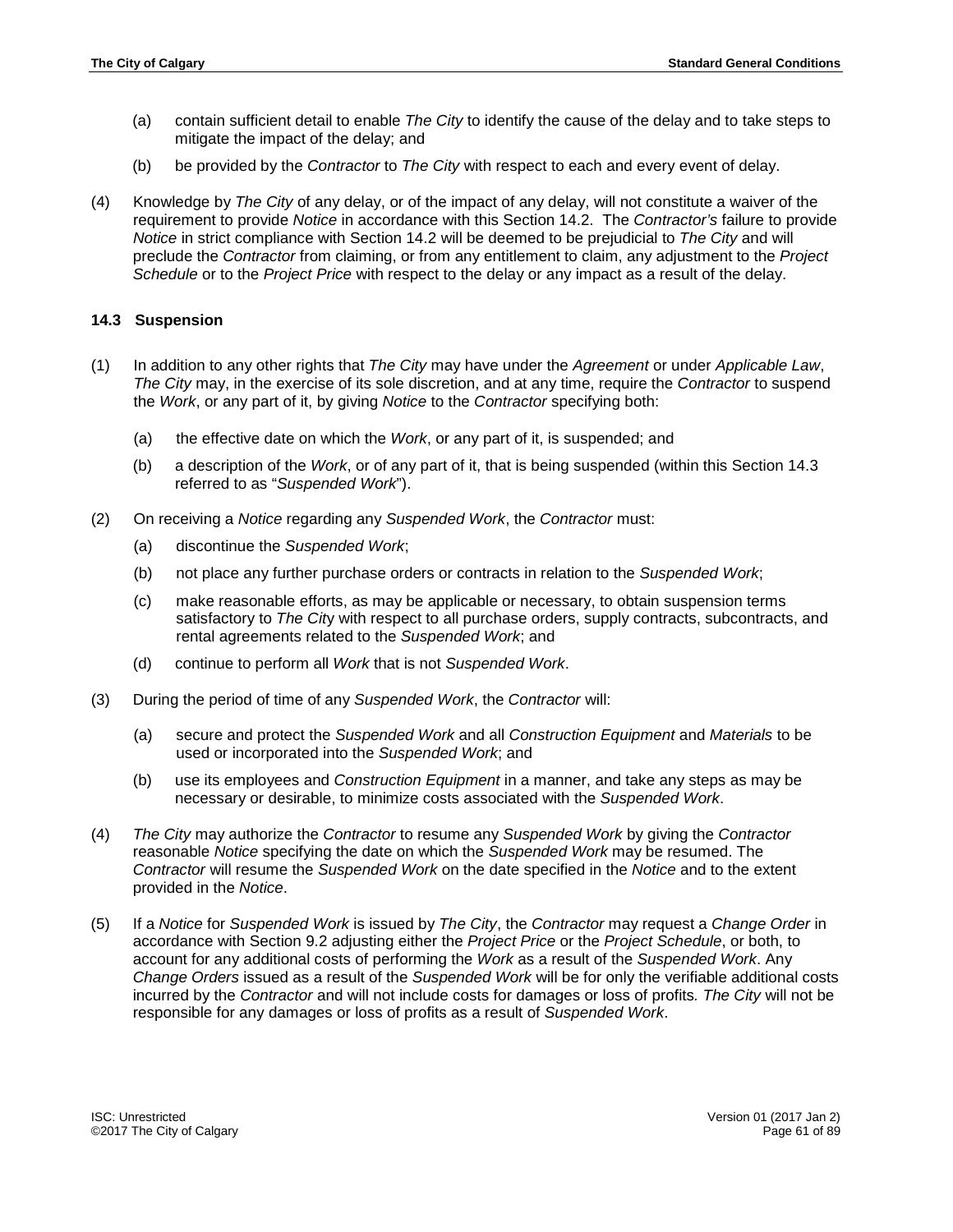- (a) contain sufficient detail to enable *The City* to identify the cause of the delay and to take steps to mitigate the impact of the delay; and
- (b) be provided by the *Contractor* to *The City* with respect to each and every event of delay.
- (4) Knowledge by *The City* of any delay, or of the impact of any delay, will not constitute a waiver of the requirement to provide *Notice* in accordance with this Section 14.2. The *Contractor's* failure to provide *Notice* in strict compliance with Section 14.2 will be deemed to be prejudicial to *The City* and will preclude the *Contractor* from claiming, or from any entitlement to claim, any adjustment to the *Project Schedule* or to the *Project Price* with respect to the delay or any impact as a result of the delay.

## **14.3 Suspension**

- (1) In addition to any other rights that *The City* may have under the *Agreement* or under *Applicable Law*, *The City* may, in the exercise of its sole discretion, and at any time, require the *Contractor* to suspend the *Work*, or any part of it, by giving *Notice* to the *Contractor* specifying both:
	- (a) the effective date on which the *Work*, or any part of it, is suspended; and
	- (b) a description of the *Work*, or of any part of it, that is being suspended (within this Section 14.3 referred to as "*Suspended Work*").
- (2) On receiving a *Notice* regarding any *Suspended Work*, the *Contractor* must:
	- (a) discontinue the *Suspended Work*;
	- (b) not place any further purchase orders or contracts in relation to the *Suspended Work*;
	- (c) make reasonable efforts, as may be applicable or necessary, to obtain suspension terms satisfactory to *The Cit*y with respect to all purchase orders, supply contracts, subcontracts, and rental agreements related to the *Suspended Work*; and
	- (d) continue to perform all *Work* that is not *Suspended Work*.
- (3) During the period of time of any *Suspended Work*, the *Contractor* will:
	- (a) secure and protect the *Suspended Work* and all *Construction Equipment* and *Materials* to be used or incorporated into the *Suspended Work*; and
	- (b) use its employees and *Construction Equipment* in a manner, and take any steps as may be necessary or desirable, to minimize costs associated with the *Suspended Work*.
- (4) *The City* may authorize the *Contractor* to resume any *Suspended Work* by giving the *Contractor*  reasonable *Notice* specifying the date on which the *Suspended Work* may be resumed. The *Contractor* will resume the *Suspended Work* on the date specified in the *Notice* and to the extent provided in the *Notice*.
- (5) If a *Notice* for *Suspended Work* is issued by *The City*, the *Contractor* may request a *Change Order* in accordance with Section 9.2 adjusting either the *Project Price* or the *Project Schedule*, or both, to account for any additional costs of performing the *Work* as a result of the *Suspended Work*. Any *Change Orders* issued as a result of the *Suspended Work* will be for only the verifiable additional costs incurred by the *Contractor* and will not include costs for damages or loss of profits*. The City* will not be responsible for any damages or loss of profits as a result of *Suspended Work*.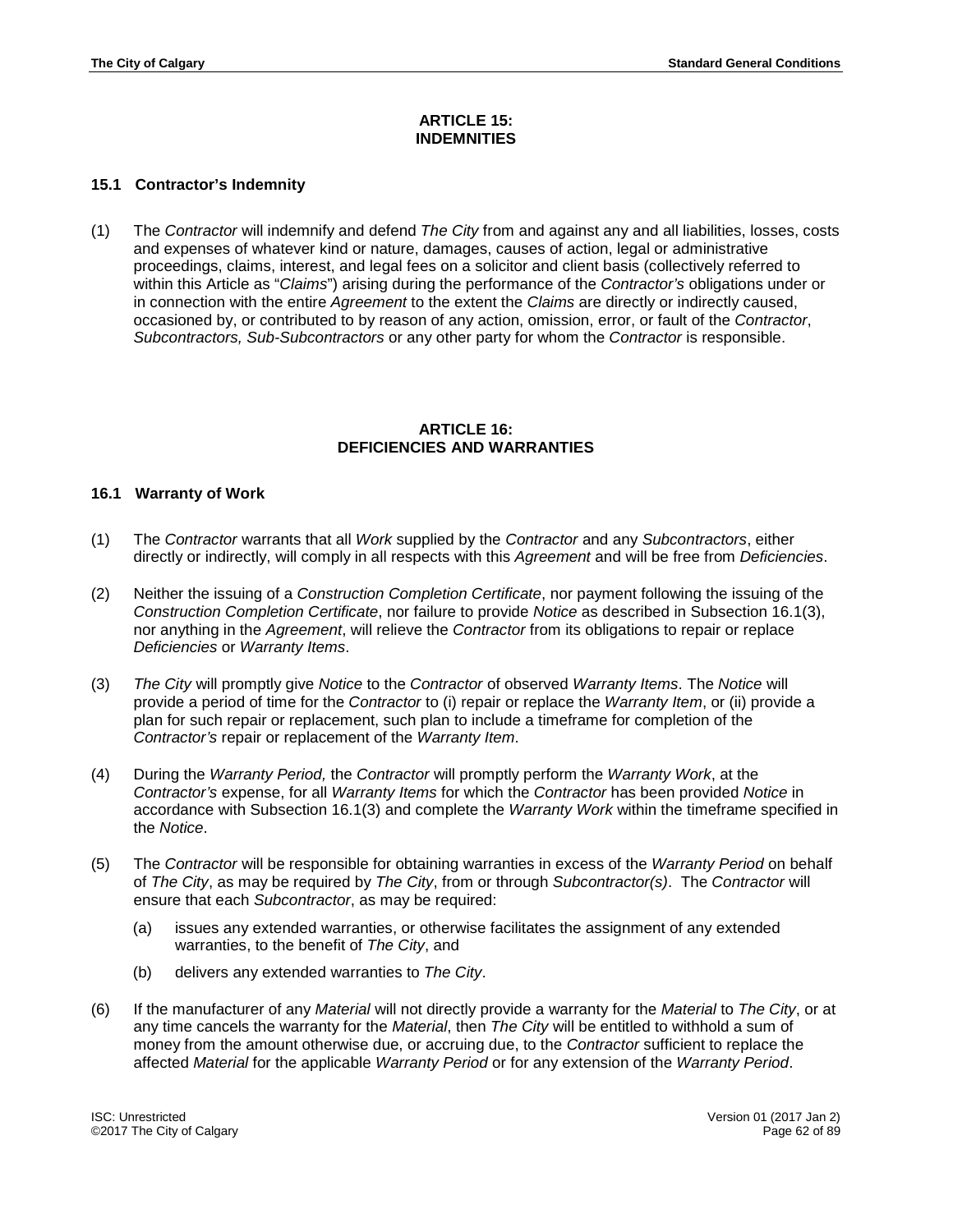## **ARTICLE 15: INDEMNITIES**

# **15.1 Contractor's Indemnity**

(1) The *Contractor* will indemnify and defend *The City* from and against any and all liabilities, losses, costs and expenses of whatever kind or nature, damages, causes of action, legal or administrative proceedings, claims, interest, and legal fees on a solicitor and client basis (collectively referred to within this Article as "*Claims*") arising during the performance of the *Contractor's* obligations under or in connection with the entire *Agreement* to the extent the *Claims* are directly or indirectly caused, occasioned by, or contributed to by reason of any action, omission, error, or fault of the *Contractor*, *Subcontractors, Sub-Subcontractors* or any other party for whom the *Contractor* is responsible.

#### **ARTICLE 16: DEFICIENCIES AND WARRANTIES**

## **16.1 Warranty of Work**

- (1) The *Contractor* warrants that all *Work* supplied by the *Contractor* and any *Subcontractors*, either directly or indirectly, will comply in all respects with this *Agreement* and will be free from *Deficiencies*.
- (2) Neither the issuing of a *Construction Completion Certificate*, nor payment following the issuing of the *Construction Completion Certificate*, nor failure to provide *Notice* as described in Subsection 16.1(3), nor anything in the *Agreement*, will relieve the *Contractor* from its obligations to repair or replace *Deficiencies* or *Warranty Items*.
- (3) *The City* will promptly give *Notice* to the *Contractor* of observed *Warranty Items*. The *Notice* will provide a period of time for the *Contractor* to (i) repair or replace the *Warranty Item*, or (ii) provide a plan for such repair or replacement, such plan to include a timeframe for completion of the *Contractor's* repair or replacement of the *Warranty Item*.
- (4) During the *Warranty Period,* the *Contractor* will promptly perform the *Warranty Work*, at the *Contractor's* expense, for all *Warranty Items* for which the *Contractor* has been provided *Notice* in accordance with Subsection 16.1(3) and complete the *Warranty Work* within the timeframe specified in the *Notice*.
- (5) The *Contractor* will be responsible for obtaining warranties in excess of the *Warranty Period* on behalf of *The City*, as may be required by *The City*, from or through *Subcontractor(s)*. The *Contractor* will ensure that each *Subcontractor*, as may be required:
	- (a) issues any extended warranties, or otherwise facilitates the assignment of any extended warranties, to the benefit of *The City*, and
	- (b) delivers any extended warranties to *The City*.
- (6) If the manufacturer of any *Material* will not directly provide a warranty for the *Material* to *The City*, or at any time cancels the warranty for the *Material*, then *The City* will be entitled to withhold a sum of money from the amount otherwise due, or accruing due, to the *Contractor* sufficient to replace the affected *Material* for the applicable *Warranty Period* or for any extension of the *Warranty Period*.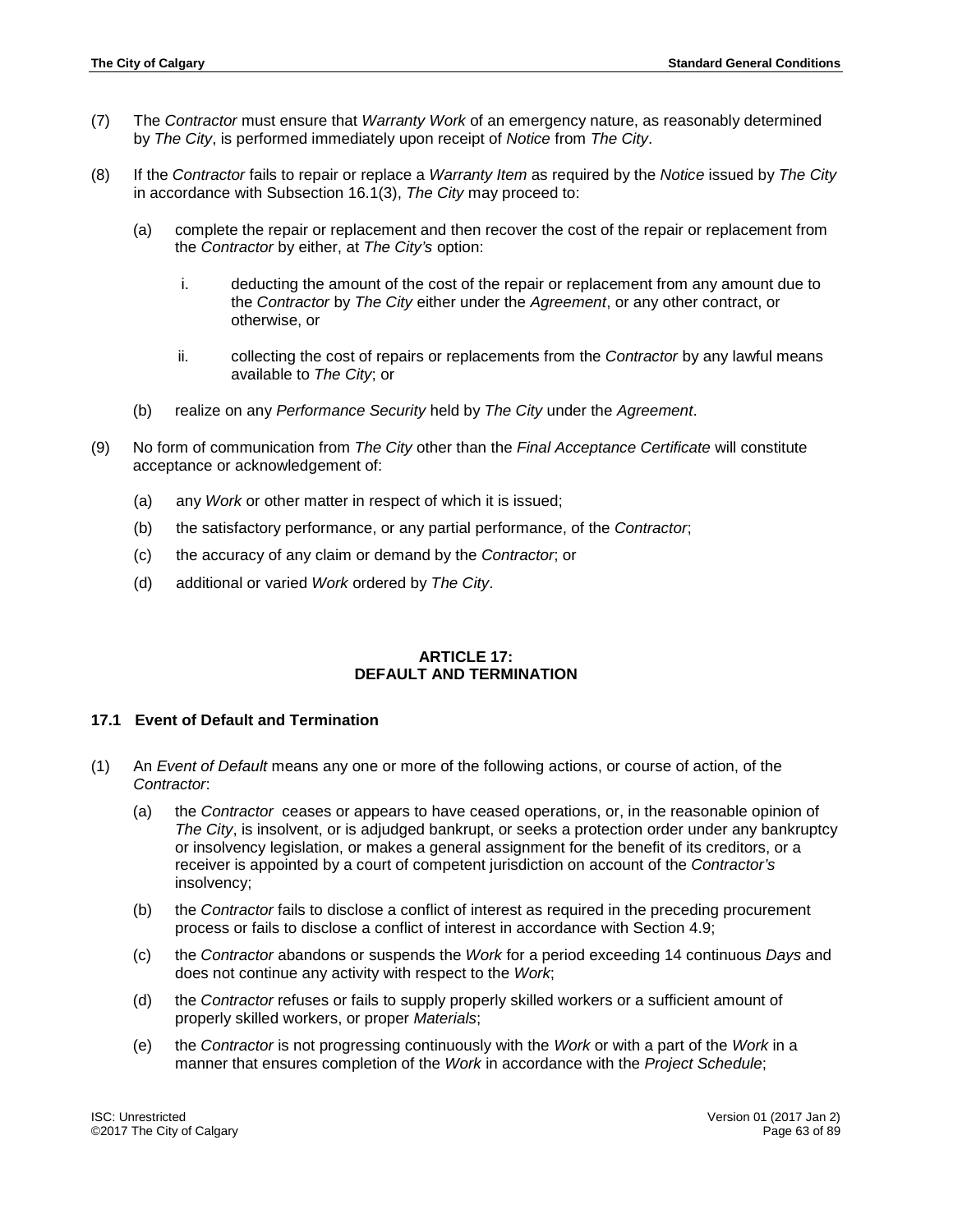- (7) The *Contractor* must ensure that *Warranty Work* of an emergency nature, as reasonably determined by *The City*, is performed immediately upon receipt of *Notice* from *The City*.
- (8) If the *Contractor* fails to repair or replace a *Warranty Item* as required by the *Notice* issued by *The City* in accordance with Subsection 16.1(3), *The City* may proceed to:
	- (a) complete the repair or replacement and then recover the cost of the repair or replacement from the *Contractor* by either, at *The City's* option:
		- i. deducting the amount of the cost of the repair or replacement from any amount due to the *Contractor* by *The City* either under the *Agreement*, or any other contract, or otherwise, or
		- ii. collecting the cost of repairs or replacements from the *Contractor* by any lawful means available to *The City*; or
	- (b) realize on any *Performance Security* held by *The City* under the *Agreement*.
- (9) No form of communication from *The City* other than the *Final Acceptance Certificate* will constitute acceptance or acknowledgement of:
	- (a) any *Work* or other matter in respect of which it is issued;
	- (b) the satisfactory performance, or any partial performance, of the *Contractor*;
	- (c) the accuracy of any claim or demand by the *Contractor*; or
	- (d) additional or varied *Work* ordered by *The City*.

### **ARTICLE 17: DEFAULT AND TERMINATION**

### **17.1 Event of Default and Termination**

- (1) An *Event of Default* means any one or more of the following actions, or course of action, of the *Contractor*:
	- (a) the *Contractor* ceases or appears to have ceased operations, or, in the reasonable opinion of *The City*, is insolvent, or is adjudged bankrupt, or seeks a protection order under any bankruptcy or insolvency legislation, or makes a general assignment for the benefit of its creditors, or a receiver is appointed by a court of competent jurisdiction on account of the *Contractor's* insolvency;
	- (b) the *Contractor* fails to disclose a conflict of interest as required in the preceding procurement process or fails to disclose a conflict of interest in accordance with Section 4.9;
	- (c) the *Contractor* abandons or suspends the *Work* for a period exceeding 14 continuous *Days* and does not continue any activity with respect to the *Work*;
	- (d) the *Contractor* refuses or fails to supply properly skilled workers or a sufficient amount of properly skilled workers, or proper *Materials*;
	- (e) the *Contractor* is not progressing continuously with the *Work* or with a part of the *Work* in a manner that ensures completion of the *Work* in accordance with the *Project Schedule*;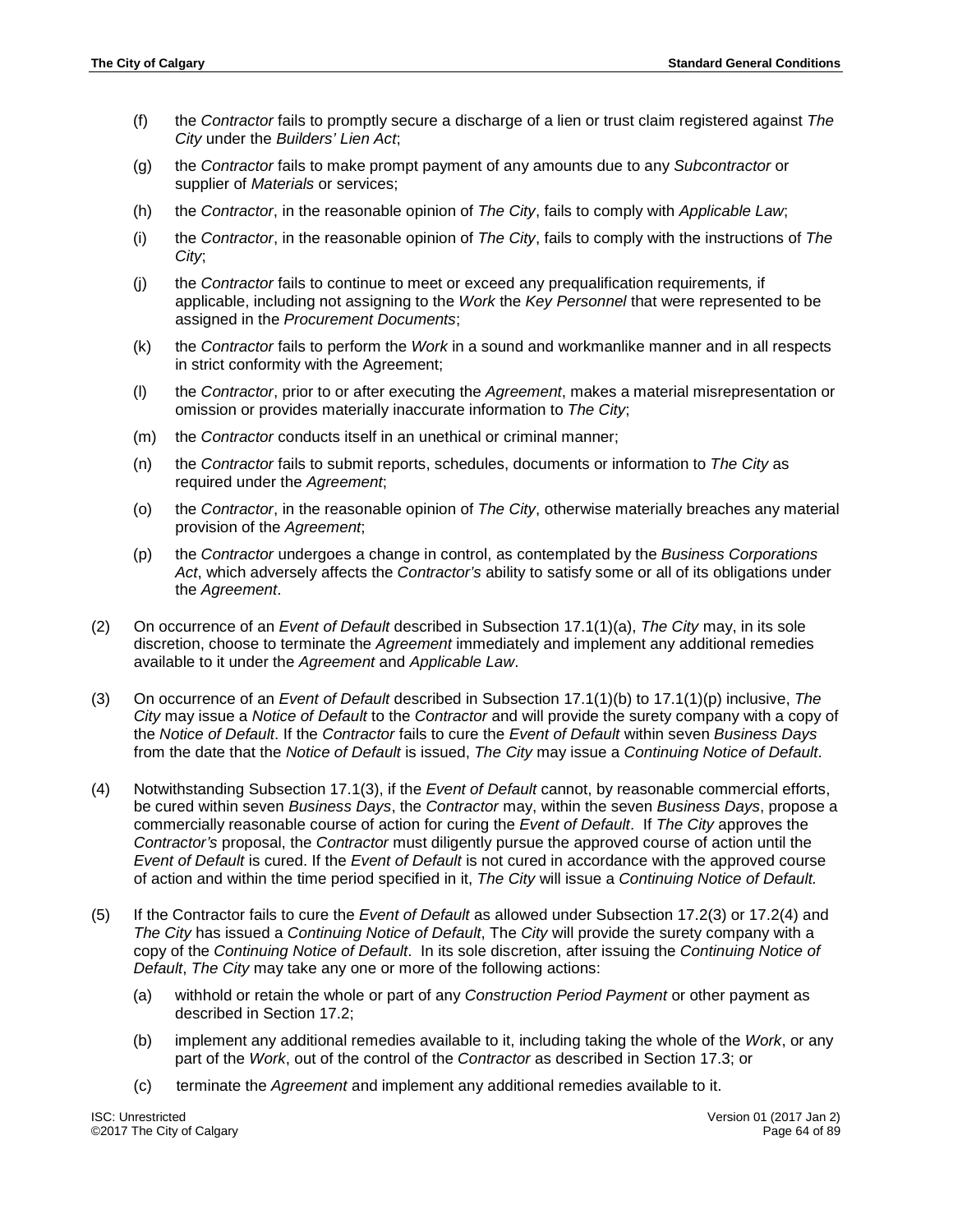- (f) the *Contractor* fails to promptly secure a discharge of a lien or trust claim registered against *The City* under the *Builders' Lien Act*;
- (g) the *Contractor* fails to make prompt payment of any amounts due to any *Subcontractor* or supplier of *Materials* or services;
- (h) the *Contractor*, in the reasonable opinion of *The City*, fails to comply with *Applicable Law*;
- (i) the *Contractor*, in the reasonable opinion of *The City*, fails to comply with the instructions of *The City*;
- (j) the *Contractor* fails to continue to meet or exceed any prequalification requirements*,* if applicable, including not assigning to the *Work* the *Key Personnel* that were represented to be assigned in the *Procurement Documents*;
- (k) the *Contractor* fails to perform the *Work* in a sound and workmanlike manner and in all respects in strict conformity with the Agreement;
- (l) the *Contractor*, prior to or after executing the *Agreement*, makes a material misrepresentation or omission or provides materially inaccurate information to *The City*;
- (m) the *Contractor* conducts itself in an unethical or criminal manner;
- (n) the *Contractor* fails to submit reports, schedules, documents or information to *The City* as required under the *Agreement*;
- (o) the *Contractor*, in the reasonable opinion of *The City*, otherwise materially breaches any material provision of the *Agreement*;
- (p) the *Contractor* undergoes a change in control, as contemplated by the *Business Corporations Act*, which adversely affects the *Contractor's* ability to satisfy some or all of its obligations under the *Agreement*.
- (2) On occurrence of an *Event of Default* described in Subsection 17.1(1)(a), *The City* may, in its sole discretion, choose to terminate the *Agreement* immediately and implement any additional remedies available to it under the *Agreement* and *Applicable Law*.
- (3) On occurrence of an *Event of Default* described in Subsection 17.1(1)(b) to 17.1(1)(p) inclusive, *The City* may issue a *Notice of Default* to the *Contractor* and will provide the surety company with a copy of the *Notice of Default*. If the *Contractor* fails to cure the *Event of Default* within seven *Business Days* from the date that the *Notice of Default* is issued, *The City* may issue a *Continuing Notice of Default*.
- (4) Notwithstanding Subsection 17.1(3), if the *Event of Default* cannot, by reasonable commercial efforts, be cured within seven *Business Days*, the *Contractor* may, within the seven *Business Days*, propose a commercially reasonable course of action for curing the *Event of Default*. If *The City* approves the *Contractor's* proposal, the *Contractor* must diligently pursue the approved course of action until the *Event of Default* is cured. If the *Event of Default* is not cured in accordance with the approved course of action and within the time period specified in it, *The City* will issue a *Continuing Notice of Default.*
- (5) If the Contractor fails to cure the *Event of Default* as allowed under Subsection 17.2(3) or 17.2(4) and *The City* has issued a *Continuing Notice of Default*, The *City* will provide the surety company with a copy of the *Continuing Notice of Default*. In its sole discretion, after issuing the *Continuing Notice of Default*, *The City* may take any one or more of the following actions:
	- (a) withhold or retain the whole or part of any *Construction Period Payment* or other payment as described in Section 17.2;
	- (b) implement any additional remedies available to it, including taking the whole of the *Work*, or any part of the *Work*, out of the control of the *Contractor* as described in Section 17.3; or
	- (c) terminate the *Agreement* and implement any additional remedies available to it.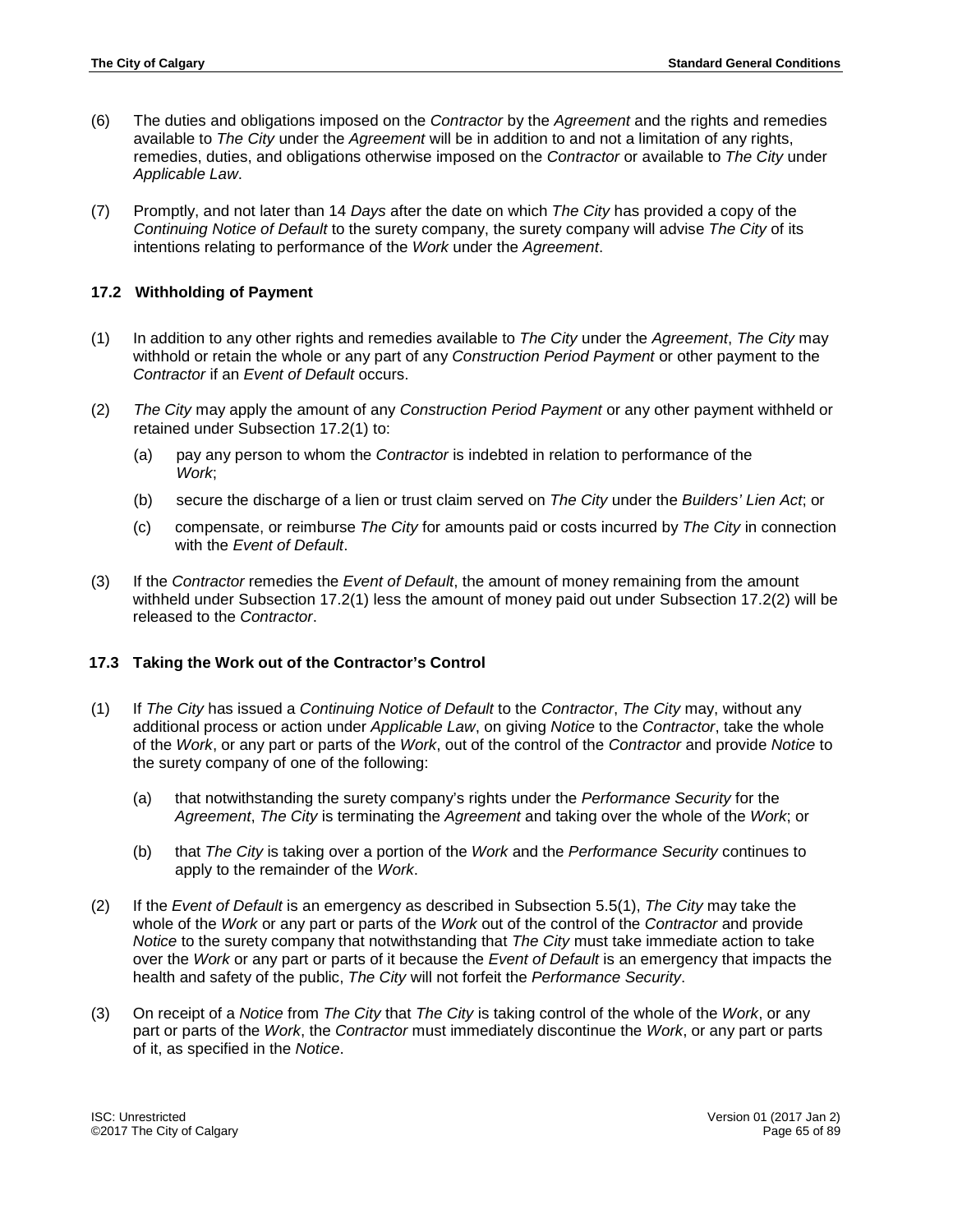- (6) The duties and obligations imposed on the *Contractor* by the *Agreement* and the rights and remedies available to *The City* under the *Agreement* will be in addition to and not a limitation of any rights, remedies, duties, and obligations otherwise imposed on the *Contractor* or available to *The City* under *Applicable Law*.
- (7) Promptly, and not later than 14 *Days* after the date on which *The City* has provided a copy of the *Continuing Notice of Default* to the surety company, the surety company will advise *The City* of its intentions relating to performance of the *Work* under the *Agreement*.

## **17.2 Withholding of Payment**

- (1) In addition to any other rights and remedies available to *The City* under the *Agreement*, *The City* may withhold or retain the whole or any part of any *Construction Period Payment* or other payment to the *Contractor* if an *Event of Default* occurs.
- (2) *The City* may apply the amount of any *Construction Period Payment* or any other payment withheld or retained under Subsection 17.2(1) to:
	- (a) pay any person to whom the *Contractor* is indebted in relation to performance of the *Work*;
	- (b) secure the discharge of a lien or trust claim served on *The City* under the *Builders' Lien Act*; or
	- (c) compensate, or reimburse *The City* for amounts paid or costs incurred by *The City* in connection with the *Event of Default*.
- (3) If the *Contractor* remedies the *Event of Default*, the amount of money remaining from the amount withheld under Subsection 17.2(1) less the amount of money paid out under Subsection 17.2(2) will be released to the *Contractor*.

## **17.3 Taking the Work out of the Contractor's Control**

- (1) If *The City* has issued a *Continuing Notice of Default* to the *Contractor*, *The City* may, without any additional process or action under *Applicable Law*, on giving *Notice* to the *Contractor*, take the whole of the *Work*, or any part or parts of the *Work*, out of the control of the *Contractor* and provide *Notice* to the surety company of one of the following:
	- (a) that notwithstanding the surety company's rights under the *Performance Security* for the *Agreement*, *The City* is terminating the *Agreement* and taking over the whole of the *Work*; or
	- (b) that *The City* is taking over a portion of the *Work* and the *Performance Security* continues to apply to the remainder of the *Work*.
- (2) If the *Event of Default* is an emergency as described in Subsection 5.5(1), *The City* may take the whole of the *Work* or any part or parts of the *Work* out of the control of the *Contractor* and provide *Notice* to the surety company that notwithstanding that *The City* must take immediate action to take over the *Work* or any part or parts of it because the *Event of Default* is an emergency that impacts the health and safety of the public, *The City* will not forfeit the *Performance Security*.
- (3) On receipt of a *Notice* from *The City* that *The City* is taking control of the whole of the *Work*, or any part or parts of the *Work*, the *Contractor* must immediately discontinue the *Work*, or any part or parts of it, as specified in the *Notice*.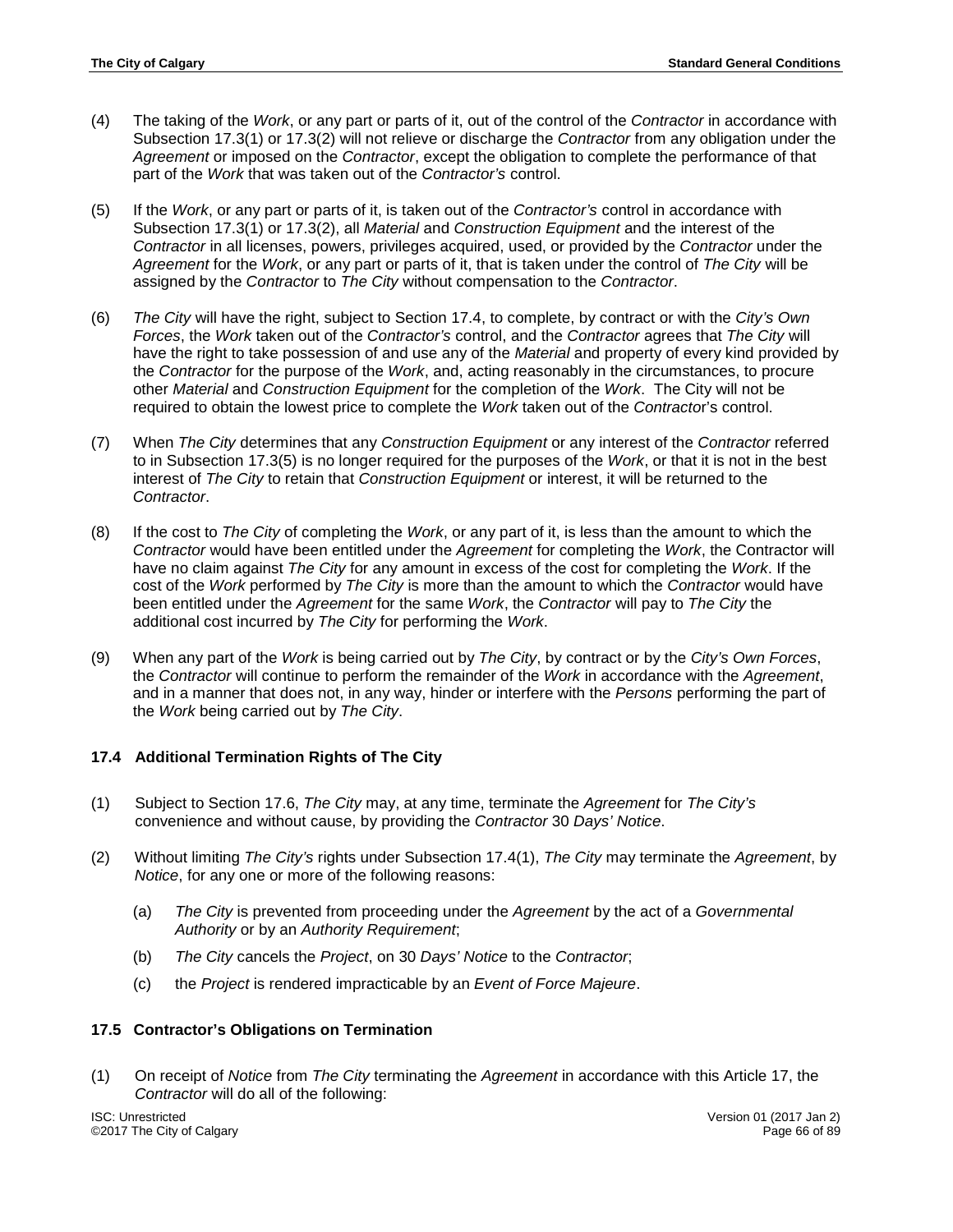- (4) The taking of the *Work*, or any part or parts of it, out of the control of the *Contractor* in accordance with Subsection 17.3(1) or 17.3(2) will not relieve or discharge the *Contractor* from any obligation under the *Agreement* or imposed on the *Contractor*, except the obligation to complete the performance of that part of the *Work* that was taken out of the *Contractor's* control.
- (5) If the *Work*, or any part or parts of it, is taken out of the *Contractor's* control in accordance with Subsection 17.3(1) or 17.3(2), all *Material* and *Construction Equipment* and the interest of the *Contractor* in all licenses, powers, privileges acquired, used, or provided by the *Contractor* under the *Agreement* for the *Work*, or any part or parts of it, that is taken under the control of *The City* will be assigned by the *Contractor* to *The City* without compensation to the *Contractor*.
- (6) *The City* will have the right, subject to Section 17.4, to complete, by contract or with the *City's Own Forces*, the *Work* taken out of the *Contractor's* control, and the *Contractor* agrees that *The City* will have the right to take possession of and use any of the *Material* and property of every kind provided by the *Contractor* for the purpose of the *Work*, and, acting reasonably in the circumstances, to procure other *Material* and *Construction Equipment* for the completion of the *Work*. The City will not be required to obtain the lowest price to complete the *Work* taken out of the *Contracto*r's control.
- (7) When *The City* determines that any *Construction Equipment* or any interest of the *Contractor* referred to in Subsection 17.3(5) is no longer required for the purposes of the *Work*, or that it is not in the best interest of *The City* to retain that *Construction Equipment* or interest, it will be returned to the *Contractor*.
- (8) If the cost to *The City* of completing the *Work*, or any part of it, is less than the amount to which the *Contractor* would have been entitled under the *Agreement* for completing the *Work*, the Contractor will have no claim against *The City* for any amount in excess of the cost for completing the *Work*. If the cost of the *Work* performed by *The City* is more than the amount to which the *Contractor* would have been entitled under the *Agreement* for the same *Work*, the *Contractor* will pay to *The City* the additional cost incurred by *The City* for performing the *Work*.
- (9) When any part of the *Work* is being carried out by *The City*, by contract or by the *City's Own Forces*, the *Contractor* will continue to perform the remainder of the *Work* in accordance with the *Agreement*, and in a manner that does not, in any way, hinder or interfere with the *Persons* performing the part of the *Work* being carried out by *The City*.

# **17.4 Additional Termination Rights of The City**

- (1) Subject to Section 17.6, *The City* may, at any time, terminate the *Agreement* for *The City's* convenience and without cause, by providing the *Contractor* 30 *Days' Notice*.
- (2) Without limiting *The City's* rights under Subsection 17.4(1), *The City* may terminate the *Agreement*, by *Notice*, for any one or more of the following reasons:
	- (a) *The City* is prevented from proceeding under the *Agreement* by the act of a *Governmental Authority* or by an *Authority Requirement*;
	- (b) *The City* cancels the *Project*, on 30 *Days' Notice* to the *Contractor*;
	- (c) the *Project* is rendered impracticable by an *Event of Force Majeure*.

### **17.5 Contractor's Obligations on Termination**

(1) On receipt of *Notice* from *The City* terminating the *Agreement* in accordance with this Article 17, the *Contractor* will do all of the following: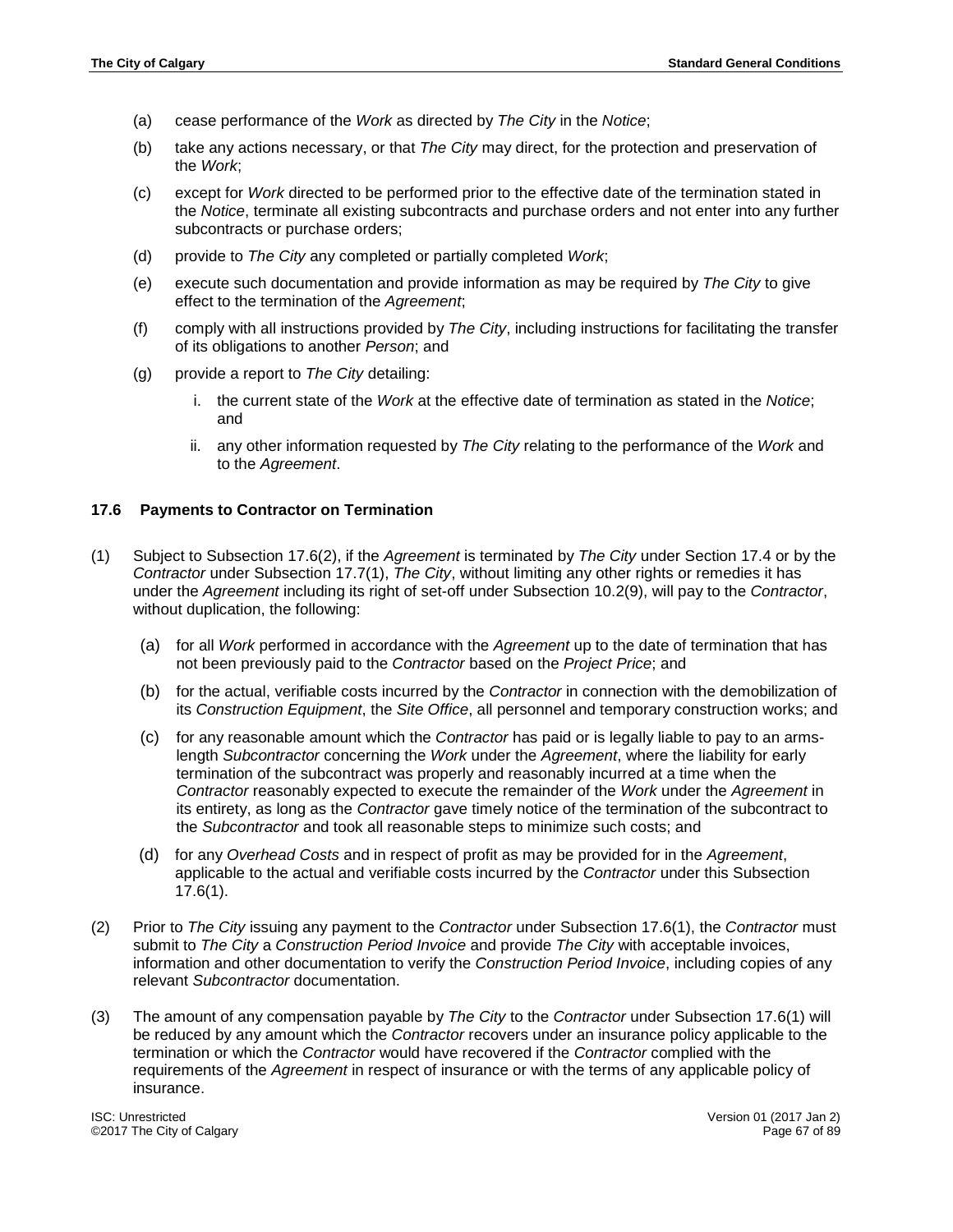- (a) cease performance of the *Work* as directed by *The City* in the *Notice*;
- (b) take any actions necessary, or that *The City* may direct, for the protection and preservation of the *Work*;
- (c) except for *Work* directed to be performed prior to the effective date of the termination stated in the *Notice*, terminate all existing subcontracts and purchase orders and not enter into any further subcontracts or purchase orders;
- (d) provide to *The City* any completed or partially completed *Work*;
- (e) execute such documentation and provide information as may be required by *The City* to give effect to the termination of the *Agreement*;
- (f) comply with all instructions provided by *The City*, including instructions for facilitating the transfer of its obligations to another *Person*; and
- (g) provide a report to *The City* detailing:
	- i. the current state of the *Work* at the effective date of termination as stated in the *Notice*; and
	- ii. any other information requested by *The City* relating to the performance of the *Work* and to the *Agreement*.

### **17.6 Payments to Contractor on Termination**

- (1) Subject to Subsection 17.6(2), if the *Agreement* is terminated by *The City* under Section 17.4 or by the *Contractor* under Subsection 17.7(1), *The City*, without limiting any other rights or remedies it has under the *Agreement* including its right of set-off under Subsection 10.2(9), will pay to the *Contractor*, without duplication, the following:
	- (a) for all *Work* performed in accordance with the *Agreement* up to the date of termination that has not been previously paid to the *Contractor* based on the *Project Price*; and
	- (b) for the actual, verifiable costs incurred by the *Contractor* in connection with the demobilization of its *Construction Equipment*, the *Site Office*, all personnel and temporary construction works; and
	- (c) for any reasonable amount which the *Contractor* has paid or is legally liable to pay to an armslength *Subcontractor* concerning the *Work* under the *Agreement*, where the liability for early termination of the subcontract was properly and reasonably incurred at a time when the *Contractor* reasonably expected to execute the remainder of the *Work* under the *Agreement* in its entirety, as long as the *Contractor* gave timely notice of the termination of the subcontract to the *Subcontractor* and took all reasonable steps to minimize such costs; and
	- (d) for any *Overhead Costs* and in respect of profit as may be provided for in the *Agreement*, applicable to the actual and verifiable costs incurred by the *Contractor* under this Subsection 17.6(1).
- (2) Prior to *The City* issuing any payment to the *Contractor* under Subsection 17.6(1), the *Contractor* must submit to *The City* a *Construction Period Invoice* and provide *The City* with acceptable invoices, information and other documentation to verify the *Construction Period Invoice*, including copies of any relevant *Subcontractor* documentation.
- (3) The amount of any compensation payable by *The City* to the *Contractor* under Subsection 17.6(1) will be reduced by any amount which the *Contractor* recovers under an insurance policy applicable to the termination or which the *Contractor* would have recovered if the *Contractor* complied with the requirements of the *Agreement* in respect of insurance or with the terms of any applicable policy of insurance.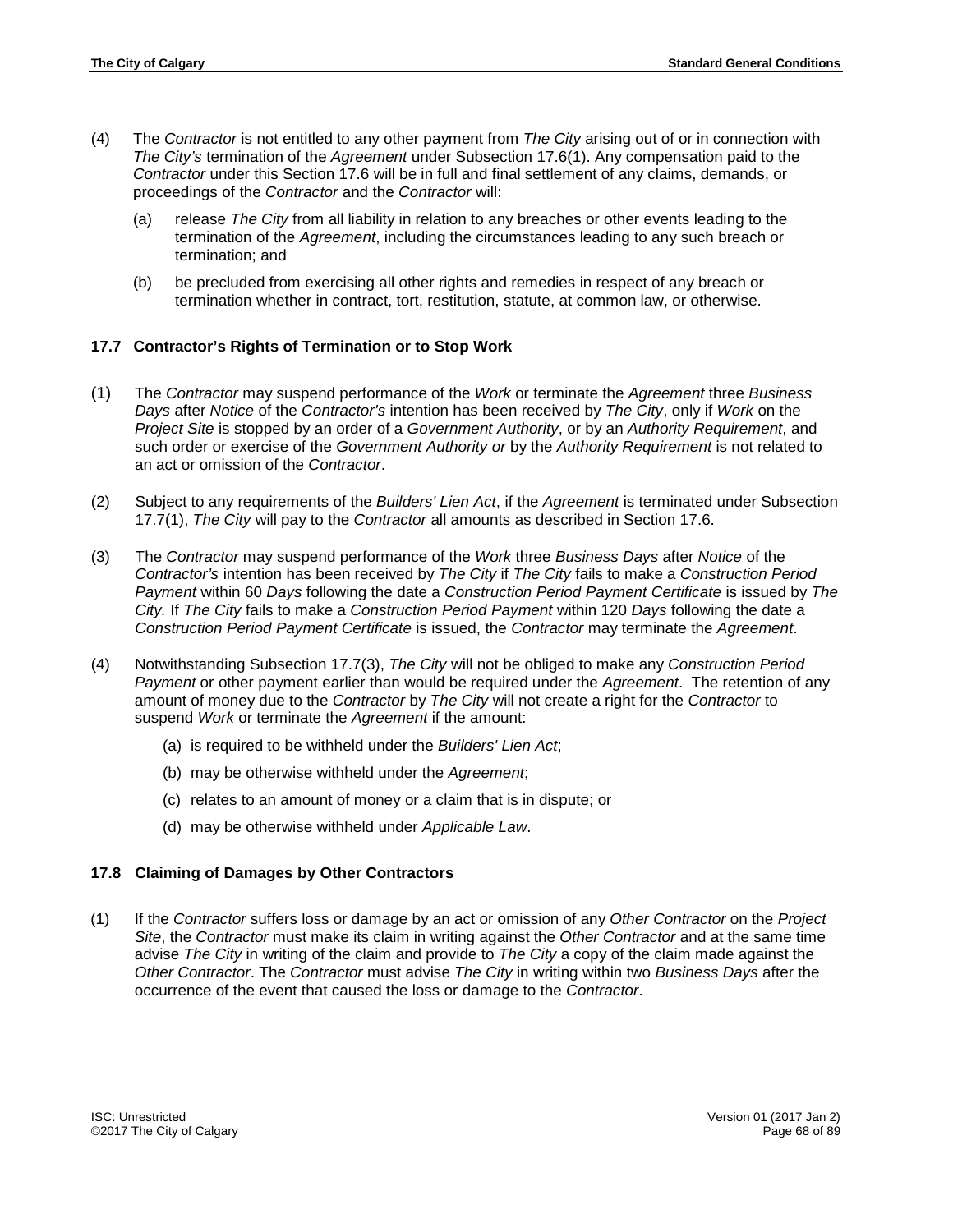- (4) The *Contractor* is not entitled to any other payment from *The City* arising out of or in connection with *The City's* termination of the *Agreement* under Subsection 17.6(1). Any compensation paid to the *Contractor* under this Section 17.6 will be in full and final settlement of any claims, demands, or proceedings of the *Contractor* and the *Contractor* will:
	- (a) release *The City* from all liability in relation to any breaches or other events leading to the termination of the *Agreement*, including the circumstances leading to any such breach or termination; and
	- (b) be precluded from exercising all other rights and remedies in respect of any breach or termination whether in contract, tort, restitution, statute, at common law, or otherwise.

# **17.7 Contractor's Rights of Termination or to Stop Work**

- (1) The *Contractor* may suspend performance of the *Work* or terminate the *Agreement* three *Business Days* after *Notice* of the *Contractor's* intention has been received by *The City*, only if *Work* on the *Project Site* is stopped by an order of a *Government Authority*, or by an *Authority Requirement*, and such order or exercise of the *Government Authority or* by the *Authority Requirement* is not related to an act or omission of the *Contractor*.
- (2) Subject to any requirements of the *Builders' Lien Act*, if the *Agreement* is terminated under Subsection 17.7(1), *The City* will pay to the *Contractor* all amounts as described in Section 17.6.
- (3) The *Contractor* may suspend performance of the *Work* three *Business Days* after *Notice* of the *Contractor's* intention has been received by *The City* if *The City* fails to make a *Construction Period Payment* within 60 *Days* following the date a *Construction Period Payment Certificate* is issued by *The City.* If *The City* fails to make a *Construction Period Payment* within 120 *Days* following the date a *Construction Period Payment Certificate* is issued, the *Contractor* may terminate the *Agreement*.
- (4) Notwithstanding Subsection 17.7(3), *The City* will not be obliged to make any *Construction Period Payment* or other payment earlier than would be required under the *Agreement*. The retention of any amount of money due to the *Contractor* by *The City* will not create a right for the *Contractor* to suspend *Work* or terminate the *Agreement* if the amount:
	- (a) is required to be withheld under the *Builders' Lien Act*;
	- (b) may be otherwise withheld under the *Agreement*;
	- (c) relates to an amount of money or a claim that is in dispute; or
	- (d) may be otherwise withheld under *Applicable Law*.

### **17.8 Claiming of Damages by Other Contractors**

(1) If the *Contractor* suffers loss or damage by an act or omission of any *Other Contractor* on the *Project Site*, the *Contractor* must make its claim in writing against the *Other Contractor* and at the same time advise *The City* in writing of the claim and provide to *The City* a copy of the claim made against the *Other Contractor*. The *Contractor* must advise *The City* in writing within two *Business Days* after the occurrence of the event that caused the loss or damage to the *Contractor*.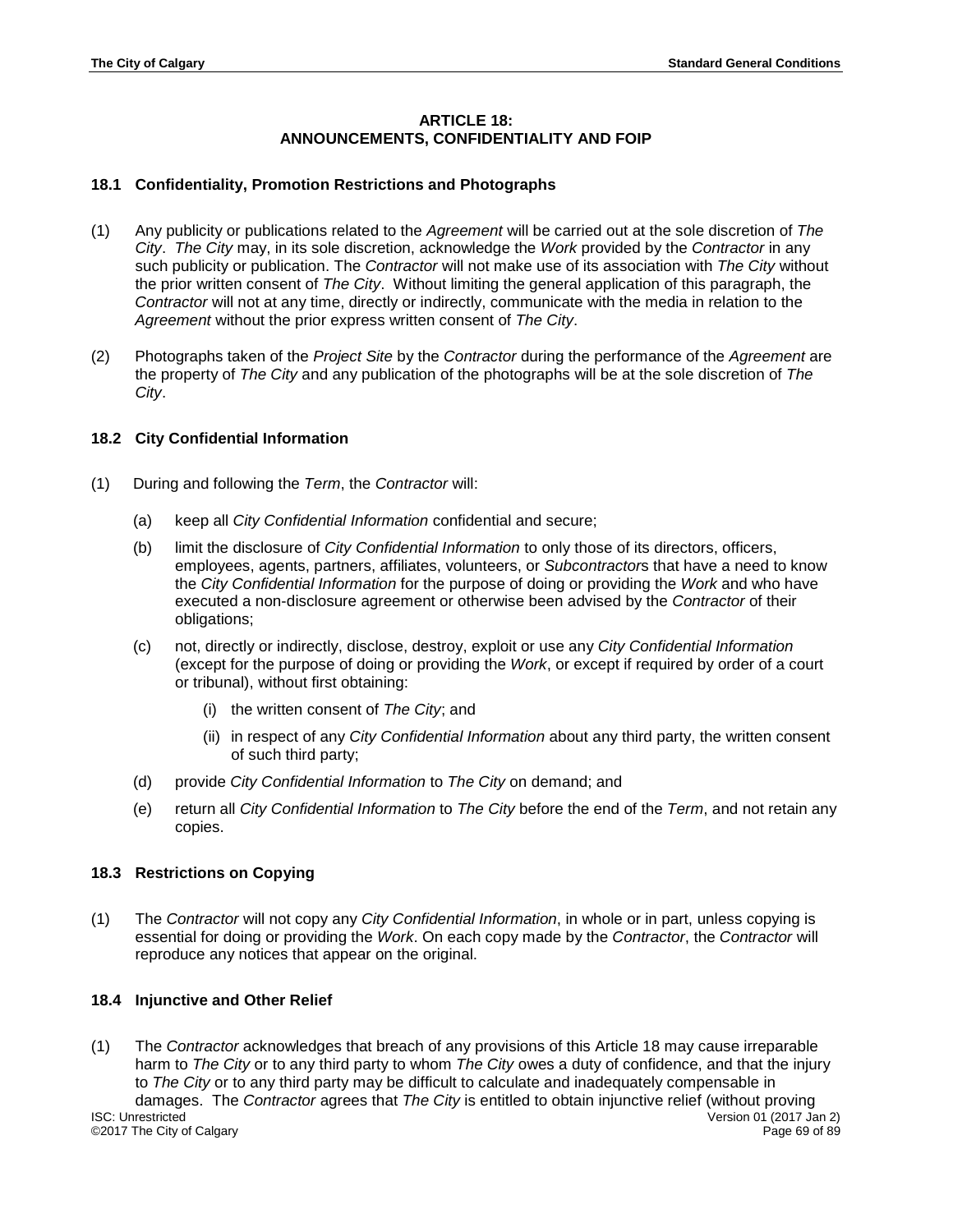# **ARTICLE 18: ANNOUNCEMENTS, CONFIDENTIALITY AND FOIP**

# **18.1 Confidentiality, Promotion Restrictions and Photographs**

- (1) Any publicity or publications related to the *Agreement* will be carried out at the sole discretion of *The City*. *The City* may, in its sole discretion, acknowledge the *Work* provided by the *Contractor* in any such publicity or publication. The *Contractor* will not make use of its association with *The City* without the prior written consent of *The City*. Without limiting the general application of this paragraph, the *Contractor* will not at any time, directly or indirectly, communicate with the media in relation to the *Agreement* without the prior express written consent of *The City*.
- (2) Photographs taken of the *Project Site* by the *Contractor* during the performance of the *Agreement* are the property of *The City* and any publication of the photographs will be at the sole discretion of *The City*.

# **18.2 City Confidential Information**

- (1) During and following the *Term*, the *Contractor* will:
	- (a) keep all *City Confidential Information* confidential and secure;
	- (b) limit the disclosure of *City Confidential Information* to only those of its directors, officers, employees, agents, partners, affiliates, volunteers, or *Subcontractor*s that have a need to know the *City Confidential Information* for the purpose of doing or providing the *Work* and who have executed a non-disclosure agreement or otherwise been advised by the *Contractor* of their obligations;
	- (c) not, directly or indirectly, disclose, destroy, exploit or use any *City Confidential Information* (except for the purpose of doing or providing the *Work*, or except if required by order of a court or tribunal), without first obtaining:
		- (i) the written consent of *The City*; and
		- (ii) in respect of any *City Confidential Information* about any third party, the written consent of such third party;
	- (d) provide *City Confidential Information* to *The City* on demand; and
	- (e) return all *City Confidential Information* to *The City* before the end of the *Term*, and not retain any copies.

# **18.3 Restrictions on Copying**

(1) The *Contractor* will not copy any *City Confidential Information*, in whole or in part, unless copying is essential for doing or providing the *Work*. On each copy made by the *Contractor*, the *Contractor* will reproduce any notices that appear on the original.

# **18.4 Injunctive and Other Relief**

(1) The *Contractor* acknowledges that breach of any provisions of this Article 18 may cause irreparable harm to *The City* or to any third party to whom *The City* owes a duty of confidence, and that the injury to *The City* or to any third party may be difficult to calculate and inadequately compensable in damages. The *Contractor* agrees that *The City* is entitled to obtain injunctive relief (without proving ISC: Unrestricted Version 01 (2017 Jan 2) ©2017 The City of Calgary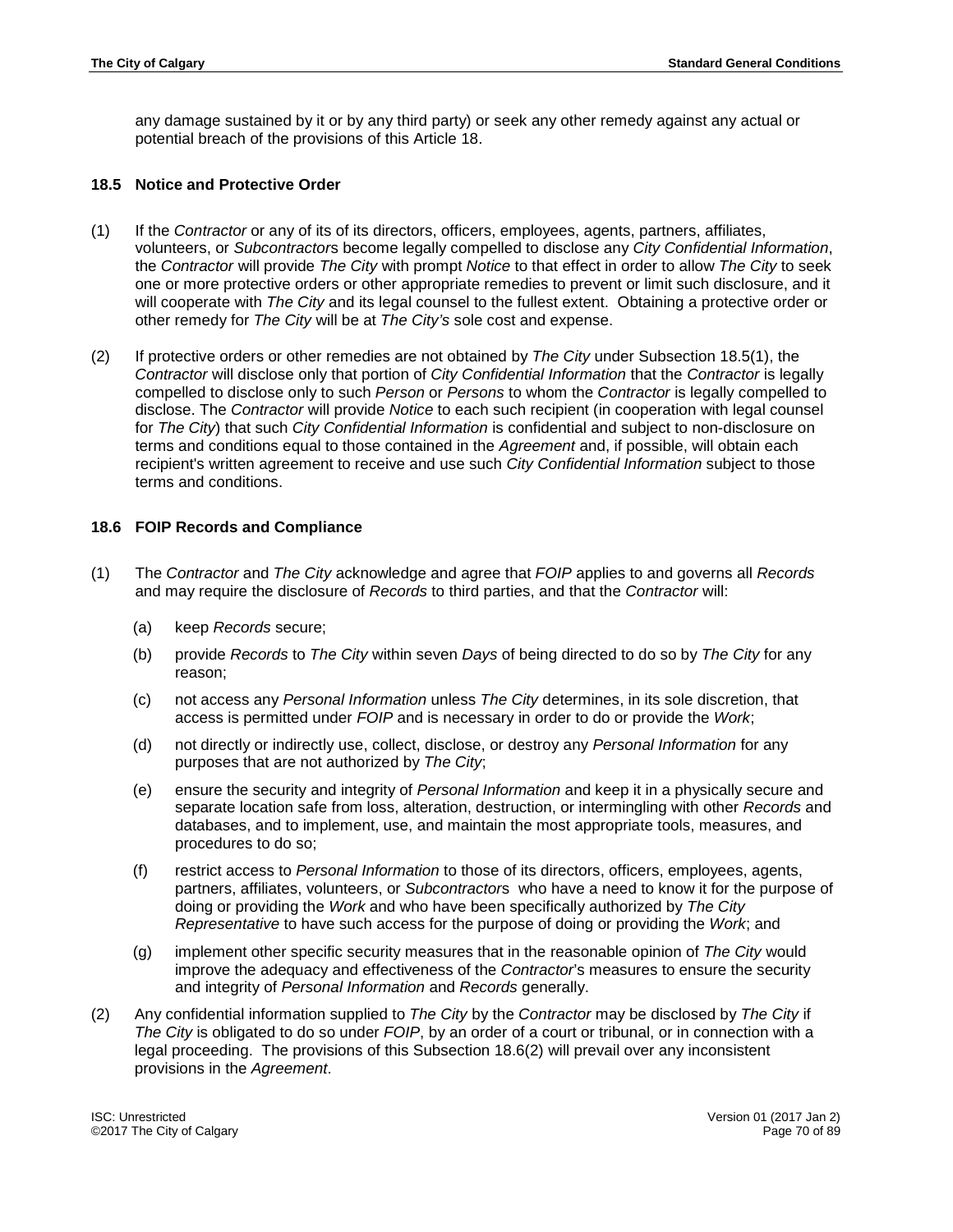any damage sustained by it or by any third party) or seek any other remedy against any actual or potential breach of the provisions of this Article 18.

## **18.5 Notice and Protective Order**

- (1) If the *Contractor* or any of its of its directors, officers, employees, agents, partners, affiliates, volunteers, or *Subcontractor*s become legally compelled to disclose any *City Confidential Information*, the *Contractor* will provide *The City* with prompt *Notice* to that effect in order to allow *The City* to seek one or more protective orders or other appropriate remedies to prevent or limit such disclosure, and it will cooperate with *The City* and its legal counsel to the fullest extent. Obtaining a protective order or other remedy for *The City* will be at *The City's* sole cost and expense.
- (2) If protective orders or other remedies are not obtained by *The City* under Subsection 18.5(1), the *Contractor* will disclose only that portion of *City Confidential Information* that the *Contractor* is legally compelled to disclose only to such *Person* or *Persons* to whom the *Contractor* is legally compelled to disclose. The *Contractor* will provide *Notice* to each such recipient (in cooperation with legal counsel for *The City*) that such *City Confidential Information* is confidential and subject to non-disclosure on terms and conditions equal to those contained in the *Agreement* and, if possible, will obtain each recipient's written agreement to receive and use such *City Confidential Information* subject to those terms and conditions.

## **18.6 FOIP Records and Compliance**

- (1) The *Contractor* and *The City* acknowledge and agree that *FOIP* applies to and governs all *Records* and may require the disclosure of *Records* to third parties, and that the *Contractor* will:
	- (a) keep *Records* secure;
	- (b) provide *Records* to *The City* within seven *Days* of being directed to do so by *The City* for any reason;
	- (c) not access any *Personal Information* unless *The City* determines, in its sole discretion, that access is permitted under *FOIP* and is necessary in order to do or provide the *Work*;
	- (d) not directly or indirectly use, collect, disclose, or destroy any *Personal Information* for any purposes that are not authorized by *The City*;
	- (e) ensure the security and integrity of *Personal Information* and keep it in a physically secure and separate location safe from loss, alteration, destruction, or intermingling with other *Records* and databases, and to implement, use, and maintain the most appropriate tools, measures, and procedures to do so;
	- (f) restrict access to *Personal Information* to those of its directors, officers, employees, agents, partners, affiliates, volunteers, or *Subcontractor*s who have a need to know it for the purpose of doing or providing the *Work* and who have been specifically authorized by *The City Representative* to have such access for the purpose of doing or providing the *Work*; and
	- (g) implement other specific security measures that in the reasonable opinion of *The City* would improve the adequacy and effectiveness of the *Contractor*'s measures to ensure the security and integrity of *Personal Information* and *Records* generally.
- (2) Any confidential information supplied to *The City* by the *Contractor* may be disclosed by *The City* if *The City* is obligated to do so under *FOIP*, by an order of a court or tribunal, or in connection with a legal proceeding. The provisions of this Subsection 18.6(2) will prevail over any inconsistent provisions in the *Agreement*.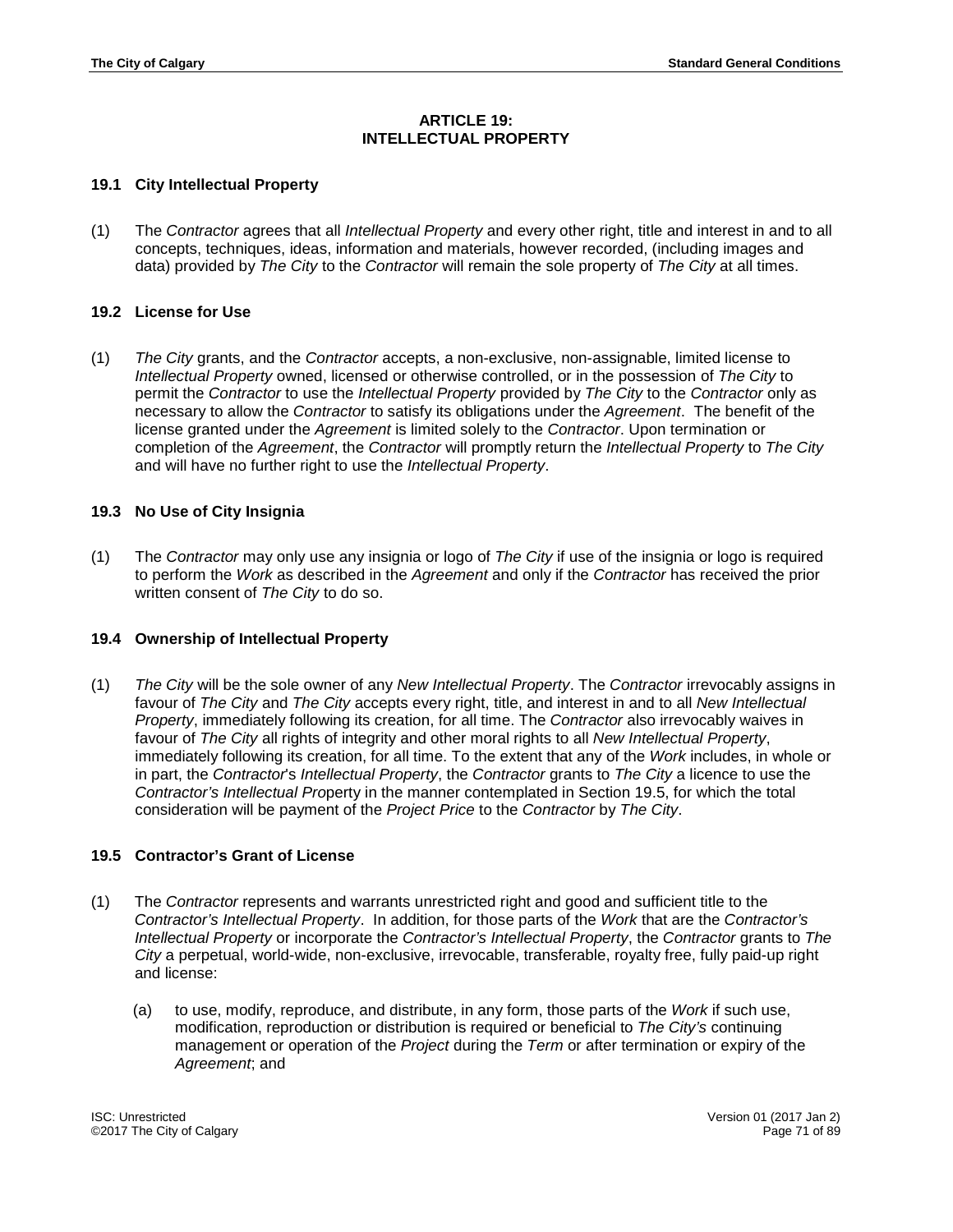## **ARTICLE 19: INTELLECTUAL PROPERTY**

## **19.1 City Intellectual Property**

(1) The *Contractor* agrees that all *Intellectual Property* and every other right, title and interest in and to all concepts, techniques, ideas, information and materials, however recorded, (including images and data) provided by *The City* to the *Contractor* will remain the sole property of *The City* at all times.

## **19.2 License for Use**

(1) *The City* grants, and the *Contractor* accepts, a non-exclusive, non-assignable, limited license to *Intellectual Property* owned, licensed or otherwise controlled, or in the possession of *The City* to permit the *Contractor* to use the *Intellectual Property* provided by *The City* to the *Contractor* only as necessary to allow the *Contractor* to satisfy its obligations under the *Agreement*. The benefit of the license granted under the *Agreement* is limited solely to the *Contractor*. Upon termination or completion of the *Agreement*, the *Contractor* will promptly return the *Intellectual Property* to *The City* and will have no further right to use the *Intellectual Property*.

## **19.3 No Use of City Insignia**

(1) The *Contractor* may only use any insignia or logo of *The City* if use of the insignia or logo is required to perform the *Work* as described in the *Agreement* and only if the *Contractor* has received the prior written consent of *The City* to do so.

# **19.4 Ownership of Intellectual Property**

(1) *The City* will be the sole owner of any *New Intellectual Property*. The *Contractor* irrevocably assigns in favour of *The City* and *The City* accepts every right, title, and interest in and to all *New Intellectual Property*, immediately following its creation, for all time. The *Contractor* also irrevocably waives in favour of *The City* all rights of integrity and other moral rights to all *New Intellectual Property*, immediately following its creation, for all time. To the extent that any of the *Work* includes, in whole or in part, the *Contractor*'s *Intellectual Property*, the *Contractor* grants to *The City* a licence to use the *Contractor's Intellectual Pro*perty in the manner contemplated in Section 19.5, for which the total consideration will be payment of the *Project Price* to the *Contractor* by *The City*.

# **19.5 Contractor's Grant of License**

- (1) The *Contractor* represents and warrants unrestricted right and good and sufficient title to the *Contractor's Intellectual Property*. In addition, for those parts of the *Work* that are the *Contractor's Intellectual Property* or incorporate the *Contractor's Intellectual Property*, the *Contractor* grants to *The City* a perpetual, world-wide, non-exclusive, irrevocable, transferable, royalty free, fully paid-up right and license:
	- (a) to use, modify, reproduce, and distribute, in any form, those parts of the *Work* if such use, modification, reproduction or distribution is required or beneficial to *The City's* continuing management or operation of the *Project* during the *Term* or after termination or expiry of the *Agreement*; and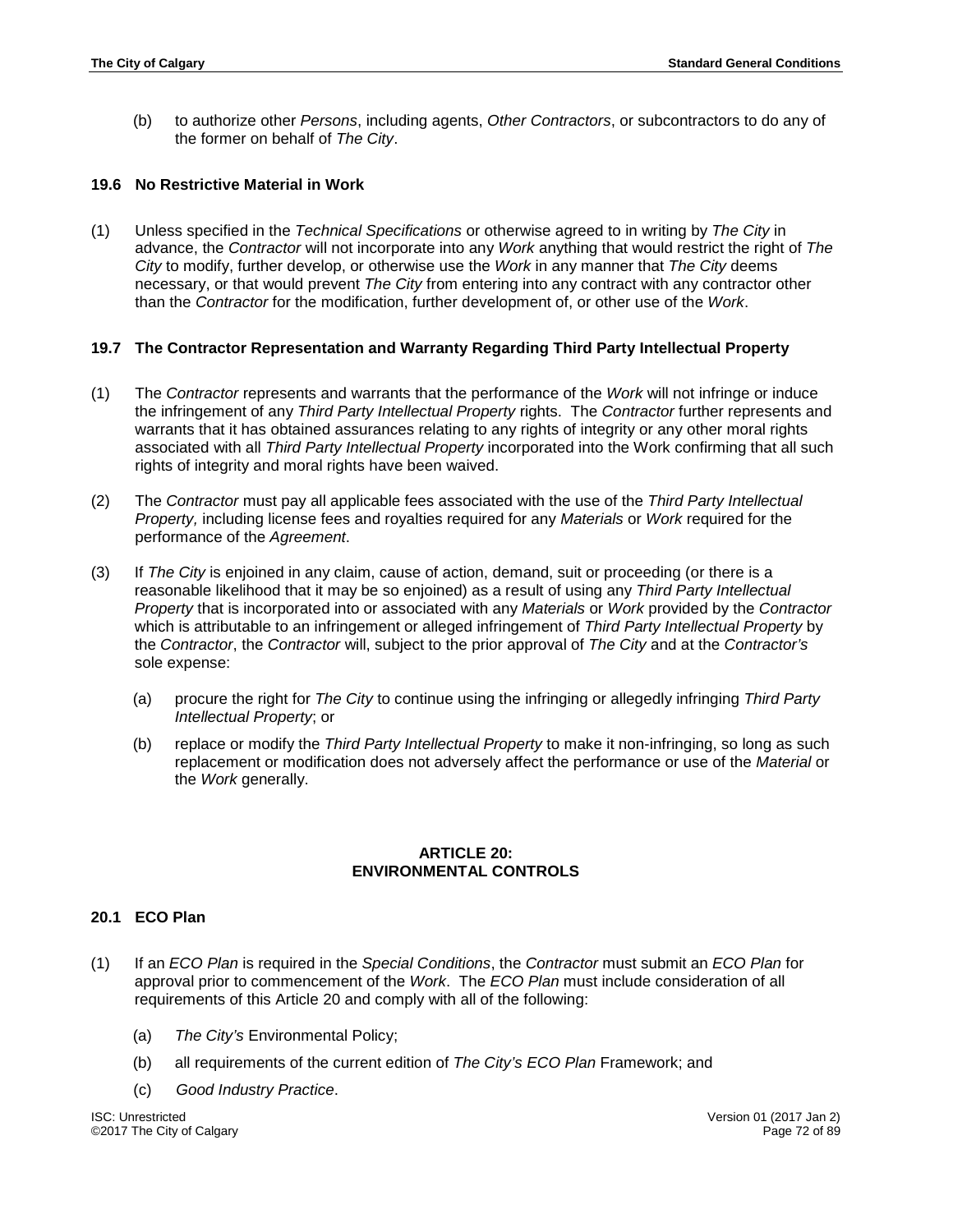(b) to authorize other *Persons*, including agents, *Other Contractors*, or subcontractors to do any of the former on behalf of *The City*.

## **19.6 No Restrictive Material in Work**

(1) Unless specified in the *Technical Specifications* or otherwise agreed to in writing by *The City* in advance, the *Contractor* will not incorporate into any *Work* anything that would restrict the right of *The City* to modify, further develop, or otherwise use the *Work* in any manner that *The City* deems necessary, or that would prevent *The City* from entering into any contract with any contractor other than the *Contractor* for the modification, further development of, or other use of the *Work*.

## **19.7 The Contractor Representation and Warranty Regarding Third Party Intellectual Property**

- (1) The *Contractor* represents and warrants that the performance of the *Work* will not infringe or induce the infringement of any *Third Party Intellectual Property* rights. The *Contractor* further represents and warrants that it has obtained assurances relating to any rights of integrity or any other moral rights associated with all *Third Party Intellectual Property* incorporated into the Work confirming that all such rights of integrity and moral rights have been waived.
- (2) The *Contractor* must pay all applicable fees associated with the use of the *Third Party Intellectual Property,* including license fees and royalties required for any *Materials* or *Work* required for the performance of the *Agreement*.
- (3) If *The City* is enjoined in any claim, cause of action, demand, suit or proceeding (or there is a reasonable likelihood that it may be so enjoined) as a result of using any *Third Party Intellectual Property* that is incorporated into or associated with any *Materials* or *Work* provided by the *Contractor* which is attributable to an infringement or alleged infringement of *Third Party Intellectual Property* by the *Contractor*, the *Contractor* will, subject to the prior approval of *The City* and at the *Contractor's* sole expense:
	- (a) procure the right for *The City* to continue using the infringing or allegedly infringing *Third Party Intellectual Property*; or
	- (b) replace or modify the *Third Party Intellectual Property* to make it non-infringing, so long as such replacement or modification does not adversely affect the performance or use of the *Material* or the *Work* generally.

### **ARTICLE 20: ENVIRONMENTAL CONTROLS**

### **20.1 ECO Plan**

- (1) If an *ECO Plan* is required in the *Special Conditions*, the *Contractor* must submit an *ECO Plan* for approval prior to commencement of the *Work*. The *ECO Plan* must include consideration of all requirements of this Article 20 and comply with all of the following:
	- (a) *The City's* Environmental Policy;
	- (b) all requirements of the current edition of *The City's ECO Plan* Framework; and
	- (c) *Good Industry Practice*.

ISC: Unrestricted Version 01 (2017 Jan 2) ©2017 The City of Calgary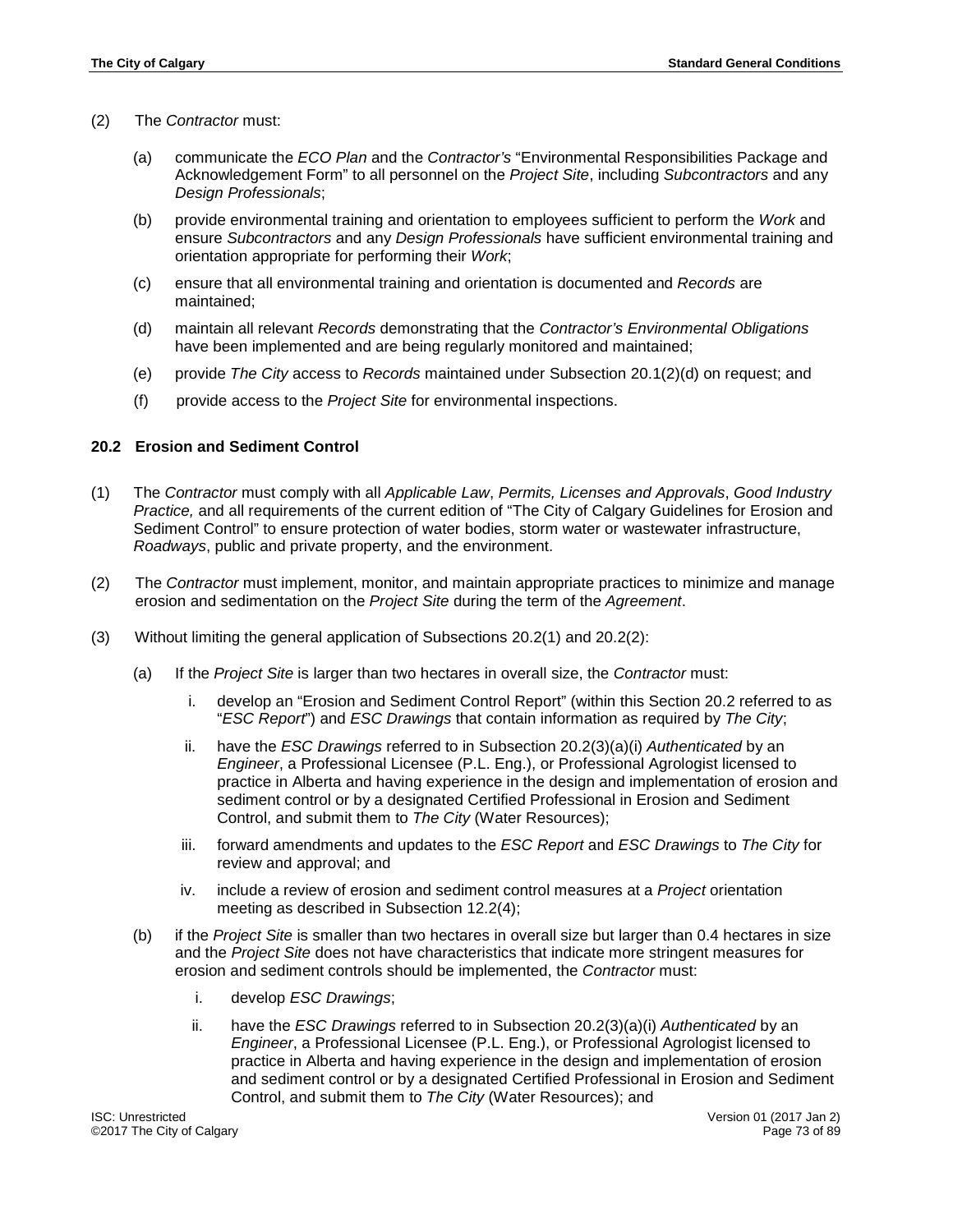- (2) The *Contractor* must:
	- (a) communicate the *ECO Plan* and the *Contractor's* "Environmental Responsibilities Package and Acknowledgement Form" to all personnel on the *Project Site*, including *Subcontractors* and any *Design Professionals*;
	- (b) provide environmental training and orientation to employees sufficient to perform the *Work* and ensure *Subcontractors* and any *Design Professionals* have sufficient environmental training and orientation appropriate for performing their *Work*;
	- (c) ensure that all environmental training and orientation is documented and *Records* are maintained;
	- (d) maintain all relevant *Records* demonstrating that the *Contractor's Environmental Obligations* have been implemented and are being regularly monitored and maintained;
	- (e) provide *The City* access to *Records* maintained under Subsection 20.1(2)(d) on request; and
	- (f) provide access to the *Project Site* for environmental inspections.

#### **20.2 Erosion and Sediment Control**

- (1) The *Contractor* must comply with all *Applicable Law*, *Permits, Licenses and Approvals*, *Good Industry Practice,* and all requirements of the current edition of "The City of Calgary Guidelines for Erosion and Sediment Control" to ensure protection of water bodies, storm water or wastewater infrastructure, *Roadways*, public and private property, and the environment.
- (2) The *Contractor* must implement, monitor, and maintain appropriate practices to minimize and manage erosion and sedimentation on the *Project Site* during the term of the *Agreement*.
- (3) Without limiting the general application of Subsections 20.2(1) and 20.2(2):
	- (a) If the *Project Site* is larger than two hectares in overall size, the *Contractor* must:
		- i. develop an "Erosion and Sediment Control Report" (within this Section 20.2 referred to as "*ESC Report*") and *ESC Drawings* that contain information as required by *The City*;
		- ii. have the *ESC Drawings* referred to in Subsection 20.2(3)(a)(i) *Authenticated* by an *Engineer*, a Professional Licensee (P.L. Eng.), or Professional Agrologist licensed to practice in Alberta and having experience in the design and implementation of erosion and sediment control or by a designated Certified Professional in Erosion and Sediment Control, and submit them to *The City* (Water Resources);
		- iii. forward amendments and updates to the *ESC Report* and *ESC Drawings* to *The City* for review and approval; and
		- iv. include a review of erosion and sediment control measures at a *Project* orientation meeting as described in Subsection 12.2(4);
	- (b) if the *Project Site* is smaller than two hectares in overall size but larger than 0.4 hectares in size and the *Project Site* does not have characteristics that indicate more stringent measures for erosion and sediment controls should be implemented, the *Contractor* must:
		- i. develop *ESC Drawings*;
		- ii. have the *ESC Drawings* referred to in Subsection 20.2(3)(a)(i) *Authenticated* by an *Engineer*, a Professional Licensee (P.L. Eng.), or Professional Agrologist licensed to practice in Alberta and having experience in the design and implementation of erosion and sediment control or by a designated Certified Professional in Erosion and Sediment Control, and submit them to *The City* (Water Resources); and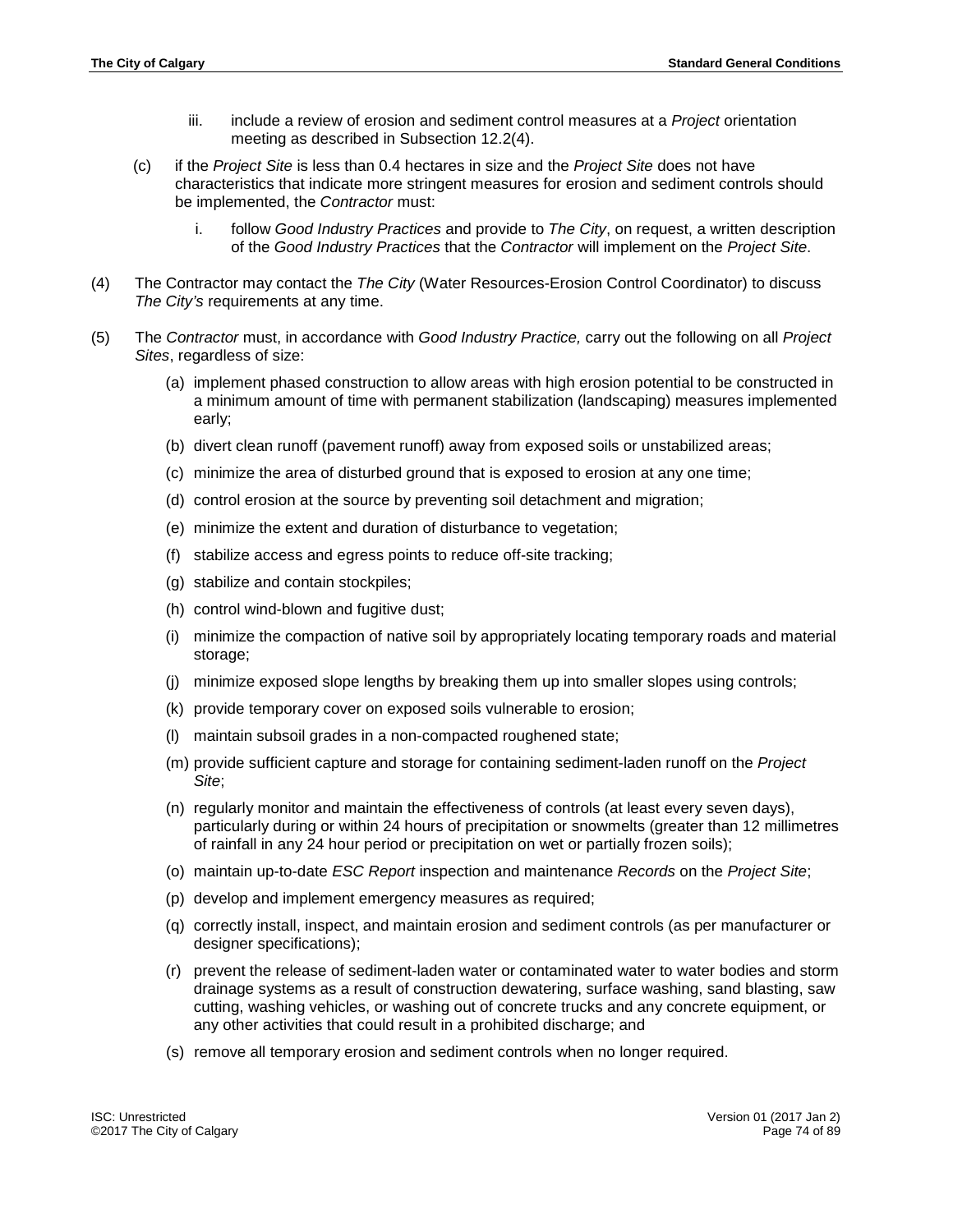- iii. include a review of erosion and sediment control measures at a *Project* orientation meeting as described in Subsection 12.2(4).
- (c) if the *Project Site* is less than 0.4 hectares in size and the *Project Site* does not have characteristics that indicate more stringent measures for erosion and sediment controls should be implemented, the *Contractor* must:
	- i. follow *Good Industry Practices* and provide to *The City*, on request, a written description of the *Good Industry Practices* that the *Contractor* will implement on the *Project Site*.
- (4) The Contractor may contact the *The City* (Water Resources-Erosion Control Coordinator) to discuss *The City's* requirements at any time.
- (5) The *Contractor* must, in accordance with *Good Industry Practice,* carry out the following on all *Project Sites*, regardless of size:
	- (a) implement phased construction to allow areas with high erosion potential to be constructed in a minimum amount of time with permanent stabilization (landscaping) measures implemented early;
	- (b) divert clean runoff (pavement runoff) away from exposed soils or unstabilized areas;
	- (c) minimize the area of disturbed ground that is exposed to erosion at any one time;
	- (d) control erosion at the source by preventing soil detachment and migration;
	- (e) minimize the extent and duration of disturbance to vegetation;
	- (f) stabilize access and egress points to reduce off-site tracking;
	- (g) stabilize and contain stockpiles;
	- (h) control wind-blown and fugitive dust;
	- (i) minimize the compaction of native soil by appropriately locating temporary roads and material storage;
	- (j) minimize exposed slope lengths by breaking them up into smaller slopes using controls;
	- (k) provide temporary cover on exposed soils vulnerable to erosion;
	- (l) maintain subsoil grades in a non-compacted roughened state;
	- (m) provide sufficient capture and storage for containing sediment-laden runoff on the *Project Site*;
	- (n) regularly monitor and maintain the effectiveness of controls (at least every seven days), particularly during or within 24 hours of precipitation or snowmelts (greater than 12 millimetres of rainfall in any 24 hour period or precipitation on wet or partially frozen soils);
	- (o) maintain up-to-date *ESC Report* inspection and maintenance *Records* on the *Project Site*;
	- (p) develop and implement emergency measures as required;
	- (q) correctly install, inspect, and maintain erosion and sediment controls (as per manufacturer or designer specifications);
	- (r) prevent the release of sediment-laden water or contaminated water to water bodies and storm drainage systems as a result of construction dewatering, surface washing, sand blasting, saw cutting, washing vehicles, or washing out of concrete trucks and any concrete equipment, or any other activities that could result in a prohibited discharge; and
	- (s) remove all temporary erosion and sediment controls when no longer required.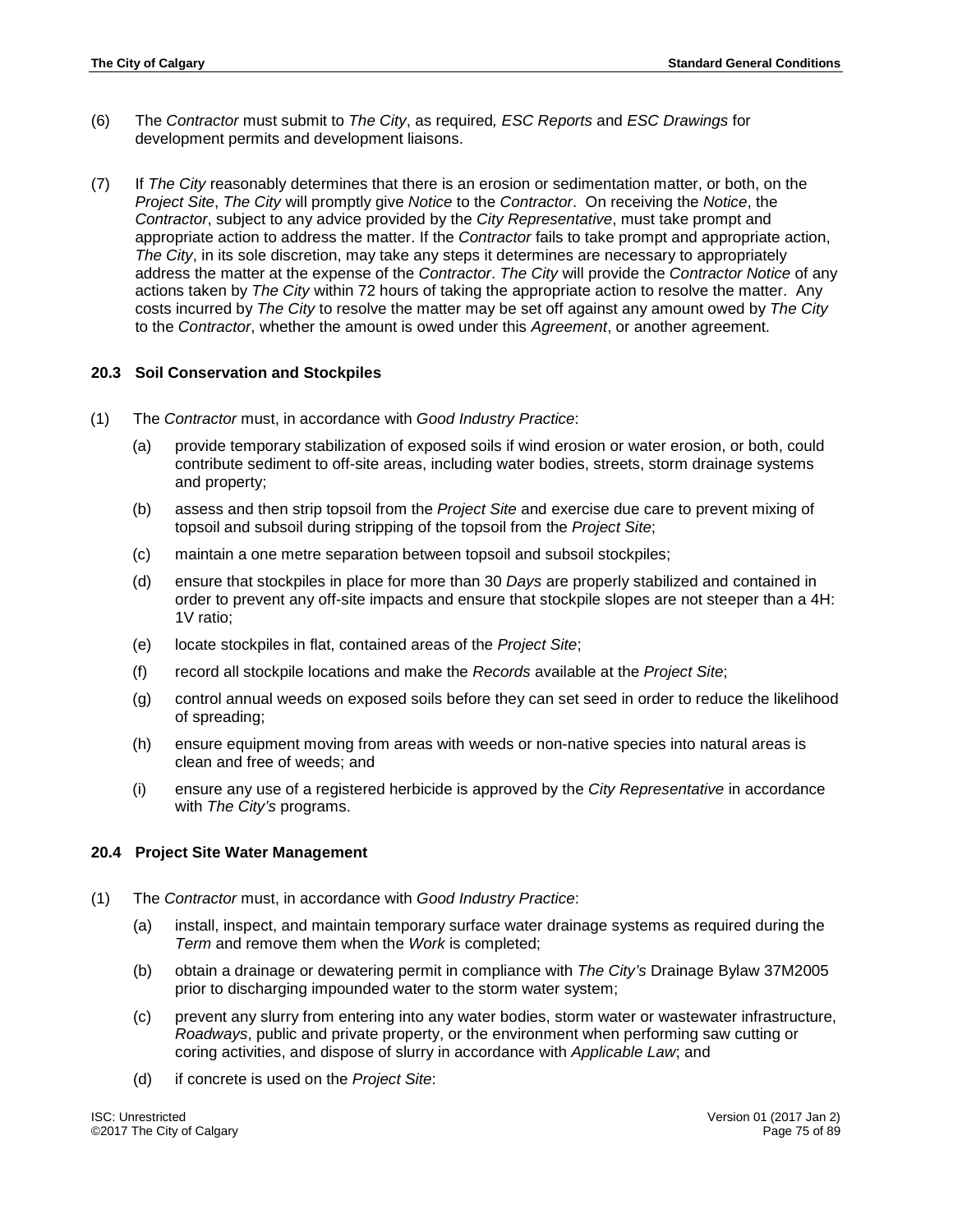- (6) The *Contractor* must submit to *The City*, as required*, ESC Reports* and *ESC Drawings* for development permits and development liaisons.
- (7) If *The City* reasonably determines that there is an erosion or sedimentation matter, or both, on the *Project Site*, *The City* will promptly give *Notice* to the *Contractor*. On receiving the *Notice*, the *Contractor*, subject to any advice provided by the *City Representative*, must take prompt and appropriate action to address the matter. If the *Contractor* fails to take prompt and appropriate action, *The City*, in its sole discretion, may take any steps it determines are necessary to appropriately address the matter at the expense of the *Contractor*. *The City* will provide the *Contractor Notice* of any actions taken by *The City* within 72 hours of taking the appropriate action to resolve the matter. Any costs incurred by *The City* to resolve the matter may be set off against any amount owed by *The City* to the *Contractor*, whether the amount is owed under this *Agreement*, or another agreement.

## **20.3 Soil Conservation and Stockpiles**

- (1) The *Contractor* must, in accordance with *Good Industry Practice*:
	- (a) provide temporary stabilization of exposed soils if wind erosion or water erosion, or both, could contribute sediment to off-site areas, including water bodies, streets, storm drainage systems and property;
	- (b) assess and then strip topsoil from the *Project Site* and exercise due care to prevent mixing of topsoil and subsoil during stripping of the topsoil from the *Project Site*;
	- (c) maintain a one metre separation between topsoil and subsoil stockpiles;
	- (d) ensure that stockpiles in place for more than 30 *Days* are properly stabilized and contained in order to prevent any off-site impacts and ensure that stockpile slopes are not steeper than a 4H: 1V ratio;
	- (e) locate stockpiles in flat, contained areas of the *Project Site*;
	- (f) record all stockpile locations and make the *Records* available at the *Project Site*;
	- (g) control annual weeds on exposed soils before they can set seed in order to reduce the likelihood of spreading;
	- (h) ensure equipment moving from areas with weeds or non-native species into natural areas is clean and free of weeds; and
	- (i) ensure any use of a registered herbicide is approved by the *City Representative* in accordance with *The City's* programs.

#### **20.4 Project Site Water Management**

- (1) The *Contractor* must, in accordance with *Good Industry Practice*:
	- (a) install, inspect, and maintain temporary surface water drainage systems as required during the *Term* and remove them when the *Work* is completed;
	- (b) obtain a drainage or dewatering permit in compliance with *The City's* Drainage Bylaw 37M2005 prior to discharging impounded water to the storm water system;
	- (c) prevent any slurry from entering into any water bodies, storm water or wastewater infrastructure, *Roadways*, public and private property, or the environment when performing saw cutting or coring activities, and dispose of slurry in accordance with *Applicable Law*; and
	- (d) if concrete is used on the *Project Site*: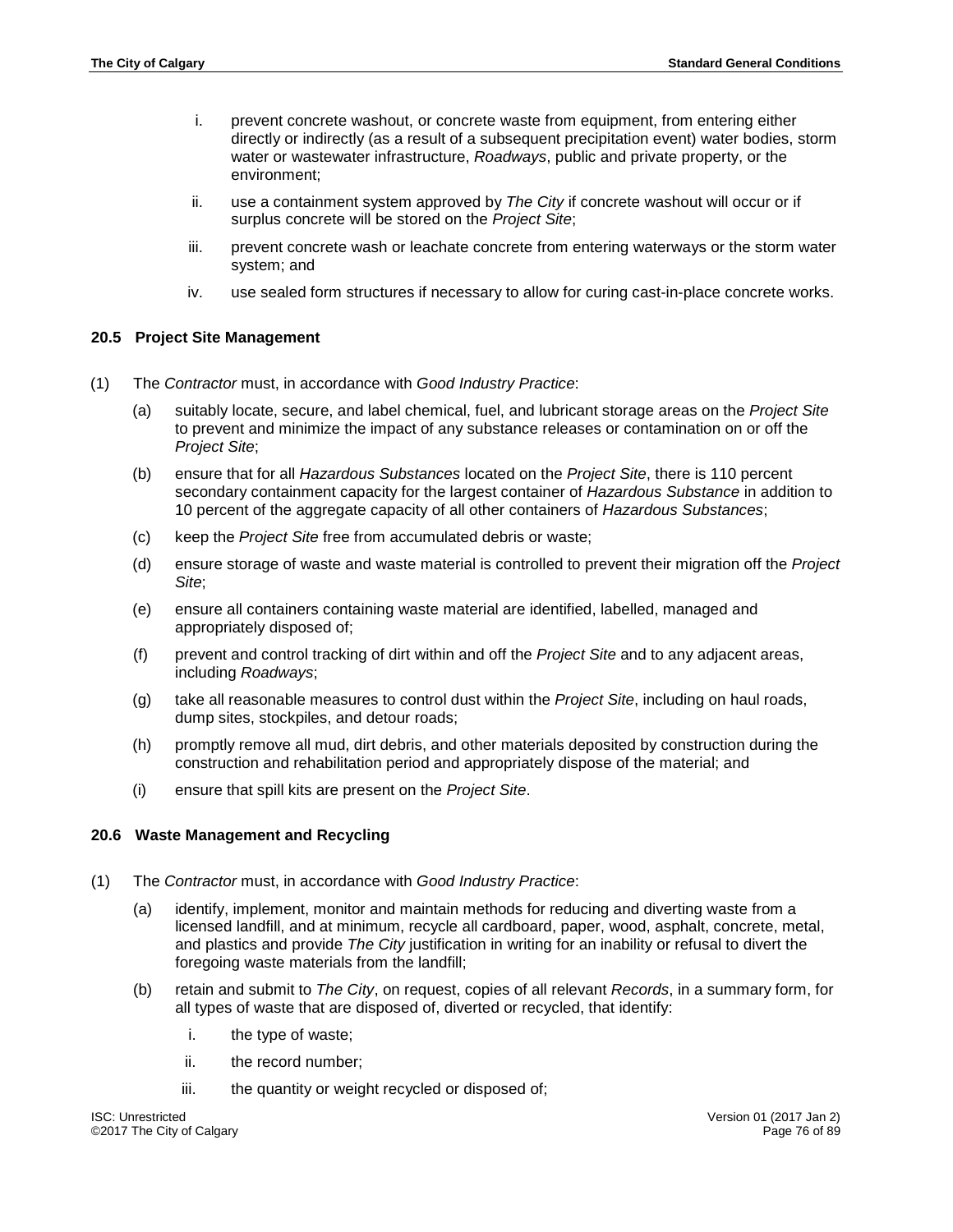- i. prevent concrete washout, or concrete waste from equipment, from entering either directly or indirectly (as a result of a subsequent precipitation event) water bodies, storm water or wastewater infrastructure, *Roadways*, public and private property, or the environment;
- ii. use a containment system approved by *The City* if concrete washout will occur or if surplus concrete will be stored on the *Project Site*;
- iii. prevent concrete wash or leachate concrete from entering waterways or the storm water system; and
- iv. use sealed form structures if necessary to allow for curing cast-in-place concrete works.

## **20.5 Project Site Management**

- (1) The *Contractor* must, in accordance with *Good Industry Practice*:
	- (a) suitably locate, secure, and label chemical, fuel, and lubricant storage areas on the *Project Site* to prevent and minimize the impact of any substance releases or contamination on or off the *Project Site*;
	- (b) ensure that for all *Hazardous Substances* located on the *Project Site*, there is 110 percent secondary containment capacity for the largest container of *Hazardous Substance* in addition to 10 percent of the aggregate capacity of all other containers of *Hazardous Substances*;
	- (c) keep the *Project Site* free from accumulated debris or waste;
	- (d) ensure storage of waste and waste material is controlled to prevent their migration off the *Project Site*;
	- (e) ensure all containers containing waste material are identified, labelled, managed and appropriately disposed of;
	- (f) prevent and control tracking of dirt within and off the *Project Site* and to any adjacent areas, including *Roadways*;
	- (g) take all reasonable measures to control dust within the *Project Site*, including on haul roads, dump sites, stockpiles, and detour roads;
	- (h) promptly remove all mud, dirt debris, and other materials deposited by construction during the construction and rehabilitation period and appropriately dispose of the material; and
	- (i) ensure that spill kits are present on the *Project Site*.

#### **20.6 Waste Management and Recycling**

- (1) The *Contractor* must, in accordance with *Good Industry Practice*:
	- (a) identify, implement, monitor and maintain methods for reducing and diverting waste from a licensed landfill, and at minimum, recycle all cardboard, paper, wood, asphalt, concrete, metal, and plastics and provide *The City* justification in writing for an inability or refusal to divert the foregoing waste materials from the landfill;
	- (b) retain and submit to *The City*, on request, copies of all relevant *Records*, in a summary form, for all types of waste that are disposed of, diverted or recycled, that identify:
		- i. the type of waste;
		- ii. the record number;
		- iii. the quantity or weight recycled or disposed of;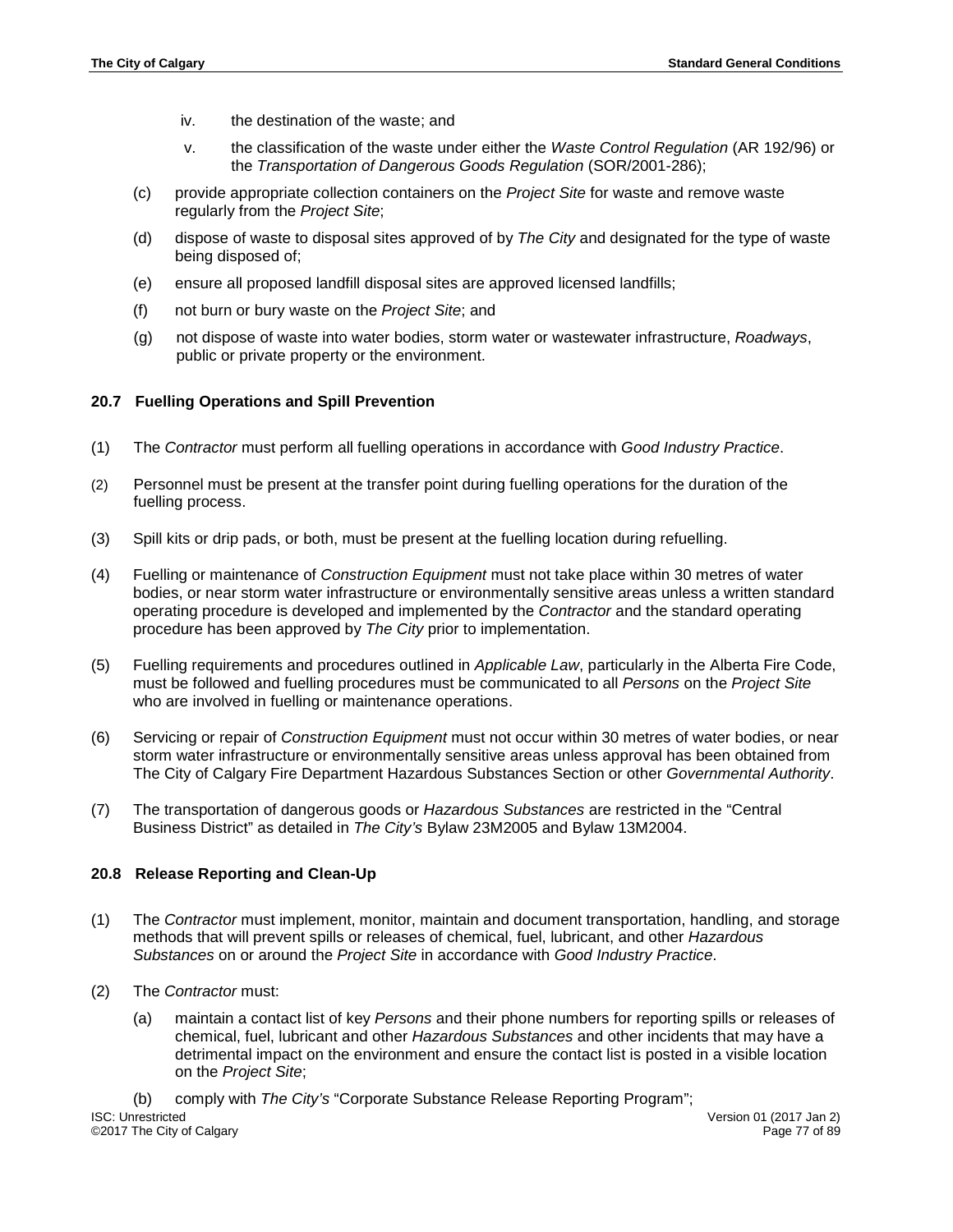- iv. the destination of the waste; and
- v. the classification of the waste under either the *Waste Control Regulation* (AR 192/96) or the *Transportation of Dangerous Goods Regulation* (SOR/2001-286);
- (c) provide appropriate collection containers on the *Project Site* for waste and remove waste regularly from the *Project Site*;
- (d) dispose of waste to disposal sites approved of by *The City* and designated for the type of waste being disposed of;
- (e) ensure all proposed landfill disposal sites are approved licensed landfills;
- (f) not burn or bury waste on the *Project Site*; and
- (g) not dispose of waste into water bodies, storm water or wastewater infrastructure, *Roadways*, public or private property or the environment.

#### **20.7 Fuelling Operations and Spill Prevention**

- (1) The *Contractor* must perform all fuelling operations in accordance with *Good Industry Practice*.
- (2) Personnel must be present at the transfer point during fuelling operations for the duration of the fuelling process.
- (3) Spill kits or drip pads, or both, must be present at the fuelling location during refuelling.
- (4) Fuelling or maintenance of *Construction Equipment* must not take place within 30 metres of water bodies, or near storm water infrastructure or environmentally sensitive areas unless a written standard operating procedure is developed and implemented by the *Contractor* and the standard operating procedure has been approved by *The City* prior to implementation.
- (5) Fuelling requirements and procedures outlined in *Applicable Law*, particularly in the Alberta Fire Code, must be followed and fuelling procedures must be communicated to all *Persons* on the *Project Site* who are involved in fuelling or maintenance operations.
- (6) Servicing or repair of *Construction Equipment* must not occur within 30 metres of water bodies, or near storm water infrastructure or environmentally sensitive areas unless approval has been obtained from The City of Calgary Fire Department Hazardous Substances Section or other *Governmental Authority*.
- (7) The transportation of dangerous goods or *Hazardous Substances* are restricted in the "Central Business District" as detailed in *The City's* Bylaw 23M2005 and Bylaw 13M2004.

#### **20.8 Release Reporting and Clean-Up**

- (1) The *Contractor* must implement, monitor, maintain and document transportation, handling, and storage methods that will prevent spills or releases of chemical, fuel, lubricant, and other *Hazardous Substances* on or around the *Project Site* in accordance with *Good Industry Practice*.
- (2) The *Contractor* must:
	- (a) maintain a contact list of key *Persons* and their phone numbers for reporting spills or releases of chemical, fuel, lubricant and other *Hazardous Substances* and other incidents that may have a detrimental impact on the environment and ensure the contact list is posted in a visible location on the *Project Site*;

(b) comply with *The City's* "Corporate Substance Release Reporting Program"; ISC: Unrestricted Version 01 (2017 Jan 2)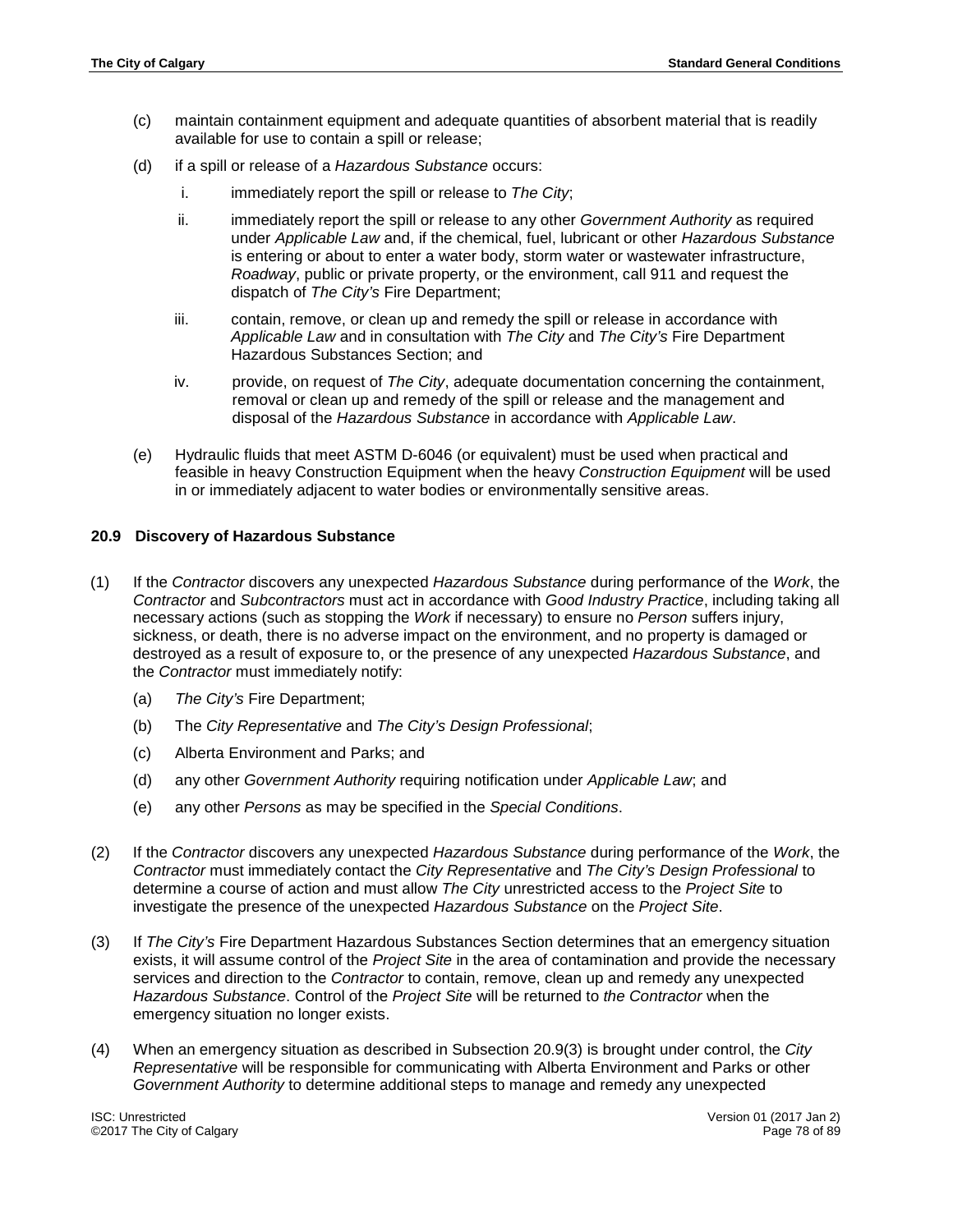- (c) maintain containment equipment and adequate quantities of absorbent material that is readily available for use to contain a spill or release;
- (d) if a spill or release of a *Hazardous Substance* occurs:
	- i. immediately report the spill or release to *The City*;
	- ii. immediately report the spill or release to any other *Government Authority* as required under *Applicable Law* and, if the chemical, fuel, lubricant or other *Hazardous Substance* is entering or about to enter a water body, storm water or wastewater infrastructure, *Roadway*, public or private property, or the environment, call 911 and request the dispatch of *The City's* Fire Department;
	- iii. contain, remove, or clean up and remedy the spill or release in accordance with *Applicable Law* and in consultation with *The City* and *The City's* Fire Department Hazardous Substances Section; and
	- iv. provide, on request of *The City*, adequate documentation concerning the containment, removal or clean up and remedy of the spill or release and the management and disposal of the *Hazardous Substance* in accordance with *Applicable Law*.
- (e) Hydraulic fluids that meet ASTM D-6046 (or equivalent) must be used when practical and feasible in heavy Construction Equipment when the heavy *Construction Equipment* will be used in or immediately adjacent to water bodies or environmentally sensitive areas.

#### **20.9 Discovery of Hazardous Substance**

- (1) If the *Contractor* discovers any unexpected *Hazardous Substance* during performance of the *Work*, the *Contractor* and *Subcontractors* must act in accordance with *Good Industry Practice*, including taking all necessary actions (such as stopping the *Work* if necessary) to ensure no *Person* suffers injury, sickness, or death, there is no adverse impact on the environment, and no property is damaged or destroyed as a result of exposure to, or the presence of any unexpected *Hazardous Substance*, and the *Contractor* must immediately notify:
	- (a) *The City's* Fire Department;
	- (b) The *City Representative* and *The City's Design Professional*;
	- (c) Alberta Environment and Parks; and
	- (d) any other *Government Authority* requiring notification under *Applicable Law*; and
	- (e) any other *Persons* as may be specified in the *Special Conditions*.
- (2) If the *Contractor* discovers any unexpected *Hazardous Substance* during performance of the *Work*, the *Contractor* must immediately contact the *City Representative* and *The City's Design Professional* to determine a course of action and must allow *The City* unrestricted access to the *Project Site* to investigate the presence of the unexpected *Hazardous Substance* on the *Project Site*.
- (3) If *The City's* Fire Department Hazardous Substances Section determines that an emergency situation exists, it will assume control of the *Project Site* in the area of contamination and provide the necessary services and direction to the *Contractor* to contain, remove, clean up and remedy any unexpected *Hazardous Substance*. Control of the *Project Site* will be returned to *the Contractor* when the emergency situation no longer exists.
- (4) When an emergency situation as described in Subsection 20.9(3) is brought under control, the *City Representative* will be responsible for communicating with Alberta Environment and Parks or other *Government Authority* to determine additional steps to manage and remedy any unexpected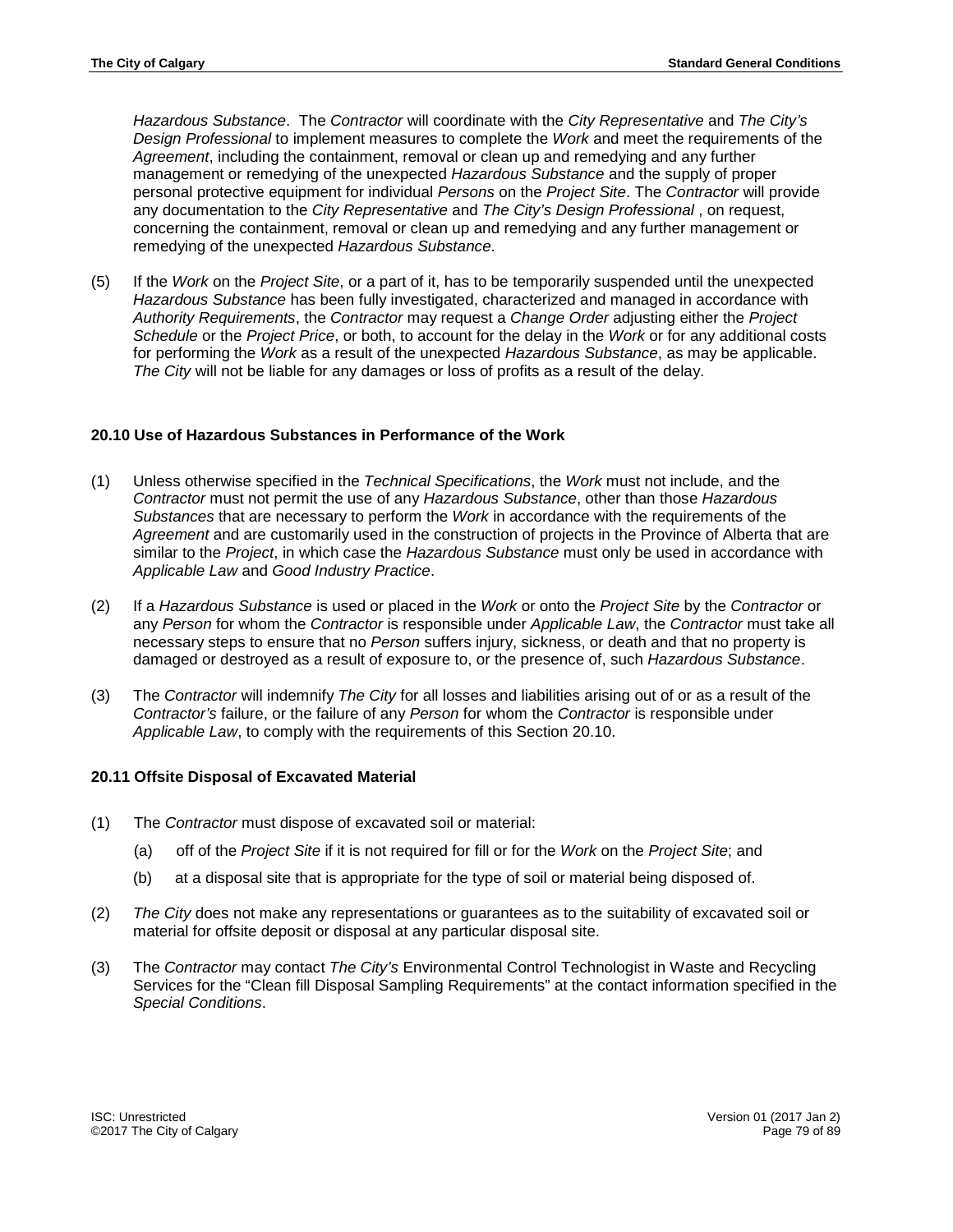*Hazardous Substance*. The *Contractor* will coordinate with the *City Representative* and *The City's Design Professional* to implement measures to complete the *Work* and meet the requirements of the *Agreement*, including the containment, removal or clean up and remedying and any further management or remedying of the unexpected *Hazardous Substance* and the supply of proper personal protective equipment for individual *Persons* on the *Project Site*. The *Contractor* will provide any documentation to the *City Representative* and *The City's Design Professional* , on request, concerning the containment, removal or clean up and remedying and any further management or remedying of the unexpected *Hazardous Substance*.

(5) If the *Work* on the *Project Site*, or a part of it, has to be temporarily suspended until the unexpected *Hazardous Substance* has been fully investigated, characterized and managed in accordance with *Authority Requirements*, the *Contractor* may request a *Change Order* adjusting either the *Project Schedule* or the *Project Price*, or both, to account for the delay in the *Work* or for any additional costs for performing the *Work* as a result of the unexpected *Hazardous Substance*, as may be applicable. *The City* will not be liable for any damages or loss of profits as a result of the delay*.*

## **20.10 Use of Hazardous Substances in Performance of the Work**

- (1) Unless otherwise specified in the *Technical Specifications*, the *Work* must not include, and the *Contractor* must not permit the use of any *Hazardous Substance*, other than those *Hazardous Substances* that are necessary to perform the *Work* in accordance with the requirements of the *Agreement* and are customarily used in the construction of projects in the Province of Alberta that are similar to the *Project*, in which case the *Hazardous Substance* must only be used in accordance with *Applicable Law* and *Good Industry Practice*.
- (2) If a *Hazardous Substance* is used or placed in the *Work* or onto the *Project Site* by the *Contractor* or any *Person* for whom the *Contractor* is responsible under *Applicable Law*, the *Contractor* must take all necessary steps to ensure that no *Person* suffers injury, sickness, or death and that no property is damaged or destroyed as a result of exposure to, or the presence of, such *Hazardous Substance*.
- (3) The *Contractor* will indemnify *The City* for all losses and liabilities arising out of or as a result of the *Contractor's* failure, or the failure of any *Person* for whom the *Contractor* is responsible under *Applicable Law*, to comply with the requirements of this Section 20.10.

#### **20.11 Offsite Disposal of Excavated Material**

- (1) The *Contractor* must dispose of excavated soil or material:
	- (a) off of the *Project Site* if it is not required for fill or for the *Work* on the *Project Site*; and
	- (b) at a disposal site that is appropriate for the type of soil or material being disposed of.
- (2) *The City* does not make any representations or guarantees as to the suitability of excavated soil or material for offsite deposit or disposal at any particular disposal site.
- (3) The *Contractor* may contact *The City's* Environmental Control Technologist in Waste and Recycling Services for the "Clean fill Disposal Sampling Requirements" at the contact information specified in the *Special Conditions*.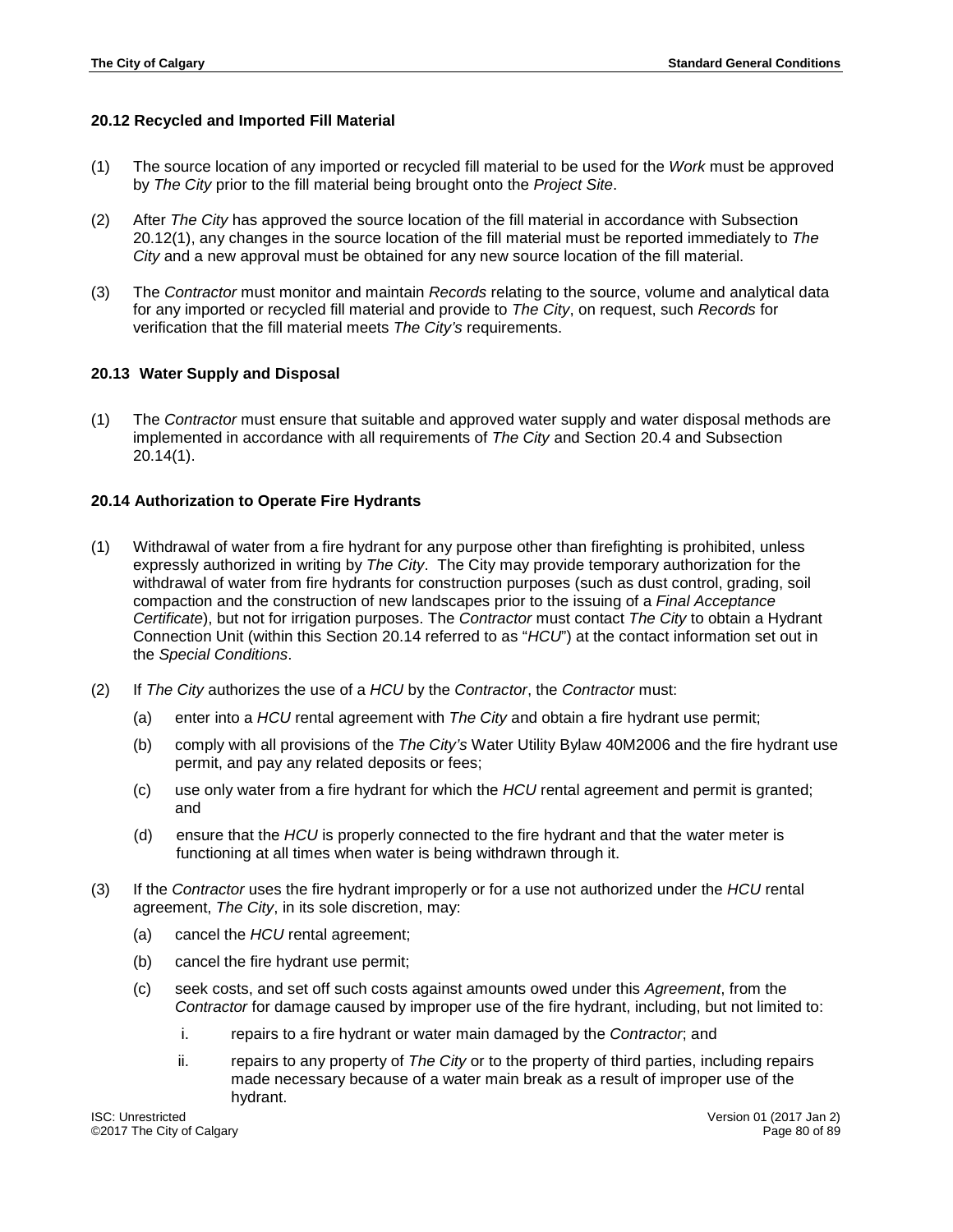## **20.12 Recycled and Imported Fill Material**

- (1) The source location of any imported or recycled fill material to be used for the *Work* must be approved by *The City* prior to the fill material being brought onto the *Project Site*.
- (2) After *The City* has approved the source location of the fill material in accordance with Subsection 20.12(1), any changes in the source location of the fill material must be reported immediately to *The City* and a new approval must be obtained for any new source location of the fill material.
- (3) The *Contractor* must monitor and maintain *Records* relating to the source, volume and analytical data for any imported or recycled fill material and provide to *The City*, on request, such *Records* for verification that the fill material meets *The City's* requirements.

## **20.13 Water Supply and Disposal**

(1) The *Contractor* must ensure that suitable and approved water supply and water disposal methods are implemented in accordance with all requirements of *The City* and Section 20.4 and Subsection 20.14(1).

## **20.14 Authorization to Operate Fire Hydrants**

- (1) Withdrawal of water from a fire hydrant for any purpose other than firefighting is prohibited, unless expressly authorized in writing by *The City*. The City may provide temporary authorization for the withdrawal of water from fire hydrants for construction purposes (such as dust control, grading, soil compaction and the construction of new landscapes prior to the issuing of a *Final Acceptance Certificate*), but not for irrigation purposes. The *Contractor* must contact *The City* to obtain a Hydrant Connection Unit (within this Section 20.14 referred to as "*HCU*") at the contact information set out in the *Special Conditions*.
- (2) If *The City* authorizes the use of a *HCU* by the *Contractor*, the *Contractor* must:
	- (a) enter into a *HCU* rental agreement with *The City* and obtain a fire hydrant use permit;
	- (b) comply with all provisions of the *The City's* Water Utility Bylaw 40M2006 and the fire hydrant use permit, and pay any related deposits or fees;
	- (c) use only water from a fire hydrant for which the *HCU* rental agreement and permit is granted; and
	- (d) ensure that the *HCU* is properly connected to the fire hydrant and that the water meter is functioning at all times when water is being withdrawn through it.
- (3) If the *Contractor* uses the fire hydrant improperly or for a use not authorized under the *HCU* rental agreement, *The City*, in its sole discretion, may:
	- (a) cancel the *HCU* rental agreement;
	- (b) cancel the fire hydrant use permit;
	- (c) seek costs, and set off such costs against amounts owed under this *Agreement*, from the *Contractor* for damage caused by improper use of the fire hydrant, including, but not limited to:
		- i. repairs to a fire hydrant or water main damaged by the *Contractor*; and
		- ii. repairs to any property of *The City* or to the property of third parties, including repairs made necessary because of a water main break as a result of improper use of the hydrant.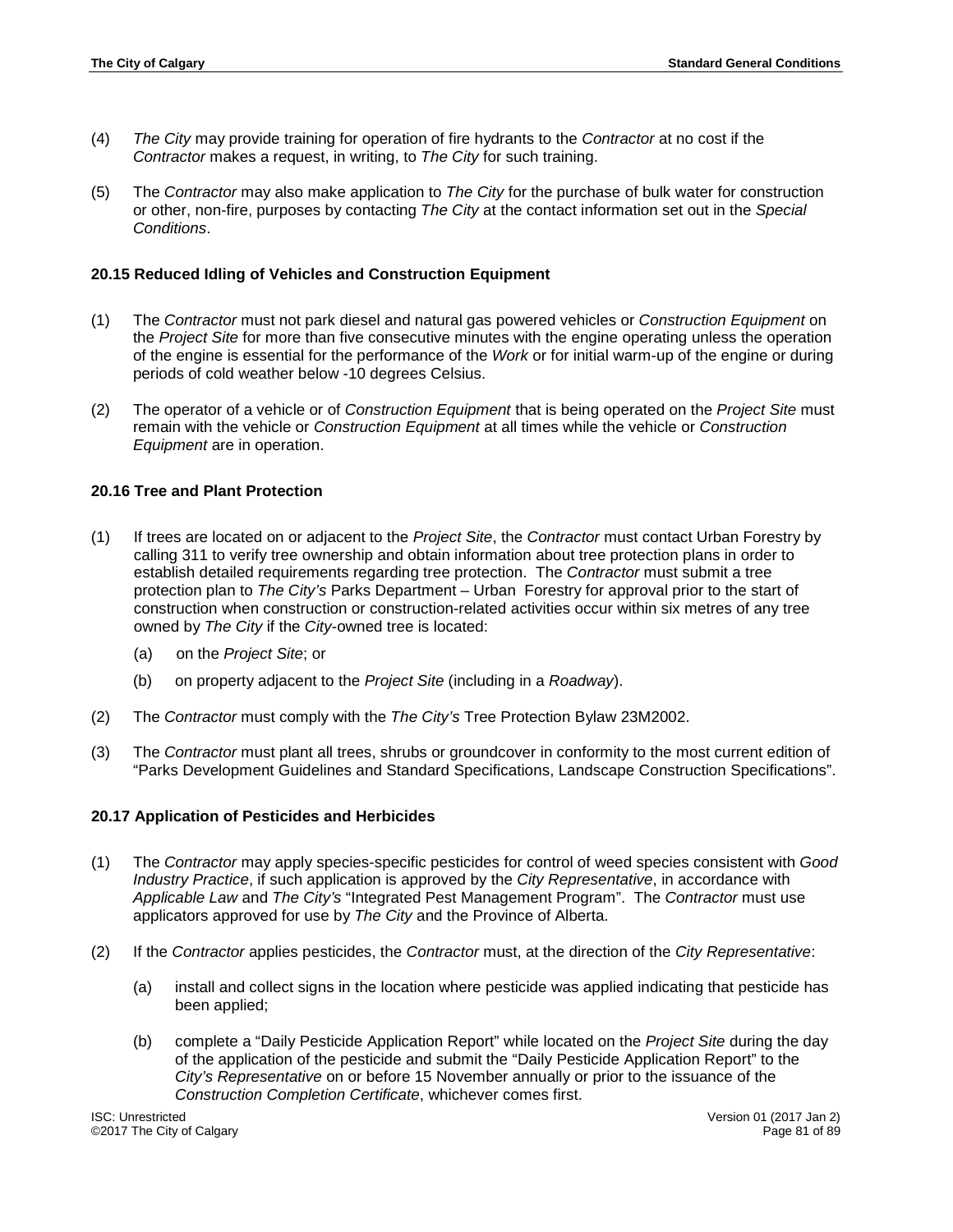- (4) *The City* may provide training for operation of fire hydrants to the *Contractor* at no cost if the *Contractor* makes a request, in writing, to *The City* for such training.
- (5) The *Contractor* may also make application to *The City* for the purchase of bulk water for construction or other, non-fire, purposes by contacting *The City* at the contact information set out in the *Special Conditions*.

#### **20.15 Reduced Idling of Vehicles and Construction Equipment**

- (1) The *Contractor* must not park diesel and natural gas powered vehicles or *Construction Equipment* on the *Project Site* for more than five consecutive minutes with the engine operating unless the operation of the engine is essential for the performance of the *Work* or for initial warm-up of the engine or during periods of cold weather below -10 degrees Celsius.
- (2) The operator of a vehicle or of *Construction Equipment* that is being operated on the *Project Site* must remain with the vehicle or *Construction Equipment* at all times while the vehicle or *Construction Equipment* are in operation.

## **20.16 Tree and Plant Protection**

- (1) If trees are located on or adjacent to the *Project Site*, the *Contractor* must contact Urban Forestry by calling 311 to verify tree ownership and obtain information about tree protection plans in order to establish detailed requirements regarding tree protection. The *Contractor* must submit a tree protection plan to *The City's* Parks Department – Urban Forestry for approval prior to the start of construction when construction or construction-related activities occur within six metres of any tree owned by *The City* if the *City*-owned tree is located:
	- (a) on the *Project Site*; or
	- (b) on property adjacent to the *Project Site* (including in a *Roadway*).
- (2) The *Contractor* must comply with the *The City's* Tree Protection Bylaw 23M2002.
- (3) The *Contractor* must plant all trees, shrubs or groundcover in conformity to the most current edition of "Parks Development Guidelines and Standard Specifications, Landscape Construction Specifications".

#### **20.17 Application of Pesticides and Herbicides**

- (1) The *Contractor* may apply species-specific pesticides for control of weed species consistent with *Good Industry Practice*, if such application is approved by the *City Representative*, in accordance with *Applicable Law* and *The City's* "Integrated Pest Management Program". The *Contractor* must use applicators approved for use by *The City* and the Province of Alberta.
- (2) If the *Contractor* applies pesticides, the *Contractor* must, at the direction of the *City Representative*:
	- (a) install and collect signs in the location where pesticide was applied indicating that pesticide has been applied;
	- (b) complete a "Daily Pesticide Application Report" while located on the *Project Site* during the day of the application of the pesticide and submit the "Daily Pesticide Application Report" to the *City's Representative* on or before 15 November annually or prior to the issuance of the *Construction Completion Certificate*, whichever comes first.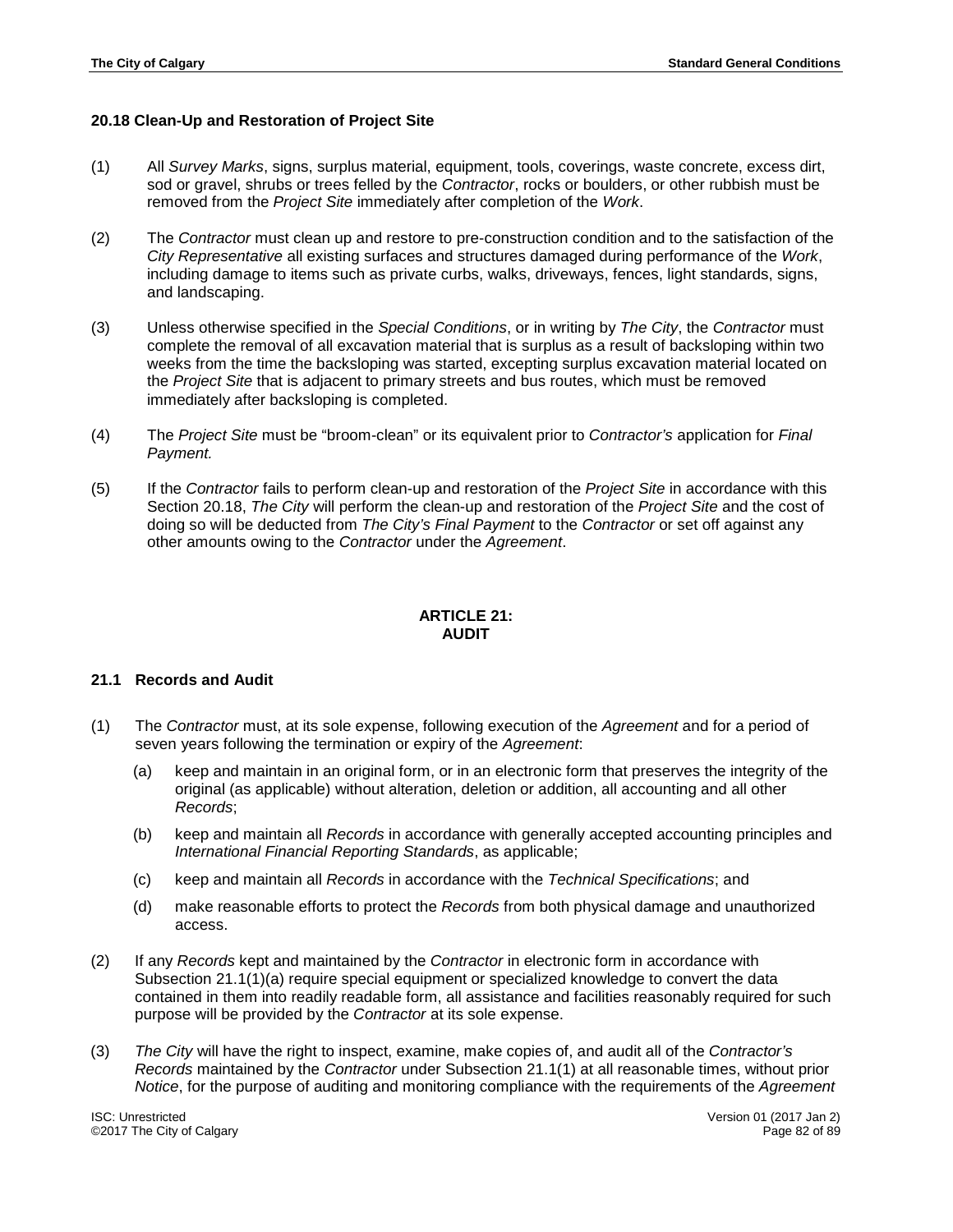## **20.18 Clean-Up and Restoration of Project Site**

- (1) All *Survey Marks*, signs, surplus material, equipment, tools, coverings, waste concrete, excess dirt, sod or gravel, shrubs or trees felled by the *Contractor*, rocks or boulders, or other rubbish must be removed from the *Project Site* immediately after completion of the *Work*.
- (2) The *Contractor* must clean up and restore to pre-construction condition and to the satisfaction of the *City Representative* all existing surfaces and structures damaged during performance of the *Work*, including damage to items such as private curbs, walks, driveways, fences, light standards, signs, and landscaping.
- (3) Unless otherwise specified in the *Special Conditions*, or in writing by *The City*, the *Contractor* must complete the removal of all excavation material that is surplus as a result of backsloping within two weeks from the time the backsloping was started, excepting surplus excavation material located on the *Project Site* that is adjacent to primary streets and bus routes, which must be removed immediately after backsloping is completed.
- (4) The *Project Site* must be "broom-clean" or its equivalent prior to *Contractor's* application for *Final Payment.*
- (5) If the *Contractor* fails to perform clean-up and restoration of the *Project Site* in accordance with this Section 20.18, *The City* will perform the clean-up and restoration of the *Project Site* and the cost of doing so will be deducted from *The City's Final Payment* to the *Contractor* or set off against any other amounts owing to the *Contractor* under the *Agreement*.

## **ARTICLE 21: AUDIT**

#### **21.1 Records and Audit**

- (1) The *Contractor* must, at its sole expense, following execution of the *Agreement* and for a period of seven years following the termination or expiry of the *Agreement*:
	- (a) keep and maintain in an original form, or in an electronic form that preserves the integrity of the original (as applicable) without alteration, deletion or addition, all accounting and all other *Records*;
	- (b) keep and maintain all *Records* in accordance with generally accepted accounting principles and *International Financial Reporting Standards*, as applicable;
	- (c) keep and maintain all *Records* in accordance with the *Technical Specifications*; and
	- (d) make reasonable efforts to protect the *Records* from both physical damage and unauthorized access.
- (2) If any *Records* kept and maintained by the *Contractor* in electronic form in accordance with Subsection 21.1(1)(a) require special equipment or specialized knowledge to convert the data contained in them into readily readable form, all assistance and facilities reasonably required for such purpose will be provided by the *Contractor* at its sole expense.
- (3) *The City* will have the right to inspect, examine, make copies of, and audit all of the *Contractor's Records* maintained by the *Contractor* under Subsection 21.1(1) at all reasonable times, without prior *Notice*, for the purpose of auditing and monitoring compliance with the requirements of the *Agreement*

ISC: Unrestricted Version 01 (2017 Jan 2) ©2017 The City of Calgary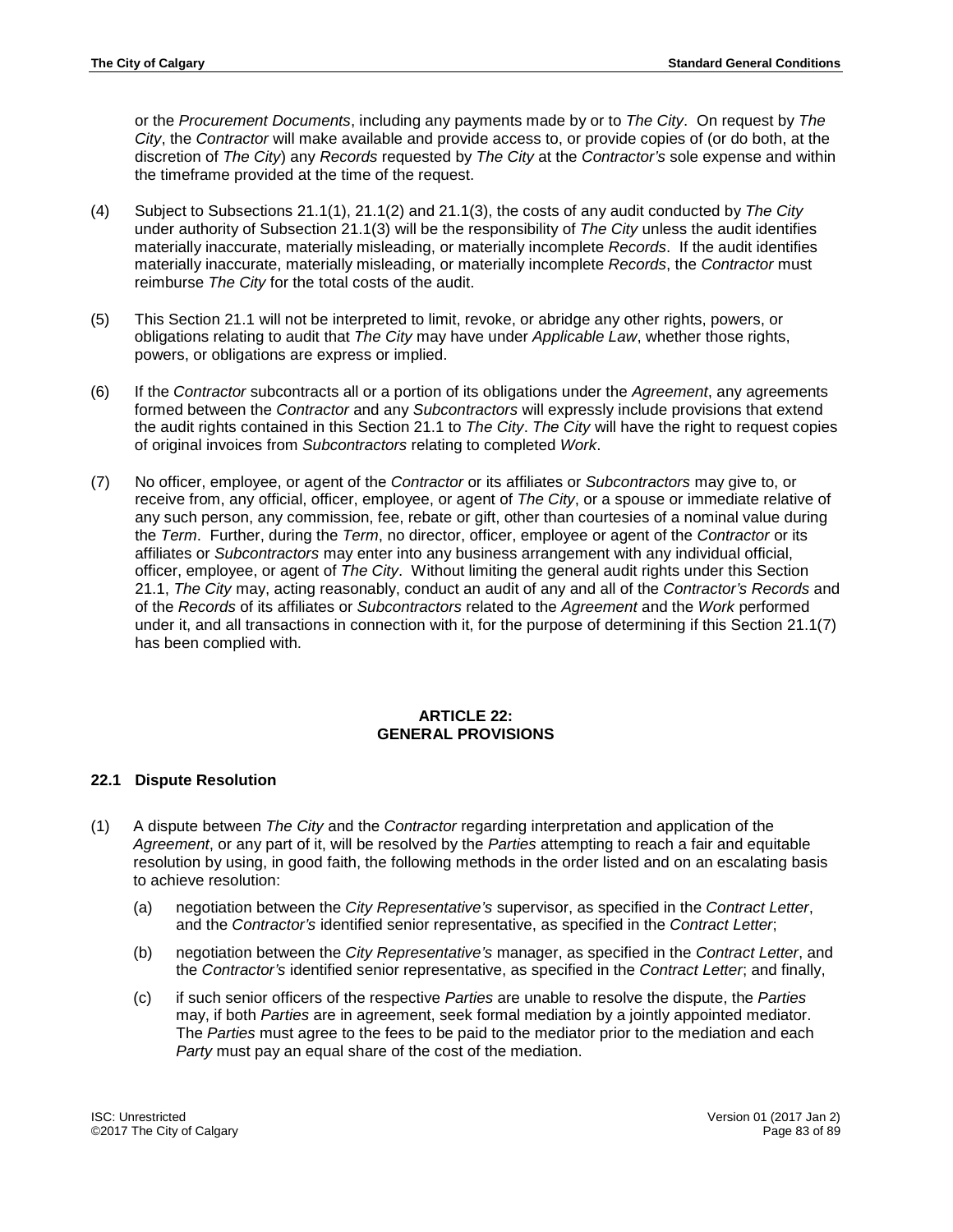or the *Procurement Documents*, including any payments made by or to *The City*. On request by *The City*, the *Contractor* will make available and provide access to, or provide copies of (or do both, at the discretion of *The City*) any *Records* requested by *The City* at the *Contractor's* sole expense and within the timeframe provided at the time of the request.

- (4) Subject to Subsections 21.1(1), 21.1(2) and 21.1(3), the costs of any audit conducted by *The City* under authority of Subsection 21.1(3) will be the responsibility of *The City* unless the audit identifies materially inaccurate, materially misleading, or materially incomplete *Records*. If the audit identifies materially inaccurate, materially misleading, or materially incomplete *Records*, the *Contractor* must reimburse *The City* for the total costs of the audit.
- (5) This Section 21.1 will not be interpreted to limit, revoke, or abridge any other rights, powers, or obligations relating to audit that *The City* may have under *Applicable Law*, whether those rights, powers, or obligations are express or implied.
- (6) If the *Contractor* subcontracts all or a portion of its obligations under the *Agreement*, any agreements formed between the *Contractor* and any *Subcontractors* will expressly include provisions that extend the audit rights contained in this Section 21.1 to *The City*. *The City* will have the right to request copies of original invoices from *Subcontractors* relating to completed *Work*.
- (7) No officer, employee, or agent of the *Contractor* or its affiliates or *Subcontractors* may give to, or receive from, any official, officer, employee, or agent of *The City*, or a spouse or immediate relative of any such person, any commission, fee, rebate or gift, other than courtesies of a nominal value during the *Term*. Further, during the *Term*, no director, officer, employee or agent of the *Contractor* or its affiliates or *Subcontractors* may enter into any business arrangement with any individual official, officer, employee, or agent of *The City*. Without limiting the general audit rights under this Section 21.1, *The City* may, acting reasonably, conduct an audit of any and all of the *Contractor's Records* and of the *Records* of its affiliates or *Subcontractors* related to the *Agreement* and the *Work* performed under it, and all transactions in connection with it, for the purpose of determining if this Section 21.1(7) has been complied with.

#### **ARTICLE 22: GENERAL PROVISIONS**

#### **22.1 Dispute Resolution**

- (1) A dispute between *The City* and the *Contractor* regarding interpretation and application of the *Agreement*, or any part of it, will be resolved by the *Parties* attempting to reach a fair and equitable resolution by using, in good faith, the following methods in the order listed and on an escalating basis to achieve resolution:
	- (a) negotiation between the *City Representative's* supervisor, as specified in the *Contract Letter*, and the *Contractor's* identified senior representative, as specified in the *Contract Letter*;
	- (b) negotiation between the *City Representative's* manager, as specified in the *Contract Letter*, and the *Contractor's* identified senior representative, as specified in the *Contract Letter*; and finally,
	- (c) if such senior officers of the respective *Parties* are unable to resolve the dispute, the *Parties* may, if both *Parties* are in agreement, seek formal mediation by a jointly appointed mediator. The *Parties* must agree to the fees to be paid to the mediator prior to the mediation and each *Party* must pay an equal share of the cost of the mediation.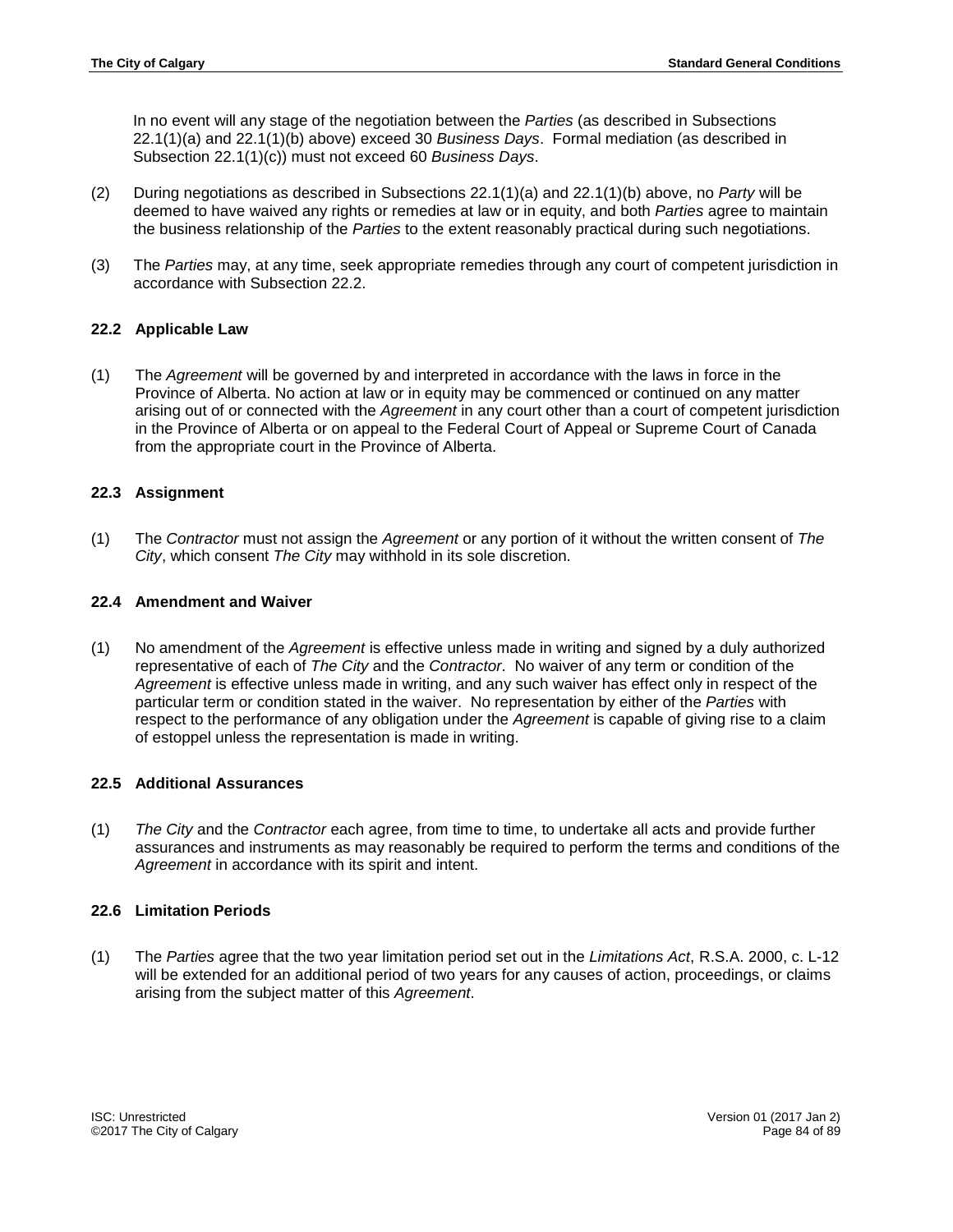In no event will any stage of the negotiation between the *Parties* (as described in Subsections 22.1(1)(a) and 22.1(1)(b) above) exceed 30 *Business Days*. Formal mediation (as described in Subsection 22.1(1)(c)) must not exceed 60 *Business Days*.

- (2) During negotiations as described in Subsections 22.1(1)(a) and 22.1(1)(b) above, no *Party* will be deemed to have waived any rights or remedies at law or in equity, and both *Parties* agree to maintain the business relationship of the *Parties* to the extent reasonably practical during such negotiations.
- (3) The *Parties* may, at any time, seek appropriate remedies through any court of competent jurisdiction in accordance with Subsection 22.2.

## **22.2 Applicable Law**

(1) The *Agreement* will be governed by and interpreted in accordance with the laws in force in the Province of Alberta. No action at law or in equity may be commenced or continued on any matter arising out of or connected with the *Agreement* in any court other than a court of competent jurisdiction in the Province of Alberta or on appeal to the Federal Court of Appeal or Supreme Court of Canada from the appropriate court in the Province of Alberta.

## **22.3 Assignment**

(1) The *Contractor* must not assign the *Agreement* or any portion of it without the written consent of *The City*, which consent *The City* may withhold in its sole discretion.

## **22.4 Amendment and Waiver**

(1) No amendment of the *Agreement* is effective unless made in writing and signed by a duly authorized representative of each of *The City* and the *Contractor*. No waiver of any term or condition of the *Agreement* is effective unless made in writing, and any such waiver has effect only in respect of the particular term or condition stated in the waiver. No representation by either of the *Parties* with respect to the performance of any obligation under the *Agreement* is capable of giving rise to a claim of estoppel unless the representation is made in writing.

## **22.5 Additional Assurances**

(1) *The City* and the *Contractor* each agree, from time to time, to undertake all acts and provide further assurances and instruments as may reasonably be required to perform the terms and conditions of the *Agreement* in accordance with its spirit and intent.

#### **22.6 Limitation Periods**

(1) The *Parties* agree that the two year limitation period set out in the *Limitations Act*, R.S.A. 2000, c. L-12 will be extended for an additional period of two years for any causes of action, proceedings, or claims arising from the subject matter of this *Agreement*.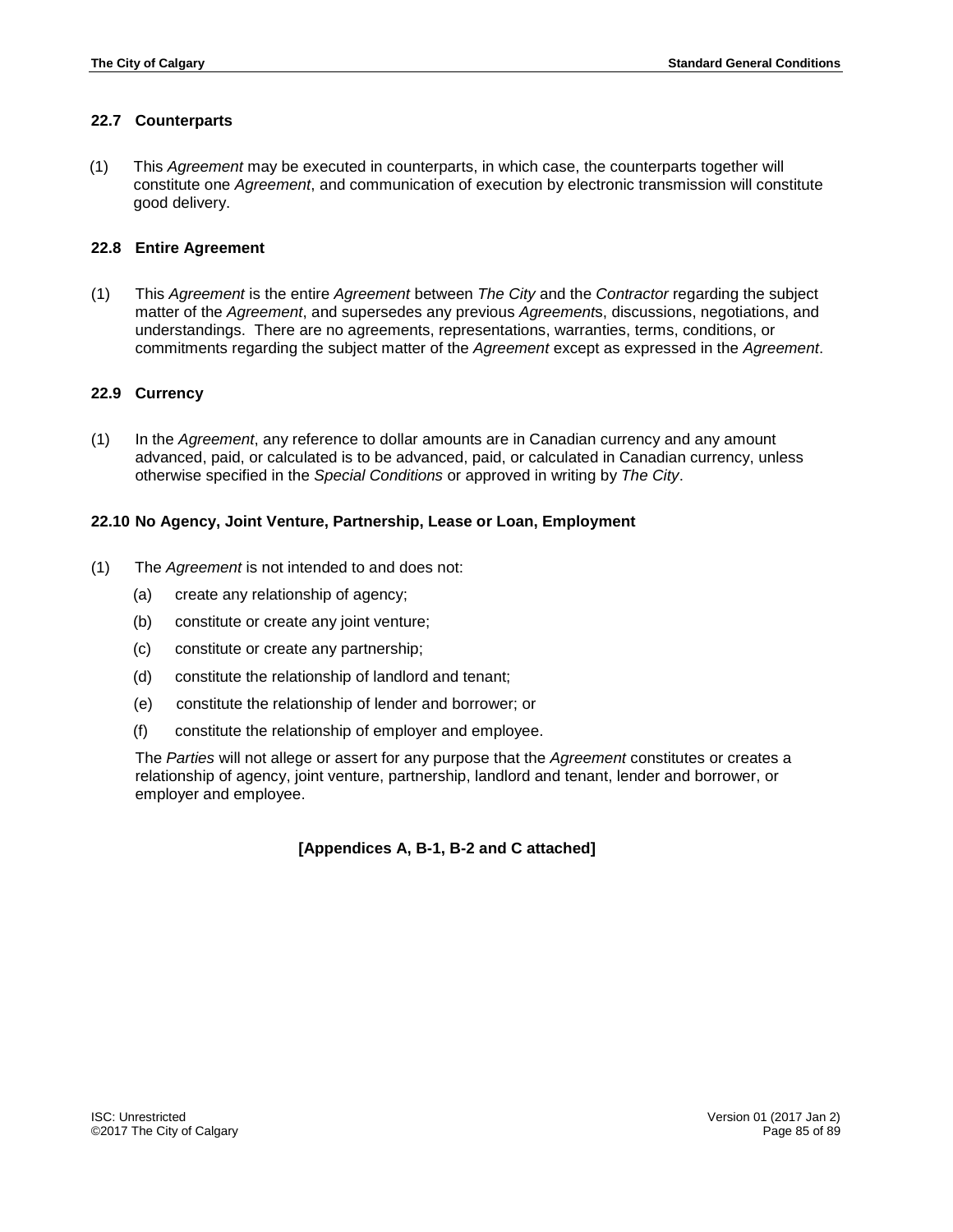#### **22.7 Counterparts**

(1) This *Agreement* may be executed in counterparts, in which case, the counterparts together will constitute one *Agreement*, and communication of execution by electronic transmission will constitute good delivery.

#### **22.8 Entire Agreement**

(1) This *Agreement* is the entire *Agreement* between *The City* and the *Contractor* regarding the subject matter of the *Agreement*, and supersedes any previous *Agreement*s, discussions, negotiations, and understandings. There are no agreements, representations, warranties, terms, conditions, or commitments regarding the subject matter of the *Agreement* except as expressed in the *Agreement*.

## **22.9 Currency**

(1) In the *Agreement*, any reference to dollar amounts are in Canadian currency and any amount advanced, paid, or calculated is to be advanced, paid, or calculated in Canadian currency, unless otherwise specified in the *Special Conditions* or approved in writing by *The City*.

## **22.10 No Agency, Joint Venture, Partnership, Lease or Loan, Employment**

- (1) The *Agreement* is not intended to and does not:
	- (a) create any relationship of agency;
	- (b) constitute or create any joint venture;
	- (c) constitute or create any partnership;
	- (d) constitute the relationship of landlord and tenant;
	- (e) constitute the relationship of lender and borrower; or
	- (f) constitute the relationship of employer and employee.

The *Parties* will not allege or assert for any purpose that the *Agreement* constitutes or creates a relationship of agency, joint venture, partnership, landlord and tenant, lender and borrower, or employer and employee.

#### **[Appendices A, B-1, B-2 and C attached]**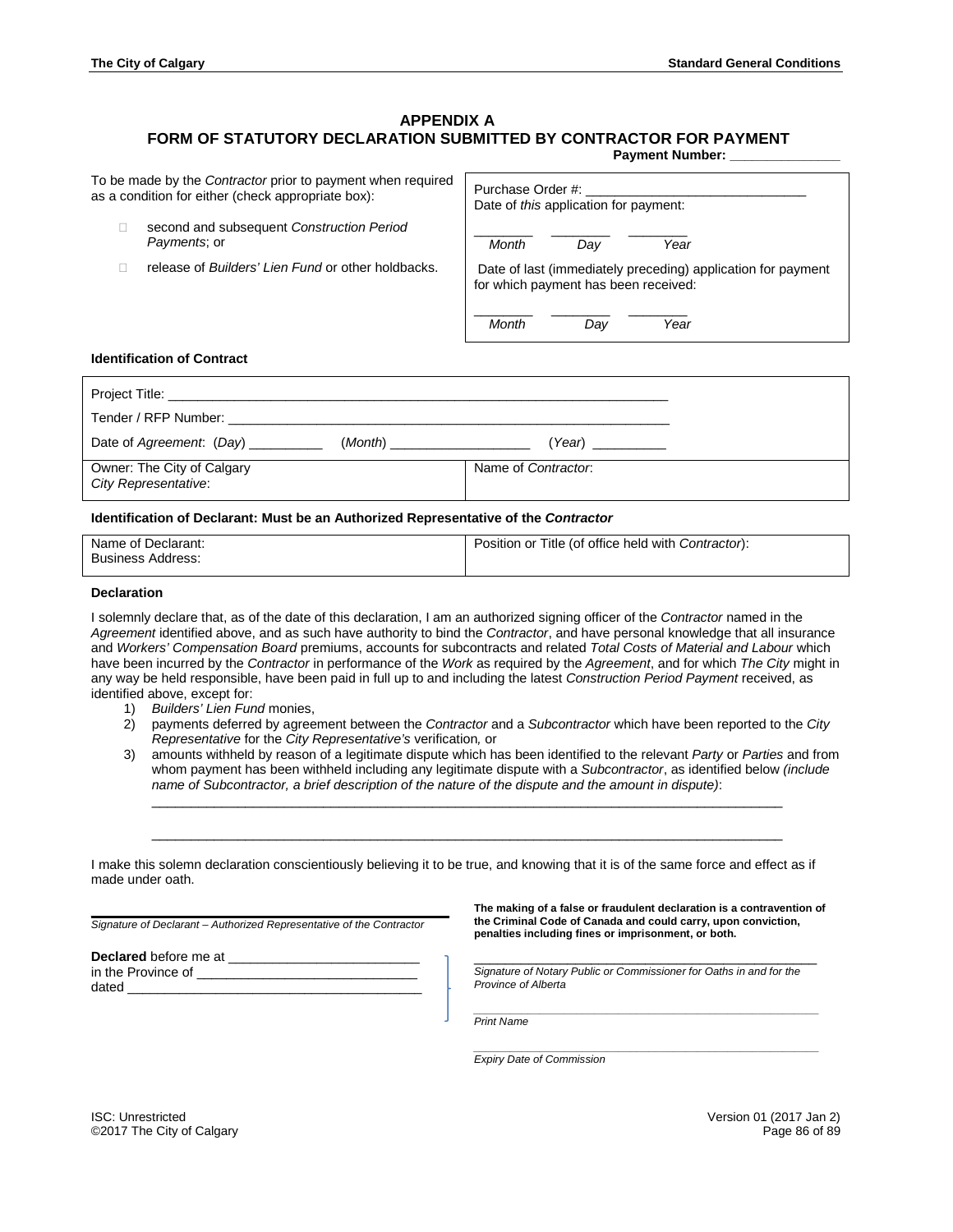# **APPENDIX A**

# **FORM OF STATUTORY DECLARATION SUBMITTED BY CONTRACTOR FOR PAYMENT**

**Payment Number:** 

| To be made by the <i>Contractor</i> prior to payment when required |  |
|--------------------------------------------------------------------|--|
| as a condition for either (check appropriate box):                 |  |

- second and subsequent *Construction Period Payments*; or
- □ release of *Builders' Lien Fund* or other holdbacks.

| Purchase Order #:<br>Date of <i>this</i> application for payment:                                    |     |      |  |  |
|------------------------------------------------------------------------------------------------------|-----|------|--|--|
| Month                                                                                                | Dav | Year |  |  |
| Date of last (immediately preceding) application for payment<br>for which payment has been received: |     |      |  |  |
| Month                                                                                                |     | Year |  |  |

#### **Identification of Contract**

| Date of Agreement: (Day) __________                | Year) __________    |
|----------------------------------------------------|---------------------|
| Owner: The City of Calgary<br>City Representative: | Name of Contractor: |

#### **Identification of Declarant: Must be an Authorized Representative of the** *Contractor*

| Name of Declarant:       | Position or Title (of office held with Contractor): |
|--------------------------|-----------------------------------------------------|
|                          |                                                     |
| <b>Business Address:</b> |                                                     |
|                          |                                                     |
|                          |                                                     |
|                          |                                                     |

#### **Declaration**

I solemnly declare that, as of the date of this declaration, I am an authorized signing officer of the *Contractor* named in the *Agreement* identified above, and as such have authority to bind the *Contractor*, and have personal knowledge that all insurance and *Workers' Compensation Board* premiums, accounts for subcontracts and related *Total Costs of Material and Labour* which have been incurred by the *Contractor* in performance of the *Work* as required by the *Agreement*, and for which *The City* might in any way be held responsible, have been paid in full up to and including the latest *Construction Period Payment* received, as identified above, except for:

- 1) *Builders' Lien Fund* monies,
- 2) payments deferred by agreement between the *Contractor* and a *Subcontractor* which have been reported to the *City Representative* for the *City Representative's* verification*,* or
- 3) amounts withheld by reason of a legitimate dispute which has been identified to the relevant *Party* or *Parties* and from whom payment has been withheld including any legitimate dispute with a *Subcontractor*, as identified below *(include name of Subcontractor, a brief description of the nature of the dispute and the amount in dispute)*:

\_\_\_\_\_\_\_\_\_\_\_\_\_\_\_\_\_\_\_\_\_\_\_\_\_\_\_\_\_\_\_\_\_\_\_\_\_\_\_\_\_\_\_\_\_\_\_\_\_\_\_\_\_\_\_\_\_\_\_\_\_\_\_\_\_\_\_\_\_\_\_\_\_\_\_\_\_\_\_\_\_

\_\_\_\_\_\_\_\_\_\_\_\_\_\_\_\_\_\_\_\_\_\_\_\_\_\_\_\_\_\_\_\_\_\_\_\_\_\_\_\_\_\_\_\_\_\_\_\_\_\_\_\_\_\_\_\_\_\_\_\_\_\_\_\_\_\_\_\_\_\_\_\_\_\_\_\_\_\_\_\_\_

I make this solemn declaration conscientiously believing it to be true, and knowing that it is of the same force and effect as if made under oath.

**\_\_\_\_\_\_\_\_\_\_\_\_\_\_\_\_\_\_\_\_\_\_\_\_\_\_\_\_\_\_\_\_\_\_\_\_\_\_\_\_\_\_\_\_\_\_** *Signature of Declarant – Authorized Representative of the Contractor*

| Declared before me at |  |
|-----------------------|--|
| in the Province of    |  |
| dated                 |  |

**The making of a false or fraudulent declaration is a contravention of the Criminal Code of Canada and could carry, upon conviction, penalties including fines or imprisonment, or both.**

\_\_\_\_\_\_\_\_\_\_\_\_\_\_\_\_\_\_\_\_\_\_\_\_\_\_\_\_\_\_\_\_\_\_\_\_\_\_\_\_\_\_\_\_ *Signature of Notary Public or Commissioner for Oaths in and for the Province of Alberta*

*\_\_\_\_\_\_\_\_\_\_\_\_\_\_\_\_\_\_\_\_\_\_\_\_\_\_\_\_\_\_\_\_\_\_\_\_\_\_\_\_\_\_\_\_\_\_\_\_\_\_\_\_\_\_\_\_\_ Print Name*

*\_\_\_\_\_\_\_\_\_\_\_\_\_\_\_\_\_\_\_\_\_\_\_\_\_\_\_\_\_\_\_\_\_\_\_\_\_\_\_\_\_\_\_\_\_\_\_\_\_\_\_\_\_\_\_\_\_ Expiry Date of Commission*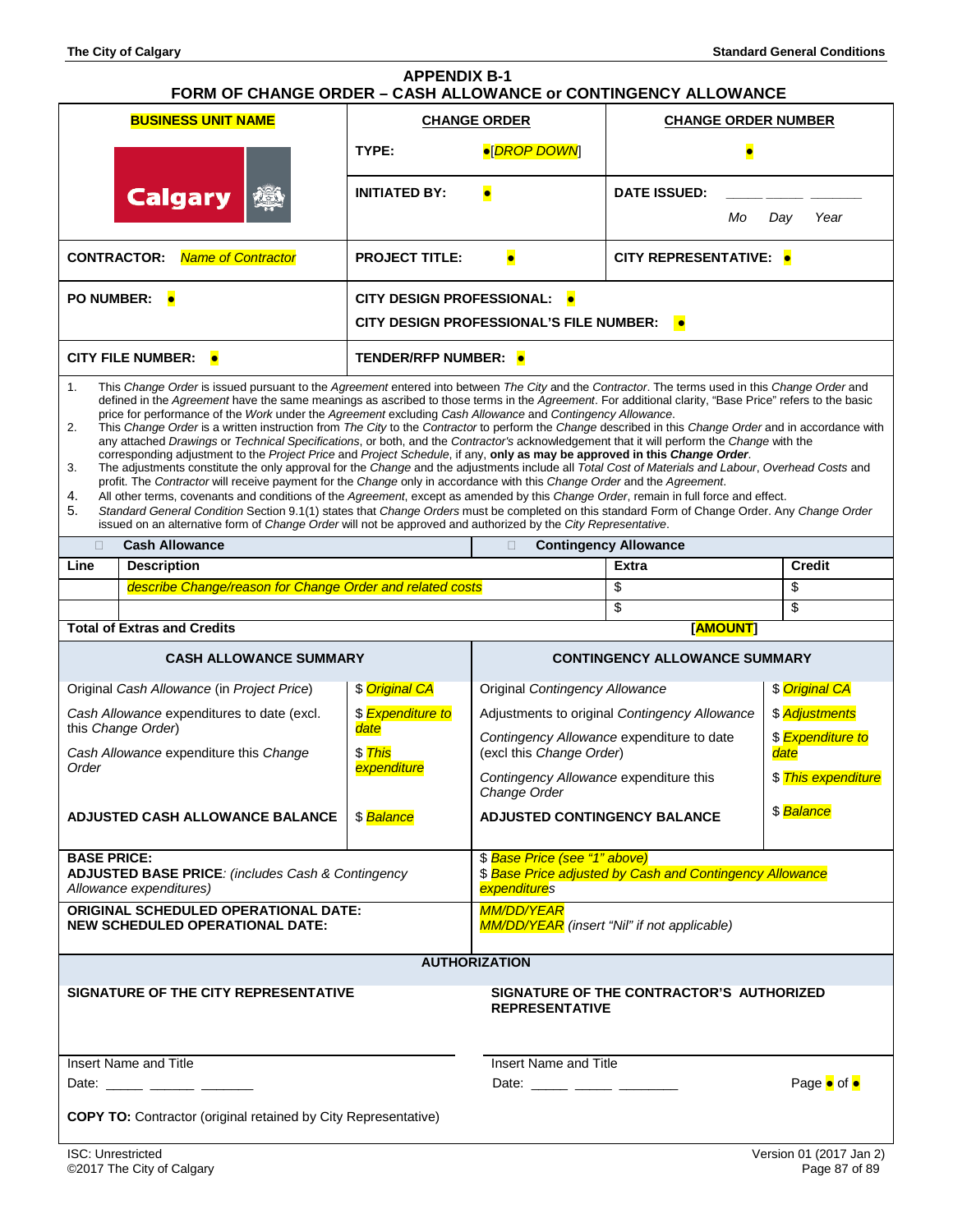| <b>APPENDIX B-1</b><br>FORM OF CHANGE ORDER - CASH ALLOWANCE or CONTINGENCY ALLOWANCE                                                                                                                                                                                                                                                                                                                                                                                                                                                                                                                                                                                                                                                                                                                                                                                                                                                                                                                                                                                                                                                                                                                                                                                                                                                                                                                                                                                                                                                                                              |                                                                  |                                                                                                          |                                                                       |                                               |                             |
|------------------------------------------------------------------------------------------------------------------------------------------------------------------------------------------------------------------------------------------------------------------------------------------------------------------------------------------------------------------------------------------------------------------------------------------------------------------------------------------------------------------------------------------------------------------------------------------------------------------------------------------------------------------------------------------------------------------------------------------------------------------------------------------------------------------------------------------------------------------------------------------------------------------------------------------------------------------------------------------------------------------------------------------------------------------------------------------------------------------------------------------------------------------------------------------------------------------------------------------------------------------------------------------------------------------------------------------------------------------------------------------------------------------------------------------------------------------------------------------------------------------------------------------------------------------------------------|------------------------------------------------------------------|----------------------------------------------------------------------------------------------------------|-----------------------------------------------------------------------|-----------------------------------------------|-----------------------------|
|                                                                                                                                                                                                                                                                                                                                                                                                                                                                                                                                                                                                                                                                                                                                                                                                                                                                                                                                                                                                                                                                                                                                                                                                                                                                                                                                                                                                                                                                                                                                                                                    | <b>BUSINESS UNIT NAME</b>                                        | <b>CHANGE ORDER</b>                                                                                      |                                                                       | <b>CHANGE ORDER NUMBER</b>                    |                             |
| <b>Calgary</b>                                                                                                                                                                                                                                                                                                                                                                                                                                                                                                                                                                                                                                                                                                                                                                                                                                                                                                                                                                                                                                                                                                                                                                                                                                                                                                                                                                                                                                                                                                                                                                     |                                                                  | ●[DROP DOWN]<br>TYPE:                                                                                    |                                                                       |                                               |                             |
|                                                                                                                                                                                                                                                                                                                                                                                                                                                                                                                                                                                                                                                                                                                                                                                                                                                                                                                                                                                                                                                                                                                                                                                                                                                                                                                                                                                                                                                                                                                                                                                    |                                                                  | <b>INITIATED BY:</b>                                                                                     | $\bullet$                                                             | <b>DATE ISSUED:</b><br>Мo                     | Day<br>Year                 |
|                                                                                                                                                                                                                                                                                                                                                                                                                                                                                                                                                                                                                                                                                                                                                                                                                                                                                                                                                                                                                                                                                                                                                                                                                                                                                                                                                                                                                                                                                                                                                                                    |                                                                  |                                                                                                          |                                                                       |                                               |                             |
| <b>CONTRACTOR:</b>                                                                                                                                                                                                                                                                                                                                                                                                                                                                                                                                                                                                                                                                                                                                                                                                                                                                                                                                                                                                                                                                                                                                                                                                                                                                                                                                                                                                                                                                                                                                                                 | <b>Name of Contractor</b>                                        | <b>PROJECT TITLE:</b>                                                                                    | $\bullet$                                                             | CITY REPRESENTATIVE: •                        |                             |
|                                                                                                                                                                                                                                                                                                                                                                                                                                                                                                                                                                                                                                                                                                                                                                                                                                                                                                                                                                                                                                                                                                                                                                                                                                                                                                                                                                                                                                                                                                                                                                                    | PO NUMBER: •                                                     | <b>CITY DESIGN PROFESSIONAL: .</b>                                                                       |                                                                       |                                               |                             |
|                                                                                                                                                                                                                                                                                                                                                                                                                                                                                                                                                                                                                                                                                                                                                                                                                                                                                                                                                                                                                                                                                                                                                                                                                                                                                                                                                                                                                                                                                                                                                                                    |                                                                  |                                                                                                          | <b>CITY DESIGN PROFESSIONAL'S FILE NUMBER:</b>                        | $\bullet$                                     |                             |
|                                                                                                                                                                                                                                                                                                                                                                                                                                                                                                                                                                                                                                                                                                                                                                                                                                                                                                                                                                                                                                                                                                                                                                                                                                                                                                                                                                                                                                                                                                                                                                                    | <b>CITY FILE NUMBER: •</b>                                       | TENDER/RFP NUMBER: ●                                                                                     |                                                                       |                                               |                             |
| 1.<br>This Change Order is issued pursuant to the Agreement entered into between The City and the Contractor. The terms used in this Change Order and<br>defined in the Agreement have the same meanings as ascribed to those terms in the Agreement. For additional clarity, "Base Price" refers to the basic<br>price for performance of the Work under the Agreement excluding Cash Allowance and Contingency Allowance.<br>2.<br>This Change Order is a written instruction from The City to the Contractor to perform the Change described in this Change Order and in accordance with<br>any attached Drawings or Technical Specifications, or both, and the Contractor's acknowledgement that it will perform the Change with the<br>corresponding adjustment to the Project Price and Project Schedule, if any, only as may be approved in this Change Order.<br>The adjustments constitute the only approval for the Change and the adjustments include all Total Cost of Materials and Labour, Overhead Costs and<br>3.<br>profit. The Contractor will receive payment for the Change only in accordance with this Change Order and the Agreement.<br>4.<br>All other terms, covenants and conditions of the Agreement, except as amended by this Change Order, remain in full force and effect.<br>5.<br>Standard General Condition Section 9.1(1) states that Change Orders must be completed on this standard Form of Change Order. Any Change Order<br>issued on an alternative form of Change Order will not be approved and authorized by the City Representative. |                                                                  |                                                                                                          |                                                                       |                                               |                             |
| $\Box$                                                                                                                                                                                                                                                                                                                                                                                                                                                                                                                                                                                                                                                                                                                                                                                                                                                                                                                                                                                                                                                                                                                                                                                                                                                                                                                                                                                                                                                                                                                                                                             | <b>Cash Allowance</b>                                            |                                                                                                          | $\Box$                                                                | <b>Contingency Allowance</b>                  |                             |
| Line                                                                                                                                                                                                                                                                                                                                                                                                                                                                                                                                                                                                                                                                                                                                                                                                                                                                                                                                                                                                                                                                                                                                                                                                                                                                                                                                                                                                                                                                                                                                                                               | <b>Description</b>                                               |                                                                                                          |                                                                       | <b>Extra</b>                                  | <b>Credit</b>               |
|                                                                                                                                                                                                                                                                                                                                                                                                                                                                                                                                                                                                                                                                                                                                                                                                                                                                                                                                                                                                                                                                                                                                                                                                                                                                                                                                                                                                                                                                                                                                                                                    | describe Change/reason for Change Order and related costs        |                                                                                                          |                                                                       | \$                                            | \$                          |
|                                                                                                                                                                                                                                                                                                                                                                                                                                                                                                                                                                                                                                                                                                                                                                                                                                                                                                                                                                                                                                                                                                                                                                                                                                                                                                                                                                                                                                                                                                                                                                                    |                                                                  |                                                                                                          |                                                                       | \$                                            | \$                          |
|                                                                                                                                                                                                                                                                                                                                                                                                                                                                                                                                                                                                                                                                                                                                                                                                                                                                                                                                                                                                                                                                                                                                                                                                                                                                                                                                                                                                                                                                                                                                                                                    | <b>Total of Extras and Credits</b>                               |                                                                                                          |                                                                       | [AMOUNT]                                      |                             |
| <b>CASH ALLOWANCE SUMMARY</b>                                                                                                                                                                                                                                                                                                                                                                                                                                                                                                                                                                                                                                                                                                                                                                                                                                                                                                                                                                                                                                                                                                                                                                                                                                                                                                                                                                                                                                                                                                                                                      |                                                                  |                                                                                                          | <b>CONTINGENCY ALLOWANCE SUMMARY</b>                                  |                                               |                             |
|                                                                                                                                                                                                                                                                                                                                                                                                                                                                                                                                                                                                                                                                                                                                                                                                                                                                                                                                                                                                                                                                                                                                                                                                                                                                                                                                                                                                                                                                                                                                                                                    | Original Cash Allowance (in Project Price)                       | \$ Original CA                                                                                           | Original Contingency Allowance                                        |                                               | \$ Original CA              |
|                                                                                                                                                                                                                                                                                                                                                                                                                                                                                                                                                                                                                                                                                                                                                                                                                                                                                                                                                                                                                                                                                                                                                                                                                                                                                                                                                                                                                                                                                                                                                                                    | Cash Allowance expenditures to date (excl.<br>this Change Order) | \$ Expenditure to<br>date                                                                                |                                                                       | Adjustments to original Contingency Allowance | \$ Adjustments              |
| Order                                                                                                                                                                                                                                                                                                                                                                                                                                                                                                                                                                                                                                                                                                                                                                                                                                                                                                                                                                                                                                                                                                                                                                                                                                                                                                                                                                                                                                                                                                                                                                              | Cash Allowance expenditure this Change                           | \$ This<br>expenditure                                                                                   | Contingency Allowance expenditure to date<br>(excl this Change Order) |                                               | \$ Expenditure to<br>date   |
|                                                                                                                                                                                                                                                                                                                                                                                                                                                                                                                                                                                                                                                                                                                                                                                                                                                                                                                                                                                                                                                                                                                                                                                                                                                                                                                                                                                                                                                                                                                                                                                    |                                                                  |                                                                                                          | Contingency Allowance expenditure this<br>Change Order                |                                               | \$ This expenditure         |
| <b>ADJUSTED CASH ALLOWANCE BALANCE</b><br>\$Balance                                                                                                                                                                                                                                                                                                                                                                                                                                                                                                                                                                                                                                                                                                                                                                                                                                                                                                                                                                                                                                                                                                                                                                                                                                                                                                                                                                                                                                                                                                                                |                                                                  | \$ Balance<br><b>ADJUSTED CONTINGENCY BALANCE</b>                                                        |                                                                       |                                               |                             |
| <b>BASE PRICE:</b><br>ADJUSTED BASE PRICE: (includes Cash & Contingency<br>Allowance expenditures)                                                                                                                                                                                                                                                                                                                                                                                                                                                                                                                                                                                                                                                                                                                                                                                                                                                                                                                                                                                                                                                                                                                                                                                                                                                                                                                                                                                                                                                                                 |                                                                  | \$Base Price (see "1" above)<br>\$ Base Price adjusted by Cash and Contingency Allowance<br>expenditures |                                                                       |                                               |                             |
| <b>ORIGINAL SCHEDULED OPERATIONAL DATE:</b><br><b>NEW SCHEDULED OPERATIONAL DATE:</b>                                                                                                                                                                                                                                                                                                                                                                                                                                                                                                                                                                                                                                                                                                                                                                                                                                                                                                                                                                                                                                                                                                                                                                                                                                                                                                                                                                                                                                                                                              |                                                                  | <b>MM/DD/YEAR</b><br>MM/DD/YEAR (insert "Nil" if not applicable)                                         |                                                                       |                                               |                             |
| <b>AUTHORIZATION</b>                                                                                                                                                                                                                                                                                                                                                                                                                                                                                                                                                                                                                                                                                                                                                                                                                                                                                                                                                                                                                                                                                                                                                                                                                                                                                                                                                                                                                                                                                                                                                               |                                                                  |                                                                                                          |                                                                       |                                               |                             |
| SIGNATURE OF THE CITY REPRESENTATIVE<br>SIGNATURE OF THE CONTRACTOR'S AUTHORIZED<br><b>REPRESENTATIVE</b>                                                                                                                                                                                                                                                                                                                                                                                                                                                                                                                                                                                                                                                                                                                                                                                                                                                                                                                                                                                                                                                                                                                                                                                                                                                                                                                                                                                                                                                                          |                                                                  |                                                                                                          |                                                                       |                                               |                             |
|                                                                                                                                                                                                                                                                                                                                                                                                                                                                                                                                                                                                                                                                                                                                                                                                                                                                                                                                                                                                                                                                                                                                                                                                                                                                                                                                                                                                                                                                                                                                                                                    | Insert Name and Title                                            |                                                                                                          |                                                                       | Insert Name and Title                         |                             |
|                                                                                                                                                                                                                                                                                                                                                                                                                                                                                                                                                                                                                                                                                                                                                                                                                                                                                                                                                                                                                                                                                                                                                                                                                                                                                                                                                                                                                                                                                                                                                                                    | Date: ______ ______ _______                                      |                                                                                                          | Date: ______ _____ ______                                             |                                               | Page $\bullet$ of $\bullet$ |
| <b>COPY TO:</b> Contractor (original retained by City Representative)                                                                                                                                                                                                                                                                                                                                                                                                                                                                                                                                                                                                                                                                                                                                                                                                                                                                                                                                                                                                                                                                                                                                                                                                                                                                                                                                                                                                                                                                                                              |                                                                  |                                                                                                          |                                                                       |                                               |                             |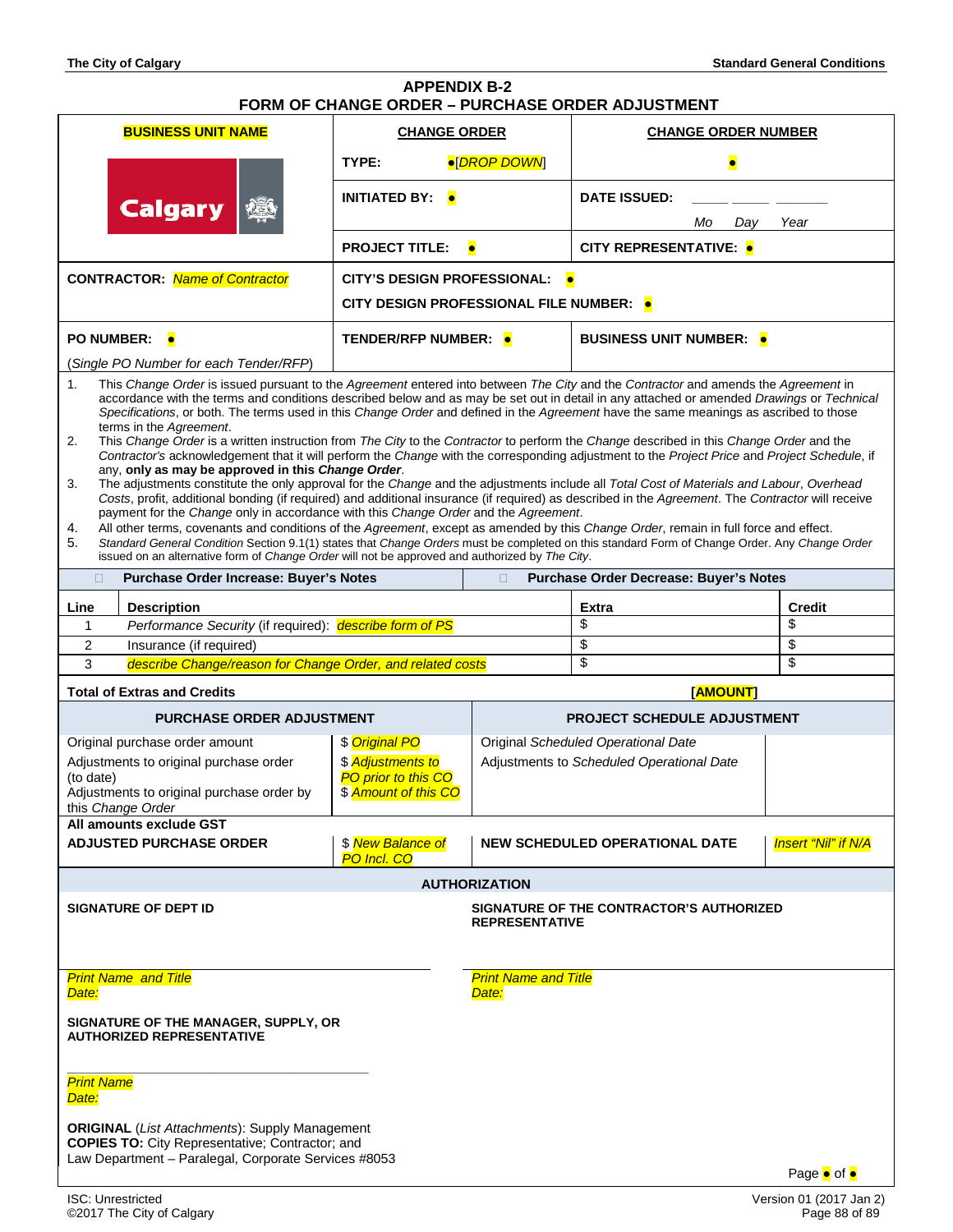Law Department – Paralegal, Corporate Services #8053

| <b>APPENDIX B-2</b><br>FORM OF CHANGE ORDER - PURCHASE ORDER ADJUSTMENT                                                                                                                                                                                                                                                                                                                                                                                                                                                                                                                                                                                                                                                                                                                                                                                                                                                                                                                                                                                                                                                                                                                                                                                                                                                                                                                                                                                                                                             |                                             |                                           |                                          |                            |
|---------------------------------------------------------------------------------------------------------------------------------------------------------------------------------------------------------------------------------------------------------------------------------------------------------------------------------------------------------------------------------------------------------------------------------------------------------------------------------------------------------------------------------------------------------------------------------------------------------------------------------------------------------------------------------------------------------------------------------------------------------------------------------------------------------------------------------------------------------------------------------------------------------------------------------------------------------------------------------------------------------------------------------------------------------------------------------------------------------------------------------------------------------------------------------------------------------------------------------------------------------------------------------------------------------------------------------------------------------------------------------------------------------------------------------------------------------------------------------------------------------------------|---------------------------------------------|-------------------------------------------|------------------------------------------|----------------------------|
| <b>BUSINESS UNIT NAME</b>                                                                                                                                                                                                                                                                                                                                                                                                                                                                                                                                                                                                                                                                                                                                                                                                                                                                                                                                                                                                                                                                                                                                                                                                                                                                                                                                                                                                                                                                                           | <b>CHANGE ORDER</b>                         |                                           | <b>CHANGE ORDER NUMBER</b>               |                            |
|                                                                                                                                                                                                                                                                                                                                                                                                                                                                                                                                                                                                                                                                                                                                                                                                                                                                                                                                                                                                                                                                                                                                                                                                                                                                                                                                                                                                                                                                                                                     | TYPE:<br>●[DROP DOWN]                       |                                           |                                          |                            |
|                                                                                                                                                                                                                                                                                                                                                                                                                                                                                                                                                                                                                                                                                                                                                                                                                                                                                                                                                                                                                                                                                                                                                                                                                                                                                                                                                                                                                                                                                                                     | <b>INITIATED BY:</b>                        |                                           | <b>DATE ISSUED:</b>                      |                            |
| <b>Calgary</b>                                                                                                                                                                                                                                                                                                                                                                                                                                                                                                                                                                                                                                                                                                                                                                                                                                                                                                                                                                                                                                                                                                                                                                                                                                                                                                                                                                                                                                                                                                      |                                             |                                           | Mo<br>Day                                | Year                       |
|                                                                                                                                                                                                                                                                                                                                                                                                                                                                                                                                                                                                                                                                                                                                                                                                                                                                                                                                                                                                                                                                                                                                                                                                                                                                                                                                                                                                                                                                                                                     | <b>PROJECT TITLE:</b>                       |                                           | <b>CITY REPRESENTATIVE: •</b>            |                            |
| <b>CONTRACTOR: Name of Contractor</b>                                                                                                                                                                                                                                                                                                                                                                                                                                                                                                                                                                                                                                                                                                                                                                                                                                                                                                                                                                                                                                                                                                                                                                                                                                                                                                                                                                                                                                                                               | <b>CITY'S DESIGN PROFESSIONAL:</b>          |                                           |                                          |                            |
|                                                                                                                                                                                                                                                                                                                                                                                                                                                                                                                                                                                                                                                                                                                                                                                                                                                                                                                                                                                                                                                                                                                                                                                                                                                                                                                                                                                                                                                                                                                     | CITY DESIGN PROFESSIONAL FILE NUMBER: ●     |                                           |                                          |                            |
| PO NUMBER: $\bullet$                                                                                                                                                                                                                                                                                                                                                                                                                                                                                                                                                                                                                                                                                                                                                                                                                                                                                                                                                                                                                                                                                                                                                                                                                                                                                                                                                                                                                                                                                                | TENDER/RFP NUMBER: •                        |                                           | <b>BUSINESS UNIT NUMBER: •</b>           |                            |
| (Single PO Number for each Tender/RFP)                                                                                                                                                                                                                                                                                                                                                                                                                                                                                                                                                                                                                                                                                                                                                                                                                                                                                                                                                                                                                                                                                                                                                                                                                                                                                                                                                                                                                                                                              |                                             |                                           |                                          |                            |
| This Change Order is issued pursuant to the Agreement entered into between The City and the Contractor and amends the Agreement in<br>1.<br>accordance with the terms and conditions described below and as may be set out in detail in any attached or amended Drawings or Technical<br>Specifications, or both. The terms used in this Change Order and defined in the Agreement have the same meanings as ascribed to those<br>terms in the Agreement.<br>2.<br>This Change Order is a written instruction from The City to the Contractor to perform the Change described in this Change Order and the<br>Contractor's acknowledgement that it will perform the Change with the corresponding adjustment to the Project Price and Project Schedule, if<br>any, only as may be approved in this Change Order.<br>The adjustments constitute the only approval for the Change and the adjustments include all Total Cost of Materials and Labour, Overhead<br>3.<br>Costs, profit, additional bonding (if required) and additional insurance (if required) as described in the Agreement. The Contractor will receive<br>payment for the Change only in accordance with this Change Order and the Agreement.<br>All other terms, covenants and conditions of the Agreement, except as amended by this Change Order, remain in full force and effect.<br>4.<br>Standard General Condition Section 9.1(1) states that Change Orders must be completed on this standard Form of Change Order. Any Change Order<br>5. |                                             |                                           |                                          |                            |
| issued on an alternative form of Change Order will not be approved and authorized by The City.<br>Purchase Order Increase: Buyer's Notes<br>$\Box$                                                                                                                                                                                                                                                                                                                                                                                                                                                                                                                                                                                                                                                                                                                                                                                                                                                                                                                                                                                                                                                                                                                                                                                                                                                                                                                                                                  |                                             | $\Box$                                    | Purchase Order Decrease: Buyer's Notes   |                            |
|                                                                                                                                                                                                                                                                                                                                                                                                                                                                                                                                                                                                                                                                                                                                                                                                                                                                                                                                                                                                                                                                                                                                                                                                                                                                                                                                                                                                                                                                                                                     |                                             |                                           |                                          |                            |
| Line<br><b>Description</b>                                                                                                                                                                                                                                                                                                                                                                                                                                                                                                                                                                                                                                                                                                                                                                                                                                                                                                                                                                                                                                                                                                                                                                                                                                                                                                                                                                                                                                                                                          |                                             |                                           | <b>Extra</b><br>\$                       | <b>Credit</b><br>\$        |
| Performance Security (if required): describe form of PS<br>1<br>2<br>Insurance (if required)                                                                                                                                                                                                                                                                                                                                                                                                                                                                                                                                                                                                                                                                                                                                                                                                                                                                                                                                                                                                                                                                                                                                                                                                                                                                                                                                                                                                                        |                                             |                                           | \$                                       | \$                         |
| 3<br>describe Change/reason for Change Order, and related costs                                                                                                                                                                                                                                                                                                                                                                                                                                                                                                                                                                                                                                                                                                                                                                                                                                                                                                                                                                                                                                                                                                                                                                                                                                                                                                                                                                                                                                                     |                                             |                                           | \$                                       | \$                         |
| <b>Total of Extras and Credits</b>                                                                                                                                                                                                                                                                                                                                                                                                                                                                                                                                                                                                                                                                                                                                                                                                                                                                                                                                                                                                                                                                                                                                                                                                                                                                                                                                                                                                                                                                                  |                                             |                                           | [AMOUNT]                                 |                            |
| PURCHASE ORDER ADJUSTMENT                                                                                                                                                                                                                                                                                                                                                                                                                                                                                                                                                                                                                                                                                                                                                                                                                                                                                                                                                                                                                                                                                                                                                                                                                                                                                                                                                                                                                                                                                           |                                             |                                           | PROJECT SCHEDULE ADJUSTMENT              |                            |
| Original purchase order amount                                                                                                                                                                                                                                                                                                                                                                                                                                                                                                                                                                                                                                                                                                                                                                                                                                                                                                                                                                                                                                                                                                                                                                                                                                                                                                                                                                                                                                                                                      | \$ Original PO                              | Original Scheduled Operational Date       |                                          |                            |
| Adjustments to original purchase order                                                                                                                                                                                                                                                                                                                                                                                                                                                                                                                                                                                                                                                                                                                                                                                                                                                                                                                                                                                                                                                                                                                                                                                                                                                                                                                                                                                                                                                                              | \$ Adjustments to                           | Adjustments to Scheduled Operational Date |                                          |                            |
| (to date)<br>Adjustments to original purchase order by<br>this Change Order                                                                                                                                                                                                                                                                                                                                                                                                                                                                                                                                                                                                                                                                                                                                                                                                                                                                                                                                                                                                                                                                                                                                                                                                                                                                                                                                                                                                                                         | PO prior to this CO<br>\$ Amount of this CO |                                           |                                          |                            |
| All amounts exclude GST                                                                                                                                                                                                                                                                                                                                                                                                                                                                                                                                                                                                                                                                                                                                                                                                                                                                                                                                                                                                                                                                                                                                                                                                                                                                                                                                                                                                                                                                                             |                                             |                                           |                                          |                            |
| <b>ADJUSTED PURCHASE ORDER</b>                                                                                                                                                                                                                                                                                                                                                                                                                                                                                                                                                                                                                                                                                                                                                                                                                                                                                                                                                                                                                                                                                                                                                                                                                                                                                                                                                                                                                                                                                      | \$ New Balance of<br>PO Incl. CO            |                                           | <b>NEW SCHEDULED OPERATIONAL DATE</b>    | <b>Insert "Nil" if N/A</b> |
|                                                                                                                                                                                                                                                                                                                                                                                                                                                                                                                                                                                                                                                                                                                                                                                                                                                                                                                                                                                                                                                                                                                                                                                                                                                                                                                                                                                                                                                                                                                     |                                             | <b>AUTHORIZATION</b>                      |                                          |                            |
| <b>SIGNATURE OF DEPT ID</b>                                                                                                                                                                                                                                                                                                                                                                                                                                                                                                                                                                                                                                                                                                                                                                                                                                                                                                                                                                                                                                                                                                                                                                                                                                                                                                                                                                                                                                                                                         |                                             | <b>REPRESENTATIVE</b>                     | SIGNATURE OF THE CONTRACTOR'S AUTHORIZED |                            |
| <b>Print Name and Title</b><br>Date:                                                                                                                                                                                                                                                                                                                                                                                                                                                                                                                                                                                                                                                                                                                                                                                                                                                                                                                                                                                                                                                                                                                                                                                                                                                                                                                                                                                                                                                                                |                                             | <b>Print Name and Title</b><br>Date:      |                                          |                            |
| SIGNATURE OF THE MANAGER, SUPPLY, OR<br><b>AUTHORIZED REPRESENTATIVE</b>                                                                                                                                                                                                                                                                                                                                                                                                                                                                                                                                                                                                                                                                                                                                                                                                                                                                                                                                                                                                                                                                                                                                                                                                                                                                                                                                                                                                                                            |                                             |                                           |                                          |                            |
| <b>Print Name</b><br>Date:                                                                                                                                                                                                                                                                                                                                                                                                                                                                                                                                                                                                                                                                                                                                                                                                                                                                                                                                                                                                                                                                                                                                                                                                                                                                                                                                                                                                                                                                                          |                                             |                                           |                                          |                            |
| <b>ORIGINAL</b> ( <i>List Attachments</i> ): Supply Management<br><b>COPIES TO:</b> City Representative; Contractor; and                                                                                                                                                                                                                                                                                                                                                                                                                                                                                                                                                                                                                                                                                                                                                                                                                                                                                                                                                                                                                                                                                                                                                                                                                                                                                                                                                                                            |                                             |                                           |                                          |                            |

Page  $\bullet$  of  $\bullet$